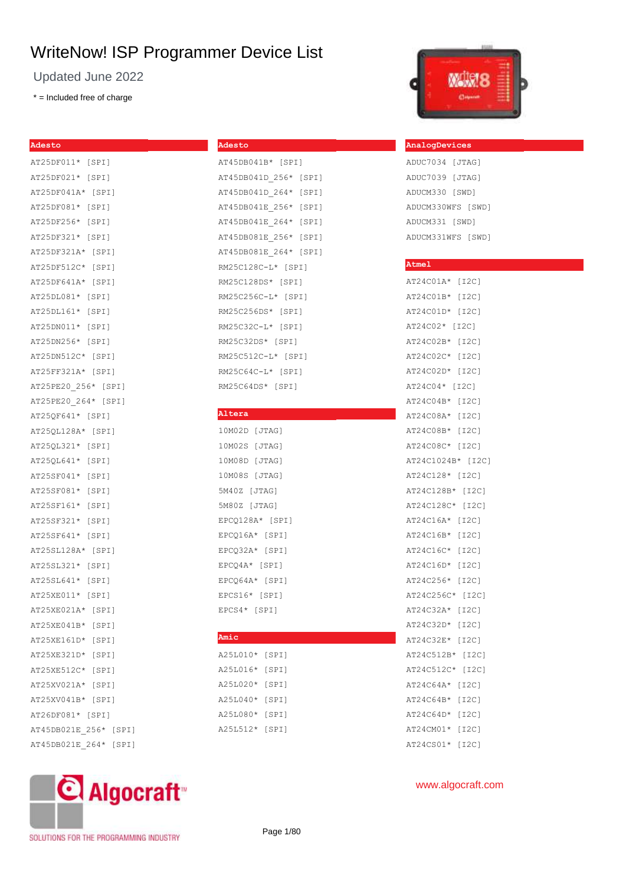Updated June 2022

\* = Included free of charge

## **Adesto** AT25DF011\* [SPI] AT25DF021\* [SPI] AT25DF041A\* [SPI] AT25DF081\* [SPI] AT25DF256\* [SPI] AT25DF321\* [SPI] AT25DF321A\* [SPI] AT25DF512C\* [SPI] AT25DF641A\* [SPI] AT25DL081\* [SPI] AT25DL161\* [SPI] AT25DN011\* [SPI] AT25DN256\* [SPI] AT25DN512C\* [SPI] AT25FF321A\* [SPI] AT25PE20\_256\* [SPI] AT25PE20\_264\* [SPI] AT25QF641\* [SPI] AT25QL128A\* [SPI] AT25QL321\* [SPI] AT25QL641\* [SPI] AT25SF041\* [SPI] AT25SF081\* [SPI] AT25SF161\* [SPI] AT25SF321\* [SPI] AT25SF641\* [SPI] AT25SL128A\* [SPI] AT25SL321\* [SPI] AT25SL641\* [SPI] AT25XE011\* [SPI] AT25XE021A\* [SPI] AT25XE041B\* [SPI] AT25XE161D\* [SPI] AT25XE321D\* [SPI] AT25XE512C\* [SPI] AT25XV021A\* [SPI] AT25XV041B\* [SPI] AT26DF081\* [SPI] AT45DB021E\_256\* [SPI] AT45DB021E\_264\* [SPI]

| Altera            |
|-------------------|
| 10M02D [JTAG]     |
| 10M02S [JTAG]     |
| 10M08D [JTAG]     |
| 10M08S [JTAG]     |
| 5M40Z [JTAG]      |
| 5M80Z [JTAG]      |
| EPCQ128A* [SPI]   |
| EPCQ16A* [SPI]    |
| EPCQ32A* [SPI]    |
| EPCQ4A* [SPI]     |
| EPCQ64A* [SPI]    |
| EPCS16* [SPI]     |
| EPCS4* [SPI]      |
|                   |
| Amic              |
| A25L010* [SPI]    |
| A25L016* [SPI]    |
| A25L020*<br>[SPI] |
| A25L040*<br>[SPI] |

| A25L010*    | [SPI] |
|-------------|-------|
| A25L016*    | [SPI] |
| A25L020*    | [SPI] |
| $A25I.040*$ | [SPI] |
| A25L080*    | [SPI] |
| A25L512*    | [SPI] |

| Amic     |       |
|----------|-------|
| A25L010* | [SPI] |
| A25L016* | [SPI] |
| A25L020* | [SPI] |
| A25L040* | [SPI] |
| A25L080* | [SPI] |
|          |       |

|            | MO2D [JTAG]   |
|------------|---------------|
|            | M02S [JTAG]   |
|            | M08D [JTAG]   |
|            | M08S [JTAG]   |
| 40Z [JTAG] |               |
| 80Z [JTAG] |               |
|            | CQ128A* [SPI] |
|            | CQ16A* [SPI]  |
|            | CQ32A* [SPI]  |
|            | CQ4A* [SPI]   |
|            |               |

## AT45DB041D\_264\* [SPI] AT45DB041E\_256\* [SPI] AT45DB041E\_264\* [SPI] AT45DB081E\_256\* [SPI] AT45DB081E\_264\* [SPI] RM25C128C-L\* [SPI] RM25C128DS\* [SPI] RM25C256C-L\* [SPI] RM25C256DS\* [SPI] RM25C32C-L\* [SPI] RM25C32DS\* [SPI] RM25C512C-L\* [SPI] RM25C64C-L\* [SPI]

**Adesto**

AT45DB041B\* [SPI] AT45DB041D\_256\* [SPI]

| AT45DB041E 256* [SPI |  |  |
|----------------------|--|--|
| AT45DB041E 264* [SPI |  |  |
| AT45DB081E 256* [SPI |  |  |
| AT45DB081E 264* [SPI |  |  |
| RM25C128C-L* [SPI]   |  |  |
| RM25C128DS* [SPI]    |  |  |
| RM25C256C-L* [SPI]   |  |  |
| RM25C256DS* [SPI]    |  |  |
| RM25C32C-L* [SPI]    |  |  |
| RM25C32DS* [SPI]     |  |  |
| RM25C512C-L* [SPI]   |  |  |
| RM25C64C-L* [SPI]    |  |  |
| RM25C64DS* [SPI]     |  |  |

## www.algocraft.com

|  | 1 J Z U I |  |  |
|--|-----------|--|--|
|  | * [I2C]   |  |  |
|  | 1B* [T2C] |  |  |

## AT24C02\* [I2C] AT24C02B\* [I2C] AT24C02C\* [I2C] AT24C02D\* [I2C] AT24C04\* [I2C] AT24C04B\* [I2C]

AT24C01A\* [I2C] AT24C01B\* [I2C] AT24C01D\* [I2C]

**Atmel**

AT24C08A\* [I2C] AT24C08B\* [I2C]  $AT24C08C*$ AT24C1024B\* [I2C] AT24C128\* [I2C] AT24C128B\* [I2C] AT24C128C\* [I2C] AT24C16A\* [I2C] AT24C16B\* [I2C] AT24C16C\* [I2C] AT24C16D\* [I2C] AT24C256\* [I2C] AT24C256C\* [I2C] AT24C32A\* [I2C] AT24C32D\* [I2C] AT24C32E\* [I2C] AT24C512B\* [I2C] AT24C512C\* [I2C] AT24C64A\* [I2C] AT24C64B\* [I2C] AT24C64D\* [I2C] AT24CM01\* [I2C] AT24CS01\* [I2C]

SOLUTIONS FOR THE PROGRAMMING INDUSTRY

C Algocraft<sup>®</sup>

Page 1/80



**AnalogDevices** ADUC7034 [JTAG] ADUC7039 [JTAG] ADUCM330 [SWD] ADUCM330WFS [SWD] ADUCM331 [SWD] ADUCM331WFS [SWD]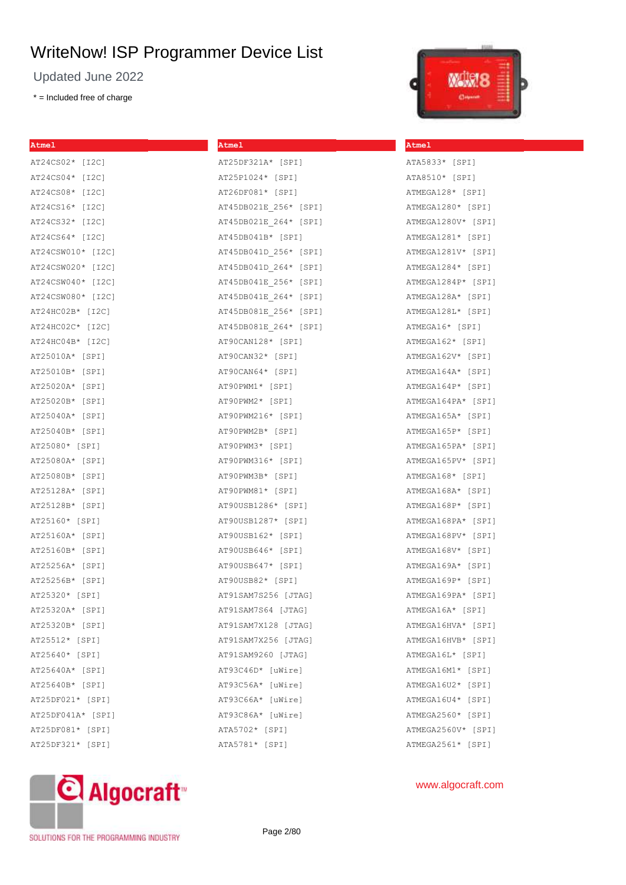Updated June 2022

\* = Included free of charge

| ша                                                               |  |
|------------------------------------------------------------------|--|
| ٠<br>-<br>-<br>-<br>$\frac{1}{2}$<br>٠<br><b>STATE</b><br>-<br>- |  |

**Atmel**

ATA5833\* [SPI] ATA8510\* [SPI] ATMEGA128\* [SPI] ATMEGA1280\* [SPI] ATMEGA1280V\* [SPI] ATMEGA1281\* [SPI] ATMEGA1281V\* [SPI] ATMEGA1284\* [SPI] ATMEGA1284P\* [SPI] ATMEGA128A\* [SPI] ATMEGA128L\* [SPI] ATMEGA16\* [SPI] ATMEGA162\* [SPI] ATMEGA162V\* [SPI] ATMEGA164A\* [SPI] ATMEGA164P\* [SPI] ATMEGA164PA\* [SPI] ATMEGA165A\* [SPI] ATMEGA165P\* [SPI] ATMEGA165PA\* [SPI] ATMEGA165PV\* [SPI] ATMEGA168\* [SPI] ATMEGA168A\* [SPI] ATMEGA168P\* [SPI] ATMEGA168PA\* [SPI] ATMEGA168PV\* [SPI] ATMEGA168V\* [SPI] ATMEGA169A\* [SPI] ATMEGA169P\* [SPI] ATMEGA169PA\* [SPI] ATMEGA16A\* [SPI] ATMEGA16HVA\* [SPI] ATMEGA16HVB\* [SPI] ATMEGA16L\* [SPI] ATMEGA16M1\* [SPI] ATMEGA16U2\* [SPI] ATMEGA16U4\* [SPI] ATMEGA2560\* [SPI] ATMEGA2560V\* [SPI] ATMEGA2561\* [SPI]

| <b>Atmel</b>      | Atmel                 |
|-------------------|-----------------------|
| AT24CS02* [I2C]   | AT25DF321A* [SPI]     |
| AT24CS04* [I2C]   | AT25P1024* [SPI]      |
| AT24CS08* [I2C]   | AT26DF081* [SPI]      |
| AT24CS16* [I2C]   | AT45DB021E 256* [SPI] |
| AT24CS32* [I2C]   | AT45DB021E 264* [SPI] |
| AT24CS64* [I2C]   | AT45DB041B* [SPI]     |
| AT24CSW010* [I2C] | AT45DB041D 256* [SPI] |
| AT24CSW020* [I2C] | AT45DB041D 264* [SPI] |
| AT24CSW040* [I2C] | AT45DB041E 256* [SPI] |
| AT24CSW080* [I2C] | AT45DB041E 264* [SPI] |
| AT24HC02B* [I2C]  | AT45DB081E 256* [SPI] |
| AT24HC02C* [I2C]  | AT45DB081E 264* [SPI] |
| AT24HC04B* [I2C]  | AT90CAN128* [SPI]     |
| AT25010A* [SPI]   | AT90CAN32* [SPI]      |
| AT25010B* [SPI]   | AT90CAN64* [SPI]      |
| AT25020A* [SPI]   | AT90PWM1* [SPI]       |
| AT25020B* [SPI]   | AT90PWM2* [SPI]       |
| AT25040A* [SPI]   | AT90PWM216* [SPI]     |
| AT25040B* [SPI]   | AT90PWM2B* [SPI]      |
| AT25080* [SPI]    | AT90PWM3* [SPI]       |
| AT25080A* [SPI]   | AT90PWM316* [SPI]     |
| AT25080B* [SPI]   | AT90PWM3B* [SPI]      |
| AT25128A* [SPI]   | AT90PWM81* [SPI]      |
| AT25128B* [SPI]   | AT90USB1286* [SPI]    |
| AT25160* [SPI]    | AT90USB1287* [SPI]    |
| AT25160A* [SPI]   | AT90USB162* [SPI]     |
| AT25160B* [SPI]   | AT90USB646* [SPI]     |
| AT25256A* [SPI]   | AT90USB647* [SPI]     |
| AT25256B* [SPI]   | AT90USB82* [SPI]      |
| AT25320* [SPI]    | AT91SAM7S256 [JTAG]   |
| AT25320A* [SPI]   | AT91SAM7S64 [JTAG]    |
| AT25320B* [SPI]   | AT91SAM7X128 [JTAG]   |
| AT25512* [SPI]    | AT91SAM7X256 [JTAG]   |
| AT25640* [SPI]    | AT91SAM9260 [JTAG]    |
| AT25640A* [SPI]   | AT93C46D* [uWire]     |
| AT25640B* [SPI]   | AT93C56A* [uWire]     |
| AT25DF021* [SPI]  | AT93C66A* [uWire]     |
| AT25DF041A* [SPI] | AT93C86A* [uWire]     |
| AT25DF081* [SPI]  | ATA5702* [SPI]        |
| AT25DF321* [SPI]  | ATA5781* [SPI]        |

## www.algocraft.com



SOLUTIONS FOR THE PROGRAMMING INDUSTRY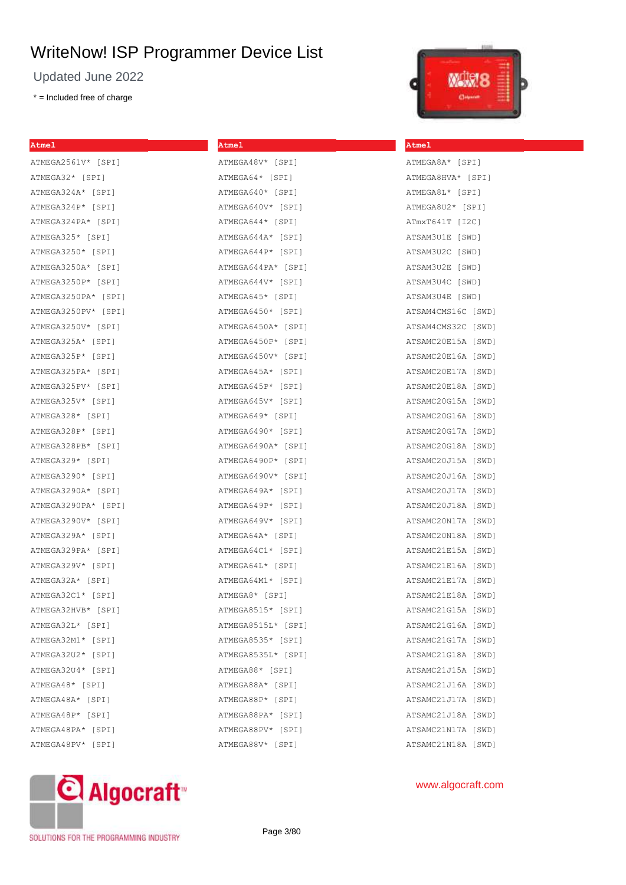**Atmel**

Updated June 2022

\* = Included free of charge

**Atmel**

**Atmel**

ATMEGA8A\* [SPI] ATMEGA8HVA\* [SPI] ATMEGA8L\* [SPI] ATMEGA8U2\* [SPI] ATmxT641T [I2C] ATSAM3U1E [SWD] ATSAM3U2C [SWD] ATSAM3U2E [SWD] ATSAM3U4C [SWD] ATSAM3U4E [SWD] ATSAM4CMS16C [SWD]

#### ATMEGA2561V\* [SPI] ATMEGA32\* [SPI] ATMEGA324A\* [SPI] ATMEGA324P\* [SPI] ATMEGA324PA\* [SPI] ATMEGA325\* [SPI] ATMEGA3250\* [SPI] ATMEGA3250A\* [SPI] ATMEGA3250P\* [SPI] ATMEGA3250PA\* [SPI] ATMEGA3250PV\* [SPI] ATMEGA3250V\* [SPI] ATMEGA325A\* [SPI] ATMEGA325P\* [SPI] ATMEGA325PA\* [SPI] ATMEGA325PV\* [SPI] ATMEGA325V\* [SPI] ATMEGA328\* [SPI] ATMEGA328P\* [SPI] ATMEGA328PB\* [SPI] ATMEGA329\* [SPI] ATMEGA3290\* [SPI] ATMEGA3290A\* [SPI] ATMEGA3290PA\* [SPI] ATMEGA3290V\* [SPI] ATMEGA329A\* [SPI] ATMEGA329PA\* [SPI] ATMEGA329V\* [SPI] ATMEGA32A\* [SPI] ATMEGA32C1\* [SPI] ATMEGA32HVB\* [SPI] ATMEGA32L\* [SPI] ATMEGA32M1\* [SPI] ATMEGA32U2\* [SPI] ATMEGA32U4\* [SPI] ATMEGA48\* [SPI] ATMEGA48A\* [SPI] ATMEGA48P\* [SPI] ATMEGA48V\* [SPI] ATMEGA64\* [SPI] ATMEGA640\* [SPI] ATMEGA640V\* [SPI] ATMEGA644\* [SPI] ATMEGA644A\* [SPI] ATMEGA644P\* [SPI] ATMEGA644PA\* [SPI] ATMEGA644V\* [SPI] ATMEGA645\* [SPI] ATMEGA6450\* [SPI] ATMEGA6450A\* [SPI] ATMEGA6450P\* [SPI] ATMEGA6450V\* [SPI] ATMEGA645A\* [SPI] ATMEGA645P\* [SPI] ATMEGA645V\* [SPI] ATMEGA649\* [SPI] ATMEGA6490\* [SPI] ATMEGA6490A\* [SPI] ATMEGA6490P\* [SPI] ATMEGA6490V\* [SPI] ATMEGA649A\* [SPI] ATMEGA649P\* [SPI] ATMEGA649V\* [SPI] ATMEGA64A\* [SPI] ATMEGA64C1\* [SPI] ATMEGA64L\* [SPI] ATMEGA64M1\* [SPI] ATMEGA8\* [SPI] ATMEGA8515\* [SPI] ATMEGA8515L\* [SPI] ATMEGA8535\* [SPI] ATMEGA8535L\* [SPI] ATMEGA88\* [SPI] ATMEGA88A\* [SPI] ATMEGA88P\* [SPI] ATMEGA88PA\* [SPI]



Page 3/80

## ATSAM4CMS32C [SWD] ATSAMC20E15A [SWD] ATSAMC20E16A [SWD] ATSAMC20E17A [SWD] ATSAMC20E18A [SWD] ATSAMC20G15A [SWD] ATSAMC20G16A [SWD] ATSAMC20G17A [SWD] ATSAMC20G18A [SWD] ATSAMC20J15A [SWD] ATSAMC20J16A [SWD] ATSAMC20J17A [SWD] ATSAMC20J18A [SWD] ATSAMC20N17A [SWD] ATSAMC20N18A [SWD] ATSAMC21E15A [SWD] ATSAMC21E16A [SWD] ATSAMC21E17A [SWD] ATSAMC21E18A [SWD] ATSAMC21G15A [SWD] ATSAMC21G16A [SWD] ATSAMC21G17A [SWD] ATSAMC21G18A [SWD] ATSAMC21J15A [SWD] ATSAMC21J16A [SWD] ATSAMC21J17A [SWD] ATSAMC21J18A [SWD] ATSAMC21N17A [SWD] ATSAMC21N18A [SWD]

C Algocraft<sup>®</sup> SOLUTIONS FOR THE PROGRAMMING INDUSTRY

ATMEGA48PA\* [SPI] ATMEGA48PV\* [SPI]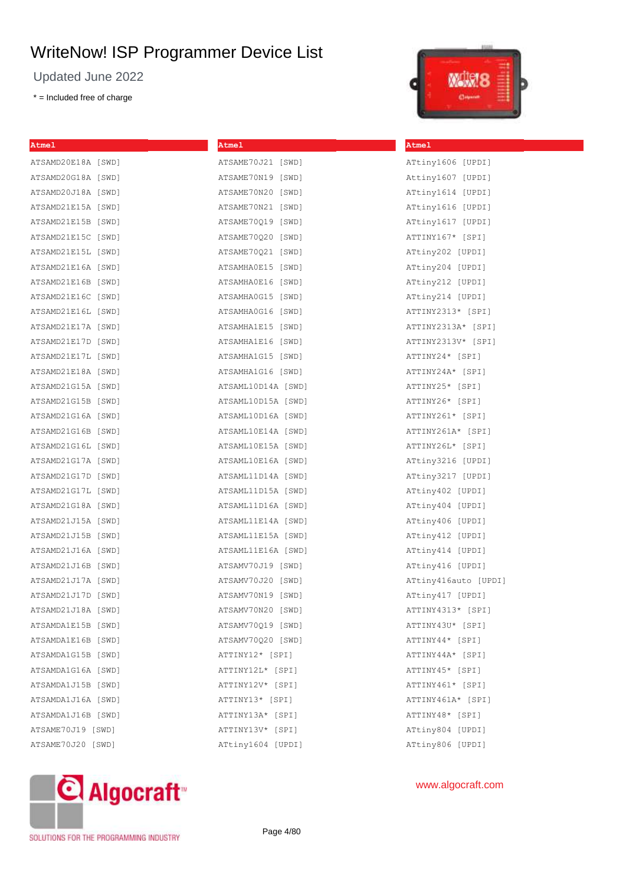Updated June 2022

\* = Included free of charge



| Atmel              | <b>Atmel</b>       | <b>Atmel</b>         |
|--------------------|--------------------|----------------------|
| ATSAMD20E18A [SWD] | ATSAME70J21 [SWD]  | ATtiny1606 [UPDI]    |
| ATSAMD20G18A [SWD] | ATSAME70N19 [SWD]  | Attiny1607 [UPDI]    |
| ATSAMD20J18A [SWD] | ATSAME70N20 [SWD]  | ATtiny1614 [UPDI]    |
| ATSAMD21E15A [SWD] | ATSAME70N21 [SWD]  | ATtiny1616 [UPDI]    |
| ATSAMD21E15B [SWD] | ATSAME70Q19 [SWD]  | ATtiny1617 [UPDI]    |
| ATSAMD21E15C [SWD] | ATSAME70Q20 [SWD]  | ATTINY167* [SPI]     |
| ATSAMD21E15L [SWD] | ATSAME70Q21 [SWD]  | ATtiny202 [UPDI]     |
| ATSAMD21E16A [SWD] | ATSAMHA0E15 [SWD]  | ATtiny204 [UPDI]     |
| ATSAMD21E16B [SWD] | ATSAMHA0E16 [SWD]  | ATtiny212 [UPDI]     |
| ATSAMD21E16C [SWD] | ATSAMHA0G15 [SWD]  | ATtiny214 [UPDI]     |
| ATSAMD21E16L [SWD] | ATSAMHA0G16 [SWD]  | ATTINY2313* [SPI]    |
| ATSAMD21E17A [SWD] | ATSAMHA1E15 [SWD]  | ATTINY2313A* [SPI]   |
| ATSAMD21E17D [SWD] | ATSAMHA1E16 [SWD]  | ATTINY2313V* [SPI]   |
| ATSAMD21E17L [SWD] | ATSAMHA1G15 [SWD]  | ATTINY24* [SPI]      |
| ATSAMD21E18A [SWD] | ATSAMHA1G16 [SWD]  | ATTINY24A* [SPI]     |
| ATSAMD21G15A [SWD] | ATSAML10D14A [SWD] | ATTINY25* [SPI]      |
| ATSAMD21G15B [SWD] | ATSAML10D15A [SWD] | ATTINY26* [SPI]      |
| ATSAMD21G16A [SWD] | ATSAML10D16A [SWD] | ATTINY261* [SPI]     |
| ATSAMD21G16B [SWD] | ATSAML10E14A [SWD] | ATTINY261A* [SPI]    |
| ATSAMD21G16L [SWD] | ATSAML10E15A [SWD] | ATTINY26L* [SPI]     |
| ATSAMD21G17A [SWD] | ATSAML10E16A [SWD] | ATtiny3216 [UPDI]    |
| ATSAMD21G17D [SWD] | ATSAML11D14A [SWD] | ATtiny3217 [UPDI]    |
| ATSAMD21G17L [SWD] | ATSAML11D15A [SWD] | ATtiny402 [UPDI]     |
| ATSAMD21G18A [SWD] | ATSAML11D16A [SWD] | ATtiny404 [UPDI]     |
| ATSAMD21J15A [SWD] | ATSAML11E14A [SWD] | ATtiny406 [UPDI]     |
| ATSAMD21J15B [SWD] | ATSAML11E15A [SWD] | ATtiny412 [UPDI]     |
| ATSAMD21J16A [SWD] | ATSAML11E16A [SWD] | ATtiny414 [UPDI]     |
| ATSAMD21J16B [SWD] | ATSAMV70J19 [SWD]  | ATtiny416 [UPDI]     |
| ATSAMD21J17A [SWD] | ATSAMV70J20 [SWD]  | ATtiny416auto [UPDI] |
| ATSAMD21J17D [SWD] | ATSAMV70N19 [SWD]  | ATtiny417 [UPDI]     |
| ATSAMD21J18A [SWD] | ATSAMV70N20 [SWD]  | ATTINY4313* [SPI]    |
| ATSAMDA1E15B [SWD] | ATSAMV70Q19 [SWD]  | ATTINY43U* [SPI]     |
| ATSAMDA1E16B [SWD] | ATSAMV70Q20 [SWD]  | ATTINY44* [SPI]      |
| ATSAMDA1G15B [SWD] | ATTINY12* [SPI]    | ATTINY44A* [SPI]     |
| ATSAMDA1G16A [SWD] | ATTINY12L* [SPI]   | ATTINY45* [SPI]      |
| ATSAMDA1J15B [SWD] | ATTINY12V* [SPI]   | ATTINY461* [SPI]     |
| ATSAMDA1J16A [SWD] | ATTINY13* [SPI]    | ATTINY461A* [SPI]    |
| ATSAMDA1J16B [SWD] | ATTINY13A* [SPI]   | ATTINY48* [SPI]      |
| ATSAME70J19 [SWD]  | ATTINY13V* [SPI]   | ATtiny804 [UPDI]     |
| ATSAME70J20 [SWD]  | ATtiny1604 [UPDI]  | ATtiny806 [UPDI]     |

# C Algocraft<sup>®</sup>

SOLUTIONS FOR THE PROGRAMMING INDUSTRY

Page 4/80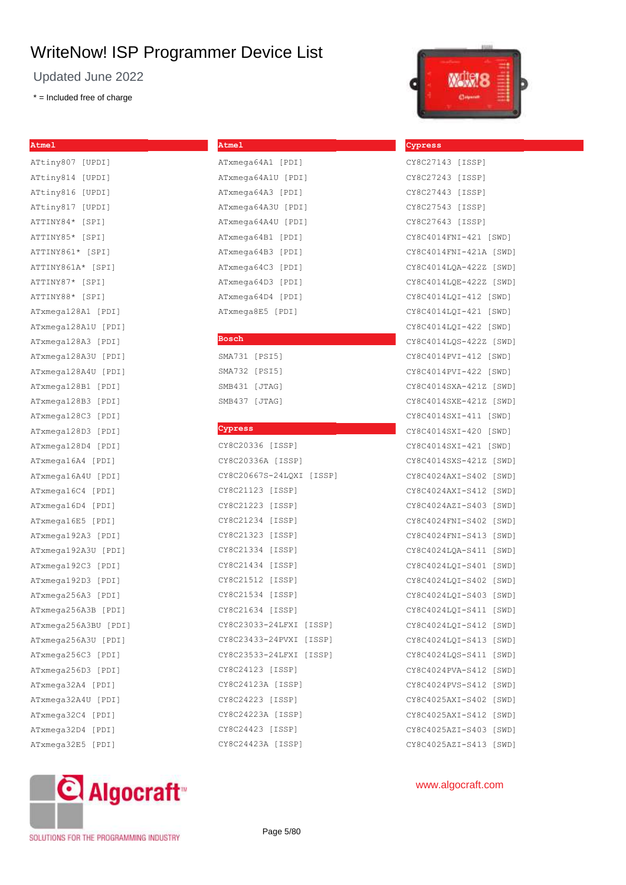Updated June 2022

\* = Included free of charge

#### **Atmel**

ATtiny807 [UPDI] ATtiny814 [UPDI] ATtiny816 [UPDI] ATtiny817 [UPDI] ATTINY84\* [SPI] ATTINY85\* [SPI] ATTINY861\* [SPI] ATTINY861A\* [SPI] ATTINY87\* [SPI] ATTINY88\* [SPI] ATxmega128A1 [PDI] ATxmega128A1U [PDI] ATxmega128A3 [PDI] ATxmega128A3U [PDI] ATxmega128A4U [PDI] ATxmega128B1 [PDI] ATxmega128B3 [PDI] ATxmega128C3 [PDI] ATxmega128D3 [PDI] ATxmega128D4 [PDI] ATxmega16A4 [PDI] ATxmega16A4U [PDI] ATxmega16C4 [PDI] ATxmega16D4 [PDI] ATxmega16E5 [PDI] ATxmega192A3 [PDI] ATxmega192A3U [PDI] ATxmega192C3 [PDI] ATxmega192D3 [PDI] ATxmega256A3 [PDI] ATxmega256A3B [PDI] ATxmega256A3BU [PDI] ATxmega256A3U [PDI] ATxmega256C3 [PDI] ATxmega256D3 [PDI] ATxmega32A4 [PDI] ATxmega32A4U [PDI] ATxmega32C4 [PDI] ATxmega32D4 [PDI] ATxmega32E5 [PDI]

| ATxmega64A1 [PDI]  |
|--------------------|
| ATxmega64A1U [PDI] |
| ATxmega64A3 [PDI]  |
| ATxmega64A3U [PDI] |
| ATxmega64A4U [PDI] |
| ATxmega64B1 [PDI]  |
| ATxmega64B3 [PDI]  |
| ATxmega64C3 [PDI]  |
| ATxmega64D3 [PDI]  |
| ATxmega64D4 [PDI]  |
| ATxmega8E5 [PDI]   |

#### **Bosch**

**Atmel**

| SMA731 [PSI5] |        |
|---------------|--------|
| SMA732 [PSI5] |        |
| SMB431 [JTAG] |        |
| SMB437        | [JTAG] |

#### **Cypress**

| CY8C20336 [ISSP]         |  |  |  |  |  |  |  |
|--------------------------|--|--|--|--|--|--|--|
| CY8C20336A [ISSP]        |  |  |  |  |  |  |  |
| CY8C20667S-24LQXI [ISSP] |  |  |  |  |  |  |  |
| CY8C21123 [ISSP]         |  |  |  |  |  |  |  |
| CY8C21223 [ISSP]         |  |  |  |  |  |  |  |
| CY8C21234 [ISSP]         |  |  |  |  |  |  |  |
| CY8C21323 [ISSP]         |  |  |  |  |  |  |  |
| CY8C21334 [ISSP]         |  |  |  |  |  |  |  |
| CY8C21434 [ISSP]         |  |  |  |  |  |  |  |
| CY8C21512 [ISSP]         |  |  |  |  |  |  |  |
| CY8C21534 [ISSP]         |  |  |  |  |  |  |  |
| CY8C21634 [ISSP]         |  |  |  |  |  |  |  |
| CY8C23033-24LFXI [ISSP]  |  |  |  |  |  |  |  |
| CY8C23433-24PVXI [ISSP]  |  |  |  |  |  |  |  |
| CY8C23533-24LFXI [ISSP]  |  |  |  |  |  |  |  |
| CY8C24123 [ISSP]         |  |  |  |  |  |  |  |
| CY8C24123A [ISSP]        |  |  |  |  |  |  |  |
| CY8C24223 [ISSP]         |  |  |  |  |  |  |  |
| CY8C24223A [ISSP]        |  |  |  |  |  |  |  |
| CY8C24423 [ISSP]         |  |  |  |  |  |  |  |
| CY8C24423A [ISSP]        |  |  |  |  |  |  |  |



**Cypress**

| CY8C27143 [ISSP]       |       |
|------------------------|-------|
| CY8C27243 [ISSP]       |       |
| CY8C27443 [ISSP]       |       |
| CY8C27543 [ISSP]       |       |
| CY8C27643 [ISSP]       |       |
| CY8C4014FNI-421 [SWD]  |       |
| CY8C4014FNI-421A [SWD] |       |
| CY8C4014LQA-422Z [SWD] |       |
| CY8C4014LQE-422Z [SWD] |       |
| CY8C4014LQI-412 [SWD]  |       |
| CY8C4014LQI-421 [SWD]  |       |
| CY8C4014LQI-422 [SWD]  |       |
| CY8C4014LQS-422Z [SWD] |       |
| CY8C4014PVI-412 [SWD]  |       |
| CY8C4014PVI-422 [SWD]  |       |
| CY8C4014SXA-421Z [SWD] |       |
| CY8C4014SXE-421Z [SWD] |       |
| CY8C4014SXI-411 [SWD]  |       |
| CY8C4014SXI-420 [SWD]  |       |
| CY8C4014SXI-421 [SWD]  |       |
| CY8C4014SXS-421Z [SWD] |       |
| CY8C4024AXI-S402 [SWD] |       |
| CY8C4024AXI-S412 [SWD] |       |
| CY8C4024AZI-S403 [SWD] |       |
| CY8C4024FNI-S402 [SWD] |       |
| CY8C4024FNI-S413 [SWD] |       |
| CY8C4024LQA-S411 [SWD] |       |
| CY8C4024LQI-S401 [SWD] |       |
| CY8C4024LQI-S402 [SWD] |       |
| CY8C4024LQI-S403 [SWD] |       |
| CY8C4024LQI-S411 [SWD] |       |
| CY8C4024LQI-S412       | [SWD] |
| CY8C4024LQI-S413       | [SWD] |
| CY8C4024LQS-S411       | [SWD] |
| CY8C4024PVA-S412       | [SWD] |
| CY8C4024PVS-S412       | [SWD] |
| CY8C4025AXI-S402       | [SWD] |
| CY8C4025AXI-S412       | [SWD] |
| CY8C4025AZI-S403       | [SWD] |
| CY8C4025AZI-S413 [SWD] |       |



## www.algocraft.com

#### SOLUTIONS FOR THE PROGRAMMING INDUSTRY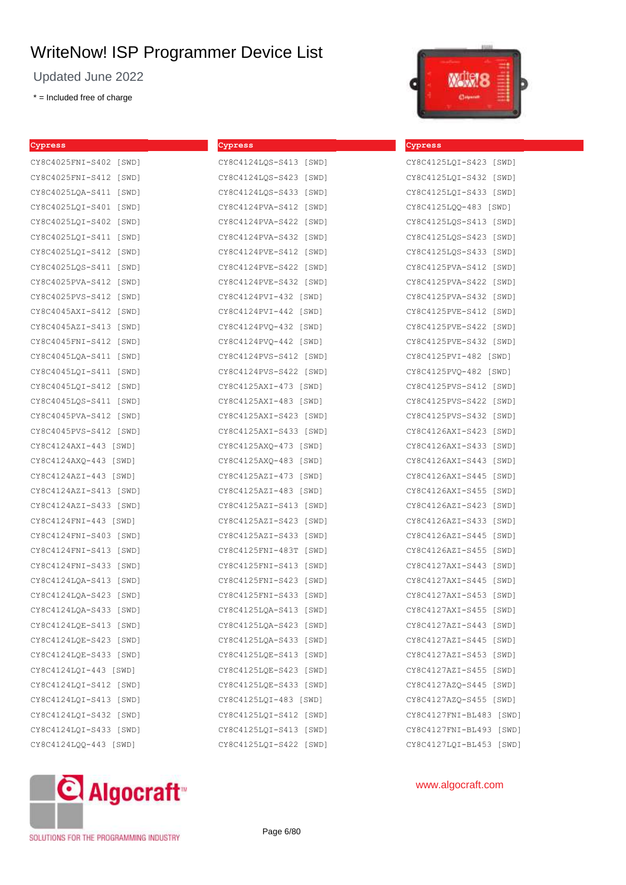Updated June 2022

\* = Included free of charge

| Cypress                | Cypress                |
|------------------------|------------------------|
| CY8C4025FNI-S402 [SWD] | CY8C4124LQS-S413 [SWD] |
| CY8C4025FNI-S412 [SWD] | CY8C4124LQS-S423 [SWD] |
| CY8C4025LQA-S411 [SWD] | CY8C4124LQS-S433 [SWD] |
| CY8C4025LQI-S401 [SWD] | CY8C4124PVA-S412 [SWD] |
| CY8C4025LQI-S402 [SWD] | CY8C4124PVA-S422 [SWD] |
| CY8C4025LQI-S411 [SWD] | CY8C4124PVA-S432 [SWD] |
| CY8C4025LQI-S412 [SWD] | CY8C4124PVE-S412 [SWD] |
| CY8C4025LQS-S411 [SWD] | CY8C4124PVE-S422 [SWD] |
| CY8C4025PVA-S412 [SWD] | CY8C4124PVE-S432 [SWD] |
| CY8C4025PVS-S412 [SWD] | CY8C4124PVI-432 [SWD]  |
| CY8C4045AXI-S412 [SWD] | CY8C4124PVI-442 [SWD]  |
| CY8C4045AZI-S413 [SWD] | CY8C4124PVQ-432 [SWD]  |
| CY8C4045FNI-S412 [SWD] | CY8C4124PVQ-442 [SWD]  |
| CY8C4045LOA-S411 [SWD] | CY8C4124PVS-S412 [SWD] |
| CY8C4045LQI-S411 [SWD] | CY8C4124PVS-S422 [SWD] |
| CY8C4045LQI-S412 [SWD] | CY8C4125AXI-473 [SWD]  |
| CY8C4045LQS-S411 [SWD] | CY8C4125AXI-483 [SWD]  |
| CY8C4045PVA-S412 [SWD] | CY8C4125AXI-S423 [SWD] |
| CY8C4045PVS-S412 [SWD] | CY8C4125AXI-S433 [SWD] |
| CY8C4124AXI-443 [SWD]  | CY8C4125AXQ-473 [SWD]  |
| CY8C4124AXQ-443 [SWD]  | CY8C4125AXQ-483 [SWD]  |
| CY8C4124AZI-443 [SWD]  | CY8C4125AZI-473 [SWD]  |
| CY8C4124AZI-S413 [SWD] | CY8C4125AZI-483 [SWD]  |
| CY8C4124AZI-S433 [SWD] | CY8C4125AZI-S413 [SWD] |
| CY8C4124FNI-443 [SWD]  | CY8C4125AZI-S423 [SWD] |
| CY8C4124FNI-S403 [SWD] | CY8C4125AZI-S433 [SWD] |
| CY8C4124FNI-S413 [SWD] | CY8C4125FNI-483T [SWD] |
| CY8C4124FNI-S433 [SWD] | CY8C4125FNI-S413 [SWD] |
| CY8C4124LQA-S413 [SWD] | CY8C4125FNI-S423 [SWD] |
| CY8C4124LQA-S423 [SWD] | CY8C4125FNI-S433 [SWD] |
| CY8C4124LQA-S433 [SWD] | CY8C4125LQA-S413 [SWD] |
| CY8C4124LQE-S413 [SWD] | CY8C4125LOA-S423 [SWD] |
| CY8C4124LQE-S423 [SWD] | CY8C4125LQA-S433 [SWD] |
| CY8C4124LQE-S433 [SWD] | CY8C4125LOE-S413 [SWD] |
| CY8C4124LOI-443 [SWD]  | CY8C4125LQE-S423 [SWD] |
| CY8C4124LQI-S412 [SWD] | CY8C4125LQE-S433 [SWD] |
| CY8C4124LOI-S413 [SWD] | CY8C4125LQI-483 [SWD]  |
| CY8C4124LQI-S432 [SWD] | CY8C4125LQI-S412 [SWD] |
| CY8C4124LQI-S433 [SWD] | CY8C4125LQI-S413 [SWD] |
| CY8C4124LQQ-443 [SWD]  | CY8C4125LQI-S422 [SWD] |
|                        |                        |



| Cypress                   |
|---------------------------|
| CY8C4125LQI-S423 [SWD]    |
| CY8C4125LQI-S432 [SWD]    |
| CY8C4125LQI-S433 [SWD]    |
| CY8C4125LQQ-483 [SWD]     |
| CY8C4125LQS-S413 [SWD]    |
| CY8C4125LQS-S423 [SWD]    |
| CY8C4125LQS-S433 [SWD]    |
| CY8C4125PVA-S412 [SWD]    |
| CY8C4125PVA-S422 [SWD]    |
| CY8C4125PVA-S432 [SWD]    |
| CY8C4125PVE-S412 [SWD]    |
| CY8C4125PVE-S422 [SWD]    |
| CY8C4125PVE-S432 [SWD]    |
| CY8C4125PVI-482 [SWD]     |
| CY8C4125PVQ-482 [SWD]     |
| CY8C4125PVS-S412 [SWD]    |
| CY8C4125PVS-S422 [SWD]    |
| CY8C4125PVS-S432 [SWD]    |
| CY8C4126AXI-S423 [SWD]    |
| CY8C4126AXI-S433 [SWD]    |
| CY8C4126AXI-S443 [SWD]    |
| CY8C4126AXI-S445 [SWD]    |
| CY8C4126AXI-S455<br>[SWD] |
| CY8C4126AZI-S423 [SWD]    |
| CY8C4126AZI-S433 [SWD]    |
| CY8C4126AZI-S445<br>[SWD] |
| CY8C4126AZI-S455 [SWD]    |
| CY8C4127AXI-S443 [SWD]    |
| CY8C4127AXI-S445 [SWD]    |
| CY8C4127AXI-S453 [SWD]    |
| CY8C4127AXI-S455 [SWD]    |
| CY8C4127AZI-S443 [SWD]    |
| CY8C4127AZI-S445 [SWD]    |
| CY8C4127AZI-S453<br>[SWD] |
| CY8C4127AZI-S455 [SWD]    |
| CY8C4127AZQ-S445 [SWD]    |
| CY8C4127AZQ-S455 [SWD]    |
| CY8C4127FNI-BL483 [SWD]   |
| CY8C4127FNI-BL493 [SWD]   |
| CY8C4127LQI-BL453 [SWD]   |



www.algocraft.com

SOLUTIONS FOR THE PROGRAMMING INDUSTRY

Page 6/80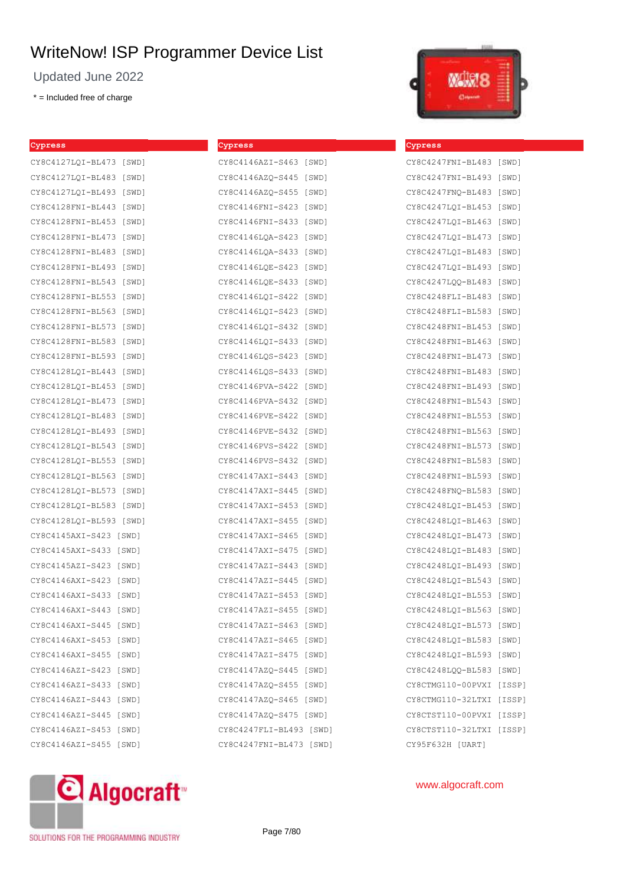Updated June 2022

\* = Included free of charge

| Cypress                    | Cypress                 |       |
|----------------------------|-------------------------|-------|
| CY8C4127LQI-BL473 [SWD]    | CY8C4146AZI-S463 [SWD]  |       |
| CY8C4127LOI-BL483<br>[SWD] | CY8C4146AZO-S445        | [SWD] |
| CY8C4127LQI-BL493 [SWD]    | CY8C4146AZO-S455        | [SWD] |
| CY8C4128FNI-BL443<br>[SWD] | CY8C4146FNI-S423        | [SWD] |
| CY8C4128FNI-BL453 [SWD]    | CY8C4146FNI-S433        | [SWD] |
| CY8C4128FNI-BL473<br>[SWD] | CY8C4146LQA-S423        | [SWD] |
| CY8C4128FNI-BL483 [SWD]    | CY8C4146LQA-S433 [SWD]  |       |
| CY8C4128FNI-BL493<br>[SWD] | CY8C4146LQE-S423        | [SWD] |
| CY8C4128FNI-BL543<br>[SWD] | CY8C4146LQE-S433        | [SWD] |
| CY8C4128FNI-BL553 [SWD]    | CY8C4146LQI-S422        | [SWD] |
| CY8C4128FNI-BL563 [SWD]    | CY8C4146LQI-S423        | [SWD] |
| CY8C4128FNI-BL573 [SWD]    | CY8C4146LQI-S432 [SWD]  |       |
| CY8C4128FNI-BL583<br>[SWD] | CY8C4146LQI-S433        | [SWD] |
| CY8C4128FNI-BL593<br>[SWD] | CY8C4146LQS-S423        | [SWD] |
| CY8C4128LQI-BL443 [SWD]    | CY8C4146LQS-S433        | [SWD] |
| CY8C4128LQI-BL453<br>[SWD] | CY8C4146PVA-S422        | [SWD] |
| CY8C4128LQI-BL473<br>[SWD] | CY8C4146PVA-S432        | [SWD] |
| CY8C4128LOI-BL483 [SWD]    | CY8C4146PVE-S422        | [SWD] |
| CY8C4128LQI-BL493<br>[SWD] | CY8C4146PVE-S432        | [SWD] |
| CY8C4128LQI-BL543<br>[SWD] | CY8C4146PVS-S422        | [SWD] |
| CY8C4128LQI-BL553<br>[SWD] | CY8C4146PVS-S432        | [SWD] |
| CY8C4128LQI-BL563 [SWD]    | CY8C4147AXI-S443        | [SWD] |
| CY8C4128LQI-BL573 [SWD]    | CY8C4147AXI-S445        | [SWD] |
| CY8C4128LQI-BL583<br>[SWD] | CY8C4147AXI-S453        | [SWD] |
| CY8C4128LQI-BL593<br>[SWD] | CY8C4147AXI-S455        | [SWD] |
| CY8C4145AXI-S423 [SWD]     | CY8C4147AXI-S465        | [SWD] |
| CY8C4145AXI-S433<br>[SWD]  | CY8C4147AXI-S475        | [SWD] |
| CY8C4145AZI-S423<br>[SWD]  | CY8C4147AZI-S443        | [SWD] |
| CY8C4146AXI-S423<br>[SWD]  | CY8C4147AZI-S445        | [SWD] |
| CY8C4146AXI-S433 [SWD]     | CY8C4147AZI-S453 [SWD]  |       |
| CY8C4146AXI-S443 [SWD]     | CY8C4147AZI-S455 [SWD]  |       |
| CY8C4146AXI-S445 [SWD]     | CY8C4147AZI-S463 [SWD]  |       |
| CY8C4146AXI-S453 [SWD]     | CY8C4147AZI-S465 [SWD]  |       |
| CY8C4146AXI-S455 [SWD]     | CY8C4147AZI-S475 [SWD]  |       |
| CY8C4146AZI-S423 [SWD]     | CY8C4147AZQ-S445 [SWD]  |       |
| CY8C4146AZI-S433 [SWD]     | CY8C4147AZQ-S455 [SWD]  |       |
| CY8C4146AZI-S443 [SWD]     | CY8C4147AZQ-S465 [SWD]  |       |
| CY8C4146AZI-S445 [SWD]     | CY8C4147AZQ-S475 [SWD]  |       |
| CY8C4146AZI-S453 [SWD]     | CY8C4247FLI-BL493 [SWD] |       |
| CY8C4146AZI-S455 [SWD]     | CY8C4247FNI-BL473 [SWD] |       |



**Cypress**

## CY8C4247FNI-BL483 [SWD] CY8C4247FNI-BL493 [SWD] CY8C4247FNQ-BL483 [SWD] CY8C4247LQI-BL453 [SWD] CY8C4247LQI-BL463 [SWD] CY8C4247LQI-BL473 [SWD] CY8C4247LQI-BL483 [SWD] CY8C4247LQI-BL493 [SWD] CY8C4247LQQ-BL483 [SWD] CY8C4248FLI-BL483 [SWD] CY8C4248FLI-BL583 [SWD] CY8C4248FNI-BL453 [SWD] CY8C4248FNI-BL463 [SWD] CY8C4248FNI-BL473 [SWD] CY8C4248FNI-BL483 [SWD] CY8C4248FNI-BL493 [SWD] CY8C4248FNI-BL543 [SWD] CY8C4248FNI-BL553 [SWD] CY8C4248FNI-BL563 [SWD] CY8C4248FNI-BL573 [SWD] CY8C4248FNI-BL583 [SWD] CY8C4248FNI-BL593 [SWD] CY8C4248FNQ-BL583 [SWD] CY8C4248LQI-BL453 [SWD] CY8C4248LQI-BL463 [SWD] CY8C4248LQI-BL473 [SWD] CY8C4248LQI-BL483 [SWD] CY8C4248LQI-BL493 [SWD] CY8C4248LQI-BL543 [SWD] CY8C4248LQI-BL553 [SWD] CY8C4248LQI-BL563 [SWD] CY8C4248LQI-BL573 [SWD] CY8C4248LQI-BL583 [SWD] CY8C4248LQI-BL593 [SWD] CY8C4248LQQ-BL583 [SWD] CY8CTMG110-00PVXI [ISSP] CY8CTMG110-32LTXI [ISSP] CY8CTST110-00PVXI [ISSP] CY8CTST110-32LTXI [ISSP]



www.algocraft.com

CY95F632H [UART]

SOLUTIONS FOR THE PROGRAMMING INDUSTRY

Page 7/80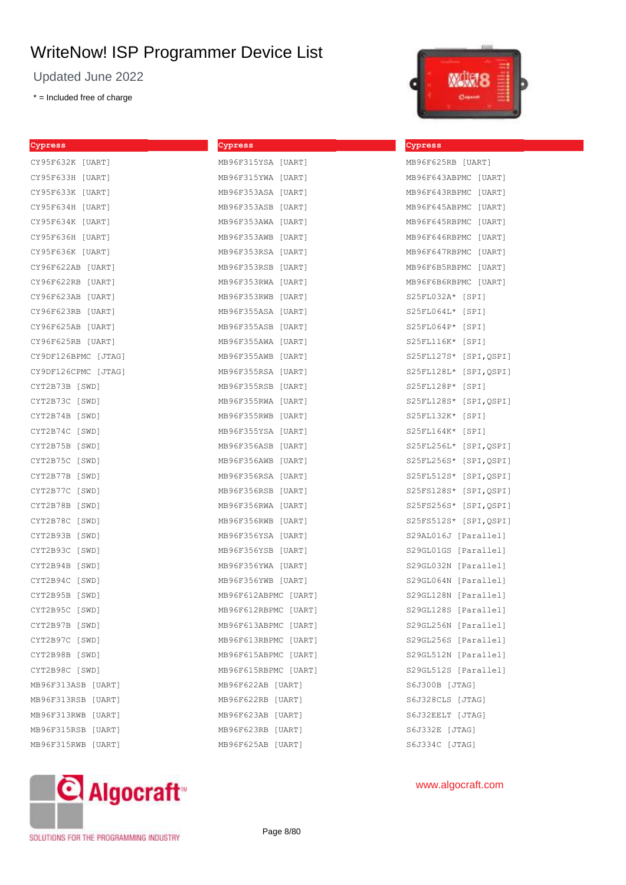Updated June 2022

\* = Included free of charge

**Cypress**

| Cypress             | Cypress              | Cypress        |
|---------------------|----------------------|----------------|
| CY95F632K [UART]    | MB96F315YSA [UART]   | MB96F62        |
| CY95F633H [UART]    | MB96F315YWA [UART]   | MB96F64        |
| CY95F633K [UART]    | MB96F353ASA [UART]   | MB96F64        |
| CY95F634H [UART]    | MB96F353ASB [UART]   | MB96F64        |
| CY95F634K [UART]    | MB96F353AWA [UART]   | MB96F64        |
| CY95F636H [UART]    | MB96F353AWB [UART]   | MB96F64        |
| CY95F636K [UART]    | MB96F353RSA [UART]   | MB96F64        |
| CY96F622AB [UART]   | MB96F353RSB [UART]   | MB96F6B        |
| CY96F622RB [UART]   | MB96F353RWA [UART]   | MB96F6B        |
| CY96F623AB [UART]   | MB96F353RWB [UART]   | S25FL03        |
| CY96F623RB [UART]   | MB96F355ASA [UART]   | S25FL06        |
| CY96F625AB [UART]   | MB96F355ASB [UART]   | S25FL06        |
| CY96F625RB [UART]   | MB96F355AWA [UART]   | S25FL11        |
| CY9DF126BPMC [JTAG] | MB96F355AWB [UART]   | S25FL12        |
| CY9DF126CPMC [JTAG] | MB96F355RSA [UART]   | S25FL12        |
| CYT2B73B [SWD]      | MB96F355RSB [UART]   | S25FL12        |
| CYT2B73C [SWD]      | MB96F355RWA [UART]   | S25FL12        |
| CYT2B74B [SWD]      | MB96F355RWB [UART]   | S25FL13        |
| CYT2B74C [SWD]      | MB96F355YSA [UART]   | S25FL16        |
| CYT2B75B [SWD]      | MB96F356ASB [UART]   | S25FL25        |
| CYT2B75C [SWD]      | MB96F356AWB [UART]   | S25FL25        |
| CYT2B77B [SWD]      | MB96F356RSA [UART]   | S25FL51        |
| CYT2B77C [SWD]      | MB96F356RSB [UART]   | S25FS12        |
| CYT2B78B [SWD]      | MB96F356RWA [UART]   | S25FS25        |
| CYT2B78C [SWD]      | MB96F356RWB [UART]   | S25FS51        |
| CYT2B93B [SWD]      | MB96F356YSA [UART]   | S29AL01        |
| CYT2B93C [SWD]      | MB96F356YSB [UART]   | S29GL01        |
| CYT2B94B [SWD]      | MB96F356YWA [UART]   | S29GL03        |
| CYT2B94C [SWD]      | MB96F356YWB [UART]   | S29GL06        |
| CYT2B95B [SWD]      | MB96F612ABPMC [UART] | S29GL12        |
| CYT2B95C [SWD]      | MB96F612RBPMC [UART] | S29GL12        |
| CYT2B97B [SWD]      | MB96F613ABPMC [UART] | S29GL25        |
| CYT2B97C [SWD]      | MB96F613RBPMC [UART] | S29GL25        |
| CYT2B98B [SWD]      | MB96F615ABPMC [UART] | S29GL51        |
| CYT2B98C [SWD]      | MB96F615RBPMC [UART] | S29GL51        |
| MB96F313ASB [UART]  | MB96F622AB [UART]    | S6J300B        |
| MB96F313RSB [UART]  | MB96F622RB [UART]    | S6J328C        |
| MB96F313RWB [UART]  | MB96F623AB [UART]    | S6J32EE        |
| MB96F315RSB [UART]  | MB96F623RB [UART]    | <b>S6J332E</b> |
| MB96F315RWB [UART]  | MB96F625AB [UART]    | S6J334C        |

**Cypress**



| MB96F625RB [UART]        |
|--------------------------|
| MB96F643ABPMC [UART]     |
| MB96F643RBPMC [UART]     |
| MB96F645ABPMC [UART]     |
| MB96F645RBPMC [UART]     |
| MB96F646RBPMC [UART]     |
| MB96F647RBPMC [UART]     |
| MB96F6B5RBPMC [UART]     |
| MB96F6B6RBPMC [UART]     |
| S25FL032A* [SPI]         |
| S25FL064L* [SPI]         |
| S25FL064P* [SPI]         |
| S25FL116K* [SPI]         |
| S25FL127S* [SPI, QSPI]   |
| S25FL128L*<br>[SPI,QSPI] |
| S25FL128P* [SPI]         |
| S25FL128S* [SPI, QSPI]   |
| S25FL132K* [SPI]         |
| S25FL164K* [SPI]         |
| S25FL256L* [SPI,QSPI]    |
| S25FL256S* [SPI,QSPI]    |
| S25FL512S* [SPI,QSPI]    |
| S25FS128S* [SPI,QSPI]    |
| S25FS256S* [SPI,QSPI]    |
| S25FS512S*<br>[SPI,QSPI] |
| S29AL016J [Parallel]     |
| S29GL01GS [Parallel]     |
| S29GL032N [Parallel]     |
| S29GL064N [Parallel]     |
| S29GL128N [Parallel]     |
| S29GL128S [Parallel]     |
| S29GL256N [Parallel]     |
| S29GL256S [Parallel]     |
| S29GL512N [Parallel]     |
| S29GL512S [Parallel]     |
| S6J300B [JTAG]           |
| S6J328CLS [JTAG]         |
| S6J32EELT [JTAG]         |
| S6J332E [JTAG]           |
| S6J334C [JTAG]           |



## www.algocraft.com

SOLUTIONS FOR THE PROGRAMMING INDUSTRY

Page 8/80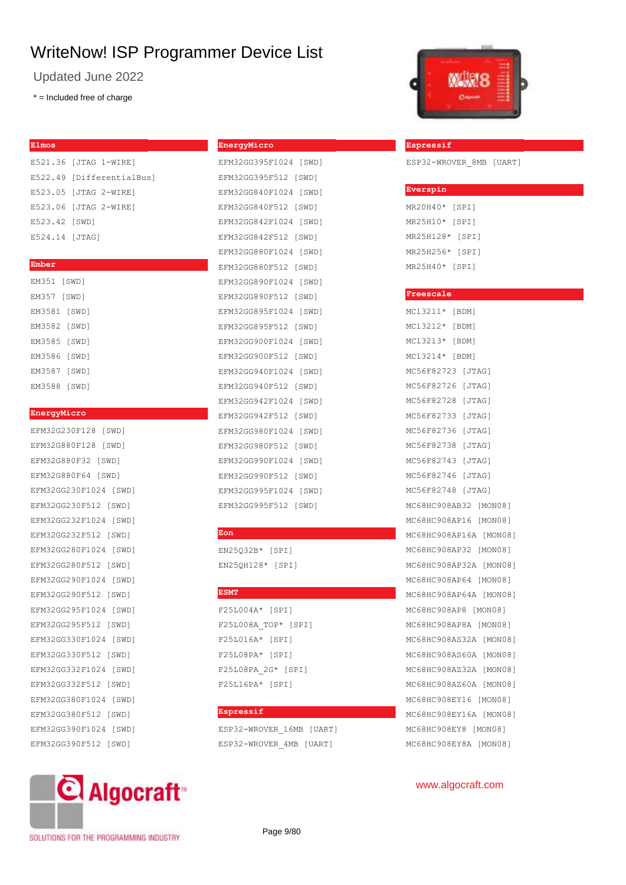Updated June 2022

\* = Included free of charge

#### **Elmos**

E521.36 [JTAG 1-WIRE] E522.49 [DifferentialBus] E523.05 [JTAG 2-WIRE] E523.06 [JTAG 2-WIRE] E523.42 [SWD] E524.14 [JTAG]

#### **Ember**

| EM351 [SWD]  |  |
|--------------|--|
| EM357 [SWD]  |  |
| EM3581 [SWD] |  |
| EM3582 [SWD] |  |
| EM3585 [SWD] |  |
| EM3586 [SWD] |  |
| EM3587 [SWD] |  |
| EM3588 [SWD] |  |

#### **EnergyMicro**

| EFM32G230F128 [SWD]   |
|-----------------------|
| EFM32G880F128 [SWD]   |
| EFM32G880F32 [SWD]    |
| EFM32G880F64 [SWD]    |
| EFM32GG230F1024 [SWD] |
| EFM32GG230F512 [SWD]  |
| EFM32GG232F1024 [SWD] |
| EFM32GG232F512 [SWD]  |
| EFM32GG280F1024 [SWD] |
| EFM32GG280F512 [SWD]  |
| EFM32GG290F1024 [SWD] |
| EFM32GG290F512 [SWD]  |
| EFM32GG295F1024 [SWD] |
| EFM32GG295F512 [SWD]  |
| EFM32GG330F1024 [SWD] |
| EFM32GG330F512 [SWD]  |
| EFM32GG332F1024 [SWD] |
| EFM32GG332F512 [SWD]  |
| EFM32GG380F1024 [SWD] |
| EFM32GG380F512 [SWD]  |
| EFM32GG390F1024 [SWD] |
| EFM32GG390F512 [SWD]  |



#### SOLUTIONS FOR THE PROGRAMMING INDUSTRY

#### **EnergyMicro**

EFM32GG395F1024 [SWD] EFM32GG395F512 [SWD] EFM32GG840F1024 [SWD] EFM32GG840F512 [SWD] EFM32GG842F1024 [SWD] EFM32GG842F512 [SWD] EFM32GG880F1024 [SWD] EFM32GG880F512 [SWD] EFM32GG890F1024 [SWD] EFM32GG890F512 [SWD] EFM32GG895F1024 [SWD] EFM32GG895F512 [SWD] EFM32GG900F1024 [SWD] EFM32GG900F512 [SWD] EFM32GG940F1024 [SWD] EFM32GG940F512 [SWD] EFM32GG942F1024 [SWD] EFM32GG942F512 [SWD] EFM32GG980F1024 [SWD] EFM32GG980F512 [SWD] EFM32GG990F1024 [SWD] EFM32GG990F512 [SWD] EFM32GG995F1024 [SWD] EFM32GG995F512 [SWD]

#### **Eon**

EN25Q32B\* [SPI] EN25QH128\* [SPI]

#### **ESMT**

F25L004A\* [SPI] F25L008A\_TOP\* [SPI] F25L016A\* [SPI] F25L08PA\* [SPI] F25L08PA\_2G\* [SPI] F25L16PA\* [SPI]

## **Espressif**

ESP32-WROVER\_16MB [UART]

ESP32-WROVER\_4MB [UART]



www.algocraft.com

| Espressif               |  |  |
|-------------------------|--|--|
| ESP32-WROVER 8MB [UART] |  |  |

| MR20H40*  | [SPI] |
|-----------|-------|
| MR25H10*  | [SPI] |
| MR25H128* | [SPI] |
| MR25H256* | [SPI] |
| MR25H40*  | [SPI] |

**Everspin**

## **Freescale** MC13211\* [BDM] MC13212\* [BDM] MC13213\* [BDM] MC13214\* [BDM] MC56F82723 [JTAG] MC56F82726 [JTAG] MC56F82728 [JTAG] MC56F82733 [JTAG] MC56F82736 [JTAG] MC56F82738 [JTAG] MC56F82743 [JTAG] MC56F82746 [JTAG] MC56F82748 [JTAG] MC68HC908AB32 [MON08] MC68HC908AP16 [MON08] MC68HC908AP16A [MON08] MC68HC908AP32 [MON08] MC68HC908AP32A [MON08] MC68HC908AP64 [MON08] MC68HC908AP64A [MON08] MC68HC908AP8 [MON08] MC68HC908AP8A [MON08] MC68HC908AS32A [MON08] MC68HC908AS60A [MON08] MC68HC908AZ32A [MON08] MC68HC908AZ60A [MON08] MC68HC908EY16 [MON08] MC68HC908EY16A [MON08] MC68HC908EY8 [MON08] MC68HC908EY8A [MON08]

Page 9/80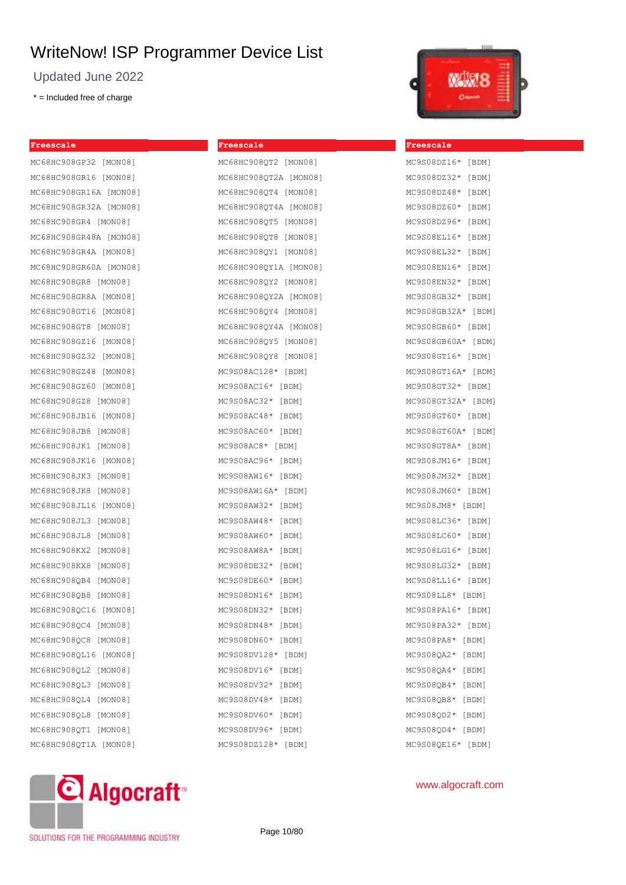Updated June 2022

\* = Included free of charge

| Freescale               |
|-------------------------|
| MC68HC908GP32 [MON08]   |
| MC68HC908GR16 [MON08]   |
| MC68HC908GR16A [MON08]  |
| MC68HC908GR32A [MON08]  |
| MC68HC908GR4 [MON08]    |
| MC68HC908GR48A [MON08]  |
| MC68HC908GR4A [MON08]   |
| MC68HC908GR60A [MON08]  |
| MC68HC908GR8 [MON08]    |
| MC68HC908GR8A [MON08]   |
| MC68HC908GT16 [MON08]   |
| MC68HC908GT8 [MON08]    |
| MC68HC908GZ16 [MON08]   |
| MC68HC908GZ32 [MON08]   |
| MC68HC908GZ48 [MON08]   |
| MC68HC908GZ60 [MON08]   |
| MC68HC908GZ8 [MON08]    |
| MC68HC908JB16 [MON08]   |
| MC68HC908JB8 [MON08]    |
| MC68HC908JK1 [MON08]    |
| MC68HC908JK16 [MON08]   |
| MC68HC908JK3 [MON08]    |
| MC68HC908JK8 [MON08]    |
| MC68HC908JL16 [MON08]   |
| MC68HC908JL3<br>[MON08] |
| MC68HC908JL8<br>[MON08] |
| MC68HC908KX2 [MON08]    |
| MC68HC908KX8 [MON08]    |
| MC68HC908QB4<br>[MON08] |
| MC68HC908QB8 [MON08]    |
| MC68HC908QC16 [MON08]   |
| MC68HC908QC4 [MON08]    |
| MC68HC908QC8 [MON08]    |
| MC68HC908QL16 [MON08]   |
| MC68HC908QL2 [MON08]    |
| MC68HC908QL3 [MON08]    |
| MC68HC908QL4 [MON08]    |
| MC68HC908QL8 [MON08]    |
| MC68HC908QT1 [MON08]    |
| MC68HC908QT1A [MON08]   |
|                         |

## **Freescale** MC68HC908OT2 [MON08]

| MCQQUCSOQÕIT [MOMOQ]  |
|-----------------------|
| MC68HC908QT2A [MON08] |
| MC68HC908QT4 [MON08]  |
| MC68HC908QT4A [MON08] |
| MC68HC908QT5 [MON08]  |
| MC68HC908QT8 [MON08]  |
| MC68HC908QY1 [MON08]  |
| MC68HC908QY1A [MON08] |
| MC68HC908QY2 [MON08]  |
| MC68HC908QY2A [MON08] |
| MC68HC908QY4 [MON08]  |
| MC68HC908QY4A [MON08] |
| MC68HC908QY5 [MON08]  |
| MC68HC908QY8 [MON08]  |
| $MC9S08AC128* [BDM]$  |
| MC9S08AC16* [BDM]     |
| MC9S08AC32* [BDM]     |
| MC9S08AC48* [BDM]     |
| MC9S08AC60* [BDM]     |
| MC9S08AC8* [BDM]      |
| MC9S08AC96* [BDM]     |
| MC9S08AW16* [BDM]     |
| MC9S08AW16A* [BDM]    |
| MC9S08AW32* [BDM]     |
| MC9S08AW48*<br>[BDM]  |
| MC9S08AW60* [BDM]     |
| MC9S08AW8A* [BDM]     |
| MC9S08DE32*<br>[BDM]  |
| MC9S08DE60*<br>[BDM]  |
| MC9S08DN16*<br>[BDM]  |
| MC9S08DN32* [BDM]     |
| MC9S08DN48* [BDM]     |
| MC9S08DN60*<br>[BDM]  |
| MC9S08DV128*<br>[BDM] |
| MC9S08DV16*<br>[BDM]  |
| MC9S08DV32*<br>[BDM]  |
| MC9S08DV48*<br>[BDM]  |
| MC9S08DV60*<br>[BDM]  |
| MC9S08DV96*<br>[BDM]  |
| MC9S08DZ128*<br>[BDM] |



**Freescale**

## MC9S08DZ16\* [BDM] MC9S08DZ32\* [BDM] MC9S08DZ48\* [BDM] MC9S08DZ60\* [BDM] MC9S08DZ96\* [BDM] MC9S08EL16\* [BDM] MC9S08EL32\* [BDM] MC9S08EN16\* [BDM] MC9S08EN32\* [BDM] MC9S08GB32\* [BDM] MC9S08GB32A\* [BDM] MC9S08GB60\* [BDM] MC9S08GB60A\* [BDM] MC9S08GT16\* [BDM] MC9S08GT16A\* [BDM] MC9S08GT32\* [BDM] MC9S08GT32A\* [BDM] MC9S08GT60\* [BDM] MC9S08GT60A\* [BDM] MC9S08GT8A\* [BDM] MC9S08JM16\* [BDM] MC9S08JM32\* [BDM] MC9S08JM60\* [BDM] MC9S08JM8\* [BDM] MC9S08LC36\* [BDM] MC9S08LC60\* [BDM] MC9S08LG16\* [BDM] MC9S08LG32\* [BDM] MC9S08LL16\* [BDM] MC9S08LL8\* [BDM] MC9S08PA16\* [BDM] MC9S08PA32\* [BDM] MC9S08PA8\* [BDM] MC9S08QA2\* [BDM] MC9S08QA4\* [BDM] MC9S08QB4\* [BDM] MC9S08QB8\* [BDM] MC9S08QD2\* [BDM] MC9S08QD4\* [BDM] MC9S08QE16\* [BDM]



SOLUTIONS FOR THE PROGRAMMING INDUSTRY

Page 10/80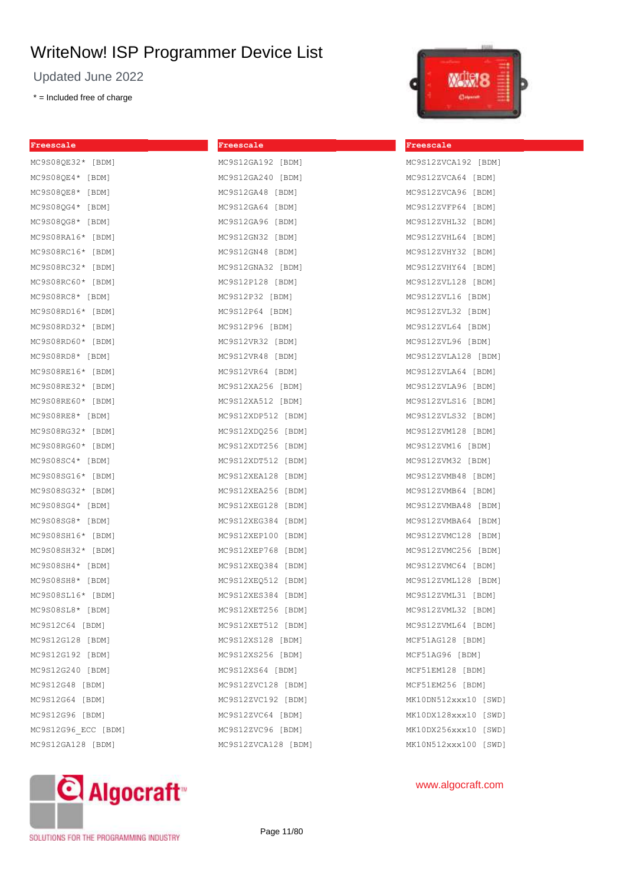**Freescale**

Updated June 2022

\* = Included free of charge

| Freescale           |
|---------------------|
| MC9S08QE32* [BDM]   |
| MC9S08QE4* [BDM]    |
| MC9S08QE8* [BDM]    |
| MC9S08QG4* [BDM]    |
| MC9S08QG8* [BDM]    |
| MC9S08RA16* [BDM]   |
| MC9S08RC16* [BDM]   |
| MC9S08RC32* [BDM]   |
| MC9S08RC60* [BDM]   |
| MC9S08RC8* [BDM]    |
| MC9S08RD16* [BDM]   |
| MC9S08RD32* [BDM]   |
| MC9S08RD60* [BDM]   |
| MC9S08RD8* [BDM]    |
| MC9S08RE16* [BDM]   |
| MC9S08RE32* [BDM]   |
| MC9S08RE60* [BDM]   |
| MC9S08RE8* [BDM]    |
| MC9S08RG32* [BDM]   |
| MC9S08RG60* [BDM]   |
| MC9S08SC4* [BDM]    |
| MC9S08SG16* [BDM]   |
| MC9S08SG32* [BDM]   |
| MC9S08SG4* [BDM]    |
| MC9S08SG8* [BDM]    |
| MC9S08SH16* [BDM]   |
| MC9S08SH32* [BDM]   |
| MC9S08SH4* [BDM]    |
| MC9S08SH8* [BDM]    |
| MC9S08SL16* [BDM]   |
| MC9S08SL8* [BDM]    |
| MC9S12C64 [BDM]     |
| MC9S12G128 [BDM]    |
| MC9S12G192 [BDM]    |
| MC9S12G240 [BDM]    |
| MC9S12G48 [BDM]     |
| MC9S12G64 [BDM]     |
| MC9S12G96 [BDM]     |
| MC9S12G96 ECC [BDM] |
| MC9S12GA128 [BDM]   |

| MC9S12GA192 [BDM]   |
|---------------------|
| MC9S12GA240 [BDM]   |
| MC9S12GA48 [BDM]    |
| MC9S12GA64 [BDM]    |
| MC9S12GA96 [BDM]    |
| MC9S12GN32 [BDM]    |
| MC9S12GN48 [BDM]    |
| MC9S12GNA32 [BDM]   |
| MC9S12P128 [BDM]    |
| MC9S12P32 [BDM]     |
| MC9S12P64 [BDM]     |
| MC9S12P96 [BDM]     |
| MC9S12VR32 [BDM]    |
| MC9S12VR48 [BDM]    |
| MC9S12VR64 [BDM]    |
| MC9S12XA256 [BDM]   |
| MC9S12XA512 [BDM]   |
| MC9S12XDP512 [BDM]  |
| MC9S12XDQ256 [BDM]  |
| MC9S12XDT256 [BDM]  |
| MC9S12XDT512 [BDM]  |
| MC9S12XEA128 [BDM]  |
| MC9S12XEA256 [BDM]  |
| MC9S12XEG128 [BDM]  |
| MC9S12XEG384 [BDM]  |
| MC9S12XEP100 [BDM]  |
| MC9S12XEP768 [BDM]  |
| MC9S12XEQ384 [BDM]  |
| MC9S12XEQ512 [BDM]  |
| MC9S12XES384 [BDM]  |
| MC9S12XET256 [BDM]  |
| 9S12XET512 [BDM]    |
| MC9S12XS128 [BDM]   |
| MC9S12XS256 [BDM]   |
| MC9S12XS64 [BDM]    |
| MC9S12ZVC128 [BDM]  |
| MC9S12ZVC192 [BDM]  |
| MC9S12ZVC64 [BDM]   |
| MC9S12ZVC96 [BDM]   |
| MC9S12ZVCA128 [BDM] |



#### **Freescale**

| MC9S12ZVCA192 [BDM]   |
|-----------------------|
| MC9S12ZVCA64 [BDM]    |
| MC9S12ZVCA96 [BDM]    |
| MC9S12ZVFP64 [BDM]    |
| MC9S12ZVHL32 [BDM]    |
| MC9S12ZVHL64 [BDM]    |
| MC9S12ZVHY32 [BDM]    |
| MC9S12ZVHY64 [BDM]    |
| MC9S12ZVL128 [BDM]    |
| MC9S12ZVL16 [BDM]     |
| MC9S12ZVL32 [BDM]     |
| MC9S12ZVL64 [BDM]     |
| MC9S12ZVL96 [BDM]     |
| MC9S12ZVLA128 [BDM]   |
| MC9S12ZVLA64 [BDM]    |
| MC9S12ZVLA96 [BDM]    |
| MC9S12ZVLS16 [BDM]    |
| MC9S12ZVLS32 [BDM]    |
| MC9S12ZVM128 [BDM]    |
| MC9S12ZVM16 [BDM]     |
| MC9S12ZVM32 [BDM]     |
| MC9S12ZVMB48 [BDM]    |
| MC9S12ZVMB64 [BDM]    |
| MC9S12ZVMBA48 [BDM]   |
| MC9S12ZVMBA64 [BDM]   |
| MC9S12ZVMC128 [BDM]   |
| MC9S12ZVMC256 [BDM]   |
| MC9S12ZVMC64 [BDM]    |
| MC9S12ZVML128 [BDM]   |
| MC9S12ZVML31 [BDM]    |
| MC9S12ZVML32 [BDM]    |
| MC9S12ZVML64<br>[BDM] |
| MCF51AG128 [BDM]      |
| MCF51AG96 [BDM]       |
| MCF51EM128 [BDM]      |
| MCF51EM256 [BDM]      |
| MK10DN512xxx10 [SWD]  |
| MK10DX128xxx10 [SWD]  |
| MK10DX256xxx10 [SWD]  |
| MK10N512xxx100 [SWD]  |

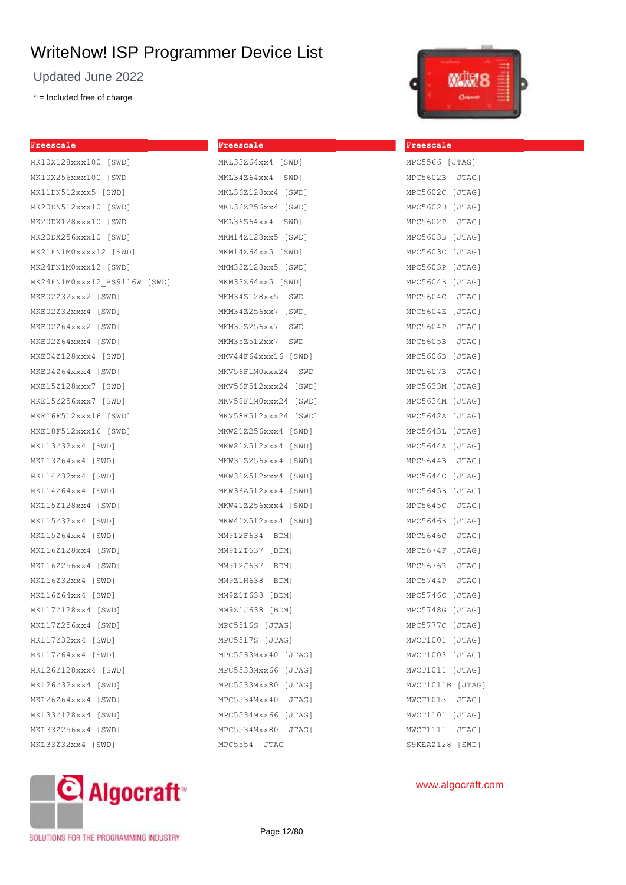**Freescale**

MKL34Z64xx4 [SWD] MKL36Z128xx4 [SWD] MKL36Z256xx4 [SWD] MKL36Z64xx4 [SWD] MKM14Z128xx5 [SWD] MKM14Z64xx5 [SWD] MKM33Z128xx5 [SWD] MKM33Z64xx5 [SWD] MKM34Z128xx5 [SWD] MKM34Z256xx7 [SWD] MKM35Z256xx7 [SWD] MKM35Z512xx7 [SWD] MKV44F64xxx16 [SWD] MKV56F1M0xxx24 [SWD] MKV56F512xxx24 [SWD] MKV58F1M0xxx24 [SWD] MKV58F512xxx24 [SWD] MKW21Z256xxx4 [SWD] MKW21Z512xxx4 [SWD] MKW31Z256xxx4 [SWD] MKW31Z512xxx4 [SWD] MKW36A512xxx4 [SWD] MKW41Z256xxx4 [SWD] MKW41Z512xxx4 [SWD] MM912F634 [BDM] MM912I637 [BDM] MM912J637 [BDM] MM9Z1H638 [BDM] MM9Z1I638 [BDM] MM9Z1J638 [BDM] MPC5516S [JTAG] MPC5517S [JTAG] MPC5533Mxx40 [JTAG] MPC5533Mxx66 [JTAG] MPC5533Mxx80 [JTAG] MPC5534Mxx40 [JTAG] MPC5534Mxx66 [JTAG] MPC5534Mxx80 [JTAG] MPC5554 [JTAG]

Updated June 2022

\* = Included free of charge

**Freescale**

| MK10X128xxx100 [SWD]         |  |
|------------------------------|--|
| MK10X256xxx100 [SWD]         |  |
| MK11DN512xxx5 [SWD]          |  |
| MK20DN512xxx10 [SWD]         |  |
| MK20DX128xxx10 [SWD]         |  |
| MK20DX256xxx10 [SWD]         |  |
| MK21FN1M0xxxx12 [SWD]        |  |
| MK24FN1M0xxx12 [SWD]         |  |
| MK24FN1M0xxx12 RS9116W [SWD] |  |
| MKE02Z32xxx2 [SWD]           |  |
| MKE02Z32xxx4 [SWD]           |  |
| MKE02Z64xxx2 [SWD]           |  |
| MKE02Z64xxx4 [SWD]           |  |
| MKE04Z128xxx4 [SWD]          |  |
| MKE04Z64xxx4 [SWD]           |  |
| MKE15Z128xxx7 [SWD]          |  |
| MKE15Z256xxx7 [SWD]          |  |
| MKE16F512xxx16 [SWD]         |  |
| MKE18F512xxx16 [SWD]         |  |
| MKL13Z32xx4 [SWD]            |  |
| MKL13Z64xx4 [SWD]            |  |
| MKL14Z32xx4 [SWD]            |  |
| MKL14Z64xx4 [SWD]            |  |
| MKL15Z128xx4 [SWD]           |  |
| MKL15Z32xx4 [SWD]            |  |
| MKL15Z64xx4 [SWD]            |  |
| MKL16Z128xx4 [SWD]           |  |
| MKL16Z256xx4 [SWD]           |  |
| MKL16Z32xx4 [SWD]            |  |
| MKL16Z64xx4 [SWD]            |  |
| MKL17Z128xx4 [SWD]           |  |
| MKL17Z256xx4 [SWD]           |  |
| MKL17Z32xx4 [SWD]            |  |
| MKL17Z64xx4 [SWD]            |  |
| MKL26Z128xxx4 [SWD]          |  |
| MKL26Z32xxx4 [SWD]           |  |
| MKL26Z64xxx4 [SWD]           |  |
| MKL33Z128xx4 [SWD]           |  |
| MKL33Z256xx4 [SWD]           |  |
| MKL33Z32xx4 [SWD]            |  |
|                              |  |

# MKL33Z64xx4 [SWD]



| <u>Freescale</u> |  |
|------------------|--|
| MPC5566 [JTAG]   |  |
| MPC5602B [JTAG]  |  |
| MPC5602C [JTAG]  |  |
| MPC5602D [JTAG]  |  |
| MPC5602P [JTAG]  |  |
| MPC5603B [JTAG]  |  |
| MPC5603C [JTAG]  |  |
| MPC5603P [JTAG]  |  |
| MPC5604B [JTAG]  |  |
| MPC5604C [JTAG]  |  |
| MPC5604E [JTAG]  |  |
| MPC5604P [JTAG]  |  |
| MPC5605B [JTAG]  |  |
| MPC5606B [JTAG]  |  |
| MPC5607B [JTAG]  |  |
| MPC5633M [JTAG]  |  |
| MPC5634M [JTAG]  |  |
| MPC5642A [JTAG]  |  |
| MPC5643L [JTAG]  |  |
| MPC5644A [JTAG]  |  |
| MPC5644B [JTAG]  |  |
| MPC5644C [JTAG]  |  |
| MPC5645B [JTAG]  |  |
| MPC5645C [JTAG]  |  |
| MPC5646B [JTAG]  |  |
| MPC5646C [JTAG]  |  |
| MPC5674F [JTAG]  |  |
| MPC5676R [JTAG]  |  |
| MPC5744P [JTAG]  |  |
| MPC5746C [JTAG]  |  |
| MPC5748G [JTAG]  |  |
| MPC5777C [JTAG]  |  |
| MWCT1001 [JTAG]  |  |
| MWCT1003 [JTAG]  |  |
| MWCT1011 [JTAG]  |  |
| MWCT1011B [JTAG] |  |
| MWCT1013 [JTAG]  |  |
| MWCT1101 [JTAG]  |  |
| MWCT1111 [JTAG]  |  |
| S9KEAZ128 [SWD]  |  |



## www.algocraft.com

SOLUTIONS FOR THE PROGRAMMING INDUSTRY

Page 12/80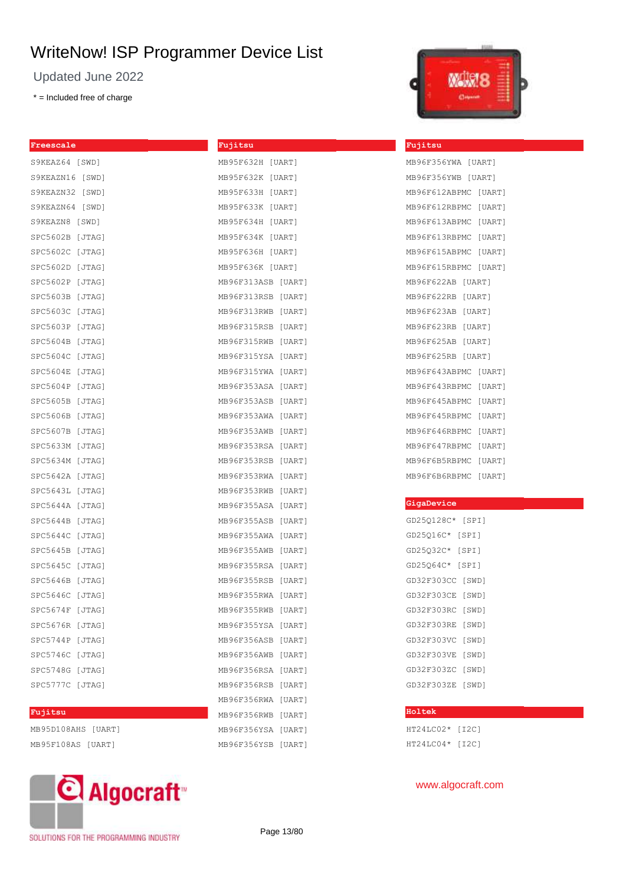Updated June 2022

\* = Included free of charge

| Freescale          | Fujitsu            |
|--------------------|--------------------|
| S9KEAZ64 [SWD]     | MB95F632H [UART]   |
| S9KEAZN16 [SWD]    | MB95F632K [UART]   |
| S9KEAZN32 [SWD]    | MB95F633H [UART]   |
| S9KEAZN64 [SWD]    | MB95F633K [UART]   |
| S9KEAZN8 [SWD]     | MB95F634H [UART]   |
| SPC5602B [JTAG]    | MB95F634K [UART]   |
| SPC5602C [JTAG]    | MB95F636H [UART]   |
| SPC5602D [JTAG]    | MB95F636K [UART]   |
| SPC5602P [JTAG]    | MB96F313ASB [UART] |
| SPC5603B [JTAG]    | MB96F313RSB [UART] |
| SPC5603C [JTAG]    | MB96F313RWB [UART] |
| SPC5603P [JTAG]    | MB96F315RSB [UART] |
| SPC5604B [JTAG]    | MB96F315RWB [UART] |
| SPC5604C [JTAG]    | MB96F315YSA [UART] |
| SPC5604E [JTAG]    | MB96F315YWA [UART] |
| SPC5604P [JTAG]    | MB96F353ASA [UART] |
| SPC5605B [JTAG]    | MB96F353ASB [UART] |
| SPC5606B [JTAG]    | MB96F353AWA [UART] |
| SPC5607B [JTAG]    | MB96F353AWB [UART] |
| SPC5633M [JTAG]    | MB96F353RSA [UART] |
| SPC5634M [JTAG]    | MB96F353RSB [UART] |
| SPC5642A [JTAG]    | MB96F353RWA [UART] |
| SPC5643L [JTAG]    | MB96F353RWB [UART] |
| SPC5644A [JTAG]    | MB96F355ASA [UART] |
| SPC5644B [JTAG]    | MB96F355ASB [UART] |
| SPC5644C [JTAG]    | MB96F355AWA [UART] |
| SPC5645B [JTAG]    | MB96F355AWB [UART] |
| SPC5645C [JTAG]    | MB96F355RSA [UART] |
| SPC5646B [JTAG]    | MB96F355RSB [UART] |
| SPC5646C [JTAG]    | MB96F355RWA [UART] |
| SPC5674F [JTAG]    | MB96F355RWB [UART] |
| SPC5676R [JTAG]    | MB96F355YSA [UART] |
| SPC5744P [JTAG]    | MB96F356ASB [UART] |
| SPC5746C [JTAG]    | MB96F356AWB [UART] |
| SPC5748G [JTAG]    | MB96F356RSA [UART] |
| SPC5777C [JTAG]    | MB96F356RSB [UART] |
|                    | MB96F356RWA [UART] |
| Fujitsu            | MB96F356RWB [UART] |
| MB95D108AHS [UART] | MB96F356YSA [UART] |



#### **Fujitsu**

| MB96F356YWA [UART] |        |
|--------------------|--------|
| MB96F356YWB        | [UART] |
| MB96F612ABPMC      | [UART] |
| MB96F612RBPMC      | [UART] |
| MB96F613ABPMC      | [UART] |
| MB96F613RBPMC      | [UART] |
| MB96F615ABPMC      | [UART] |
| MB96F615RBPMC      | [UART] |
| MB96F622AB         | [UART] |
| MB96F622RB         | [UART] |
| MB96F623AB         | [UART] |
| MB96F623RB         | [UART] |
| MB96F625AB         | [UART] |
| MB96F625RB         | [UART] |
| MB96F643ABPMC      | [UART] |
| MB96F643RBPMC      | [UART] |
| MB96F645ABPMC      | [UART] |
| MB96F645RBPMC      | [UART] |
| MB96F646RBPMC      | [UART] |
| MB96F647RBPMC      | [UART] |
| MB96F6B5RBPMC      | [UART] |
| MB96F6B6RBPMC      | [UART] |

#### **GigaDevice**

| GD25Q128C* |  |  | [SPI] |  |
|------------|--|--|-------|--|
| GD25Q16C*  |  |  | [SPI] |  |
| GD25Q32C*  |  |  | [SPI] |  |
| GD25064C*  |  |  | [SPI] |  |
| GD32F303CC |  |  | [SWD] |  |
| GD32F303CE |  |  | [SWD] |  |
| GD32F303RC |  |  | [SWD] |  |
| GD32F303RE |  |  | [SWD] |  |
| GD32F303VC |  |  | [SWD] |  |
| GD32F303VE |  |  | [SWD] |  |
| GD32F303ZC |  |  | [SWD] |  |
| GD32F303ZE |  |  | [SWD] |  |

## **Holtek**

HT24LC02\* [I2C] HT24LC04\* [I2C]

# C Algocraft<sup>®</sup>

MB95F108AS [UART]

SOLUTIONS FOR THE PROGRAMMING INDUSTRY

Page 13/80

MB96F356YSB [UART]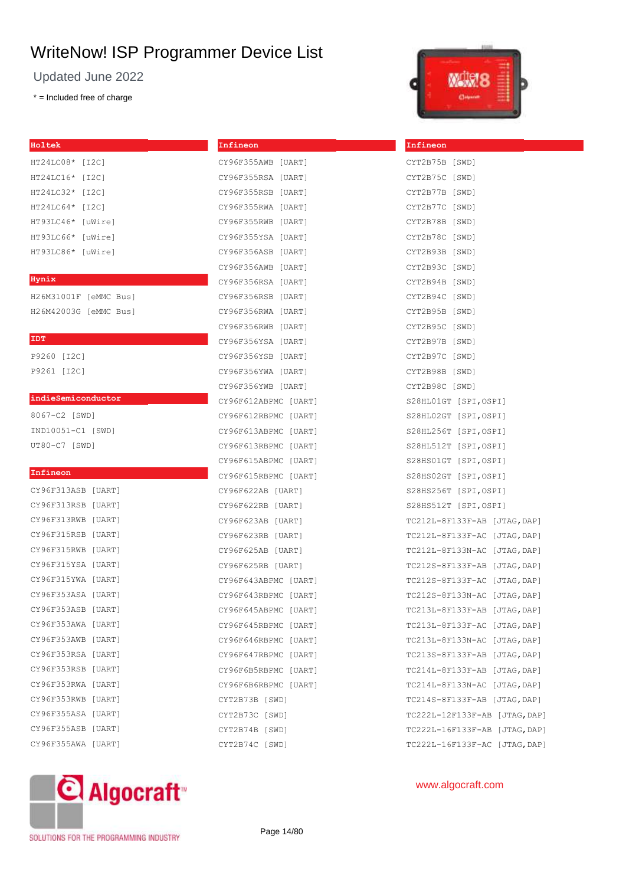**Infineon**

CY96F355AWB [UART]

Updated June 2022

\* = Included free of charge

| Holtek      |         |
|-------------|---------|
| HT24LC08*   | [I2C]   |
| $HT24LC16*$ | [I2C]   |
| $HT24TC32*$ | [I2C]   |
| $HT24TC64*$ | [I2C]   |
| HT93LC46*   | [uWire] |
| HT93LC66*   | [uWire] |
| HT93LC86*   | [uWire] |
|             |         |

#### **Hynix**

H26M31001F [eMMC Bus] H26M42003G [eMMC Bus]

#### **IDT**

P9260 [I2C] P9261 [I2C]

### **indieSemiconductor**

8067-C2 [SWD] IND10051-C1 [SWD] UT80-C7 [SWD]

### **Infineon**

| CY96F313ASB | [UART] |
|-------------|--------|
| CY96F313RSB | [UART] |
| CY96F313RWB | [UART] |
| CY96F315RSB | [UART] |
| CY96F315RWB | [UART] |
| CY96F315YSA | [UART] |
| CY96F315YWA | [UART] |
| CY96F353ASA | [UART] |
| CY96F353ASB | [UART] |
| CY96F353AWA | [UART] |
| CY96F353AWB | [UART] |
| CY96F353RSA | [UART] |
| CY96F353RSB | [UART] |
| CY96F353RWA | [UART] |
| CY96F353RWB | [UART] |
| CY96F355ASA | [UART] |
| CY96F355ASB | [UART] |
| CY96F355AWA | [UART] |

| CY96F355RSA<br>[UART]   |
|-------------------------|
| CY96F355RSB<br>[UART]   |
| CY96F355RWA [UART]      |
| CY96F355RWB [UART]      |
| CY96F355YSA<br>[UART]   |
| CY96F356ASB<br>[UART]   |
| CY96F356AWB<br>[UART]   |
| CY96F356RSA<br>[UART]   |
| CY96F356RSB<br>[UART]   |
| CY96F356RWA<br>[UART]   |
| CY96F356RWB<br>[UART]   |
| CY96F356YSA [UART]      |
| CY96F356YSB<br>[UART]   |
| CY96F356YWA [UART]      |
| CY96F356YWB [UART]      |
| CY96F612ABPMC [UART]    |
| CY96F612RBPMC [UART]    |
| CY96F613ABPMC [UART]    |
| CY96F613RBPMC [UART]    |
| CY96F615ABPMC [UART]    |
| CY96F615RBPMC [UART]    |
| CY96F622AB [UART]       |
| CY96F622RB [UART]       |
| CY96F623AB [UART]       |
| CY96F623RB [UART]       |
| CY96F625AB [UART]       |
| CY96F625RB [UART]       |
| CY96F643ABPMC [UART]    |
| CY96F643RBPMC [UART]    |
| CY96F645ABPMC [UART]    |
| CY96F645RBPMC [UART]    |
| CY96F646RBPMC [UART]    |
| CY96F647RBPMC [UART]    |
| CY96F6B5RBPMC<br>[UART] |
| CY96F6B6RBPMC<br>[UART] |
| CYT2B73B [SWD]          |
| CYT2B73C [SWD]          |
| CYT2B74B<br>[SWD]       |



**Infineon**

| CYT2B75B [SWD]                |             |
|-------------------------------|-------------|
| CYT2B75C [SWD]                |             |
| CYT2B77B [SWD]                |             |
| CYT2B77C [SWD]                |             |
| CYT2B78B [SWD]                |             |
| CYT2B78C [SWD]                |             |
| CYT2B93B [SWD]                |             |
| CYT2B93C [SWD]                |             |
| CYT2B94B [SWD]                |             |
| CYT2B94C [SWD]                |             |
| CYT2B95B [SWD]                |             |
| CYT2B95C [SWD]                |             |
| CYT2B97B [SWD]                |             |
| CYT2B97C [SWD]                |             |
| CYT2B98B [SWD]                |             |
| CYT2B98C [SWD]                |             |
| S28HL01GT [SPI,OSPI]          |             |
| S28HL02GT [SPI,OSPI]          |             |
| S28HL256T [SPI,OSPI]          |             |
| S28HL512T [SPI,OSPI]          |             |
| S28HS01GT [SPI,OSPI]          |             |
| S28HS02GT [SPI,OSPI]          |             |
| S28HS256T [SPI,OSPI]          |             |
| S28HS512T [SPI,OSPI]          |             |
| TC212L-8F133F-AB [JTAG, DAP]  |             |
| TC212L-8F133F-AC [JTAG, DAP]  |             |
| TC212L-8F133N-AC [JTAG,DAP]   |             |
| TC212S-8F133F-AB [JTAG,DAP]   |             |
| TC212S-8F133F-AC [JTAG,DAP]   |             |
| TC212S-8F133N-AC [JTAG, DAP]  |             |
| TC213L-8F133F-AB [JTAG, DAP]  |             |
| TC213L-8F133F-AC              | [JTAG, DAP] |
| TC213L-8F133N-AC [JTAG,DAP]   |             |
| TC213S-8F133F-AB [JTAG,DAP]   |             |
| TC214L-8F133F-AB [JTAG,DAP]   |             |
| TC214L-8F133N-AC [JTAG,DAP]   |             |
| TC214S-8F133F-AB [JTAG,DAP]   |             |
| TC222L-12F133F-AB [JTAG,DAP]  |             |
| TC222L-16F133F-AB [JTAG, DAP] |             |
| TC222L-16F133F-AC [JTAG, DAP] |             |



www.algocraft.com

CYT2B74C [SWD]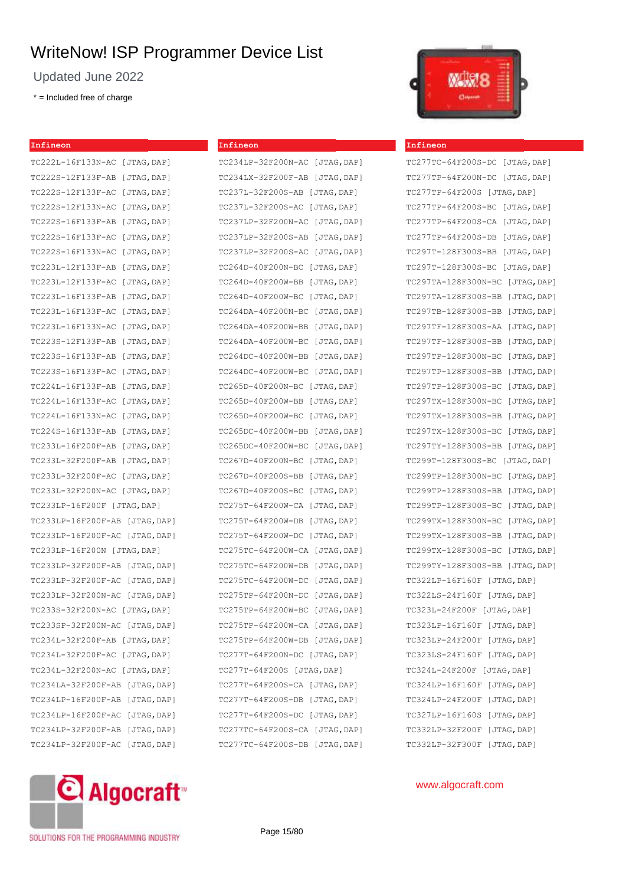Updated June 2022

\* = Included free of charge

| Infineon                       |             |
|--------------------------------|-------------|
| TC222L-16F133N-AC              | [JTAG, DAP] |
| TC222S-12F133F-AB              | [JTAG, DAP] |
| TC222S-12F133F-AC              | [JTAG, DAP] |
| TC222S-12F133N-AC              | [JTAG, DAP] |
| TC222S-16F133F-AB              | [JTAG, DAP] |
| TC222S-16F133F-AC              | [JTAG, DAP] |
| TC222S-16F133N-AC              | [JTAG, DAP] |
| TC223L-12F133F-AB              | [JTAG, DAP] |
| TC223L-12F133F-AC              | [JTAG, DAP] |
| TC223L-16F133F-AB              | [JTAG, DAP] |
| TC223L-16F133F-AC              | [JTAG, DAP] |
| TC223L-16F133N-AC              | [JTAG, DAP] |
| TC223S-12F133F-AB              | [JTAG, DAP] |
| TC223S-16F133F-AB              | [JTAG, DAP] |
| TC223S-16F133F-AC              | [JTAG, DAP] |
| TC224L-16F133F-AB              | [JTAG, DAP] |
| TC224L-16F133F-AC              | [JTAG, DAP] |
| TC224L-16F133N-AC              | [JTAG, DAP] |
| TC224S-16F133F-AB              | [JTAG, DAP] |
| TC233L-16F200F-AB              | [JTAG, DAP] |
| TC233L-32F200F-AB              | [JTAG, DAP] |
| TC233L-32F200F-AC              | [JTAG, DAP] |
| TC233L-32F200N-AC              | [JTAG, DAP] |
| TC233LP-16F200F [JTAG,DAP]     |             |
| TC233LP-16F200F-AB             | [JTAG, DAP] |
| TC233LP-16F200F-AC             | [JTAG, DAP] |
| TC233LP-16F200N [JTAG, DAP]    |             |
| TC233LP-32F200F-AB             | [JTAG, DAP] |
| TC233LP-32F200F-AC [JTAG, DAP] |             |
| TC233LP-32F200N-AC             | [JTAG, DAP] |
| TC233S-32F200N-AC [JTAG, DAP]  |             |
| TC233SP-32F200N-AC [JTAG, DAP] |             |
| TC234L-32F200F-AB [JTAG, DAP]  |             |
| TC234L-32F200F-AC [JTAG, DAP]  |             |
| TC234L-32F200N-AC [JTAG, DAP]  |             |
| TC234LA-32F200F-AB             | [JTAG, DAP] |
| TC234LP-16F200F-AB             | [JTAG, DAP] |
| TC234LP-16F200F-AC             | [JTAG, DAP] |
| TC234LP-32F200F-AB             | [JTAG, DAP] |
| TC234LP-32F200F-AC             | [JTAG, DAP] |



| TC234LP-32F200N-AC [JTAG,DAP]     |
|-----------------------------------|
| TC234LX-32F200F-AB [JTAG,DAP]     |
| TC237L-32F200S-AB [JTAG,DAP]      |
| TC237L-32F200S-AC [JTAG,DAP]      |
| TC237LP-32F200N-AC [JTAG, DAP]    |
| TC237LP-32F200S-AB [JTAG, DAP]    |
| TC237LP-32F200S-AC [JTAG, DAP]    |
| TC264D-40F200N-BC [JTAG,DAP]      |
| TC264D-40F200W-BB [JTAG,DAP]      |
| TC264D-40F200W-BC [JTAG,DAP]      |
| TC264DA-40F200N-BC<br>[JTAG, DAP] |
| TC264DA-40F200W-BB [JTAG,DAP]     |
| TC264DA-40F200W-BC [JTAG,DAP]     |
| TC264DC-40F200W-BB [JTAG,DAP]     |
| TC264DC-40F200W-BC [JTAG,DAP]     |
| TC265D-40F200N-BC [JTAG, DAP]     |
| TC265D-40F200W-BB [JTAG,DAP]      |
| TC265D-40F200W-BC [JTAG, DAP]     |
| TC265DC-40F200W-BB<br>[JTAG, DAP] |
| TC265DC-40F200W-BC [JTAG, DAP]    |
| TC267D-40F200N-BC [JTAG, DAP]     |
| TC267D-40F200S-BB [JTAG,DAP]      |
| TC267D-40F200S-BC [JTAG,DAP]      |
| TC275T-64F200W-CA [JTAG,DAP]      |
| TC275T-64F200W-DB [JTAG,DAP]      |
| TC275T-64F200W-DC [JTAG, DAP]     |
| TC275TC-64F200W-CA [JTAG, DAP]    |
| TC275TC-64F200W-DB [JTAG, DAP]    |
| TC275TC-64F200W-DC [JTAG, DAP]    |
| TC275TP-64F200N-DC<br>[JTAG, DAP] |
| TC275TP-64F200W-BC<br>[JTAG, DAP] |
| TC275TP-64F200W-CA<br>[JTAG, DAP] |
| TC275TP-64F200W-DB [JTAG, DAP]    |
| TC277T-64F200N-DC [JTAG,DAP]      |
| TC277T-64F200S [JTAG, DAP]        |
| TC277T-64F200S-CA [JTAG, DAP]     |
| TC277T-64F200S-DB [JTAG, DAP]     |
| TC277T-64F200S-DC [JTAG,DAP]      |
| TC277TC-64F200S-CA [JTAG,DAP]     |
| TC277TC-64F200S-DB [JTAG, DAP]    |



### **Infineon**

| TC277TC-64F200S-DC [JTAG, DAP] |             |
|--------------------------------|-------------|
| TC277TP-64F200N-DC [JTAG, DAP] |             |
| TC277TP-64F200S [JTAG, DAP]    |             |
| TC277TP-64F200S-BC [JTAG, DAP] |             |
| TC277TP-64F200S-CA [JTAG, DAP] |             |
| TC277TP-64F200S-DB             | [JTAG, DAP] |
| TC297T-128F300S-BB [JTAG, DAP] |             |
| TC297T-128F300S-BC [JTAG, DAP] |             |
| TC297TA-128F300N-BC            | [JTAG, DAP] |
| TC297TA-128F300S-BB            | [JTAG, DAP] |
| TC297TB-128F300S-BB            | [JTAG, DAP] |
| TC297TF-128F300S-AA            | [JTAG, DAP] |
| TC297TF-128F300S-BB            | [JTAG, DAP] |
| TC297TP-128F300N-BC            | [JTAG, DAP] |
| TC297TP-128F300S-BB            | [JTAG, DAP] |
| TC297TP-128F300S-BC            | [JTAG, DAP] |
| TC297TX-128F300N-BC            | [JTAG, DAP] |
| TC297TX-128F300S-BB            | [JTAG, DAP] |
| TC297TX-128F300S-BC            | [JTAG, DAP] |
| TC297TY-128F300S-BB            | [JTAG, DAP] |
| TC299T-128F300S-BC [JTAG, DAP] |             |
| TC299TP-128F300N-BC            | [JTAG, DAP] |
| TC299TP-128F300S-BB            | [JTAG, DAP] |
| TC299TP-128F300S-BC            | [JTAG, DAP] |
| TC299TX-128F300N-BC            | [JTAG, DAP] |
| TC299TX-128F300S-BB            | [JTAG, DAP] |
| TC299TX-128F300S-BC            | [JTAG, DAP] |
| TC299TY-128F300S-BB            | [JTAG, DAP] |
| TC322LP-16F160F [JTAG, DAP]    |             |
| TC322LS-24F160F [JTAG, DAP]    |             |
| TC323L-24F200F [JTAG, DAP]     |             |
| TC323LP-16F160F [JTAG,DAP]     |             |
| TC323LP-24F200F [JTAG, DAP]    |             |
| TC323LS-24F160F [JTAG, DAP]    |             |
| TC324L-24F200F [JTAG, DAP]     |             |
| TC324LP-16F160F [JTAG, DAP]    |             |
| TC324LP-24F200F [JTAG,DAP]     |             |
| TC327LP-16F160S [JTAG, DAP]    |             |
| TC332LP-32F200F [JTAG,DAP]     |             |
| TC332LP-32F300F [JTAG, DAP]    |             |



## www.algocraft.com

SOLUTIONS FOR THE PROGRAMMING INDUSTRY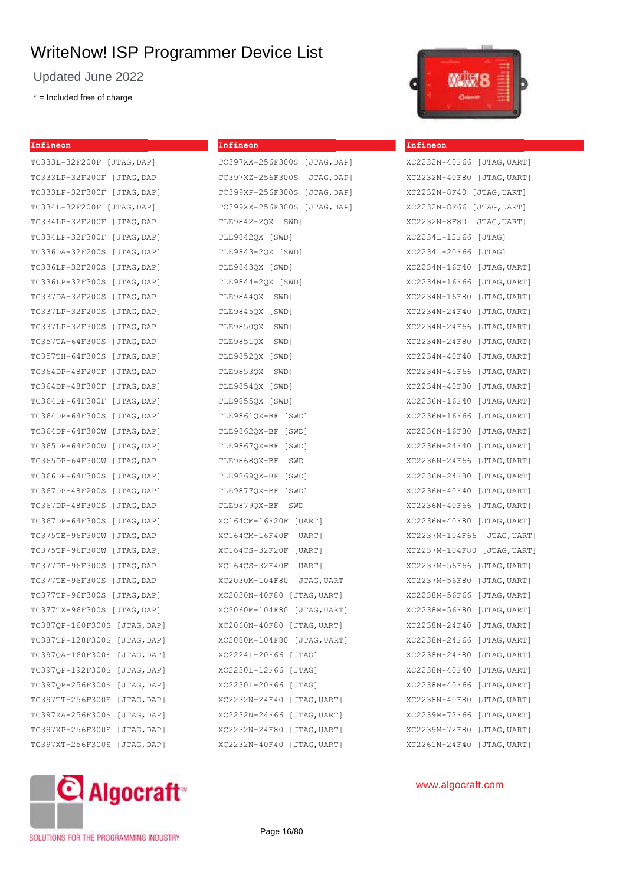Updated June 2022

\* = Included free of charge

**Infineon**

## TC333L-32F200F [JTAG,DAP] TC333LP-32F200F [JTAG,DAP] TC333LP-32F300F [JTAG,DAP] TC334L-32F200F [JTAG,DAP] TC334LP-32F200F [JTAG,DAP] TC334LP-32F300F [JTAG,DAP] TC336DA-32F200S [JTAG,DAP] TC336LP-32F200S [JTAG,DAP] TC336LP-32F300S [JTAG,DAP] TC337DA-32F200S [JTAG,DAP] TC337LP-32F200S [JTAG,DAP] TC337LP-32F300S [JTAG,DAP] TC357TA-64F300S [JTAG,DAP] TC357TH-64F300S [JTAG,DAP] TC364DP-48F200F [JTAG,DAP] TC364DP-48F300F [JTAG,DAP] TC364DP-64F300F [JTAG,DAP] TC364DP-64F300S [JTAG,DAP] TC364DP-64F300W [JTAG,DAP] TC365DP-64F200W [JTAG,DAP] TC365DP-64F300W [JTAG,DAP] TC366DP-64F300S [JTAG,DAP] TC367DP-48F200S [JTAG,DAP] TC367DP-48F300S [JTAG,DAP] TC367DP-64F300S [JTAG,DAP] TC375TE-96F300W [JTAG,DAP] TC375TP-96F300W [JTAG,DAP] TC377DP-96F300S [JTAG,DAP] TC377TE-96F300S [JTAG,DAP] TC377TP-96F300S [JTAG,DAP] TC377TX-96F300S [JTAG,DAP] TC387QP-160F300S [JTAG,DAP] TC387TP-128F300S [JTAG,DAP] TC397QA-160F300S [JTAG,DAP] TC397QP-192F300S [JTAG,DAP] TC397QP-256F300S [JTAG,DAP] TC397TT-256F300S [JTAG,DAP] TC397XA-256F300S [JTAG,DAP] TC397XP-256F300S [JTAG,DAP] TC397XT-256F300S [JTAG,DAP]



| TC397XX-256F300S [JTAG,DAP]  |
|------------------------------|
| TC397XZ-256F300S [JTAG,DAP]  |
| TC399XP-256F300S [JTAG, DAP] |
| TC399XX-256F300S [JTAG, DAP] |
| TLE9842-2QX [SWD]            |
| TLE9842QX [SWD]              |
| TLE9843-2QX [SWD]            |
| TLE9843QX [SWD]              |
| TLE9844-20X [SWD]            |
| TLE9844QX [SWD]              |
| TLE9845QX [SWD]              |
| TLE9850QX [SWD]              |
| TLE9851QX [SWD]              |
| TLE9852QX [SWD]              |
| TLE9853QX [SWD]              |
| TLE9854QX [SWD]              |
| TLE9855QX [SWD]              |
| TLE9861QX-BF [SWD]           |
| TLE9862QX-BF [SWD]           |
| TLE9867QX-BF [SWD]           |
| TLE9868QX-BF [SWD]           |
| TLE9869QX-BF [SWD]           |
| TLE9877QX-BF [SWD]           |
| TLE9879QX-BF [SWD]           |
| XC164CM-16F20F [UART]        |
| XC164CM-16F40F [UART]        |
| XC164CS-32F20F [UART]        |
| XC164CS-32F40F [UART]        |
| XC2030M-104F80 [JTAG, UART]  |
| XC2030N-40F80 [JTAG, UART]   |
| XC2060M-104F80 [JTAG,UART]   |
| XC2060N-40F80 [JTAG,UART]    |
| XC2080M-104F80 [JTAG,UART]   |
| XC2224L-20F66 [JTAG]         |
| XC2230L-12F66 [JTAG]         |
| XC2230L-20F66 [JTAG]         |
| XC2232N-24F40 [JTAG, UART]   |
| XC2232N-24F66 [JTAG,UART]    |
| XC2232N-24F80 [JTAG,UART]    |
| XC2232N-40F40 [JTAG,UART]    |



#### **Infineon**

| XC2232N-40F66               | [JTAG, UART] |
|-----------------------------|--------------|
| XC2232N-40F80 [JTAG, UART]  |              |
| XC2232N-8F40 [JTAG, UART]   |              |
| XC2232N-8F66 [JTAG, UART]   |              |
| XC2232N-8F80 [JTAG,UART]    |              |
| XC2234L-12F66 [JTAG]        |              |
| XC2234L-20F66 [JTAG]        |              |
| XC2234N-16F40               | [JTAG, UART] |
| XC2234N-16F66               | [JTAG, UART] |
| XC2234N-16F80               | [JTAG, UART] |
| XC2234N-24F40               | [JTAG, UART] |
| XC2234N-24F66               | [JTAG, UART] |
| XC2234N-24F80               | [JTAG, UART] |
| XC2234N-40F40               | [JTAG, UART] |
| XC2234N-40F66               | [JTAG, UART] |
| XC2234N-40F80               | [JTAG, UART] |
| XC2236N-16F40               | [JTAG, UART] |
| XC2236N-16F66               | [JTAG, UART] |
| XC2236N-16F80               | [JTAG, UART] |
| XC2236N-24F40               | [JTAG, UART] |
| XC2236N-24F66               | [JTAG,UART]  |
| XC2236N-24F80               | [JTAG, UART] |
| XC2236N-40F40               | [JTAG, UART] |
| XC2236N-40F66               | [JTAG, UART] |
| XC2236N-40F80 [JTAG, UART]  |              |
| XC2237M-104F66 [JTAG, UART] |              |
| XC2237M-104F80              | [JTAG, UART] |
| XC2237M-56F66 [JTAG, UART]  |              |
| XC2237M-56F80 [JTAG, UART]  |              |
| XC2238M-56F66               | [JTAG, UART] |
| XC2238M-56F80 [JTAG, UART]  |              |
| XC2238N-24F40 [JTAG, UART]  |              |
| XC2238N-24F66               | [JTAG, UART] |
| XC2238N-24F80               | [JTAG, UART] |
| XC2238N-40F40               | [JTAG,UART]  |
| XC2238N-40F66               | [JTAG, UART] |
| XC2238N-40F80               | [JTAG,UART]  |
| XC2239M-72F66               | [JTAG, UART] |
| XC2239M-72F80               | [JTAG,UART]  |
| XC2261N-24F40               | [JTAG,UART]  |



## www.algocraft.com

SOLUTIONS FOR THE PROGRAMMING INDUSTRY

Page 16/80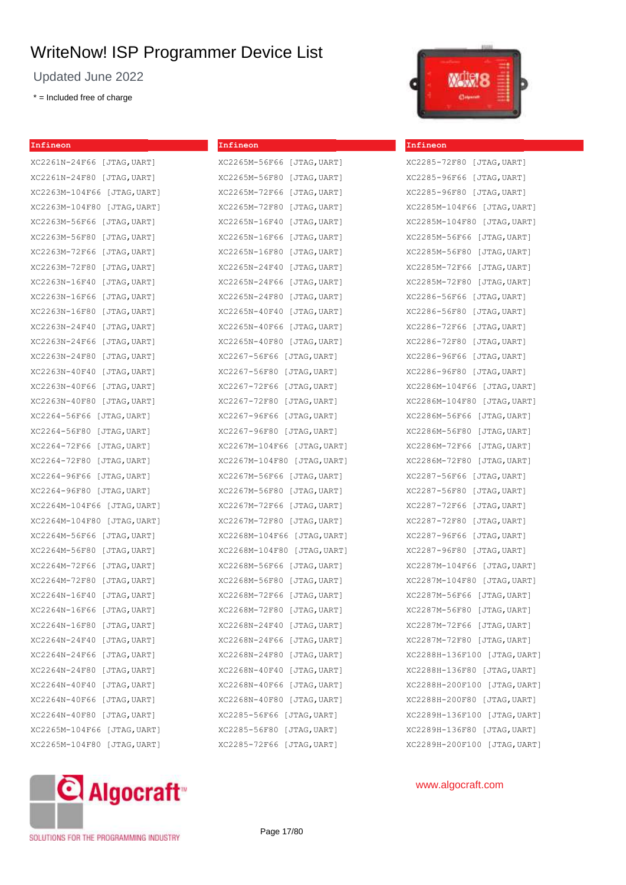Updated June 2022

\* = Included free of charge

**Infineon**

| XC2261N-24F66 [JTAG,UART]      |
|--------------------------------|
| XC2261N-24F80 [JTAG,UART]      |
| XC2263M-104F66 [JTAG,UART]     |
| XC2263M-104F80<br>[JTAG, UART] |
| XC2263M-56F66<br>[JTAG,UART]   |
| XC2263M-56F80<br>[JTAG,UART]   |
| XC2263M-72F66<br>[JTAG, UART]  |
| XC2263M-72F80<br>[JTAG, UART]  |
| XC2263N-16F40<br>[JTAG,UART]   |
| XC2263N-16F66<br>[JTAG,UART]   |
| XC2263N-16F80<br>[JTAG,UART]   |
| XC2263N-24F40<br>[JTAG,UART]   |
| XC2263N-24F66<br>[JTAG,UART]   |
| XC2263N-24F80<br>[JTAG,UART]   |
| XC2263N-40F40<br>[JTAG, UART]  |
| XC2263N-40F66<br>[JTAG,UART]   |
| XC2263N-40F80<br>[JTAG,UART]   |
| XC2264-56F66 [JTAG,UART]       |
| XC2264-56F80<br>[JTAG,UART]    |
| XC2264-72F66 [JTAG,UART]       |
| XC2264-72F80 [JTAG,UART]       |
| XC2264-96F66<br>[JTAG, UART]   |
| XC2264-96F80 [JTAG, UART]      |
| XC2264M-104F66 [JTAG,UART]     |
| XC2264M-104F80 [JTAG,UART]     |
| XC2264M-56F66<br>[JTAG,UART]   |
| XC2264M-56F80<br>[JTAG, UART]  |
| XC2264M-72F66<br>[JTAG,UART]   |
| XC2264M-72F80<br>[JTAG,UART]   |
| XC2264N-16F40<br>[JTAG, UART]  |
| XC2264N-16F66<br>[JTAG,UART]   |
| XC2264N-16F80<br>[JTAG,UART]   |
| XC2264N-24F40<br>[JTAG,UART]   |
| XC2264N-24F66<br>[JTAG, UART]  |
| XC2264N-24F80<br>[JTAG, UART]  |
| XC2264N-40F40<br>[JTAG,UART]   |
| XC2264N-40F66<br>[JTAG, UART]  |
| XC2264N-40F80 [JTAG, UART]     |
| XC2265M-104F66<br>[JTAG,UART]  |
| XC2265M-104F80<br>[JTAG,UART]  |

## XC2265M-56F66 [JTAG,UART] XC2265M-56F80 [JTAG,UART]

**Infineon**

XC2265M-72F66 [JTAG,UART] XC2265M-72F80 [JTAG,UART] XC2265N-16F40 [JTAG,UART] XC2265N-16F66 [JTAG,UART] XC2265N-16F80 [JTAG,UART] XC2265N-24F40 [JTAG,UART] XC2265N-24F66 [JTAG,UART] XC2265N-24F80 [JTAG,UART] XC2265N-40F40 [JTAG,UART] XC2265N-40F66 [JTAG,UART] XC2265N-40F80 [JTAG,UART] XC2267-56F66 [JTAG,UART] XC2267-56F80 [JTAG,UART] XC2267-72F66 [JTAG,UART] XC2267-72F80 [JTAG,UART] XC2267-96F66 [JTAG,UART] XC2267-96F80 [JTAG,UART] XC2267M-104F66 [JTAG,UART] XC2267M-104F80 [JTAG,UART] XC2267M-56F66 [JTAG,UART] XC2267M-56F80 [JTAG,UART] XC2267M-72F66 [JTAG,UART] XC2267M-72F80 [JTAG,UART] XC2268M-104F66 [JTAG,UART] XC2268M-104F80 [JTAG,UART] XC2268M-56F66 [JTAG,UART] XC2268M-56F80 [JTAG,UART] XC2268M-72F66 [JTAG,UART] XC2268M-72F80 [JTAG,UART] XC2268N-24F40 [JTAG,UART] XC2268N-24F66 [JTAG,UART] XC2268N-24F80 [JTAG,UART] XC2268N-40F40 [JTAG,UART] XC2268N-40F66 [JTAG,UART] XC2268N-40F80 [JTAG,UART] XC2285-56F66 [JTAG,UART] XC2285-56F80 [JTAG,UART] XC2285-72F66 [JTAG,UART]



#### **Infineon**

XC2285-72F80 [JTAG,UART] XC2285-96F66 [JTAG,UART] XC2285-96F80 [JTAG,UART] XC2285M-104F66 [JTAG,UART] XC2285M-104F80 [JTAG,UART] XC2285M-56F66 [JTAG,UART] XC2285M-56F80 [JTAG,UART] XC2285M-72F66 [JTAG,UART] XC2285M-72F80 [JTAG,UART] XC2286-56F66 [JTAG,UART] XC2286-56F80 [JTAG,UART] XC2286-72F66 [JTAG,UART] XC2286-72F80 [JTAG,UART] XC2286-96F66 [JTAG,UART] XC2286-96F80 [JTAG,UART] XC2286M-104F66 [JTAG,UART] XC2286M-104F80 [JTAG,UART] XC2286M-56F66 [JTAG,UART] XC2286M-56F80 [JTAG,UART] XC2286M-72F66 [JTAG,UART] XC2286M-72F80 [JTAG,UART] XC2287-56F66 [JTAG,UART] XC2287-56F80 [JTAG,UART] XC2287-72F66 [JTAG,UART] XC2287-72F80 [JTAG,UART] XC2287-96F66 [JTAG,UART] XC2287-96F80 [JTAG,UART] XC2287M-104F66 [JTAG,UART] XC2287M-104F80 [JTAG,UART] XC2287M-56F66 [JTAG,UART] XC2287M-56F80 [JTAG,UART] XC2287M-72F66 [JTAG,UART] XC2287M-72F80 [JTAG,UART] XC2288H-136F100 [JTAG,UART] XC2288H-136F80 [JTAG,UART] XC2288H-200F100 [JTAG,UART] XC2288H-200F80 [JTAG,UART] XC2289H-136F100 [JTAG,UART] XC2289H-136F80 [JTAG,UART] XC2289H-200F100 [JTAG,UART]

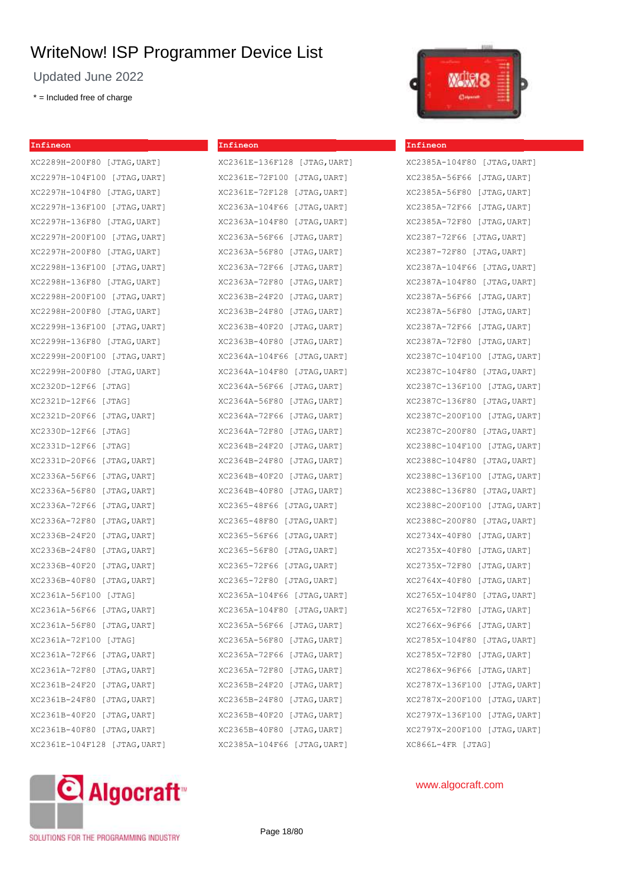Updated June 2022

 $* =$  Included free of charge

#### **Infineon**

XC2289H-200F80 [JTAG,UART] XC2297H-104F100 [JTAG,UART] XC2297H-104F80 [JTAG,UART] XC2297H-136F100 [JTAG,UART] XC2297H-136F80 [JTAG,UART] XC2297H-200F100 [JTAG,UART] XC2297H-200F80 [JTAG,UART] XC2298H-136F100 [JTAG,UART] XC2298H-136F80 [JTAG,UART] XC2298H-200F100 [JTAG,UART] XC2298H-200F80 [JTAG,UART] XC2299H-136F100 [JTAG,UART] XC2299H-136F80 [JTAG,UART] XC2299H-200F100 [JTAG,UART] XC2299H-200F80 [JTAG,UART] XC2320D-12F66 [JTAG] XC2321D-12F66 [JTAG] XC2321D-20F66 [JTAG,UART] XC2330D-12F66 [JTAG] XC2331D-12F66 [JTAG] XC2331D-20F66 [JTAG,UART] XC2336A-56F66 [JTAG,UART] XC2336A-56F80 [JTAG,UART] XC2336A-72F66 [JTAG,UART] XC2336A-72F80 [JTAG,UART] XC2336B-24F20 [JTAG,UART] XC2336B-24F80 [JTAG,UART] XC2336B-40F20 [JTAG,UART] XC2336B-40F80 [JTAG,UART] XC2361A-56F100 [JTAG] XC2361A-56F66 [JTAG,UART] XC2361A-56F80 [JTAG,UART] XC2361A-72F100 [JTAG] XC2361A-72F66 [JTAG,UART] XC2361A-72F80 [JTAG,UART] XC2361B-24F20 [JTAG,UART] XC2361B-24F80 [JTAG,UART] XC2361B-40F20 [JTAG,UART] XC2361B-40F80 [JTAG,UART] XC2361E-104F128 [JTAG,UART]

## **Infineon**

XC2361E-136F128 [JTAG,UART] XC2361E-72F100 [JTAG,UART] XC2361E-72F128 [JTAG,UART] XC2363A-104F66 [JTAG,UART] XC2363A-104F80 [JTAG,UART] XC2363A-56F66 [JTAG,UART] XC2363A-56F80 [JTAG,UART] XC2363A-72F66 [JTAG,UART] XC2363A-72F80 [JTAG,UART] XC2363B-24F20 [JTAG,UART] XC2363B-24F80 [JTAG,UART] XC2363B-40F20 [JTAG,UART] XC2363B-40F80 [JTAG,UART] XC2364A-104F66 [JTAG,UART] XC2364A-104F80 [JTAG,UART] XC2364A-56F66 [JTAG,UART] XC2364A-56F80 [JTAG,UART] XC2364A-72F66 [JTAG,UART] XC2364A-72F80 [JTAG,UART] XC2364B-24F20 [JTAG,UART] XC2364B-24F80 [JTAG,UART] XC2364B-40F20 [JTAG,UART] XC2364B-40F80 [JTAG,UART] XC2365-48F66 [JTAG,UART] XC2365-48F80 [JTAG,UART] XC2365-56F66 [JTAG,UART] XC2365-56F80 [JTAG,UART] XC2365-72F66 [JTAG,UART] XC2365-72F80 [JTAG,UART] XC2365A-104F66 [JTAG,UART] XC2365A-104F80 [JTAG,UART] XC2365A-56F66 [JTAG,UART] XC2365A-56F80 [JTAG,UART] XC2365A-72F66 [JTAG,UART] XC2365A-72F80 [JTAG,UART] XC2365B-24F20 [JTAG,UART] XC2365B-24F80 [JTAG,UART] XC2365B-40F20 [JTAG,UART] XC2365B-40F80 [JTAG,UART] XC2385A-104F66 [JTAG,UART]



#### **Infineon**

XC2385A-104F80 [JTAG,UART] XC2385A-56F66 [JTAG,UART] XC2385A-56F80 [JTAG,UART] XC2385A-72F66 [JTAG,UART] XC2385A-72F80 [JTAG,UART] XC2387-72F66 [JTAG,UART] XC2387-72F80 [JTAG,UART] XC2387A-104F66 [JTAG,UART] XC2387A-104F80 [JTAG,UART] XC2387A-56F66 [JTAG,UART] XC2387A-56F80 [JTAG,UART] XC2387A-72F66 [JTAG,UART] XC2387A-72F80 [JTAG,UART] XC2387C-104F100 [JTAG,UART] XC2387C-104F80 [JTAG,UART] XC2387C-136F100 [JTAG,UART] XC2387C-136F80 [JTAG,UART] XC2387C-200F100 [JTAG,UART] XC2387C-200F80 [JTAG,UART] XC2388C-104F100 [JTAG,UART] XC2388C-104F80 [JTAG,UART] XC2388C-136F100 [JTAG,UART] XC2388C-136F80 [JTAG,UART] XC2388C-200F100 [JTAG,UART] XC2388C-200F80 [JTAG,UART] XC2734X-40F80 [JTAG,UART] XC2735X-40F80 [JTAG,UART] XC2735X-72F80 [JTAG,UART] XC2764X-40F80 [JTAG,UART] XC2765X-104F80 [JTAG,UART] XC2765X-72F80 [JTAG,UART] XC2766X-96F66 [JTAG,UART] XC2785X-104F80 [JTAG,UART] XC2785X-72F80 [JTAG,UART] XC2786X-96F66 [JTAG,UART] XC2787X-136F100 [JTAG,UART] XC2787X-200F100 [JTAG,UART] XC2797X-136F100 [JTAG,UART] XC2797X-200F100 [JTAG,UART] XC866L-4FR [JTAG]

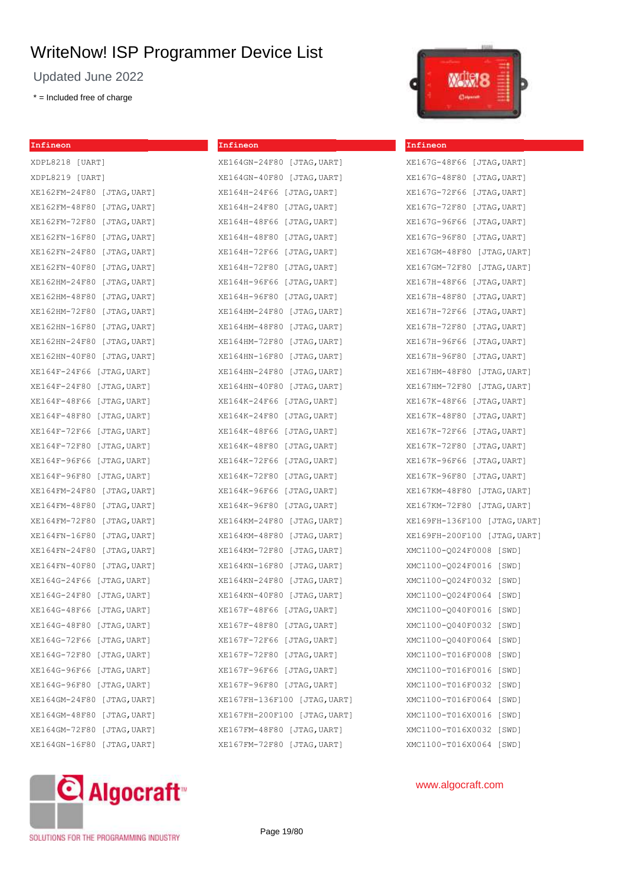**Infineon**

XE164GN-24F80 [JTAG,UART] XE164GN-40F80 [JTAG,UART] XE164H-24F66 [JTAG,UART] XE164H-24F80 [JTAG,UART] XE164H-48F66 [JTAG,UART] XE164H-48F80 [JTAG,UART]

Updated June 2022

\* = Included free of charge

## **Infineon** XDPL8218 [UART] XDPL8219 [UART] XE162FM-24F80 [JTAG,UART] XE162FM-48F80 [JTAG,UART] XE162FM-72F80 [JTAG,UART] XE162FN-16F80 [JTAG,UART] XE162FN-24F80 [JTAG,UART] XE162FN-40F80 [JTAG,UART] XE162HM-24F80 [JTAG,UART] XE162HM-48F80 [JTAG,UART] XE162HM-72F80 [JTAG,UART] XE162HN-16F80 [JTAG,UART] XE162HN-24F80 [JTAG,UART] XE162HN-40F80 [JTAG,UART] XE164F-24F66 [JTAG,UART] XE164F-24F80 [JTAG,UART] XE164F-48F66 [JTAG,UART] XE164F-48F80 [JTAG,UART] XE164F-72F66 [JTAG,UART] XE164F-72F80 [JTAG,UART] XE164F-96F66 [JTAG,UART] XE164F-96F80 [JTAG,UART] XE164FM-24F80 [JTAG,UART] XE164FM-48F80 [JTAG,UART] XE164FM-72F80 [JTAG,UART] XE164FN-16F80 [JTAG,UART] XE164FN-24F80 [JTAG,UART] XE164FN-40F80 [JTAG,UART] XE164G-24F66 [JTAG,UART] XE164G-24F80 [JTAG,UART] XE164G-48F66 [JTAG,UART] XE164G-48F80 [JTAG,UART] XE164G-72F66 [JTAG,UART] XE164G-72F80 [JTAG,UART] XE164G-96F66 [JTAG,UART] XE164G-96F80 [JTAG,UART] XE164GM-24F80 [JTAG,UART] XE164GM-48F80 [JTAG,UART] XE164GM-72F80 [JTAG,UART] XE164GN-16F80 [JTAG,UART]



XE164H-72F66 [JTAG,UART] XE164H-72F80 [JTAG,UART] XE164H-96F66 [JTAG,UART] XE164H-96F80 [JTAG,UART] XE164HM-24F80 [JTAG,UART] XE164HM-48F80 [JTAG,UART] XE164HM-72F80 [JTAG,UART] XE164HN-16F80 [JTAG,UART] XE164HN-24F80 [JTAG,UART] XE164HN-40F80 [JTAG,UART] XE164K-24F66 [JTAG,UART] XE164K-24F80 [JTAG,UART] XE164K-48F66 [JTAG,UART] XE164K-48F80 [JTAG,UART] XE164K-72F66 [JTAG,UART] XE164K-72F80 [JTAG,UART] XE164K-96F66 [JTAG,UART] XE164K-96F80 [JTAG,UART] XE164KM-24F80 [JTAG,UART] XE164KM-48F80 [JTAG,UART] XE164KM-72F80 [JTAG,UART] XE164KN-16F80 [JTAG,UART] XE164KN-24F80 [JTAG,UART] XE164KN-40F80 [JTAG,UART] XE167F-48F66 [JTAG,UART] XE167F-48F80 [JTAG,UART] XE167F-72F66 [JTAG,UART] XE167F-72F80 [JTAG,UART] XE167F-96F66 [JTAG,UART] XE167F-96F80 [JTAG,UART] XE167FH-136F100 [JTAG,UART] XE167FH-200F100 [JTAG,UART]



#### **Infineon**

| XE167G-48F66 [JTAG, UART]    |  |  |       |  |
|------------------------------|--|--|-------|--|
| XE167G-48F80 [JTAG, UART]    |  |  |       |  |
| XE167G-72F66 [JTAG, UART]    |  |  |       |  |
| XE167G-72F80 [JTAG,UART]     |  |  |       |  |
| XE167G-96F66 [JTAG,UART]     |  |  |       |  |
| XE167G-96F80 [JTAG, UART]    |  |  |       |  |
| XE167GM-48F80 [JTAG, UART]   |  |  |       |  |
| XE167GM-72F80 [JTAG,UART]    |  |  |       |  |
| XE167H-48F66 [JTAG, UART]    |  |  |       |  |
| XE167H-48F80 [JTAG, UART]    |  |  |       |  |
| XE167H-72F66 [JTAG, UART]    |  |  |       |  |
| XE167H-72F80 [JTAG,UART]     |  |  |       |  |
| XE167H-96F66 [JTAG, UART]    |  |  |       |  |
| XE167H-96F80 [JTAG, UART]    |  |  |       |  |
| XE167HM-48F80 [JTAG, UART]   |  |  |       |  |
| XE167HM-72F80 [JTAG, UART]   |  |  |       |  |
| XE167K-48F66 [JTAG,UART]     |  |  |       |  |
| XE167K-48F80 [JTAG, UART]    |  |  |       |  |
| XE167K-72F66 [JTAG, UART]    |  |  |       |  |
| XE167K-72F80 [JTAG,UART]     |  |  |       |  |
| XE167K-96F66 [JTAG,UART]     |  |  |       |  |
| XE167K-96F80 [JTAG,UART]     |  |  |       |  |
| XE167KM-48F80 [JTAG,UART]    |  |  |       |  |
| XE167KM-72F80 [JTAG, UART]   |  |  |       |  |
| XE169FH-136F100 [JTAG, UART] |  |  |       |  |
| XE169FH-200F100 [JTAG,UART]  |  |  |       |  |
| XMC1100-Q024F0008 [SWD]      |  |  |       |  |
| XMC1100-Q024F0016 [SWD]      |  |  |       |  |
| XMC1100-Q024F0032 [SWD]      |  |  |       |  |
| XMC1100-Q024F0064 [SWD]      |  |  |       |  |
| XMC1100-Q040F0016 [SWD]      |  |  |       |  |
| XMC1100-Q040F0032 [SWD]      |  |  |       |  |
| XMC1100-Q040F0064            |  |  | [SWD] |  |
| XMC1100-T016F0008            |  |  | [SWD] |  |
| XMC1100-T016F0016            |  |  | [SWD] |  |
| XMC1100-T016F0032            |  |  | [SWD] |  |
| XMC1100-T016F0064            |  |  | [SWD] |  |
| XMC1100-T016X0016            |  |  | [SWD] |  |
| XMC1100-T016X0032            |  |  | [SWD] |  |
| XMC1100-T016X0064            |  |  | [SWD] |  |

### www.algocraft.com

SOLUTIONS FOR THE PROGRAMMING INDUSTRY

Page 19/80

XE167FM-48F80 [JTAG,UART] XE167FM-72F80 [JTAG,UART]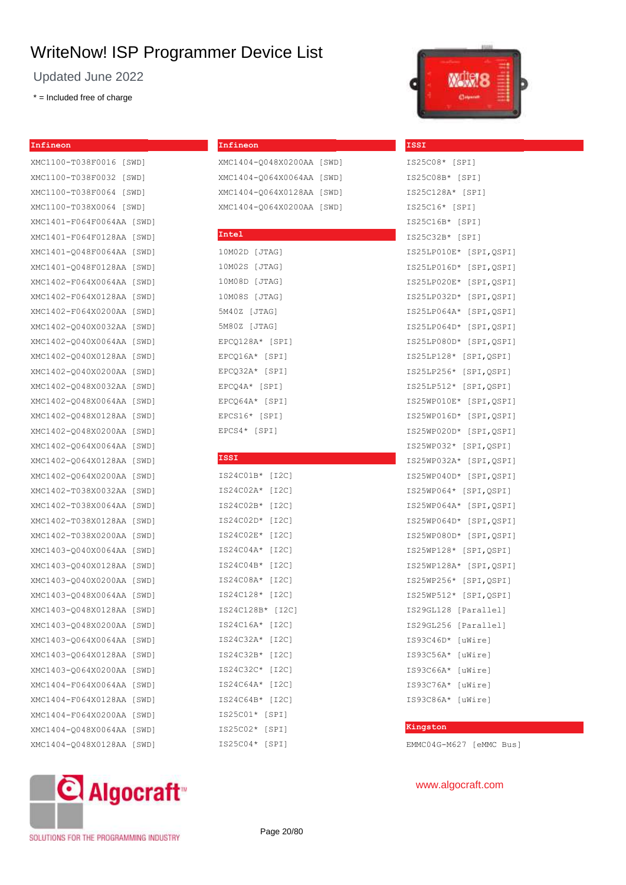Updated June 2022

\* = Included free of charge

#### **Infineon**

XMC1100-T038F0016 [SWD] XMC1100-T038F0032 [SWD] XMC1100-T038F0064 [SWD] XMC1100-T038X0064 [SWD] XMC1401-F064F0064AA [SWD] XMC1401-F064F0128AA [SWD] XMC1401-Q048F0064AA [SWD] XMC1401-Q048F0128AA [SWD] XMC1402-F064X0064AA [SWD] XMC1402-F064X0128AA [SWD] XMC1402-F064X0200AA [SWD] XMC1402-Q040X0032AA [SWD] XMC1402-Q040X0064AA [SWD] XMC1402-Q040X0128AA [SWD] XMC1402-Q040X0200AA [SWD] XMC1402-Q048X0032AA [SWD] XMC1402-Q048X0064AA [SWD] XMC1402-Q048X0128AA [SWD] XMC1402-Q048X0200AA [SWD] XMC1402-Q064X0064AA [SWD] XMC1402-Q064X0128AA [SWD] XMC1402-Q064X0200AA [SWD] XMC1402-T038X0032AA [SWD] XMC1402-T038X0064AA [SWD] XMC1402-T038X0128AA [SWD] XMC1402-T038X0200AA [SWD] XMC1403-Q040X0064AA [SWD] XMC1403-Q040X0128AA [SWD] XMC1403-Q040X0200AA [SWD] XMC1403-Q048X0064AA [SWD] XMC1403-Q048X0128AA [SWD] XMC1403-Q048X0200AA [SWD] XMC1403-Q064X0064AA [SWD] XMC1403-Q064X0128AA [SWD] XMC1403-Q064X0200AA [SWD] XMC1404-F064X0064AA [SWD] XMC1404-F064X0128AA [SWD] XMC1404-F064X0200AA [SWD] XMC1404-Q048X0064AA [SWD] XMC1404-Q048X0128AA [SWD]

# **© Algocraft**

**Infineon**

| XMC1404-0048X0200AA [SWD] |  |
|---------------------------|--|
| XMC1404-0064X0064AA [SWD] |  |
| XMC1404-0064X0128AA [SWD] |  |
| XMC1404-0064X0200AA [SWD] |  |

#### **Intel**

```
10M02D [JTAG]
10M02S [JTAG]
10M08D [JTAG]
10M08S [JTAG]
5M40Z [JTAG]
5M80Z [JTAG]
EPCQ128A* [SPI]
EPCQ16A* [SPI]
EPCQ32A* [SPI]
EPCQ4A* [SPI]
EPCQ64A* [SPI]
EPCS16* [SPI]
EPCS4* [SPI]
```
#### **ISSI**

|  |  |          |  | IS24C01B*  |       |  |  | [I2C] |       |  |
|--|--|----------|--|------------|-------|--|--|-------|-------|--|
|  |  |          |  | IS24C02A*  |       |  |  | [I2C] |       |  |
|  |  |          |  | IS24C02B*  |       |  |  | [12C] |       |  |
|  |  |          |  | IS24C02D*  |       |  |  | [I2C] |       |  |
|  |  |          |  | IS24C02E*  |       |  |  | [12C] |       |  |
|  |  |          |  | IS24C04A*  |       |  |  | [I2C] |       |  |
|  |  |          |  | IS24C04B*  |       |  |  | [I2C] |       |  |
|  |  |          |  | IS24C08A*  |       |  |  | [12C] |       |  |
|  |  |          |  | IS24C128*  |       |  |  | [I2C] |       |  |
|  |  |          |  | IS24C128B* |       |  |  |       | [I2C] |  |
|  |  |          |  | IS24C16A*  |       |  |  | [I2C] |       |  |
|  |  |          |  | IS24C32A*  |       |  |  | [I2C] |       |  |
|  |  |          |  | IS24C32B*  |       |  |  | [I2C] |       |  |
|  |  |          |  | IS24C32C*  |       |  |  | [I2C] |       |  |
|  |  |          |  | IS24C64A*  |       |  |  | [I2C] |       |  |
|  |  |          |  | IS24C64B*  |       |  |  | [12C] |       |  |
|  |  |          |  | IS25C01*   | [SPI] |  |  |       |       |  |
|  |  | IS25C02* |  |            | [SPI] |  |  |       |       |  |
|  |  | IS25C04* |  |            | SPI   |  |  |       |       |  |



**ISSI**

## IS25C08\* [SPI] IS25C08B\* [SPI] IS25C128A\* [SPI] IS25C16\* [SPI] IS25C16B\* [SPI] IS25C32B\* [SPI] IS25LP010E\* [SPI,QSPI] IS25LP016D\* [SPI,QSPI] IS25LP020E\* [SPI,QSPI] IS25LP032D\* [SPI,QSPI] IS25LP064A\* [SPI,QSPI] IS25LP064D\* [SPI,QSPI] IS25LP080D\* [SPI,QSPI] IS25LP128\* [SPI,QSPI] IS25LP256\* [SPI,QSPI] IS25LP512\* [SPI,QSPI] IS25WP010E\* [SPI,QSPI] IS25WP016D\* [SPI,QSPI] IS25WP020D\* [SPI,QSPI] IS25WP032\* [SPI,QSPI] IS25WP032A\* [SPI,QSPI] IS25WP040D\* [SPI,QSPI] IS25WP064\* [SPI,QSPI] IS25WP064A\* [SPI,QSPI] IS25WP064D\* [SPI,QSPI] IS25WP080D\* [SPI,QSPI] IS25WP128\* [SPI,QSPI] IS25WP128A\* [SPI,QSPI] IS25WP256\* [SPI,QSPI] IS25WP512\* [SPI,QSPI] IS29GL128 [Parallel] IS29GL256 [Parallel] IS93C46D\* [uWire] IS93C56A\* [uWire] IS93C66A\* [uWire] IS93C76A\* [uWire] IS93C86A\* [uWire]

#### **Kingston**

EMMC04G-M627 [eMMC Bus]

### www.algocraft.com

SOLUTIONS FOR THE PROGRAMMING INDUSTRY

Page 20/80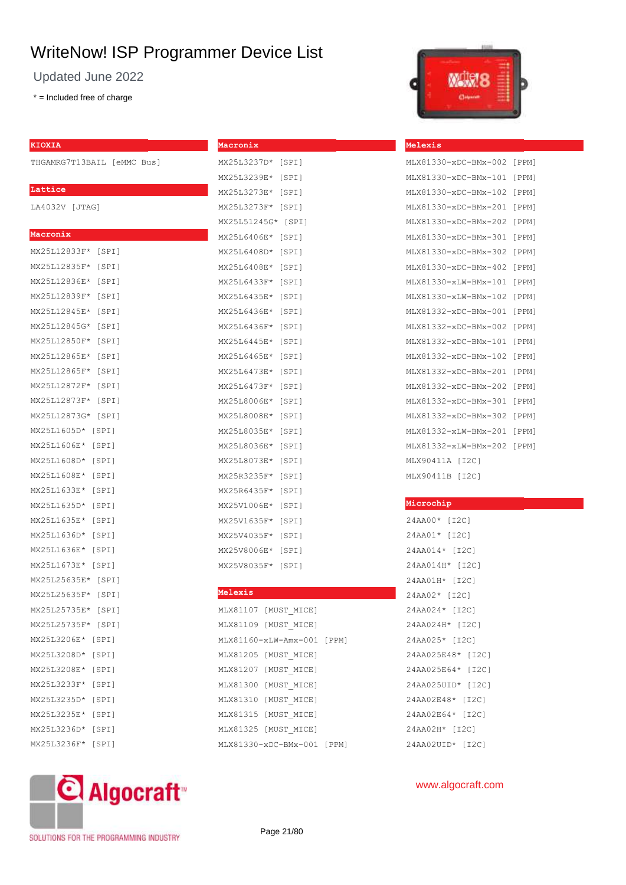Updated June 2022

\* = Included free of charge

THGAMRG7T13BAIL [eMMC Bus]

#### **Lattice**

LA4032V [JTAG]

#### **Macronix**

| MX25L12833F* [SPI] |             |
|--------------------|-------------|
| MX25L12835F* [SPI] |             |
| MX25L12836E* [SPI] |             |
| MX25L12839F* [SPI] |             |
| MX25L12845E* [SPI] |             |
| MX25L12845G* [SPI] |             |
| MX25L12850F* [SPI] |             |
| MX25L12865E* [SPI] |             |
| MX25L12865F* [SPI] |             |
| MX25L12872F* [SPI] |             |
| MX25L12873F* [SPI] |             |
| MX25L12873G* [SPI] |             |
| MX25L1605D* [SPI]  |             |
| MX25L1606E* [SPI]  |             |
| MX25L1608D* [SPI]  |             |
| MX25L1608E* [SPI]  |             |
| MX25L1633E* [SPI]  |             |
| MX25L1635D* [SPI]  |             |
| MX25L1635E* [SPI]  |             |
| MX25L1636D* [SPI]  |             |
| MX25L1636E* [SPI]  |             |
| MX25L1673E* [SPI]  |             |
| MX25L25635E* [SPI] |             |
| MX25L25635F* [SPI] |             |
| MX25L25735E* [SPI] |             |
| MX25L25735F* [SPI] |             |
| MX25L3206E* [SPI]  |             |
| MX25L3208D* [SPI]  |             |
| MX25L3208E* [SPI]  |             |
| MX25L3233F* [SPI]  |             |
| MX25L3235D* [SPI]  |             |
| MX25L3235E* [SPI]  |             |
| MX25L3236D* [SPI]  |             |
| MX25L3236F*        | $[$ SPI $]$ |

| MX25L3237D*        | [SPI] |
|--------------------|-------|
| MX25L3239E*        | [SPI] |
| MX25L3273E* [SPI]  |       |
| MX25L3273F* [SPI]  |       |
| MX25L51245G* [SPI] |       |
| MX25L6406E*        | [SPI] |
| MX25L6408D*        | [SPI] |
| MX25L6408E*        | [SPI] |
| MX25L6433F*        | [SPI] |
| MX25L6435E*        | [SPI] |
| MX25L6436E*        | [SPI] |
| MX25L6436F*        | [SPI] |
| MX25L6445E*        | [SPI] |
| MX25L6465E*        | [SPI] |
| MX25L6473E*        | [SPI] |
| MX25L6473F*        | [SPI] |
| MX25L8006E*        | [SPI] |
| MX25L8008E*        | [SPI] |
| MX25L8035E*        | [SPI] |
| MX25L8036E*        | [SPI] |
| MX25L8073E*        | [SPI] |
| MX25R3235F*        | [SPI] |
| MX25R6435F*        | [SPI] |
| MX25V1006E*        | [SPI] |
| MX25V1635F*        | [SPI] |
| MX25V4035F*        | [SPI] |
| MX25V8006E*        | [SPI] |
| MX25V8035F*        | [SPI] |

**Macronix**

#### **Melexis**

| MT X 81107  | [MUST MICE]          |       |
|-------------|----------------------|-------|
| MT X81109   | [MUST MICE]          |       |
|             | MLX81160-xLW-Amx-001 | [PPM] |
| MT X 81205  | [MUST MICE]          |       |
| MLX81207    | [MUST MICE]          |       |
| MLX81300    | [MUST MICE]          |       |
| MLX81310    | [MUST MICE]          |       |
| MT X 81315  | [MUST MICE]          |       |
| MT X 8132.5 | [MUST MICE]          |       |
|             | MLX81330-xDC-BMx-001 | [PPM] |



#### **Melexis**

| MLX81330-xDC-BMx-002 | [PPM] |
|----------------------|-------|
| MLX81330-xDC-BMx-101 | [PPM] |
| MLX81330-xDC-BMx-102 | [PPM] |
| MLX81330-xDC-BMx-201 | [PPM] |
| MLX81330-xDC-BMx-202 | [PPM] |
| MLX81330-xDC-BMx-301 | [PPM] |
| MLX81330-xDC-BMx-302 | [PPM] |
| MLX81330-xDC-BMx-402 | [PPM] |
| MLX81330-xLW-BMx-101 | [PPM] |
| MLX81330-xLW-BMx-102 | [PPM] |
| MLX81332-xDC-BMx-001 | [PPM] |
| MLX81332-xDC-BMx-002 | [PPM] |
| MLX81332-xDC-BMx-101 | [PPM] |
| MLX81332-xDC-BMx-102 | [PPM] |
| MLX81332-xDC-BMx-201 | [PPM] |
| MLX81332-xDC-BMx-202 | [PPM] |
| MLX81332-xDC-BMx-301 | [PPM] |
| MLX81332-xDC-BMx-302 | [PPM] |
| MLX81332-xLW-BMx-201 | [PPM] |
| MLX81332-xLW-BMx-202 | [PPM] |
| MLX90411A [I2C]      |       |
| MLX90411B [I2C]      |       |

#### **Microchip**

| 24AA00*<br>[I2C]     |
|----------------------|
| 24AA01* [I2C]        |
| 24AA014* [I2C]       |
| 24AA014H* [I2C]      |
| 24AA01H* [I2C]       |
| 24AA02* [I2C]        |
| 24AA024* [I2C]       |
| 24AA024H* [I2C]      |
| 24AA025* [I2C]       |
| 24AA025E48*<br>[12C] |
| 24AA025E64*<br>[12C] |
| 24AA025UID*<br>[12C] |
| 24AA02E48*<br>[I2C]  |
| 24AA02E64*<br>[12C]  |
| 24AA02H* [I2C]       |
| 24AA02UID* [I2C]     |



SOLUTIONS FOR THE PROGRAMMING INDUSTRY

Page 21/80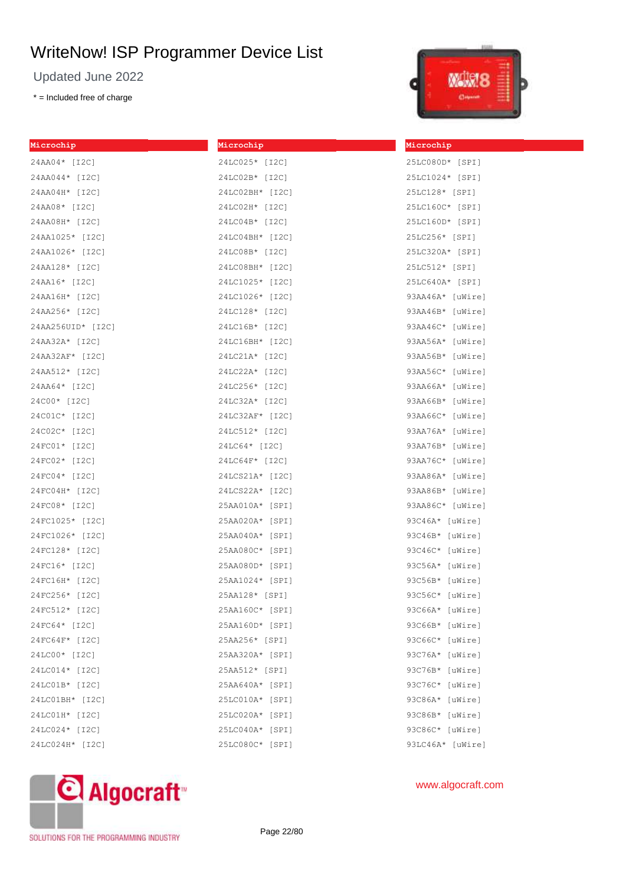Updated June 2022

\* = Included free of charge



| Microchip         | Microchip       | Microchip         |
|-------------------|-----------------|-------------------|
| 24AA04* [I2C]     | 24LC025* [I2C]  | 25LC080D* [SPI]   |
| 24AA044* [I2C]    | 24LC02B* [I2C]  | 25LC1024* [SPI]   |
| 24AA04H* [I2C]    | 24LC02BH* [I2C] | 25LC128* [SPI]    |
| 24AA08* [I2C]     | 24LC02H* [I2C]  | 25LC160C* [SPI]   |
| 24AA08H* [I2C]    | 24LC04B* [I2C]  | 25LC160D* [SPI]   |
| 24AA1025* [I2C]   | 24LC04BH* [I2C] | 25LC256* [SPI]    |
| 24AA1026* [I2C]   | 24LC08B* [I2C]  | 25LC320A* [SPI]   |
| 24AA128* [I2C]    | 24LC08BH* [I2C] | 25LC512* [SPI]    |
| 24AA16* [I2C]     | 24LC1025* [I2C] | 25LC640A* [SPI]   |
| 24AA16H* [I2C]    | 24LC1026* [I2C] | 93AA46A* [uWire]  |
| 24AA256* [I2C]    | 24LC128* [I2C]  | 93AA46B* [uWire]  |
| 24AA256UID* [I2C] | 24LC16B* [I2C]  | 93AA46C* [uWire]  |
| 24AA32A* [I2C]    | 24LC16BH* [I2C] | 93AA56A* [uWire]  |
| 24AA32AF* [I2C]   | 24LC21A* [I2C]  | 93AA56B* [uWire]  |
| 24AA512* [I2C]    | 24LC22A* [I2C]  | 93AA56C* [uWire]  |
| 24AA64* [I2C]     | 24LC256* [I2C]  | 93AA66A* [uWire]  |
| 24C00* [I2C]      | 24LC32A* [I2C]  | 93AA66B* [uWire]  |
| 24C01C* [I2C]     | 24LC32AF* [I2C] | 93AA66C* [uWire]  |
| 24C02C* [I2C]     | 24LC512* [I2C]  | 93AA76A* [uWire]  |
| 24FC01* [I2C]     | 24LC64* [I2C]   | 93AA76B* [uWire]  |
| 24FC02* [I2C]     | 24LC64F* [I2C]  | 93AA76C* [uWire]  |
| 24FC04* [I2C]     | 24LCS21A* [I2C] | 93AA86A* [uWire]  |
| 24FC04H* [I2C]    | 24LCS22A* [I2C] | 93AA86B* [uWire]  |
| 24FC08* [I2C]     | 25AA010A* [SPI] | 93AA86C* [uWire]  |
| 24FC1025* [I2C]   | 25AA020A* [SPI] | 93C46A* [uWire]   |
| 24FC1026* [I2C]   | 25AA040A* [SPI] | 93C46B* [uWire]   |
| 24FC128* [I2C]    | 25AA080C* [SPI] | 93C46C* [uWire]   |
| 24FC16* [I2C]     | 25AA080D* [SPI] | $93C56A*$ [uWire] |
| 24FC16H* [I2C]    | 25AA1024* [SPI] | 93C56B* [uWire]   |
| 24FC256* [I2C]    | 25AA128* [SPI]  | 93C56C* [uWire]   |
| 24FC512* [I2C]    | 25AA160C* [SPI] | 93C66A* [uWire]   |
| 24FC64* [I2C]     | 25AA160D* [SPI] | 93C66B* [uWire]   |
| 24FC64F* [I2C]    | 25AA256* [SPI]  | 93C66C* [uWire]   |
| 24LC00* [I2C]     | 25AA320A* [SPI] | 93C76A* [uWire]   |
| 24LC014* [I2C]    | 25AA512* [SPI]  | 93C76B* [uWire]   |
| 24LC01B* [I2C]    | 25AA640A* [SPI] | 93C76C* [uWire]   |
| 24LC01BH* [I2C]   | 25LC010A* [SPI] | 93C86A* [uWire]   |
| 24LC01H* [I2C]    | 25LC020A* [SPI] | 93C86B* [uWire]   |
| 24LC024* [I2C]    | 25LC040A* [SPI] | 93C86C* [uWire]   |
| 24LC024H* [I2C]   | 25LC080C* [SPI] | 93LC46A* [uWire]  |



## www.algocraft.com

SOLUTIONS FOR THE PROGRAMMING INDUSTRY

Page 22/80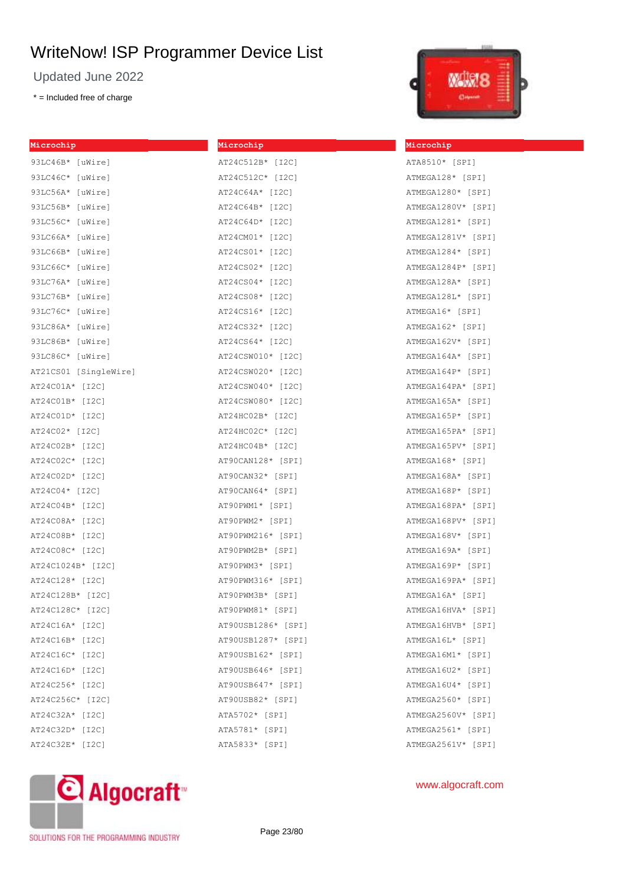Updated June 2022

\* = Included free of charge

| Microchip             | Microchip          |
|-----------------------|--------------------|
| 93LC46B* [uWire]      | AT24C512B* [I2C]   |
| 93LC46C* [uWire]      | AT24C512C* [I2C]   |
| 93LC56A* [uWire]      | AT24C64A* [I2C]    |
| 93LC56B* [uWire]      | AT24C64B* [I2C]    |
| 93LC56C* [uWire]      | AT24C64D* [I2C]    |
| 93LC66A* [uWire]      | AT24CM01* [I2C]    |
| 93LC66B* [uWire]      | AT24CS01* [I2C]    |
| 93LC66C* [uWire]      | AT24CS02* [I2C]    |
| 93LC76A* [uWire]      | AT24CS04* [I2C]    |
| 93LC76B* [uWire]      | AT24CS08* [I2C]    |
| 93LC76C* [uWire]      | AT24CS16* [I2C]    |
| 93LC86A* [uWire]      | AT24CS32* [I2C]    |
| 93LC86B* [uWire]      | AT24CS64* [I2C]    |
| 93LC86C* [uWire]      | AT24CSW010* [I2C]  |
| AT21CS01 [SingleWire] | AT24CSW020* [I2C]  |
| AT24C01A* [I2C]       | AT24CSW040* [I2C]  |
| AT24C01B* [I2C]       | AT24CSW080* [I2C]  |
| AT24C01D* [I2C]       | AT24HC02B* [I2C]   |
| AT24C02* [I2C]        | AT24HC02C* [I2C]   |
| AT24C02B* [I2C]       | AT24HC04B* [I2C]   |
| AT24C02C* [I2C]       | AT90CAN128* [SPI]  |
| AT24C02D* [I2C]       | AT90CAN32* [SPI]   |
| AT24C04* [I2C]        | AT90CAN64* [SPI]   |
| AT24C04B* [I2C]       | AT90PWM1* [SPI]    |
| AT24C08A* [I2C]       | AT90PWM2* [SPI]    |
| AT24C08B* [I2C]       | AT90PWM216* [SPI]  |
| AT24C08C* [I2C]       | AT90PWM2B* [SPI]   |
| AT24C1024B* [I2C]     | AT90PWM3* [SPI]    |
| AT24C128* [I2C]       | AT90PWM316* [SPI]  |
| AT24C128B* [I2C]      | AT90PWM3B* [SPI]   |
| AT24C128C* [I2C]      | AT90PWM81* [SPI]   |
| AT24C16A* [I2C]       | AT90USB1286* [SPI] |
| AT24C16B* [I2C]       | AT90USB1287* [SPI] |
| AT24C16C* [I2C]       | AT90USB162* [SPI]  |
| AT24C16D* [I2C]       | AT90USB646* [SPI]  |
| AT24C256* [I2C]       | AT90USB647* [SPI]  |
| AT24C256C* [I2C]      | AT90USB82* [SPI]   |
| AT24C32A* [I2C]       | ATA5702* [SPI]     |
| AT24C32D* [I2C]       | ATA5781* [SPI]     |
| AT24C32E* [I2C]       | ATA5833* [SPI]     |



## **Microchip**

| ATA8510* [SPI]                  |
|---------------------------------|
| ATMEGA128* [SPI]                |
| ATMEGA1280* [SPI]               |
| ATMEGA1280V* [SPI]              |
| ATMEGA1281* [SPI]               |
| ATMEGA1281V* [SPI]              |
| ATMEGA1284* [SPI]               |
| ATMEGA1284P* [SPI]              |
| ATMEGA128A* [SPI]               |
| ATMEGA128L* [SPI]               |
| ATMEGA16* [SPI]                 |
| ATMEGA162* [SPI]                |
| ATMEGA162V* [SPI]               |
| ATMEGA164A* [SPI]               |
| ATMEGA164P* [SPI]               |
| ATMEGA164PA* [SPI]              |
| ATMEGA165A* [SPI]               |
| ATMEGA165P* [SPI]               |
| ATMEGA165PA* [SPI]              |
| ATMEGA165PV* [SPI]              |
| ATMEGA168* [SPI]                |
| ATMEGA168A* [SPI]               |
| ATMEGA168P* [SPI]               |
| ATMEGA168PA* [SPI]              |
| ATMEGA168PV* [SPI]              |
| ATMEGA168V* [SPI]               |
| ATMEGA169A* [SPI]               |
| ATMEGA169P* [SPI]               |
| ATMEGA169PA* [SPI]              |
| ATMEGA16A* [SPI]                |
| ATMEGA16HVA* [SPI]              |
| ATMEGA16HVB*<br><b>SPI</b><br>1 |
| ATMEGA16L* [SPI]                |
| ATMEGA16M1* [SPI]               |
| ATMEGA16U2* [SPI]               |
| ATMEGA16U4* [SPI]               |
| ATMEGA2560* [SPI]               |
| ATMEGA2560V* [SPI]              |
| ATMEGA2561* [SPI]               |
| ATMEGA2561V* [SPI]              |



SOLUTIONS FOR THE PROGRAMMING INDUSTRY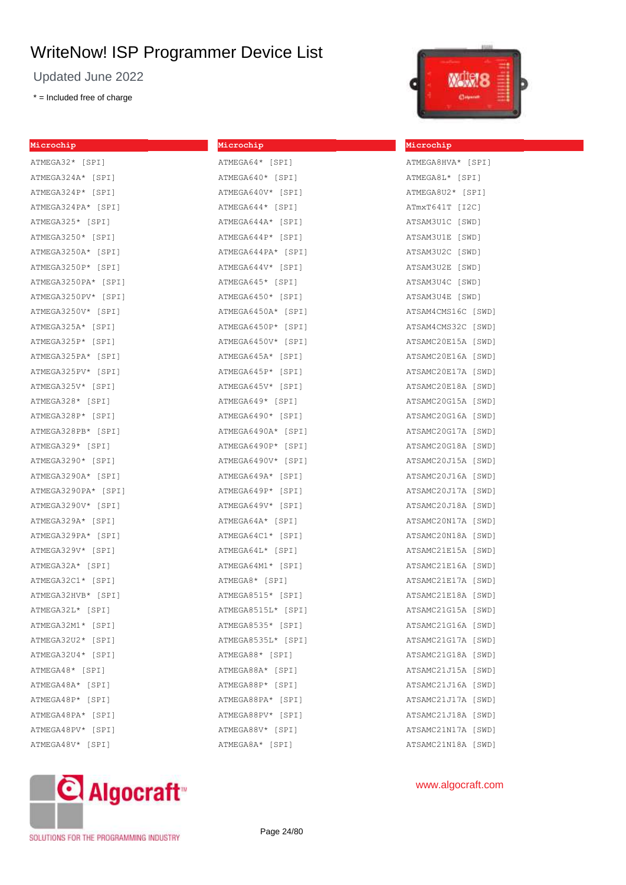Updated June 2022

\* = Included free of charge

## **Microchip** ATMEGA32\* [SPI] ATMEGA324A\* [SPI] ATMEGA324P\* [SPI] ATMEGA324PA\* [SPI] ATMEGA325\* [SPI] ATMEGA3250\* [SPI] ATMEGA3250A\* [SPI] ATMEGA3250P\* [SPI] ATMEGA3250PA\* [SPI] ATMEGA3250PV\* [SPI] ATMEGA3250V\* [SPI] ATMEGA325A\* [SPI] ATMEGA325P\* [SPI] ATMEGA325PA\* [SPI] ATMEGA325PV\* [SPI] ATMEGA325V\* [SPI] ATMEGA328\* [SPI] ATMEGA328P\* [SPI] ATMEGA328PB\* [SPI] ATMEGA329\* [SPI] ATMEGA3290\* [SPI] ATMEGA3290A\* [SPI] ATMEGA3290PA\* [SPI] ATMEGA3290V\* [SPI] ATMEGA329A\* [SPI] ATMEGA329PA\* [SPI] ATMEGA329V\* [SPI] ATMEGA32A\* [SPI] ATMEGA32C1\* [SPI] ATMEGA32HVB\* [SPI] ATMEGA32L\* [SPI] ATMEGA32M1\* [SPI] ATMEGA32U2\* [SPI] ATMEGA32U4\* [SPI] ATMEGA48\* [SPI] ATMEGA48A\* [SPI] ATMEGA48P\* [SPI] ATMEGA48PA\* [SPI] ATMEGA48PV\* [SPI] ATMEGA48V\* [SPI]

**Microchip** ATMEGA64\* [SPI]

| ATMEGA640* [SPI]   |
|--------------------|
| ATMEGA640V* [SPI]  |
| ATMEGA644* [SPI]   |
| ATMEGA644A* [SPI]  |
| ATMEGA644P* [SPI]  |
| ATMEGA644PA* [SPI] |
| ATMEGA644V* [SPI]  |
| ATMEGA645* [SPI]   |
| ATMEGA6450* [SPI]  |
| ATMEGA6450A* [SPI] |
| ATMEGA6450P* [SPI] |
| ATMEGA6450V* [SPI] |
| ATMEGA645A* [SPI]  |
| ATMEGA645P* [SPI]  |
| ATMEGA645V* [SPI]  |
| ATMEGA649* [SPI]   |
| ATMEGA6490* [SPI]  |
| ATMEGA6490A* [SPI] |
| ATMEGA6490P* [SPI] |
| ATMEGA6490V* [SPI] |
| ATMEGA649A* [SPI]  |
| ATMEGA649P* [SPI]  |
| ATMEGA649V* [SPI]  |
| ATMEGA64A* [SPI]   |
| ATMEGA64C1* [SPI]  |
| ATMEGA64L* [SPI]   |
| ATMEGA64M1* [SPI]  |
| ATMEGA8* [SPI]     |
| ATMEGA8515* [SPI]  |
| ATMEGA8515L* [SPI] |
| ATMEGA8535* [SPI]  |
| ATMEGA8535L* [SPI] |
| ATMEGA88* [SPI]    |
| ATMEGA88A* [SPI]   |
| ATMEGA88P* [SPI]   |
| ATMEGA88PA* [SPI]  |
| ATMEGA88PV* [SPI]  |
| ATMEGA88V* [SPI]   |
| ATMEGA8A* [SPI]    |



**Microchip**

## ATMEGA8HVA\* [SPI] ATMEGA8L\* [SPI] ATMEGA8U2\* [SPI] ATmxT641T [I2C] ATSAM3U1C [SWD] ATSAM3U1E [SWD] ATSAM3U2C [SWD] ATSAM3U2E [SWD] ATSAM3U4C [SWD] ATSAM3U4E [SWD] ATSAM4CMS16C [SWD] ATSAM4CMS32C [SWD] ATSAMC20E15A [SWD] ATSAMC20E16A [SWD] ATSAMC20E17A [SWD] ATSAMC20E18A [SWD] ATSAMC20G15A [SWD] ATSAMC20G16A [SWD] ATSAMC20G17A [SWD] ATSAMC20G18A [SWD] ATSAMC20J15A [SWD] ATSAMC20J16A [SWD] ATSAMC20J17A [SWD] ATSAMC20J18A [SWD] ATSAMC20N17A [SWD] ATSAMC20N18A [SWD] ATSAMC21E15A [SWD] ATSAMC21E16A [SWD] ATSAMC21E17A [SWD] ATSAMC21E18A [SWD] ATSAMC21G15A [SWD] ATSAMC21G16A [SWD] ATSAMC21G17A [SWD] ATSAMC21G18A [SWD] ATSAMC21J15A [SWD] ATSAMC21J16A [SWD] ATSAMC21J17A [SWD] ATSAMC21J18A [SWD] ATSAMC21N17A [SWD] ATSAMC21N18A [SWD]

C Algocraft<sup>®</sup>

SOLUTIONS FOR THE PROGRAMMING INDUSTRY

Page 24/80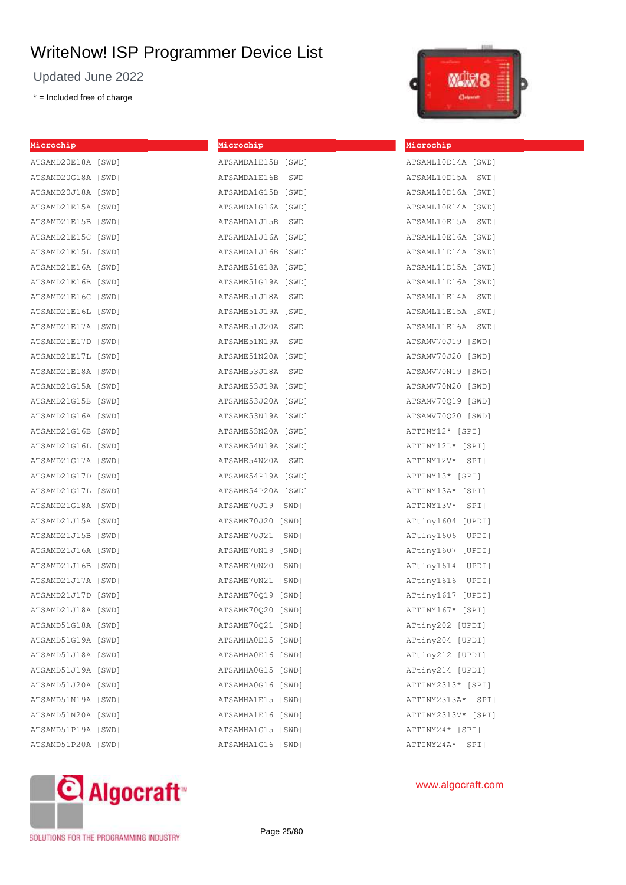Updated June 2022

\* = Included free of charge

| Microchip          | Microchip          | Microch |
|--------------------|--------------------|---------|
| ATSAMD20E18A [SWD] | ATSAMDA1E15B [SWD] | ATSAML1 |
| ATSAMD20G18A [SWD] | ATSAMDA1E16B [SWD] | ATSAML1 |
| ATSAMD20J18A [SWD] | ATSAMDA1G15B [SWD] | ATSAML1 |
| ATSAMD21E15A [SWD] | ATSAMDA1G16A [SWD] | ATSAML1 |
| ATSAMD21E15B [SWD] | ATSAMDA1J15B [SWD] | ATSAML1 |
| ATSAMD21E15C [SWD] | ATSAMDA1J16A [SWD] | ATSAML1 |
| ATSAMD21E15L [SWD] | ATSAMDA1J16B [SWD] | ATSAML1 |
| ATSAMD21E16A [SWD] | ATSAME51G18A [SWD] | ATSAML1 |
| ATSAMD21E16B [SWD] | ATSAME51G19A [SWD] | ATSAML1 |
| ATSAMD21E16C [SWD] | ATSAME51J18A [SWD] | ATSAML1 |
| ATSAMD21E16L [SWD] | ATSAME51J19A [SWD] | ATSAML1 |
| ATSAMD21E17A [SWD] | ATSAME51J20A [SWD] | ATSAML1 |
| ATSAMD21E17D [SWD] | ATSAME51N19A [SWD] | ATSAMV7 |
| ATSAMD21E17L [SWD] | ATSAME51N20A [SWD] | ATSAMV7 |
| ATSAMD21E18A [SWD] | ATSAME53J18A [SWD] | ATSAMV7 |
| ATSAMD21G15A [SWD] | ATSAME53J19A [SWD] | ATSAMV7 |
| ATSAMD21G15B [SWD] | ATSAME53J20A [SWD] | ATSAMV7 |
| ATSAMD21G16A [SWD] | ATSAME53N19A [SWD] | ATSAMV7 |
| ATSAMD21G16B [SWD] | ATSAME53N20A [SWD] | ATTINY1 |
| ATSAMD21G16L [SWD] | ATSAME54N19A [SWD] | ATTINY1 |
| ATSAMD21G17A [SWD] | ATSAME54N20A [SWD] | ATTINY1 |
| ATSAMD21G17D [SWD] | ATSAME54P19A [SWD] | ATTINY1 |
| ATSAMD21G17L [SWD] | ATSAME54P20A [SWD] | ATTINY1 |
| ATSAMD21G18A [SWD] | ATSAME70J19 [SWD]  | ATTINY1 |
| ATSAMD21J15A [SWD] | ATSAME70J20 [SWD]  | ATtinyl |
| ATSAMD21J15B [SWD] | ATSAME70J21 [SWD]  | ATtiny1 |
| ATSAMD21J16A [SWD] | ATSAME70N19 [SWD]  | ATtiny1 |
| ATSAMD21J16B [SWD] | ATSAME70N20 [SWD]  | ATtiny1 |
| ATSAMD21J17A [SWD] | ATSAME70N21 [SWD]  | ATtinyl |
| ATSAMD21J17D [SWD] | ATSAME70Q19 [SWD]  | ATtiny1 |
| ATSAMD21J18A [SWD] | ATSAME70Q20 [SWD]  | ATTINY1 |
| ATSAMD51G18A [SWD] | ATSAME70Q21 [SWD]  | ATtiny2 |
| ATSAMD51G19A [SWD] | ATSAMHA0E15 [SWD]  | ATtiny2 |
| ATSAMD51J18A [SWD] | ATSAMHA0E16 [SWD]  | ATtiny2 |
| ATSAMD51J19A [SWD] | ATSAMHA0G15 [SWD]  | ATtiny2 |
| ATSAMD51J20A [SWD] | ATSAMHA0G16 [SWD]  | ATTINY2 |
| ATSAMD51N19A [SWD] | ATSAMHA1E15 [SWD]  | ATTINY2 |
| ATSAMD51N20A [SWD] | ATSAMHA1E16 [SWD]  | ATTINY2 |
| ATSAMD51P19A [SWD] | ATSAMHA1G15 [SWD]  | ATTINY2 |
| ATSAMD51P20A [SWD] | ATSAMHA1G16 [SWD]  | ATTINY2 |
|                    |                    |         |



#### **Microchip**

| ATSAML10D14A [SWD] |
|--------------------|
| ATSAML10D15A [SWD] |
| ATSAML10D16A [SWD] |
| ATSAML10E14A [SWD] |
| ATSAML10E15A [SWD] |
| ATSAML10E16A [SWD] |
| ATSAML11D14A [SWD] |
| ATSAML11D15A [SWD] |
| ATSAML11D16A [SWD] |
| ATSAML11E14A [SWD] |
| ATSAML11E15A [SWD] |
| ATSAML11E16A [SWD] |
| ATSAMV70J19 [SWD]  |
| ATSAMV70J20 [SWD]  |
| ATSAMV70N19 [SWD]  |
| ATSAMV70N20 [SWD]  |
| ATSAMV70Q19 [SWD]  |
| ATSAMV70Q20 [SWD]  |
| ATTINY12* [SPI]    |
| ATTINY12L* [SPI]   |
| ATTINY12V* [SPI]   |
| ATTINY13* [SPI]    |
| ATTINY13A* [SPI]   |
| ATTINY13V* [SPI]   |
| ATtiny1604 [UPDI]  |
| ATtiny1606 [UPDI]  |
| ATtiny1607 [UPDI]  |
| ATtiny1614 [UPDI]  |
| ATtiny1616 [UPDI]  |
| ATtiny1617 [UPDI]  |
| ATTINY167* [SPI]   |
| ATtiny202 [UPDI]   |
| ATtiny204 [UPDI]   |
| ATtiny212 [UPDI]   |
| ATtiny214 [UPDI]   |
| ATTINY2313* [SPI]  |
| ATTINY2313A* [SPI] |
| ATTINY2313V* [SPI] |
| ATTINY24* [SPI]    |
| ATTINY24A* [SPI]   |



www.algocraft.com

SOLUTIONS FOR THE PROGRAMMING INDUSTRY

Page 25/80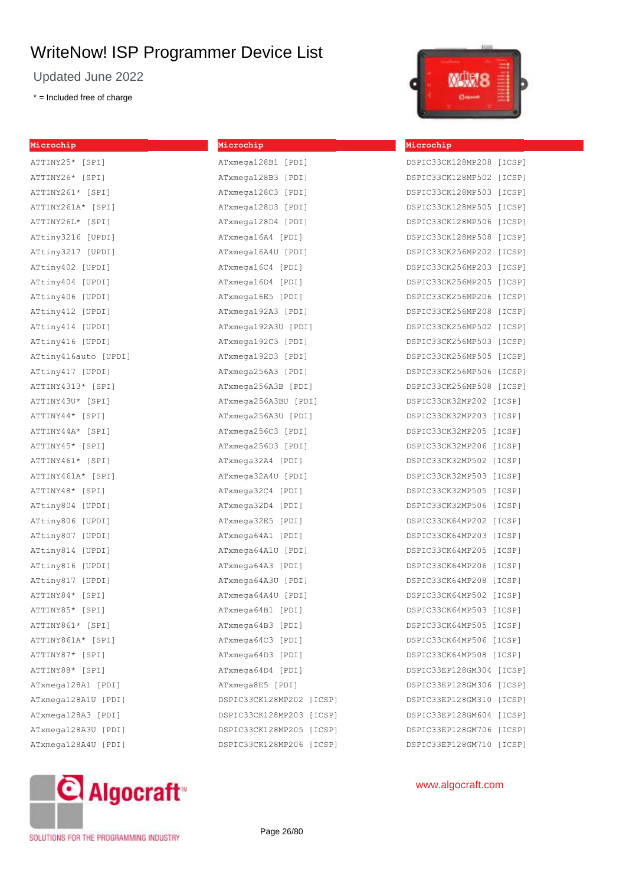Updated June 2022

\* = Included free of charge

| Microchip            |
|----------------------|
| ATTINY25* [SPI]      |
| ATTINY26* [SPI]      |
| ATTINY261* [SPI]     |
| ATTINY261A* [SPI]    |
| ATTINY26L* [SPI]     |
| ATtiny3216 [UPDI]    |
| ATtiny3217 [UPDI]    |
| ATtiny402 [UPDI]     |
| ATtiny404 [UPDI]     |
| ATtiny406 [UPDI]     |
| ATtiny412 [UPDI]     |
| ATtiny414 [UPDI]     |
| ATtiny416 [UPDI]     |
| ATtiny416auto [UPDI] |
| ATtiny417 [UPDI]     |
| ATTINY4313* [SPI]    |
| ATTINY43U* [SPI]     |
| ATTINY44* [SPI]      |
| ATTINY44A* [SPI]     |
| ATTINY45* [SPI]      |
| ATTINY461* [SPI]     |
| ATTINY461A* [SPI]    |
| ATTINY48* [SPI]      |
| ATtiny804 [UPDI]     |
| ATtiny806 [UPDI]     |
| ATtiny807 [UPDI]     |
| ATtiny814 [UPDI]     |
| ATtiny816 [UPDI]     |
| ATtiny817 [UPDI]     |
| ATTINY84* [SPI]      |
| ATTINY85*<br>[SPI]   |
| ATTINY861* [SPI]     |
| ATTINY861A* [SPI]    |
| ATTINY87* [SPI]      |
| ATTINY88* [SPI]      |
| ATxmega128A1 [PDI]   |
| ATxmega128A1U [PDI]  |
| ATxmega128A3 [PDI]   |
| ATxmega128A3U [PDI]  |
| ATxmega128A4U [PDI]  |

# **Microchip** ATxmega128B1 [PDI]

| ATxmega128B3 [PDI]          |
|-----------------------------|
| ATxmega128C3 [PDI]          |
| ATxmega128D3 [PDI]          |
| ATxmega128D4 [PDI]          |
| ATxmega16A4 [PDI]           |
| ATxmega16A4U [PDI]          |
| ATxmega16C4 [PDI]           |
| ATxmega16D4 [PDI]           |
| ATxmega16E5 [PDI]           |
| ATxmega192A3 [PDI]          |
| ATxmega192A3U [PDI]         |
| ATxmega192C3 [PDI]          |
| ATxmega192D3 [PDI]          |
| ATxmega256A3 [PDI]          |
| ATxmega256A3B [PDI]         |
| ATxmega256A3BU [PDI]        |
| ATxmega256A3U [PDI]         |
| ATxmega256C3 [PDI]          |
| ATxmega256D3 [PDI]          |
| ATxmega32A4 [PDI]           |
| ATxmega32A4U [PDI]          |
| ATxmega32C4 [PDI]           |
| ATxmega32D4 [PDI]           |
| ATxmega32E5 [PDI]           |
| ATxmega64A1 [PDI]           |
| ATxmega64A1U [PDI]          |
| ATxmega64A3 [PDI]           |
| ATxmega64A3U [PDI]          |
| ATxmega64A4U [PDI]          |
| ATxmega64B1 [PDI]           |
| ATxmega64B3 [PDI]           |
| ATxmega64C3 [PDI]           |
| ATxmega64D3 [PDI]           |
| ATxmega64D4 [PDI]           |
| ATxmega8E5 [PDI]            |
| DSPIC33CK128MP202<br>[ICSP] |
| DSPIC33CK128MP203<br>[ICSP] |
| DSPIC33CK128MP205<br>[ICSP] |
| DSPIC33CK128MP206<br>[ICSP] |



#### **Microchip**

| DSPIC33CK128MP208        |  |        | [ICSP] |  |
|--------------------------|--|--------|--------|--|
| DSPIC33CK128MP502        |  |        | [ICSP] |  |
| DSPIC33CK128MP503        |  |        | [ICSP] |  |
| DSPIC33CK128MP505        |  |        | [ICSP] |  |
| DSPIC33CK128MP506        |  |        | [ICSP] |  |
| DSPIC33CK128MP508        |  |        | [ICSP] |  |
| DSPIC33CK256MP202        |  |        | [ICSP] |  |
| DSPIC33CK256MP203        |  |        | [ICSP] |  |
| DSPIC33CK256MP205        |  |        | [ICSP] |  |
| DSPIC33CK256MP206        |  |        | [ICSP] |  |
| DSPIC33CK256MP208        |  |        | [ICSP] |  |
| DSPIC33CK256MP502        |  |        | [ICSP] |  |
| DSPIC33CK256MP503        |  |        | [ICSP] |  |
| DSPIC33CK256MP505        |  |        | [ICSP] |  |
| DSPIC33CK256MP506        |  |        | [ICSP] |  |
| DSPIC33CK256MP508        |  |        | [ICSP] |  |
| DSPIC33CK32MP202         |  | [ICSP] |        |  |
| DSPIC33CK32MP203         |  | [ICSP] |        |  |
| DSPIC33CK32MP205         |  | [ICSP] |        |  |
| DSPIC33CK32MP206         |  | [ICSP] |        |  |
| DSPIC33CK32MP502         |  | [ICSP] |        |  |
| DSPIC33CK32MP503         |  | [ICSP] |        |  |
| DSPIC33CK32MP505         |  | [ICSP] |        |  |
| DSPIC33CK32MP506         |  | [ICSP] |        |  |
| DSPIC33CK64MP202         |  | [ICSP] |        |  |
| DSPIC33CK64MP203         |  | [ICSP] |        |  |
| DSPIC33CK64MP205         |  | [ICSP] |        |  |
| DSPIC33CK64MP206         |  | [ICSP] |        |  |
| DSPIC33CK64MP208         |  | [ICSP] |        |  |
| DSPIC33CK64MP502         |  | [ICSP] |        |  |
| DSPIC33CK64MP503         |  | [ICSP] |        |  |
| DSPIC33CK64MP505         |  | [ICSP] |        |  |
| DSPIC33CK64MP506         |  | [ICSP] |        |  |
| DSPIC33CK64MP508 [ICSP]  |  |        |        |  |
| DSPIC33EP128GM304        |  |        | [ICSP] |  |
| DSPIC33EP128GM306        |  |        | [ICSP] |  |
| DSPIC33EP128GM310        |  |        | [ICSP] |  |
| DSPIC33EP128GM604        |  |        | [ICSP] |  |
| DSPIC33EP128GM706 [ICSP] |  |        |        |  |
| DSPIC33EP128GM710        |  |        | [ICSP] |  |



## www.algocraft.com

SOLUTIONS FOR THE PROGRAMMING INDUSTRY

Page 26/80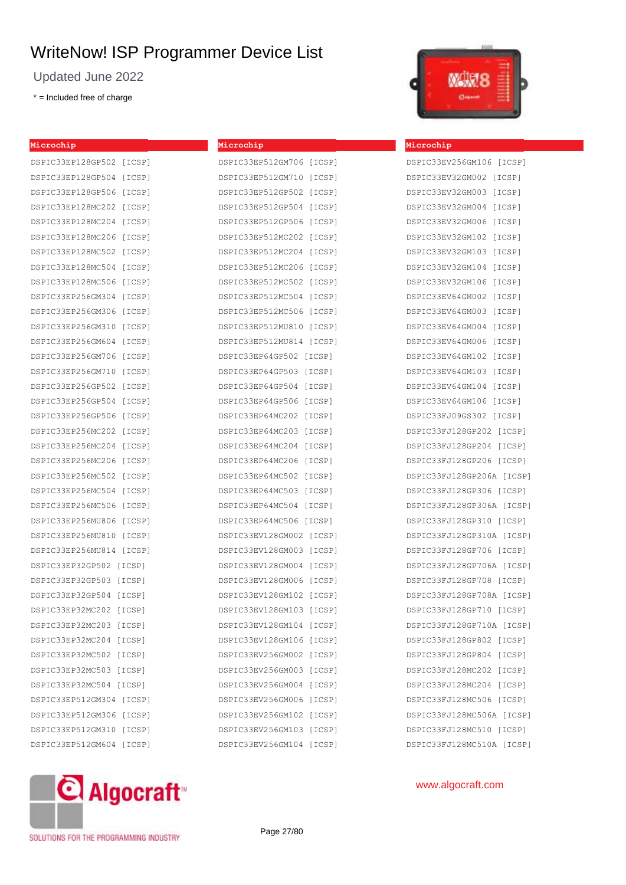Updated June 2022

DSPIC33EP128GP502 [ICSP] DSPIC33EP128GP504 [ICSP] DSPIC33EP128GP506 [ICSP] DSPIC33EP128MC202 [ICSP] DSPIC33EP128MC204 [ICSP] DSPIC33EP128MC206 [ICSP] DSPIC33EP128MC502 [ICSP] DSPIC33EP128MC504 [ICSP] DSPIC33EP128MC506 [ICSP] DSPIC33EP256GM304 [ICSP] DSPIC33EP256GM306 [ICSP] DSPIC33EP256GM310 [ICSP] DSPIC33EP256GM604 [ICSP] DSPIC33EP256GM706 [ICSP] DSPIC33EP256GM710 [ICSP] DSPIC33EP256GP502 [ICSP] DSPIC33EP256GP504 [ICSP] DSPIC33EP256GP506 [ICSP] DSPIC33EP256MC202 [ICSP] DSPIC33EP256MC204 [ICSP] DSPIC33EP256MC206 [ICSP] DSPIC33EP256MC502 [ICSP] DSPIC33EP256MC504 [ICSP] DSPIC33EP256MC506 [ICSP] DSPIC33EP256MU806 [ICSP] DSPIC33EP256MU810 [ICSP] DSPIC33EP256MU814 [ICSP] DSPIC33EP32GP502 [ICSP] DSPIC33EP32GP503 [ICSP] DSPIC33EP32GP504 [ICSP] DSPIC33EP32MC202 [ICSP] DSPIC33EP32MC203 [ICSP] DSPIC33EP32MC204 [ICSP] DSPIC33EP32MC502 [ICSP] DSPIC33EP32MC503 [ICSP] DSPIC33EP32MC504 [ICSP] DSPIC33EP512GM304 [ICSP] DSPIC33EP512GM306 [ICSP] DSPIC33EP512GM310 [ICSP] DSPIC33EP512GM604 [ICSP]

\* = Included free of charge

**Microchip**

| Microchip                   |  |
|-----------------------------|--|
| DSPIC33EP512GM706 [ICSP]    |  |
| DSPIC33EP512GM710 [ICSP]    |  |
| DSPIC33EP512GP502 [ICSP]    |  |
| DSPIC33EP512GP504<br>[ICSP] |  |
| DSPIC33EP512GP506<br>[ICSP] |  |
| DSPIC33EP512MC202 [ICSP]    |  |
| DSPIC33EP512MC204 [ICSP]    |  |
| DSPIC33EP512MC206 [ICSP]    |  |
| DSPIC33EP512MC502 [ICSP]    |  |
| DSPIC33EP512MC504 [ICSP]    |  |
| DSPIC33EP512MC506 [ICSP]    |  |
| DSPIC33EP512MU810 [ICSP]    |  |
| DSPIC33EP512MU814 [ICSP]    |  |
| DSPIC33EP64GP502 [ICSP]     |  |
| DSPIC33EP64GP503<br>[ICSP]  |  |
| DSPIC33EP64GP504<br>[ICSP]  |  |
| DSPIC33EP64GP506<br>[ICSP]  |  |
| DSPIC33EP64MC202<br>[ICSP]  |  |
| DSPIC33EP64MC203 [ICSP]     |  |
| DSPIC33EP64MC204<br>[ICSP]  |  |
| DSPIC33EP64MC206<br>[ICSP]  |  |
| DSPIC33EP64MC502<br>[ICSP]  |  |
| DSPIC33EP64MC503 [ICSP]     |  |
| DSPIC33EP64MC504 [ICSP]     |  |
| DSPIC33EP64MC506 [ICSP]     |  |
| DSPIC33EV128GM002<br>[ICSP] |  |
| DSPIC33EV128GM003 [ICSP]    |  |
| DSPIC33EV128GM004 [ICSP]    |  |
| DSPIC33EV128GM006 [ICSP]    |  |
| DSPIC33EV128GM102 [ICSP]    |  |
| DSPIC33EV128GM103 [ICSP]    |  |
| DSPIC33EV128GM104<br>[ICSP] |  |
| DSPIC33EV128GM106<br>[ICSP] |  |
| DSPIC33EV256GM002<br>[ICSP] |  |
| DSPIC33EV256GM003<br>[ICSP] |  |
| DSPIC33EV256GM004<br>[ICSP] |  |
| DSPIC33EV256GM006<br>[ICSP] |  |
| DSPIC33EV256GM102<br>[ICSP] |  |
| DSPIC33EV256GM103<br>[ICSP] |  |
| DSPIC33EV256GM104<br>[ICSP] |  |



#### **Microchip**

| DSPIC33EV256GM106 [ICSP]   |
|----------------------------|
| DSPIC33EV32GM002<br>[ICSP] |
| DSPIC33EV32GM003<br>[ICSP] |
| DSPIC33EV32GM004<br>[ICSP] |
| DSPIC33EV32GM006<br>[ICSP] |
| DSPIC33EV32GM102<br>[ICSP] |
| DSPIC33EV32GM103<br>[ICSP] |
| DSPIC33EV32GM104<br>[ICSP] |
| DSPIC33EV32GM106<br>[ICSP] |
| DSPIC33EV64GM002<br>[ICSP] |
| DSPIC33EV64GM003<br>[ICSP] |
| DSPIC33EV64GM004<br>[ICSP] |
| DSPIC33EV64GM006<br>[ICSP] |
| DSPIC33EV64GM102<br>[ICSP] |
| DSPIC33EV64GM103<br>[ICSP] |
| DSPIC33EV64GM104<br>[ICSP] |
| DSPIC33EV64GM106<br>[ICSP] |
| DSPIC33FJ09GS302 [ICSP]    |
| DSPIC33FJ128GP202 [ICSP]   |
| DSPIC33FJ128GP204 [ICSP]   |
| DSPIC33FJ128GP206 [ICSP]   |
| DSPIC33FJ128GP206A [ICSP]  |
| DSPIC33FJ128GP306 [ICSP]   |
| DSPIC33FJ128GP306A [ICSP]  |
| DSPIC33FJ128GP310 [ICSP]   |
| DSPIC33FJ128GP310A [ICSP]  |
| DSPIC33FJ128GP706 [ICSP]   |
| DSPIC33FJ128GP706A [ICSP]  |
| DSPIC33FJ128GP708 [ICSP]   |
| DSPIC33FJ128GP708A [ICSP]  |
| DSPIC33FJ128GP710 [ICSP]   |
| DSPIC33FJ128GP710A [ICSP]  |
| DSPIC33FJ128GP802 [ICSP]   |
| DSPIC33FJ128GP804 [ICSP]   |
| DSPIC33FJ128MC202 [ICSP]   |
| DSPIC33FJ128MC204 [ICSP]   |
| DSPIC33FJ128MC506 [ICSP]   |
| DSPIC33FJ128MC506A [ICSP]  |
| DSPIC33FJ128MC510 [ICSP]   |
| DSPIC33FJ128MC510A [ICSP]  |



www.algocraft.com

SOLUTIONS FOR THE PROGRAMMING INDUSTRY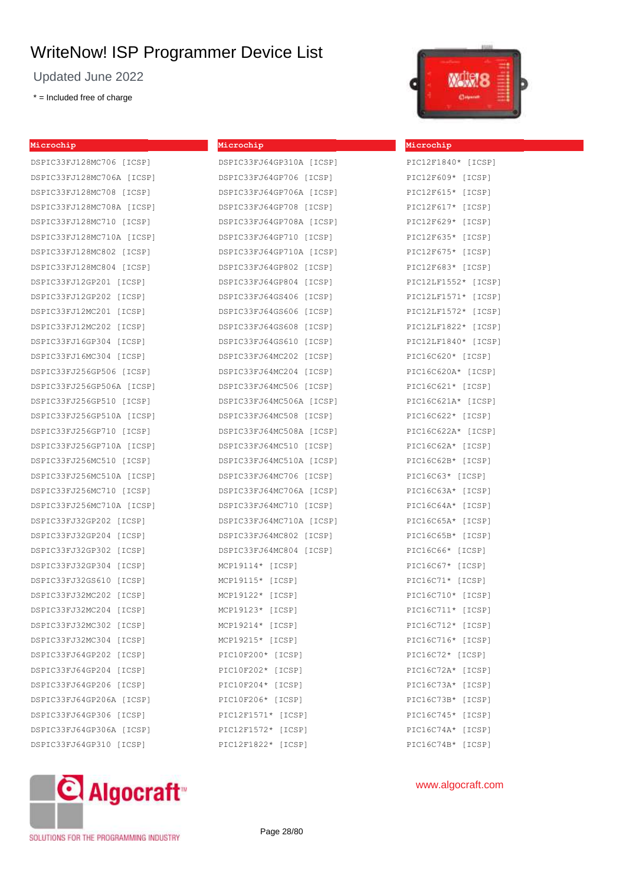Updated June 2022

\* = Included free of charge

| Microchip |  |  |
|-----------|--|--|
|           |  |  |

DSPIC33FJ128MC706 [ICSP] DSPIC33FJ128MC706A [ICSP] DSPIC33FJ128MC708 [ICSP] DSPIC33FJ128MC708A [ICSP] DSPIC33FJ128MC710 [ICSP] DSPIC33FJ128MC710A [ICSP] DSPIC33FJ128MC802 [ICSP] DSPIC33FJ128MC804 [ICSP] DSPIC33FJ12GP201 [ICSP] DSPIC33FJ12GP202 [ICSP] DSPIC33FJ12MC201 [ICSP] DSPIC33FJ12MC202 [ICSP] DSPIC33FJ16GP304 [ICSP] DSPIC33FJ16MC304 [ICSP] DSPIC33FJ256GP506 [ICSP] DSPIC33FJ256GP506A [ICSP] DSPIC33FJ256GP510 [ICSP] DSPIC33FJ256GP510A [ICSP] DSPIC33FJ256GP710 [ICSP] DSPIC33FJ256GP710A [ICSP] DSPIC33FJ256MC510 [ICSP] DSPIC33FJ256MC510A [ICSP] DSPIC33FJ256MC710 [ICSP] DSPIC33FJ256MC710A [ICSP] DSPIC33FJ32GP202 [ICSP] DSPIC33FJ32GP204 [ICSP] DSPIC33FJ32GP302 [ICSP] DSPIC33FJ32GP304 [ICSP] DSPIC33FJ32GS610 [ICSP] DSPIC33FJ32MC202 [ICSP] DSPIC33FJ32MC204 [ICSP] DSPIC33FJ32MC302 [ICSP] DSPIC33FJ32MC304 [ICSP] DSPIC33FJ64GP202 [ICSP] DSPIC33FJ64GP204 [ICSP] DSPIC33FJ64GP206 [ICSP] DSPIC33FJ64GP206A [ICSP] DSPIC33FJ64GP306 [ICSP] DSPIC33FJ64GP306A [ICSP] DSPIC33FJ64GP310 [ICSP]

| DSPIC33FJ64GP706 [ICSP]  |
|--------------------------|
| DSPIC33FJ64GP706A [ICSP] |
| DSPIC33FJ64GP708 [ICSP]  |
| DSPIC33FJ64GP708A [ICSP] |
| DRDICRRIGACD710 [ICRD]   |

DSPIC33FJ64GP310A [ICSP]

**Microchip**

| DSPIC33FJ64GP708 [ICSP]  |
|--------------------------|
| DSPIC33FJ64GP708A [ICSP] |
| DSPIC33FJ64GP710 [ICSP]  |
| DSPIC33FJ64GP710A [ICSP] |
| DSPIC33FJ64GP802 [ICSP]  |
| DSPIC33FJ64GP804 [ICSP]  |
| DSPIC33FJ64GS406 [ICSP]  |
| DSPIC33FJ64GS606 [ICSP]  |
| DSPIC33FJ64GS608 [ICSP]  |
| DSPIC33FJ64GS610 [ICSP]  |
| DSPIC33FJ64MC202 [ICSP]  |
| DSPIC33FJ64MC204 [ICSP]  |
| DSPIC33FJ64MC506 [ICSP]  |
| DSPIC33FJ64MC506A [ICSP] |
| DSPIC33FJ64MC508 [ICSP]  |
| DSPIC33FJ64MC508A [ICSP] |
| DSPIC33FJ64MC510 [ICSP]  |
| DSPIC33FJ64MC510A [ICSP] |
| DSPIC33FJ64MC706 [ICSP]  |
| DSPIC33FJ64MC706A [ICSP] |
| DSPIC33FJ64MC710 [ICSP]  |
| DSPIC33FJ64MC710A [ICSP] |
| DSPIC33FJ64MC802 [ICSP]  |
| DSPIC33FJ64MC804 [ICSP]  |
| $MCP19114* [ICSP]$       |
| MCP19115* [ICSP]         |
| MCP19122* [ICSP]         |
| MCP19123* [ICSP]         |
| MCP19214* [ICSP]         |
| MCP19215* [ICSP]         |
| PIC10F200* [ICSP]        |
| PIC10F202* [ICSP]        |
| PIC10F204* [ICSP]        |
| PIC10F206* [ICSP]        |
| PIC12F1571* [ICSP]       |
| PIC12F1572* [ICSP]       |
| PIC12F1822* [ICSP]       |



| Microchip           |  |
|---------------------|--|
| PIC12F1840* [ICSP]  |  |
| PIC12F609* [ICSP]   |  |
| PIC12F615* [ICSP]   |  |
| PIC12F617* [ICSP]   |  |
| PIC12F629* [ICSP]   |  |
| PIC12F635* [ICSP]   |  |
| PIC12F675* [ICSP]   |  |
| PIC12F683* [ICSP]   |  |
| PIC12LF1552* [ICSP] |  |
| PIC12LF1571* [ICSP] |  |
| PIC12LF1572* [ICSP] |  |
| PIC12LF1822* [ICSP] |  |
| PIC12LF1840* [ICSP] |  |
| PIC16C620* [ICSP]   |  |
| PIC16C620A* [ICSP]  |  |
| PIC16C621* [ICSP]   |  |
| PIC16C621A* [ICSP]  |  |
| PIC16C622* [ICSP]   |  |
| PIC16C622A* [ICSP]  |  |
| PIC16C62A* [ICSP]   |  |
| PIC16C62B* [ICSP]   |  |
| PIC16C63* [ICSP]    |  |
| PIC16C63A* [ICSP]   |  |
| PIC16C64A* [ICSP]   |  |
| PIC16C65A* [ICSP]   |  |
| PIC16C65B* [ICSP]   |  |
| PIC16C66* [ICSP]    |  |
| PIC16C67* [ICSP]    |  |
| PIC16C71* [ICSP]    |  |
| PIC16C710* [ICSP]   |  |
| PIC16C711* [ICSP]   |  |
| PIC16C712* [ICSP]   |  |
| PIC16C716* [ICSP]   |  |
| PIC16C72* [ICSP]    |  |
| PIC16C72A* [ICSP]   |  |
| PIC16C73A* [ICSP]   |  |
| PIC16C73B* [ICSP]   |  |
| PIC16C745* [ICSP]   |  |
| PIC16C74A* [ICSP]   |  |
| PIC16C74B* [ICSP]   |  |



SOLUTIONS FOR THE PROGRAMMING INDUSTRY

Page 28/80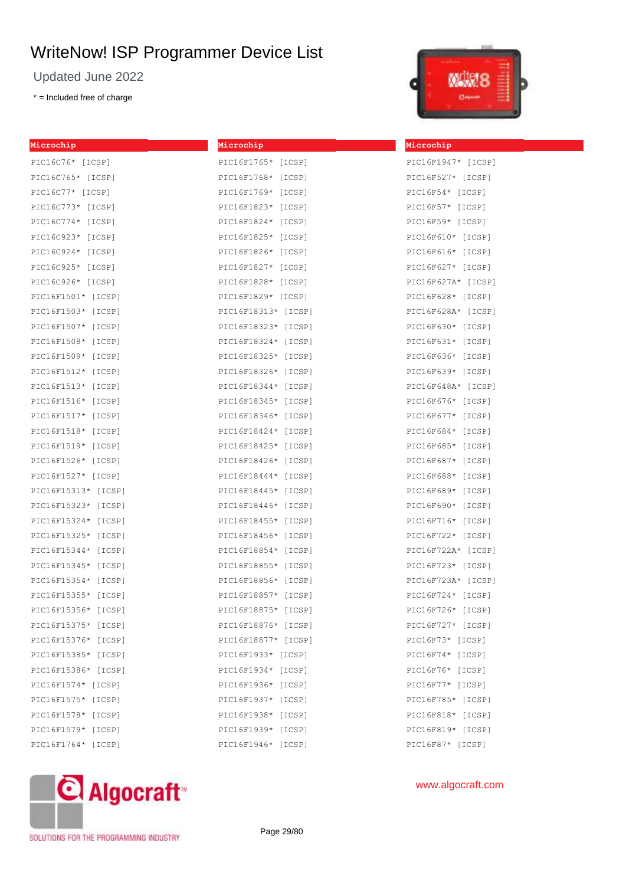Updated June 2022

\* = Included free of charge



| Microchip           | Microchip           | Microchip           |
|---------------------|---------------------|---------------------|
| PIC16C76* [ICSP]    | PIC16F1765* [ICSP]  | PIC16F1947* [ICSP]  |
| PIC16C765* [ICSP]   | PIC16F1768* [ICSP]  | PIC16F527* [ICSP]   |
| PIC16C77* [ICSP]    | PIC16F1769* [ICSP]  | $PIC16F54*$ [ICSP]  |
| PIC16C773* [ICSP]   | PIC16F1823* [ICSP]  | PIC16F57* [ICSP]    |
| PIC16C774* [ICSP]   | PIC16F1824* [ICSP]  | PIC16F59* [ICSP]    |
| PIC16C923* [ICSP]   | PIC16F1825* [ICSP]  | PIC16F610* [ICSP]   |
| PIC16C924* [ICSP]   | PIC16F1826* [ICSP]  | PIC16F616* [ICSP]   |
| PIC16C925* [ICSP]   | PIC16F1827* [ICSP]  | PIC16F627* [ICSP]   |
| PIC16C926* [ICSP]   | PIC16F1828* [ICSP]  | PIC16F627A* [ICSP]  |
| PIC16F1501* [ICSP]  | PIC16F1829* [ICSP]  | PIC16F628* [ICSP]   |
| PIC16F1503* [ICSP]  | PIC16F18313* [ICSP] | PIC16F628A* [ICSP]  |
| PIC16F1507* [ICSP]  | PIC16F18323* [ICSP] | PIC16F630* [ICSP]   |
| PIC16F1508* [ICSP]  | PIC16F18324* [ICSP] | PIC16F631* [ICSP]   |
| PIC16F1509* [ICSP]  | PIC16F18325* [ICSP] | PIC16F636* [ICSP]   |
| PIC16F1512* [ICSP]  | PIC16F18326* [ICSP] | PIC16F639* [ICSP]   |
| PIC16F1513* [ICSP]  | PIC16F18344* [ICSP] | PIC16F648A* [ICSP]  |
| PIC16F1516* [ICSP]  | PIC16F18345* [ICSP] | PIC16F676* [ICSP]   |
| PIC16F1517* [ICSP]  | PIC16F18346* [ICSP] | PIC16F677* [ICSP]   |
| PIC16F1518* [ICSP]  | PIC16F18424* [ICSP] | PIC16F684* [ICSP]   |
| PIC16F1519* [ICSP]  | PIC16F18425* [ICSP] | PIC16F685* [ICSP]   |
| PIC16F1526* [ICSP]  | PIC16F18426* [ICSP] | PIC16F687* [ICSP]   |
| PIC16F1527* [ICSP]  | PIC16F18444* [ICSP] | PIC16F688* [ICSP]   |
| PIC16F15313* [ICSP] | PIC16F18445* [ICSP] | PIC16F689* [ICSP]   |
| PIC16F15323* [ICSP] | PIC16F18446* [ICSP] | PIC16F690* [ICSP]   |
| PIC16F15324* [ICSP] | PIC16F18455* [ICSP] | PIC16F716* [ICSP]   |
| PIC16F15325* [ICSP] | PIC16F18456* [ICSP] | PIC16F722* [ICSP]   |
| PIC16F15344* [ICSP] | PIC16F18854* [ICSP] | PIC16F722A* [ICSP]  |
| PIC16F15345* [ICSP] | PIC16F18855* [ICSP] | PIC16F723* [ICSP]   |
| PIC16F15354* [ICSP] | PIC16F18856* [ICSP] | PIC16F723A* [ICSP]  |
| PIC16F15355* [ICSP] | PIC16F18857* [ICSP] | $PIC16F724*$ [ICSP] |
| PIC16F15356* [ICSP] | PIC16F18875* [ICSP] | PIC16F726* [ICSP]   |
| PIC16F15375* [ICSP] | PIC16F18876* [ICSP] | PIC16F727* $[ICSP]$ |
| PIC16F15376* [ICSP] | PIC16F18877* [ICSP] | $PIC16F73* [ICSP]$  |
| PIC16F15385* [ICSP] | PIC16F1933* [ICSP]  | PIC16F74* [ICSP]    |
| PIC16F15386* [ICSP] | PIC16F1934* [ICSP]  | PIC16F76* [ICSP]    |
| PIC16F1574* [ICSP]  | PIC16F1936* [ICSP]  | $PIC16F77*$ [ICSP]  |
| PIC16F1575* [ICSP]  | PIC16F1937* [ICSP]  | PIC16F785* [ICSP]   |
| PIC16F1578* [ICSP]  | PIC16F1938* [ICSP]  | PIC16F818* [ICSP]   |
| PIC16F1579* [ICSP]  | PIC16F1939* [ICSP]  | PIC16F819* [ICSP]   |
| PIC16F1764* [ICSP]  | PIC16F1946* [ICSP]  | PIC16F87* [ICSP]    |



www.algocraft.com

SOLUTIONS FOR THE PROGRAMMING INDUSTRY

Page 29/80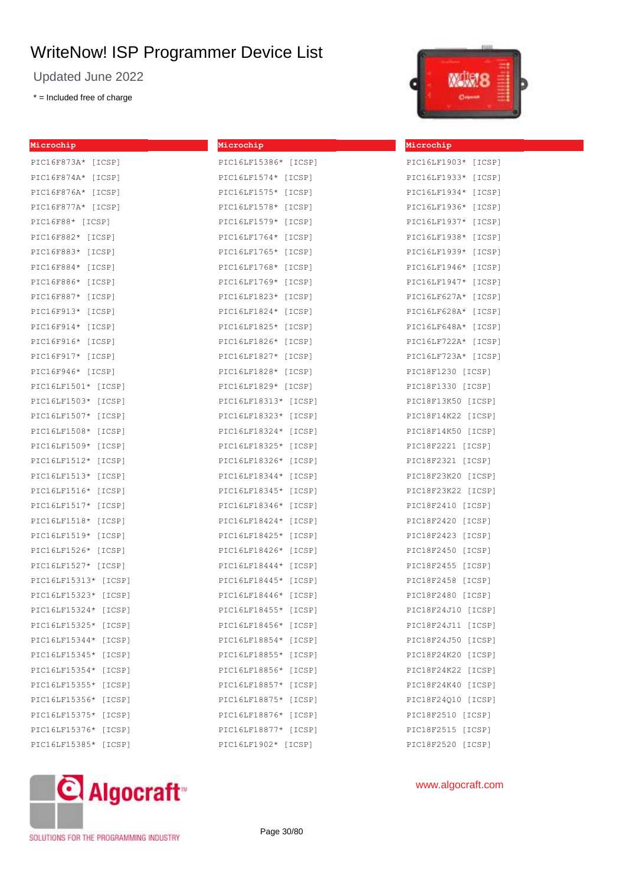Updated June 2022

\* = Included free of charge

**Mic** 

|  | <b>ATLESS</b>                                                |  |
|--|--------------------------------------------------------------|--|
|  | ٠<br>-<br>ـ<br>$-$<br>ستند<br><b>All Contracts</b><br>-<br>- |  |

| Microchip            | Microchip             |
|----------------------|-----------------------|
| PIC16F873A* [ICSP]   | PIC16LF15386* [ICSP]  |
| PIC16F874A* [ICSP]   | PIC16LF1574* $[ICSP]$ |
| PIC16F876A* [ICSP]   | PIC16LF1575* [ICSP]   |
| PIC16F877A* [ICSP]   | PIC16LF1578* [ICSP]   |
| PIC16F88* [ICSP]     | PIC16LF1579* [ICSP]   |
| PIC16F882* [ICSP]    | PIC16LF1764* [ICSP]   |
| PIC16F883* [ICSP]    | PIC16LF1765* [ICSP]   |
| PIC16F884* [ICSP]    | PIC16LF1768* [ICSP]   |
| PIC16F886* [ICSP]    | PIC16LF1769* [ICSP]   |
| PIC16F887* [ICSP]    | PIC16LF1823* [ICSP]   |
| PIC16F913* [ICSP]    | PIC16LF1824* [ICSP]   |
| PIC16F914* [ICSP]    | PIC16LF1825* [ICSP]   |
| PIC16F916* [ICSP]    | PIC16LF1826* [ICSP]   |
| PIC16F917* [ICSP]    | PIC16LF1827* [ICSP]   |
| PIC16F946* [ICSP]    | PIC16LF1828* [ICSP]   |
| PIC16LF1501* [ICSP]  | PIC16LF1829* [ICSP]   |
| PIC16LF1503* [ICSP]  | PIC16LF18313* [ICSP]  |
| PIC16LF1507* [ICSP]  | PIC16LF18323* [ICSP]  |
| PIC16LF1508* [ICSP]  | PIC16LF18324* [ICSP]  |
| PIC16LF1509* [ICSP]  | PIC16LF18325* [ICSP]  |
| PIC16LF1512* [ICSP]  | PIC16LF18326* [ICSP]  |
| PIC16LF1513* [ICSP]  | PIC16LF18344* [ICSP]  |
| PIC16LF1516* [ICSP]  | PIC16LF18345* [ICSP]  |
| PIC16LF1517* [ICSP]  | PIC16LF18346* [ICSP]  |
| PIC16LF1518* [ICSP]  | PIC16LF18424* [ICSP]  |
| PIC16LF1519* [ICSP]  | PIC16LF18425* [ICSP]  |
| PIC16LF1526* [ICSP]  | PIC16LF18426* [ICSP]  |
| PIC16LF1527* [ICSP]  | PIC16LF18444* [ICSP]  |
| PIC16LF15313* [ICSP] | PIC16LF18445* [ICSP]  |
| PIC16LF15323* [ICSP] | PIC16LF18446* [ICSP]  |
| PIC16LF15324* [ICSP] | PIC16LF18455* [ICSP]  |
| PIC16LF15325* [ICSP] | PIC16LF18456* [ICSP]  |
| PIC16LF15344* [ICSP] | PIC16LF18854* [ICSP]  |
| PIC16LF15345* [ICSP] | PIC16LF18855* [ICSP]  |
| PIC16LF15354* [ICSP] | PIC16LF18856* [ICSP]  |
| PIC16LF15355* [ICSP] | PIC16LF18857* [ICSP]  |
| PIC16LF15356* [ICSP] | PIC16LF18875* [ICSP]  |
| PIC16LF15375* [ICSP] | PIC16LF18876* [ICSP]  |
| PIC16LF15376* [ICSP] | PIC16LF18877* [ICSP]  |
| PIC16LF15385* [ICSP] | PIC16LF1902* [ICSP]   |



| PIC16LF1934*        |  |  | [ICSP] |  |
|---------------------|--|--|--------|--|
| PIC16LF1936*        |  |  | [ICSP] |  |
| PIC16LF1937*        |  |  | [ICSP] |  |
| PIC16LF1938*        |  |  | [ICSP] |  |
| PIC16LF1939*        |  |  | [ICSP] |  |
| PIC16LF1946*        |  |  | [ICSP] |  |
| PIC16LF1947*        |  |  | [ICSP] |  |
| PIC16LF627A* [ICSP] |  |  |        |  |
| PIC16LF628A* [ICSP] |  |  |        |  |
| PIC16LF648A* [ICSP] |  |  |        |  |
| PIC16LF722A* [ICSP] |  |  |        |  |
| PIC16LF723A* [ICSP] |  |  |        |  |
| PIC18F1230 [ICSP]   |  |  |        |  |
| PIC18F1330 [ICSP]   |  |  |        |  |
| PIC18F13K50 [ICSP]  |  |  |        |  |
| PIC18F14K22 [ICSP]  |  |  |        |  |
| PIC18F14K50 [ICSP]  |  |  |        |  |
| PIC18F2221 [ICSP]   |  |  |        |  |
| PIC18F2321 [ICSP]   |  |  |        |  |
| PIC18F23K20 [ICSP]  |  |  |        |  |
| PIC18F23K22 [ICSP]  |  |  |        |  |
| PIC18F2410 [ICSP]   |  |  |        |  |
| PIC18F2420 [ICSP]   |  |  |        |  |
| PIC18F2423 [ICSP]   |  |  |        |  |
| PIC18F2450 [ICSP]   |  |  |        |  |
| PIC18F2455 [ICSP]   |  |  |        |  |
| PIC18F2458 [ICSP]   |  |  |        |  |
| PIC18F2480 [ICSP]   |  |  |        |  |
| PIC18F24J10 [ICSP]  |  |  |        |  |
| PIC18F24J11 [ICSP]  |  |  |        |  |
| PIC18F24J50 [ICSP]  |  |  |        |  |
| PIC18F24K20 [ICSP]  |  |  |        |  |
| PIC18F24K22 [ICSP]  |  |  |        |  |
| PIC18F24K40 [ICSP]  |  |  |        |  |
| PIC18F24Q10 [ICSP]  |  |  |        |  |
| PIC18F2510 [ICSP]   |  |  |        |  |
| PIC18F2515 [ICSP]   |  |  |        |  |
| PIC18F2520 [ICSP]   |  |  |        |  |

C Algocraft<sup>®</sup> SOLUTIONS FOR THE PROGRAMMING INDUSTRY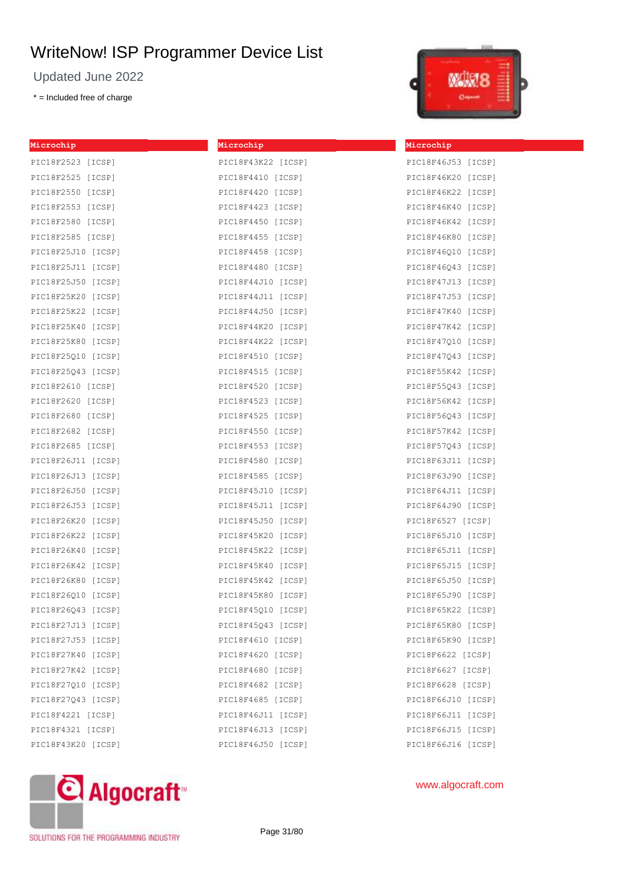Updated June 2022

\* = Included free of charge

| Microchip          | Microchip          | Microchip |
|--------------------|--------------------|-----------|
| PIC18F2523 [ICSP]  | PIC18F43K22 [ICSP] | PIC18F46J |
| PIC18F2525 [ICSP]  | PIC18F4410 [ICSP]  | PIC18F46K |
| PIC18F2550 [ICSP]  | PIC18F4420 [ICSP]  | PIC18F46K |
| PIC18F2553 [ICSP]  | PIC18F4423 [ICSP]  | PIC18F46K |
| PIC18F2580 [ICSP]  | PIC18F4450 [ICSP]  | PIC18F46K |
| PIC18F2585 [ICSP]  | PIC18F4455 [ICSP]  | PIC18F46K |
| PIC18F25J10 [ICSP] | PIC18F4458 [ICSP]  | PIC18F460 |
| PIC18F25J11 [ICSP] | PIC18F4480 [ICSP]  | PIC18F46Q |
| PIC18F25J50 [ICSP] | PIC18F44J10 [ICSP] | PIC18F47J |
| PIC18F25K20 [ICSP] | PIC18F44J11 [ICSP] | PIC18F47J |
| PIC18F25K22 [ICSP] | PIC18F44J50 [ICSP] | PIC18F47K |
| PIC18F25K40 [ICSP] | PIC18F44K20 [ICSP] | PIC18F47K |
| PIC18F25K80 [ICSP] | PIC18F44K22 [ICSP] | PIC18F47Q |
| PIC18F25Q10 [ICSP] | PIC18F4510 [ICSP]  | PIC18F47Q |
| PIC18F25Q43 [ICSP] | PIC18F4515 [ICSP]  | PIC18F55K |
| PIC18F2610 [ICSP]  | PIC18F4520 [ICSP]  | PIC18F55Q |
| PIC18F2620 [ICSP]  | PIC18F4523 [ICSP]  | PIC18F56K |
| PIC18F2680 [ICSP]  | PIC18F4525 [ICSP]  | PIC18F56Q |
| PIC18F2682 [ICSP]  | PIC18F4550 [ICSP]  | PIC18F57K |
| PIC18F2685 [ICSP]  | PIC18F4553 [ICSP]  | PIC18F57Q |
| PIC18F26J11 [ICSP] | PIC18F4580 [ICSP]  | PIC18F63J |
| PIC18F26J13 [ICSP] | PIC18F4585 [ICSP]  | PIC18F63J |
| PIC18F26J50 [ICSP] | PIC18F45J10 [ICSP] | PIC18F64J |
| PIC18F26J53 [ICSP] | PIC18F45J11 [ICSP] | PIC18F64J |
| PIC18F26K20 [ICSP] | PIC18F45J50 [ICSP] | PIC18F652 |
| PIC18F26K22 [ICSP] | PIC18F45K20 [ICSP] | PIC18F65J |
| PIC18F26K40 [ICSP] | PIC18F45K22 [ICSP] | PIC18F65J |
| PIC18F26K42 [ICSP] | PIC18F45K40 [ICSP] | PIC18F65J |
| PIC18F26K80 [ICSP] | PIC18F45K42 [ICSP] | PIC18F65J |
| PIC18F26Q10 [ICSP] | PIC18F45K80 [ICSP] | PIC18F65J |
| PIC18F26Q43 [ICSP] | PIC18F45Q10 [ICSP] | PIC18F65K |
| PIC18F27J13 [ICSP] | PIC18F45Q43 [ICSP] | PIC18F65K |
| PIC18F27J53 [ICSP] | PIC18F4610 [ICSP]  | PIC18F65K |
| PIC18F27K40 [ICSP] | PIC18F4620 [ICSP]  | PIC18F662 |
| PIC18F27K42 [ICSP] | PIC18F4680 [ICSP]  | PIC18F662 |
| PIC18F27Q10 [ICSP] | PIC18F4682 [ICSP]  | PIC18F662 |
| PIC18F27043 [ICSP] | PIC18F4685 [ICSP]  | PIC18F66J |
| PIC18F4221 [ICSP]  | PIC18F46J11 [ICSP] | PIC18F66J |
| PIC18F4321 [ICSP]  | PIC18F46J13 [ICSP] | PIC18F66J |
| PIC18F43K20 [ICSP] | PIC18F46J50 [ICSP] | PIC18F66J |



| PIC18F46J53 [ICSP] |        |
|--------------------|--------|
| PIC18F46K20 [ICSP] |        |
| PIC18F46K22 [ICSP] |        |
| PIC18F46K40 [ICSP] |        |
| PIC18F46K42 [ICSP] |        |
| PIC18F46K80 [ICSP] |        |
| PIC18F46Q10 [ICSP] |        |
| PIC18F46Q43 [ICSP] |        |
| PIC18F47J13 [ICSP] |        |
| PIC18F47J53 [ICSP] |        |
| PIC18F47K40 [ICSP] |        |
| PIC18F47K42 [ICSP] |        |
| PIC18F47Q10 [ICSP] |        |
| PIC18F47Q43 [ICSP] |        |
| PIC18F55K42 [ICSP] |        |
| PIC18F55Q43 [ICSP] |        |
| PIC18F56K42 [ICSP] |        |
| PIC18F56Q43 [ICSP] |        |
| PIC18F57K42 [ICSP] |        |
| PIC18F57Q43 [ICSP] |        |
| PIC18F63J11 [ICSP] |        |
| PIC18F63J90 [ICSP] |        |
| PIC18F64J11 [ICSP] |        |
| PIC18F64J90 [ICSP] |        |
| PIC18F6527 [ICSP]  |        |
| PIC18F65J10 [ICSP] |        |
| PIC18F65J11 [ICSP] |        |
| PIC18F65J15 [ICSP] |        |
| PIC18F65J50 [ICSP] |        |
| PIC18F65J90 [ICSP] |        |
| PIC18F65K22 [ICSP] |        |
| PIC18F65K80        | [ICSP] |
| PIC18F65K90 [ICSP] |        |
| PIC18F6622 [ICSP]  |        |
| PIC18F6627 [ICSP]  |        |
| PIC18F6628 [ICSP]  |        |
| PIC18F66J10 [ICSP] |        |
| PIC18F66J11 [ICSP] |        |
| PIC18F66J15 [ICSP] |        |
| PIC18F66J16 [ICSP] |        |



www.algocraft.com

SOLUTIONS FOR THE PROGRAMMING INDUSTRY

Page 31/80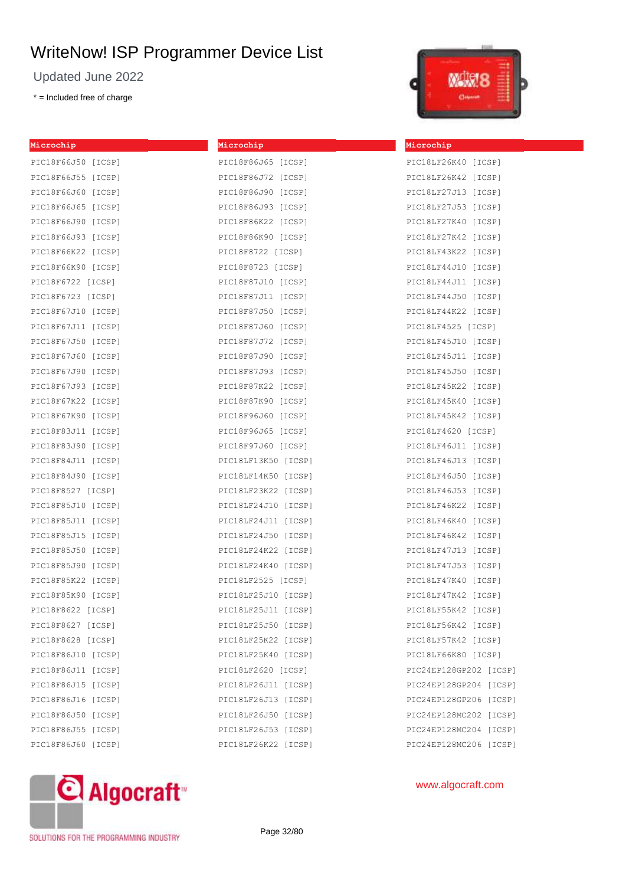Updated June 2022

\* = Included free of charge

| Microchip          | Microchip           | Microchip           |
|--------------------|---------------------|---------------------|
| PIC18F66J50 [ICSP] | PIC18F86J65 [ICSP]  | PIC18LF26K40 [ICSP] |
| PIC18F66J55 [ICSP] | PIC18F86J72 [ICSP]  | PIC18LF26K42 [ICSP] |
| PIC18F66J60 [ICSP] | PIC18F86J90 [ICSP]  | PIC18LF27J13 [ICSP] |
| PIC18F66J65 [ICSP] | PIC18F86J93 [ICSP]  | PIC18LF27J53 [ICSP] |
| PIC18F66J90 [ICSP] | PIC18F86K22 [ICSP]  | PIC18LF27K40 [ICSP] |
| PIC18F66J93 [ICSP] | PIC18F86K90 [ICSP]  | PIC18LF27K42 [ICSP] |
| PIC18F66K22 [ICSP] | PIC18F8722 [ICSP]   | PIC18LF43K22 [ICSP] |
| PIC18F66K90 [ICSP] | PIC18F8723 [ICSP]   | PIC18LF44J10 [ICSP] |
| PIC18F6722 [ICSP]  | PIC18F87J10 [ICSP]  | PIC18LF44J11 [ICSP] |
| PIC18F6723 [ICSP]  | PIC18F87J11 [ICSP]  | PIC18LF44J50 [ICSP] |
| PIC18F67J10 [ICSP] | PIC18F87J50 [ICSP]  | PIC18LF44K22 [ICSP] |
| PIC18F67J11 [ICSP] | PIC18F87J60 [ICSP]  | PIC18LF4525 [ICSP]  |
| PIC18F67J50 [ICSP] | PIC18F87J72 [ICSP]  | PIC18LF45J10 [ICSP] |
| PIC18F67J60 [ICSP] | PIC18F87J90 [ICSP]  | PIC18LF45J11 [ICSP] |
| PIC18F67J90 [ICSP] | PIC18F87J93 [ICSP]  | PIC18LF45J50 [ICSP] |
| PIC18F67J93 [ICSP] | PIC18F87K22 [ICSP]  | PIC18LF45K22 [ICSP] |
| PIC18F67K22 [ICSP] | PIC18F87K90 [ICSP]  | PIC18LF45K40 [ICSP] |
| PIC18F67K90 [ICSP] | PIC18F96J60 [ICSP]  | PIC18LF45K42 [ICSP] |
| PIC18F83J11 [ICSP] | PIC18F96J65 [ICSP]  | PIC18LF4620 [ICSP]  |
| PIC18F83J90 [ICSP] | PIC18F97J60 [ICSP]  | PIC18LF46J11 [ICSP] |
| PIC18F84J11 [ICSP] | PIC18LF13K50 [ICSP] | PIC18LF46J13 [ICSP] |
| PIC18F84J90 [ICSP] | PIC18LF14K50 [ICSP] | PIC18LF46J50 [ICSP] |
| PIC18F8527 [ICSP]  | PIC18LF23K22 [ICSP] | PIC18LF46J53 [ICSP] |
| PIC18F85J10 [ICSP] | PIC18LF24J10 [ICSP] | PIC18LF46K22 [ICSP] |
| PIC18F85J11 [ICSP] | PIC18LF24J11 [ICSP] | PIC18LF46K40 [ICSP] |
| PIC18F85J15 [ICSP] | PIC18LF24J50 [ICSP] | PIC18LF46K42 [ICSP] |
| PIC18F85J50 [ICSP] | PIC18LF24K22 [ICSP] | PIC18LF47J13 [ICSP] |
| PIC18F85J90 [ICSP] | PIC18LF24K40 [ICSP] | PIC18LF47J53 [ICSP] |
| PIC18F85K22 [ICSP] | PIC18LF2525 [ICSP]  | PIC18LF47K40 [ICSP] |
| PIC18F85K90 [ICSP] | PIC18LF25J10 [ICSP] | PIC18LF47K42 [ICSP] |
| PIC18F8622 [ICSP]  | PIC18LF25J11 [ICSP] | PIC18LF55K42 [ICSP] |
| PIC18F8627 [ICSP]  | PIC18LF25J50 [ICSP] | PIC18LF56K42 [ICSP] |
| PIC18F8628 [ICSP]  | PIC18LF25K22 [ICSP] | PIC18LF57K42 [ICSP] |
| PIC18F86J10 [ICSP] | PIC18LF25K40 [ICSP] | PIC18LF66K80 [ICSP] |
| PIC18F86J11 [ICSP] | PIC18LF2620 [ICSP]  | PIC24EP128GP202 [IC |
| PIC18F86J15 [ICSP] | PIC18LF26J11 [ICSP] | PIC24EP128GP204 [IC |
| PIC18F86J16 [ICSP] | PIC18LF26J13 [ICSP] | PIC24EP128GP206 [IC |
| PIC18F86J50 [ICSP] | PIC18LF26J50 [ICSP] | PIC24EP128MC202 [IC |
| PIC18F86J55 [ICSP] | PIC18LF26J53 [ICSP] | PIC24EP128MC204 [IC |
| PIC18F86J60 [ICSP] | PIC18LF26K22 [ICSP] | PIC24EP128MC206 [IC |
|                    |                     |                     |



SOLUTIONS FOR THE PROGRAMMING INDUSTRY



| PIC24EP128GP206 [ICSP] |  |
|------------------------|--|
| PIC24EP128MC202 [ICSP] |  |
| PIC24EP128MC204 [ICSP] |  |
| PIC24EP128MC206 [ICSP] |  |
|                        |  |

[ICSP] [ICSP]

## www.algocraft.com

Page 32/80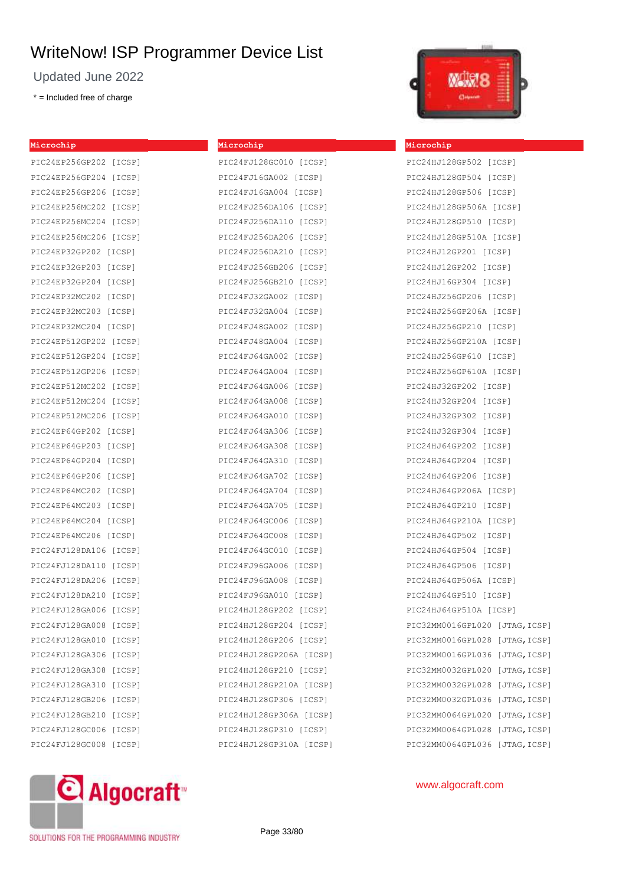**Microchip**

Updated June 2022

\* = Included free of charge

| Microchip              |        |
|------------------------|--------|
| PIC24EP256GP202 [ICSP] |        |
| PIC24EP256GP204 [ICSP] |        |
| PIC24EP256GP206 [ICSP] |        |
| PIC24EP256MC202 [ICSP] |        |
| PIC24EP256MC204 [ICSP] |        |
| PIC24EP256MC206 [ICSP] |        |
| PIC24EP32GP202         | [ICSP] |
| PIC24EP32GP203 [ICSP]  |        |
| PIC24EP32GP204         | [ICSP] |
| PIC24EP32MC202         | [ICSP] |
| PIC24EP32MC203         | [ICSP] |
| PIC24EP32MC204         | [ICSP] |
| PIC24EP512GP202 [ICSP] |        |
| PIC24EP512GP204 [ICSP] |        |
| PIC24EP512GP206 [ICSP] |        |
| PIC24EP512MC202 [ICSP] |        |
| PIC24EP512MC204 [ICSP] |        |
| PIC24EP512MC206        | [ICSP] |
| PIC24EP64GP202 [ICSP]  |        |
| PIC24EP64GP203         | [ICSP] |
| PIC24EP64GP204         | [ICSP] |
| PIC24EP64GP206         | [ICSP] |
| PIC24EP64MC202         | [ICSP] |
| PIC24EP64MC203         | [ICSP] |
| PIC24EP64MC204         | [ICSP] |
| PIC24EP64MC206         | [ICSP] |
| PIC24FJ128DA106 [ICSP] |        |
| PIC24FJ128DA110        | [ICSP] |
| PIC24FJ128DA206        | [ICSP] |
| PIC24FJ128DA210        | [ICSP] |
| PIC24FJ128GA006        | [ICSP] |
| PIC24FJ128GA008        | [ICSP] |
| PIC24FJ128GA010        | [ICSP] |
| PIC24FJ128GA306        | [ICSP] |
| PIC24FJ128GA308        | [ICSP] |
| PIC24FJ128GA310        | [ICSP] |
| PIC24FJ128GB206        | [ICSP] |
| PIC24FJ128GB210        | [ICSP] |
| PIC24FJ128GC006        | [ICSP] |
| PIC24FJ128GC008        | [ICSP] |





#### **Microchip**

| PIC24HJ128GP502 [ICSP]            |
|-----------------------------------|
| PIC24HJ128GP504 [ICSP]            |
| PIC24HJ128GP506 [ICSP]            |
| PIC24HJ128GP506A [ICSP]           |
| PIC24HJ128GP510 [ICSP]            |
| PIC24HJ128GP510A [ICSP]           |
| PIC24HJ12GP201 [ICSP]             |
| PIC24HJ12GP202 [ICSP]             |
| PIC24HJ16GP304 [ICSP]             |
| PIC24HJ256GP206 [ICSP]            |
| PIC24HJ256GP206A [ICSP]           |
| PIC24HJ256GP210 [ICSP]            |
| PIC24HJ256GP210A [ICSP]           |
| PIC24HJ256GP610 [ICSP]            |
| PIC24HJ256GP610A [ICSP]           |
| PIC24HJ32GP202 [ICSP]             |
| PIC24HJ32GP204 [ICSP]             |
| PIC24HJ32GP302 [ICSP]             |
| PIC24HJ32GP304 [ICSP]             |
| PIC24HJ64GP202 [ICSP]             |
| PIC24HJ64GP204 [ICSP]             |
| PIC24HJ64GP206 [ICSP]             |
| PIC24HJ64GP206A [ICSP]            |
| PIC24HJ64GP210 [ICSP]             |
| PIC24HJ64GP210A [ICSP]            |
| PIC24HJ64GP502 [ICSP]             |
| PIC24HJ64GP504 [ICSP]             |
| PIC24HJ64GP506 [ICSP]             |
| PIC24HJ64GP506A [ICSP]            |
| PIC24HJ64GP510 [ICSP]             |
| PIC24HJ64GP510A [ICSP]            |
| PIC32MM0016GPL020 [JTAG, ICSP]    |
| PIC32MM0016GPL028<br>[JTAG,ICSP]  |
| PIC32MM0016GPL036<br>[JTAG, ICSP] |
| PIC32MM0032GPL020<br>[JTAG, ICSP] |
| PIC32MM0032GPL028<br>[JTAG, ICSP] |
| PIC32MM0032GPL036<br>[JTAG, ICSP] |
| PIC32MM0064GPL020<br>[JTAG, ICSP] |
| PIC32MM0064GPL028<br>[JTAG, ICSP] |
| PIC32MM0064GPL036<br>[JTAG, ICSP] |



www.algocraft.com

SOLUTIONS FOR THE PROGRAMMING INDUSTRY

Page 33/80

PIC24HJ128GP310A [ICSP]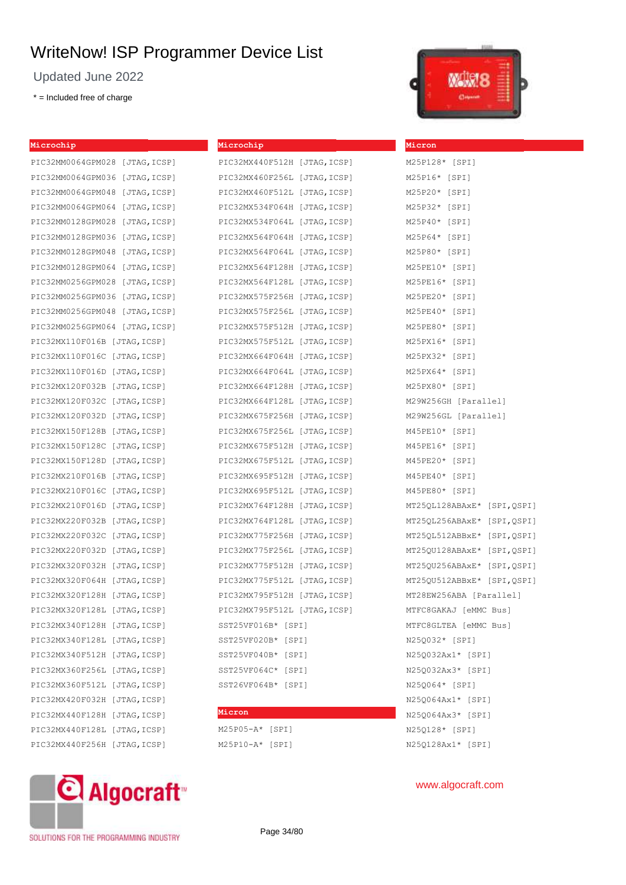Updated June 2022

\* = Included free of charge



| Microchip                     | Microchip                                         | <b>Micron</b>               |
|-------------------------------|---------------------------------------------------|-----------------------------|
| PIC32MM0064GPM028 [JTAG,ICSP] | PIC32MX440F512H [JTAG, ICSP]                      | M25P128* [SPI]              |
| PIC32MM0064GPM036 [JTAG,ICSP] | PIC32MX460F256L [JTAG, ICSP]                      | M25P16* [SPI]               |
| PIC32MM0064GPM048 [JTAG,ICSP] | PIC32MX460F512L [JTAG, ICSP]                      | M25P20* [SPI]               |
| PIC32MM0064GPM064 [JTAG,ICSP] | PIC32MX534F064H [JTAG, ICSP]                      | M25P32* [SPI]               |
| PIC32MM0128GPM028 [JTAG,ICSP] | PIC32MX534F064L [JTAG, ICSP]                      | M25P40* [SPI]               |
| PIC32MM0128GPM036 [JTAG,ICSP] | PIC32MX564F064H [JTAG,ICSP]                       | M25P64* [SPI]               |
| PIC32MM0128GPM048 [JTAG,ICSP] | PIC32MX564F064L [JTAG, ICSP]                      | M25P80* [SPI]               |
| PIC32MM0128GPM064 [JTAG,ICSP] | PIC32MX564F128H [JTAG,ICSP]                       | M25PE10* [SPI]              |
| PIC32MM0256GPM028 [JTAG,ICSP] | PIC32MX564F128L [JTAG, ICSP]                      | M25PE16* [SPI]              |
| PIC32MM0256GPM036 [JTAG,ICSP] | PIC32MX575F256H [JTAG,ICSP]                       | M25PE20* [SPI]              |
| PIC32MM0256GPM048 [JTAG,ICSP] | PIC32MX575F256L [JTAG, ICSP]                      | M25PE40* [SPI]              |
| PIC32MM0256GPM064 [JTAG,ICSP] | PIC32MX575F512H [JTAG, ICSP]                      | M25PE80* [SPI]              |
| PIC32MX110F016B [JTAG,ICSP]   | PIC32MX575F512L [JTAG, ICSP]                      | M25PX16* [SPI]              |
| PIC32MX110F016C [JTAG,ICSP]   | PIC32MX664F064H [JTAG, ICSP]                      | M25PX32* [SPI]              |
| PIC32MX110F016D [JTAG,ICSP]   | PIC32MX664F064L [JTAG, ICSP]                      | M25PX64* [SPI]              |
| PIC32MX120F032B [JTAG,ICSP]   | PIC32MX664F128H [JTAG,ICSP]                       | M25PX80* [SPI]              |
| PIC32MX120F032C [JTAG,ICSP]   | PIC32MX664F128L [JTAG, ICSP] M29W256GH [Parallel] |                             |
| PIC32MX120F032D [JTAG,ICSP]   | PIC32MX675F256H [JTAG, ICSP]                      | M29W256GL [Parallel]        |
| PIC32MX150F128B [JTAG,ICSP]   | PIC32MX675F256L [JTAG,ICSP]                       | M45PE10* [SPI]              |
| PIC32MX150F128C [JTAG,ICSP]   | PIC32MX675F512H [JTAG, ICSP] M45PE16* [SPI]       |                             |
| PIC32MX150F128D [JTAG,ICSP]   | PIC32MX675F512L [JTAG,ICSP]                       | M45PE20* [SPI]              |
| PIC32MX210F016B [JTAG,ICSP]   | PIC32MX695F512H [JTAG,ICSP]                       | M45PE40* [SPI]              |
| PIC32MX210F016C [JTAG,ICSP]   | PIC32MX695F512L [JTAG, ICSP]                      | M45PE80* [SPI]              |
| PIC32MX210F016D [JTAG,ICSP]   | PIC32MX764F128H [JTAG, ICSP]                      | MT25QL128ABAxE* [SPI, QSPI] |
| PIC32MX220F032B [JTAG,ICSP]   | PIC32MX764F128L [JTAG,ICSP]                       | MT25QL256ABAxE* [SPI, QSPI] |
| PIC32MX220F032C [JTAG,ICSP]   | PIC32MX775F256H [JTAG, ICSP]                      | MT25QL512ABBxE* [SPI, QSPI] |
| PIC32MX220F032D [JTAG,ICSP]   | PIC32MX775F256L [JTAG, ICSP]                      | MT25QU128ABAxE* [SPI, QSPI] |
| PIC32MX320F032H [JTAG,ICSP]   | PIC32MX775F512H [JTAG,ICSP]                       | MT25QU256ABAxE* [SPI, QSPI] |
| PIC32MX320F064H [JTAG,ICSP]   | PIC32MX775F512L [JTAG,ICSP]                       | MT25QU512ABBxE* [SPI, QSPI] |
| PIC32MX320F128H [JTAG,ICSP]   | PIC32MX795F512H [JTAG,ICSP]                       | MT28EW256ABA [Parallel]     |
| PIC32MX320F128L [JTAG,ICSP]   | PIC32MX795F512L [JTAG,ICSP]                       | MTFC8GAKAJ [eMMC Bus]       |
| PIC32MX340F128H [JTAG,ICSP]   | SST25VF016B* [SPI]                                | MTFC8GLTEA [eMMC Bus]       |
| PIC32MX340F128L [JTAG,ICSP]   | SST25VF020B* [SPI]                                | N25Q032* [SPI]              |
| PIC32MX340F512H [JTAG,ICSP]   | SST25VF040B* [SPI]                                | N25Q032Ax1* [SPI]           |
| PIC32MX360F256L [JTAG,ICSP]   | SST25VF064C* [SPI]                                | N25Q032Ax3* [SPI]           |
| PIC32MX360F512L [JTAG,ICSP]   | SST26VF064B* [SPI]                                | N25Q064* [SPI]              |
| PIC32MX420F032H [JTAG,ICSP]   |                                                   | N25Q064Ax1* [SPI]           |
| PIC32MX440F128H [JTAG,ICSP]   | Micron                                            | N25Q064Ax3* [SPI]           |
| PIC32MX440F128L [JTAG,ICSP]   | $M25P05 - A*$ [SPI]                               | N25Q128* [SPI]              |
| PIC32MX440F256H [JTAG,ICSP]   | $M25P10 - A*$ [SPI]                               | N25Q128Ax1* [SPI]           |



SOLUTIONS FOR THE PROGRAMMING INDUSTRY

Page 34/80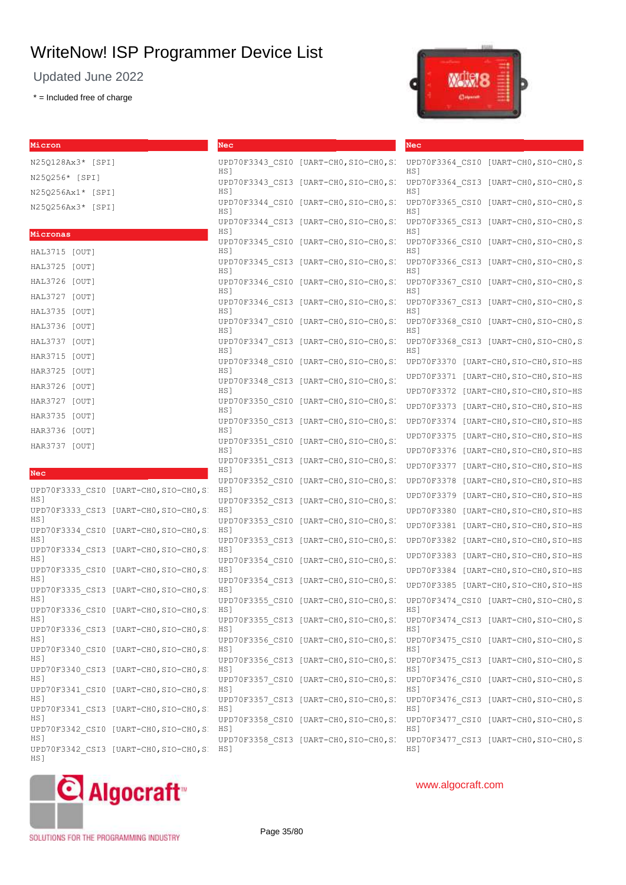Updated June 2022

\* = Included free of charge

**Micron**

HS]



**Nec**

| Micron                              |                                        | Nec  |                                        |
|-------------------------------------|----------------------------------------|------|----------------------------------------|
| N25Q128Ax3* [SPI]                   |                                        | HS]  | UPD70F3343 CSI0 [UART-CHO, SIO-CHO, SI |
| N25Q256* [SPI]<br>N25Q256Ax1* [SPI] |                                        | HS 1 | UPD70F3343 CSI3 [UART-CHO, SIO-CHO, SI |
| N25Q256Ax3* [SPI]                   |                                        | HS 1 | UPD70F3344 CSI0 [UART-CHO, SIO-CHO, SI |
|                                     |                                        | HS1  | UPD70F3344 CSI3 [UART-CHO, SIO-CHO, SI |
| Micronas<br>HAL3715 [OUT]           |                                        | HS1  | UPD70F3345 CSI0 [UART-CHO, SIO-CHO, SI |
| HAL3725 [OUT]                       |                                        | HS]  | UPD70F3345 CSI3 [UART-CHO, SIO-CHO, SI |
| HAL3726 [OUT]                       |                                        | HS]  | UPD70F3346 CSI0 [UART-CHO, SIO-CHO, SI |
| HAL3727 [OUT]<br>HAL3735 [OUT]      |                                        | HS]  | UPD70F3346 CSI3 [UART-CHO, SIO-CHO, SI |
| HAL3736 [OUT]                       |                                        | HS 1 | UPD70F3347 CSI0 [UART-CHO, SIO-CHO, SI |
| HAL3737 [OUT]                       |                                        | HS1  | UPD70F3347 CSI3 [UART-CHO, SIO-CHO, SI |
| HAR3715 [OUT]<br>HAR3725 [OUT]      |                                        | HS1  | UPD70F3348 CSI0 [UART-CHO, SIO-CHO, SI |
| HAR3726 [OUT]                       |                                        | HS 1 | UPD70F3348 CSI3 [UART-CHO, SIO-CHO, SI |
| HAR3727 [OUT]                       |                                        | HS]  | UPD70F3350 CSI0 [UART-CHO, SIO-CHO, SI |
| HAR3735 [OUT]<br>HAR3736 [OUT]      |                                        | HS]  | UPD70F3350 CSI3 [UART-CHO, SIO-CHO, SI |
| HAR3737 [OUT]                       |                                        | HS]  | UPD70F3351 CSI0 [UART-CHO, SIO-CHO, SI |
| <b>Nec</b>                          |                                        | HS]  | UPD70F3351 CSI3 [UART-CHO, SIO-CHO, SI |
|                                     | UPD70F3333 CSI0 [UART-CHO, SIO-CHO, SI | HS 1 | UPD70F3352 CSI0 [UART-CHO, SIO-CHO, SI |
| HS]                                 | UPD70F3333 CSI3 [UART-CHO, SIO-CHO, SI | HS]  | UPD70F3352 CSI3 [UART-CHO, SIO-CHO, SI |
| HS]                                 | UPD70F3334 CSI0 [UART-CHO, SIO-CHO, SI | HS]  | UPD70F3353 CSI0 [UART-CHO, SIO-CHO, SI |
| HS]                                 | UPD70F3334 CSI3 [UART-CHO, SIO-CHO, SI | HS]  | UPD70F3353 CSI3 [UART-CHO, SIO-CHO, SI |
| HS <sub>1</sub>                     | UPD70F3335 CSI0 [UART-CHO, SIO-CHO, SI | HS]  | UPD70F3354 CSI0 [UART-CHO, SIO-CHO, SI |
| HS 1                                | UPD70F3335 CSI3 [UART-CHO, SIO-CHO, SI | HS]  | UPD70F3354 CSI3 [UART-CHO, SIO-CHO, SI |
| HS]                                 | UPD70F3336 CSI0 [UART-CHO, SIO-CHO, SI | HS]  | UPD70F3355 CSI0 [UART-CHO, SIO-CHO, SI |
| HS]                                 | UPD70F3336 CSI3 [UART-CHO, SIO-CHO, SI | HS]  | UPD70F3355 CSI3 [UART-CHO, SIO-CHO, SI |
| HS]                                 | UPD70F3340 CSI0 [UART-CHO, SIO-CHO, SI | HS]  | UPD70F3356 CSI0 [UART-CHO, SIO-CHO, SI |
| HS]                                 | UPD70F3340 CSI3 [UART-CHO, SIO-CHO, SI | HS]  | UPD70F3356 CSI3 [UART-CHO, SIO-CHO, SI |
| HS]                                 | UPD70F3341 CSI0 [UART-CHO, SIO-CHO, SI | HS]  | UPD70F3357 CSI0 [UART-CHO, SIO-CHO, SI |
| HS]                                 | UPD70F3341 CSI3 [UART-CHO, SIO-CHO, SI | HS]  | UPD70F3357 CSI3 [UART-CHO, SIO-CHO, SI |
| HS]                                 | UPD70F3342 CSI0 [UART-CHO, SIO-CHO, SI | HS]  | UPD70F3358 CSI0 [UART-CHO, SIO-CHO, SI |
| HS]<br>H <sub>1</sub>               | UPD70F3342 CSI3 [UART-CHO, SIO-CHO, SI | HS]  | UPD70F3358 CSI3 [UART-CHO, SIO-CHO, SI |

| HS]<br>UPD70F3364 CSI3<br>$[UART-CH0, SIO-CH0, S]$<br>HS]<br>UPD70F3365 CSI0<br>[UART-CHO,SIO-CHO,S]<br>HS]<br>UPD70F3365 CSI3<br>[UART-CHO,SIO-CHO,S]<br>HS]<br>UPD70F3366 CSI0<br>[UART-CHO,SIO-CHO,S]<br>HS]<br>UPD70F3366 CSI3<br>[UART-CHO,SIO-CHO,S]<br>HS]<br>UPD70F3367 CSI0<br>[UART-CHO,SIO-CHO,S]<br>HS]<br>UPD70F3367 CSI3<br>$[UART-CH0, SIO-CH0, S]$<br>HS]<br>UPD70F3368 CSI0<br>$[UART-CH0, SIO-CH0, S]$<br>HS]<br>UPD70F3368 CSI3<br>$[UART-CH0, SIO-CH0, S]$<br>HS]<br>UPD70F3370<br>[UART-CHO, SIO-CHO, SIO-HS<br>UPD70F3371<br>[UART-CHO, SIO-CHO, SIO-HS<br>UPD70F3372<br>[UART-CHO,SIO-CHO,SIO-HS<br>UPD70F3373<br>[UART-CHO,SIO-CHO,SIO-HS<br>UPD70F3374<br>[UART-CHO,SIO-CHO,SIO-HS<br>UPD70F3375<br>[UART-CHO, SIO-CHO, SIO-HS<br>UPD70F3376<br>[UART-CHO, SIO-CHO, SIO-HS<br>UPD70F3377<br>[UART-CHO, SIO-CHO, SIO-HS<br>UPD70F3378<br>[UART-CHO, SIO-CHO, SIO-HS<br>UPD70F3379<br>[UART-CHO, SIO-CHO, SIO-HS<br>UPD70F3380<br>[UART-CHO,SIO-CHO,SIO-HS<br>UPD70F3381<br>[UART-CHO, SIO-CHO, SIO-HS<br>UPD70F3382<br>[UART-CHO, SIO-CHO, SIO-HS<br>UPD70F3383<br>[UART-CHO, SIO-CHO, SIO-HS<br>UPD70F3384<br>[UART-CHO,SIO-CHO,SIO-HS<br>UPD70F3385<br>[UART-CHO, SIO-CHO, SIO-HS<br>UPD70F3474 CSI0 [UART-CHO,SIO-CHO,SI<br>HS 1<br>UPD70F3474 CSI3 [UART-CH0,SIO-CH0,SI<br>HS]<br>UPD70F3475 CSI0 [UART-CHO, SIO-CHO, SI<br>HS]<br>UPD70F3475 CSI3 [UART-CHO, SIO-CHO, SI<br>HS]<br>UPD70F3476 CSI0 [UART-CHO, SIO-CHO, SI<br>HS]<br>UPD70F3476 CSI3 [UART-CHO, SIO-CHO, SI<br>HS]<br>UPD70F3477 CSI0 [UART-CHO,SIO-CHO,SI<br>HS1 | UPD70F3364 CSI0 [UART-CHO,SIO-CHO,SI |
|---------------------------------------------------------------------------------------------------------------------------------------------------------------------------------------------------------------------------------------------------------------------------------------------------------------------------------------------------------------------------------------------------------------------------------------------------------------------------------------------------------------------------------------------------------------------------------------------------------------------------------------------------------------------------------------------------------------------------------------------------------------------------------------------------------------------------------------------------------------------------------------------------------------------------------------------------------------------------------------------------------------------------------------------------------------------------------------------------------------------------------------------------------------------------------------------------------------------------------------------------------------------------------------------------------------------------------------------------------------------------------------------------------------------------------------------------------------------------------------------------------------------------------------------------------------|--------------------------------------|
|                                                                                                                                                                                                                                                                                                                                                                                                                                                                                                                                                                                                                                                                                                                                                                                                                                                                                                                                                                                                                                                                                                                                                                                                                                                                                                                                                                                                                                                                                                                                                               |                                      |
|                                                                                                                                                                                                                                                                                                                                                                                                                                                                                                                                                                                                                                                                                                                                                                                                                                                                                                                                                                                                                                                                                                                                                                                                                                                                                                                                                                                                                                                                                                                                                               |                                      |
|                                                                                                                                                                                                                                                                                                                                                                                                                                                                                                                                                                                                                                                                                                                                                                                                                                                                                                                                                                                                                                                                                                                                                                                                                                                                                                                                                                                                                                                                                                                                                               |                                      |
|                                                                                                                                                                                                                                                                                                                                                                                                                                                                                                                                                                                                                                                                                                                                                                                                                                                                                                                                                                                                                                                                                                                                                                                                                                                                                                                                                                                                                                                                                                                                                               |                                      |
|                                                                                                                                                                                                                                                                                                                                                                                                                                                                                                                                                                                                                                                                                                                                                                                                                                                                                                                                                                                                                                                                                                                                                                                                                                                                                                                                                                                                                                                                                                                                                               |                                      |
|                                                                                                                                                                                                                                                                                                                                                                                                                                                                                                                                                                                                                                                                                                                                                                                                                                                                                                                                                                                                                                                                                                                                                                                                                                                                                                                                                                                                                                                                                                                                                               |                                      |
|                                                                                                                                                                                                                                                                                                                                                                                                                                                                                                                                                                                                                                                                                                                                                                                                                                                                                                                                                                                                                                                                                                                                                                                                                                                                                                                                                                                                                                                                                                                                                               |                                      |
|                                                                                                                                                                                                                                                                                                                                                                                                                                                                                                                                                                                                                                                                                                                                                                                                                                                                                                                                                                                                                                                                                                                                                                                                                                                                                                                                                                                                                                                                                                                                                               |                                      |
|                                                                                                                                                                                                                                                                                                                                                                                                                                                                                                                                                                                                                                                                                                                                                                                                                                                                                                                                                                                                                                                                                                                                                                                                                                                                                                                                                                                                                                                                                                                                                               |                                      |
|                                                                                                                                                                                                                                                                                                                                                                                                                                                                                                                                                                                                                                                                                                                                                                                                                                                                                                                                                                                                                                                                                                                                                                                                                                                                                                                                                                                                                                                                                                                                                               |                                      |
|                                                                                                                                                                                                                                                                                                                                                                                                                                                                                                                                                                                                                                                                                                                                                                                                                                                                                                                                                                                                                                                                                                                                                                                                                                                                                                                                                                                                                                                                                                                                                               |                                      |
|                                                                                                                                                                                                                                                                                                                                                                                                                                                                                                                                                                                                                                                                                                                                                                                                                                                                                                                                                                                                                                                                                                                                                                                                                                                                                                                                                                                                                                                                                                                                                               |                                      |
|                                                                                                                                                                                                                                                                                                                                                                                                                                                                                                                                                                                                                                                                                                                                                                                                                                                                                                                                                                                                                                                                                                                                                                                                                                                                                                                                                                                                                                                                                                                                                               |                                      |
|                                                                                                                                                                                                                                                                                                                                                                                                                                                                                                                                                                                                                                                                                                                                                                                                                                                                                                                                                                                                                                                                                                                                                                                                                                                                                                                                                                                                                                                                                                                                                               |                                      |
|                                                                                                                                                                                                                                                                                                                                                                                                                                                                                                                                                                                                                                                                                                                                                                                                                                                                                                                                                                                                                                                                                                                                                                                                                                                                                                                                                                                                                                                                                                                                                               |                                      |
|                                                                                                                                                                                                                                                                                                                                                                                                                                                                                                                                                                                                                                                                                                                                                                                                                                                                                                                                                                                                                                                                                                                                                                                                                                                                                                                                                                                                                                                                                                                                                               |                                      |
|                                                                                                                                                                                                                                                                                                                                                                                                                                                                                                                                                                                                                                                                                                                                                                                                                                                                                                                                                                                                                                                                                                                                                                                                                                                                                                                                                                                                                                                                                                                                                               |                                      |
|                                                                                                                                                                                                                                                                                                                                                                                                                                                                                                                                                                                                                                                                                                                                                                                                                                                                                                                                                                                                                                                                                                                                                                                                                                                                                                                                                                                                                                                                                                                                                               |                                      |
|                                                                                                                                                                                                                                                                                                                                                                                                                                                                                                                                                                                                                                                                                                                                                                                                                                                                                                                                                                                                                                                                                                                                                                                                                                                                                                                                                                                                                                                                                                                                                               |                                      |
|                                                                                                                                                                                                                                                                                                                                                                                                                                                                                                                                                                                                                                                                                                                                                                                                                                                                                                                                                                                                                                                                                                                                                                                                                                                                                                                                                                                                                                                                                                                                                               |                                      |
|                                                                                                                                                                                                                                                                                                                                                                                                                                                                                                                                                                                                                                                                                                                                                                                                                                                                                                                                                                                                                                                                                                                                                                                                                                                                                                                                                                                                                                                                                                                                                               |                                      |
|                                                                                                                                                                                                                                                                                                                                                                                                                                                                                                                                                                                                                                                                                                                                                                                                                                                                                                                                                                                                                                                                                                                                                                                                                                                                                                                                                                                                                                                                                                                                                               |                                      |
|                                                                                                                                                                                                                                                                                                                                                                                                                                                                                                                                                                                                                                                                                                                                                                                                                                                                                                                                                                                                                                                                                                                                                                                                                                                                                                                                                                                                                                                                                                                                                               |                                      |
|                                                                                                                                                                                                                                                                                                                                                                                                                                                                                                                                                                                                                                                                                                                                                                                                                                                                                                                                                                                                                                                                                                                                                                                                                                                                                                                                                                                                                                                                                                                                                               |                                      |
|                                                                                                                                                                                                                                                                                                                                                                                                                                                                                                                                                                                                                                                                                                                                                                                                                                                                                                                                                                                                                                                                                                                                                                                                                                                                                                                                                                                                                                                                                                                                                               |                                      |
|                                                                                                                                                                                                                                                                                                                                                                                                                                                                                                                                                                                                                                                                                                                                                                                                                                                                                                                                                                                                                                                                                                                                                                                                                                                                                                                                                                                                                                                                                                                                                               |                                      |
|                                                                                                                                                                                                                                                                                                                                                                                                                                                                                                                                                                                                                                                                                                                                                                                                                                                                                                                                                                                                                                                                                                                                                                                                                                                                                                                                                                                                                                                                                                                                                               |                                      |
|                                                                                                                                                                                                                                                                                                                                                                                                                                                                                                                                                                                                                                                                                                                                                                                                                                                                                                                                                                                                                                                                                                                                                                                                                                                                                                                                                                                                                                                                                                                                                               |                                      |
|                                                                                                                                                                                                                                                                                                                                                                                                                                                                                                                                                                                                                                                                                                                                                                                                                                                                                                                                                                                                                                                                                                                                                                                                                                                                                                                                                                                                                                                                                                                                                               |                                      |
|                                                                                                                                                                                                                                                                                                                                                                                                                                                                                                                                                                                                                                                                                                                                                                                                                                                                                                                                                                                                                                                                                                                                                                                                                                                                                                                                                                                                                                                                                                                                                               |                                      |
|                                                                                                                                                                                                                                                                                                                                                                                                                                                                                                                                                                                                                                                                                                                                                                                                                                                                                                                                                                                                                                                                                                                                                                                                                                                                                                                                                                                                                                                                                                                                                               |                                      |
|                                                                                                                                                                                                                                                                                                                                                                                                                                                                                                                                                                                                                                                                                                                                                                                                                                                                                                                                                                                                                                                                                                                                                                                                                                                                                                                                                                                                                                                                                                                                                               |                                      |
|                                                                                                                                                                                                                                                                                                                                                                                                                                                                                                                                                                                                                                                                                                                                                                                                                                                                                                                                                                                                                                                                                                                                                                                                                                                                                                                                                                                                                                                                                                                                                               |                                      |
|                                                                                                                                                                                                                                                                                                                                                                                                                                                                                                                                                                                                                                                                                                                                                                                                                                                                                                                                                                                                                                                                                                                                                                                                                                                                                                                                                                                                                                                                                                                                                               |                                      |
|                                                                                                                                                                                                                                                                                                                                                                                                                                                                                                                                                                                                                                                                                                                                                                                                                                                                                                                                                                                                                                                                                                                                                                                                                                                                                                                                                                                                                                                                                                                                                               |                                      |
| HS]                                                                                                                                                                                                                                                                                                                                                                                                                                                                                                                                                                                                                                                                                                                                                                                                                                                                                                                                                                                                                                                                                                                                                                                                                                                                                                                                                                                                                                                                                                                                                           | UPD70F3477 CSI3 [UART-CHO,SIO-CHO,SI |

# C Algocraft<sup>®</sup>

## www.algocraft.com

SOLUTIONS FOR THE PROGRAMMING INDUSTRY

Page 35/80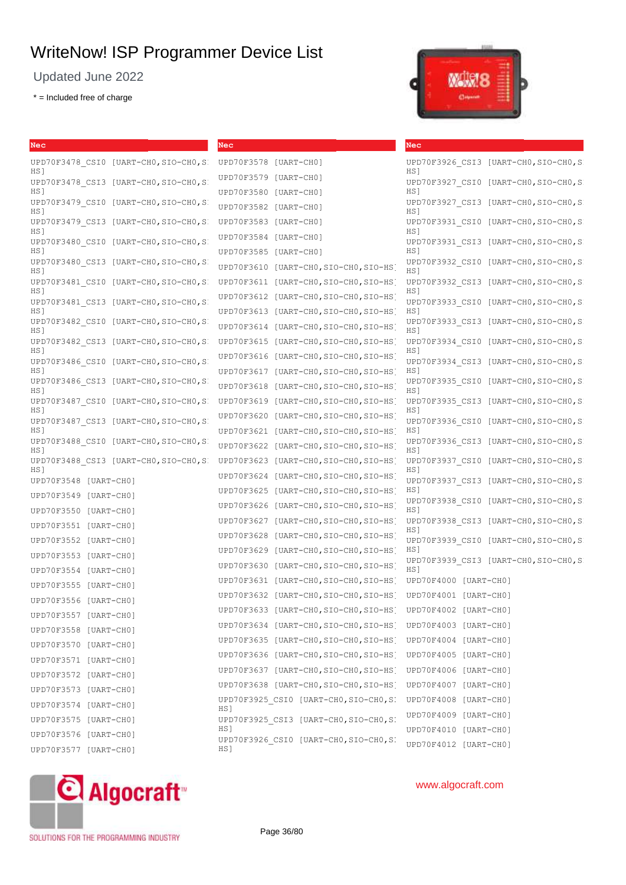Updated June 2022

\* = Included free of charge



| Nec                                                       | Nec                                                                                    | Nec                                                 |
|-----------------------------------------------------------|----------------------------------------------------------------------------------------|-----------------------------------------------------|
| UPD70F3478 CSI0 [UART-CHO, SIO-CHO, S<br>HS]              | UPD70F3578 [UART-CHO]                                                                  | UPD70F3926 CSI3 [UART-CHO, SIO-CHO, S<br>HS]        |
| UPD70F3478 CSI3 [UART-CHO, SIO-CHO, SI<br>HS 1            | [UART-CHO]<br>UPD70F3579<br>UPD70F3580 [UART-CHO]                                      | UPD70F3927 CSI0<br>[UART-CHO,SIO-CHO,S]<br>HS 1     |
| UPD70F3479 CSI0<br>$[UART-CH0, SIO-CH0, S]$<br>HS 1       | UPD70F3582 [UART-CHO]                                                                  | UPD70F3927 CSI3<br>[UART-CHO,SIO-CHO,S<br>HS 1      |
| UPD70F3479 CSI3<br>$[UART-CH0, SIO-CH0, S]$<br>HS 1       | UPD70F3583<br>[UART-CH0]                                                               | UPD70F3931 CSI0<br>$[UART-CH0, SIO-CH0, S]$<br>HS1  |
| UPD70F3480 CSI0<br>$[UART-CH0, SIO-CH0, S]$<br>HS 1       | UPD70F3584<br>[UART-CH0]<br>UPD70F3585 [UART-CHO]                                      | UPD70F3931 CSI3<br>[UART-CHO,SIO-CHO,S]<br>HS 1     |
| UPD70F3480 CSI3<br>[UART-CHO,SIO-CHO,S<br>HS <sub>1</sub> | UPD70F3610<br>[UART-CHO,SIO-CHO,SIO-HS]                                                | UPD70F3932 CSI0<br>$[UART-CH0, SIO-CH0, S]$<br>HS 1 |
| UPD70F3481 CSI0<br>[UART-CHO, SIO-CHO, S<br>HS 1          | UPD70F3611<br>[UART-CHO,SIO-CHO,SIO-HS]                                                | UPD70F3932 CSI3<br>$[UART-CHO, SIO-CHO, S]$<br>HS]  |
| UPD70F3481 CSI3 [UART-CHO, SIO-CHO, SI                    | UPD70F3612<br>$[UART-CH0, SIO-CH0, SIO-HS]$                                            | UPD70F3933 CSI0<br>[UART-CHO,SIO-CHO,S              |
| HS 1<br>UPD70F3482 CSI0<br>$[UART-CHO, SIO-CHO, S]$       | UPD70F3613<br>[UART-CHO,SIO-CHO,SIO-HS]<br>$[UART-CH0, SIO-CH0, SIO-HS]$<br>UPD70F3614 | HS]<br>UPD70F3933 CSI3<br>$[UART-CH0, SIO-CH0, S]$  |
| HS I<br>UPD70F3482 CSI3<br>$[UART-CH0, SIO-CH0, S]$       | $[UART-CH0, SIO-CH0, SIO-HS]$<br>UPD70F3615                                            | HS]<br>UPD70F3934 CSI0<br>$[UART-CH0, SIO-CH0, S]$  |
| HS 1<br>UPD70F3486 CSI0<br>$[UART-CH0, SIO-CH0, S]$       | UPD70F3616<br>$[UART-CH0, SIO-CH0, SIO-HS]$                                            | HS]<br>UPD70F3934 CSI3<br>[UART-CHO, SIO-CHO, S     |
| HS 1<br>UPD70F3486 CSI3<br>$[UART-CH0, SIO-CH0, S]$       | UPD70F3617 [UART-CHO, SIO-CHO, SIO-HS]<br>UPD70F3618<br>$[UART-CH0, SIO-CH0, SIO-HS]$  | HS 1<br>UPD70F3935 CSI0<br>[UART-CHO, SIO-CHO, S    |
| HS 1<br>UPD70F3487 CSI0 [UART-CHO, SIO-CHO, S             | UPD70F3619<br>$[UART-CH0, SIO-CH0, SIO-HS]$                                            | HS 1<br>UPD70F3935 CSI3<br>[UART-CHO, SIO-CHO, S    |
| HS 1<br>UPD70F3487 CSI3<br>[UART-CHO,SIO-CHO,S]           | UPD70F3620<br>[UART-CHO, SIO-CHO, SIO-HS]                                              | HS]<br>UPD70F3936 CSI0<br>[UART-CHO, SIO-CHO, S     |
| HS 1<br>UPD70F3488 CSI0<br>[UART-CHO, SIO-CHO, SI         | UPD70F3621<br>$[UART-CH0, SIO-CH0, SIO-HS]$<br>UPD70F3622<br>[UART-CHO,SIO-CHO,SIO-HS] | HS]<br>UPD70F3936 CSI3<br>$[UART-CH0, SIO-CH0, S]$  |
| HS 1<br>UPD70F3488 CSI3 [UART-CHO, SIO-CHO, S             | $[UART-CH0, SIO-CH0, SIO-HS]$<br>UPD70F3623                                            | HS]<br>UPD70F3937 CSI0<br>$[UART-CH0, SIO-CH0, S]$  |
| HS I<br>UPD70F3548 [UART-CHO]                             | UPD70F3624<br>$[UART-CH0, SIO-CH0, SIO-HS]$                                            | HS 1<br>UPD70F3937 CSI3<br>$[UART-CHO, SIO-CHO, S]$ |
| UPD70F3549 [UART-CHO]                                     | $[UART-CH0, SIO-CH0, SIO-HS]$<br>UPD70F3625                                            | HS]<br>UPD70F3938 CSI0<br>$[UART-CH0, SIO-CH0, S]$  |
| UPD70F3550 [UART-CHO]                                     | UPD70F3626<br>$[UART-CH0, SIO-CH0, SIO-HS]$<br>UPD70F3627                              | HS1                                                 |
| UPD70F3551 [UART-CHO]                                     | [UART-CHO,SIO-CHO,SIO-HS]<br>$[UART-CH0, SIO-CH0, SIO-HS]$<br>UPD70F3628               | UPD70F3938 CSI3 [UART-CHO, SIO-CHO, S<br>HS 1       |
| UPD70F3552 [UART-CHO]                                     | UPD70F3629<br>$[UART-CH0, SIO-CH0, SIO-HS]$                                            | UPD70F3939 CSI0<br>$[UART-CH0, SIO-CH0, S]$<br>HS]  |
| UPD70F3553 [UART-CHO]                                     | UPD70F3630<br>[UART-CHO, SIO-CHO, SIO-HS]                                              | UPD70F3939 CSI3 [UART-CHO, SIO-CHO, S               |
| UPD70F3554 [UART-CHO]                                     | UPD70F3631                                                                             | HS 1<br>UPD70F4000 [UART-CH0]                       |
| UPD70F3555 [UART-CHO]                                     | $[UART-CH0, SIO-CH0, SIO-HS]$                                                          |                                                     |
| UPD70F3556 [UART-CHO]                                     | UPD70F3632 [UART-CHO, SIO-CHO, SIO-HS                                                  | UPD70F4001 [UART-CHO]                               |
| UPD70F3557 [UART-CHO]                                     | UPD70F3633 [UART-CHO, SIO-CHO, SIO-HS                                                  | UPD70F4002 [UART-CH0]                               |
| UPD70F3558 [UART-CHO]                                     | UPD70F3634 [UART-CHO, SIO-CHO, SIO-HS] UPD70F4003 [UART-CHO]                           |                                                     |
| UPD70F3570 [UART-CH0]                                     | UPD70F3635 [UART-CHO, SIO-CHO, SIO-HS] UPD70F4004 [UART-CHO]                           |                                                     |
| UPD70F3571 [UART-CH0]                                     | UPD70F3636 [UART-CHO, SIO-CHO, SIO-HS] UPD70F4005 [UART-CHO]                           |                                                     |
| UPD70F3572 [UART-CHO]                                     | UPD70F3637 [UART-CHO, SIO-CHO, SIO-HS]                                                 | UPD70F4006 [UART-CH0]                               |
| UPD70F3573 [UART-CH0]                                     | UPD70F3638 [UART-CHO, SIO-CHO, SIO-HS]                                                 | UPD70F4007 [UART-CH0]                               |
| UPD70F3574 [UART-CH0]                                     | UPD70F3925 CSI0 [UART-CHO, SIO-CHO, SI<br>HS]                                          | UPD70F4008 [UART-CHO]                               |
| UPD70F3575 [UART-CHO]                                     | UPD70F3925_CSI3 [UART-CHO, SIO-CHO, SI                                                 | UPD70F4009 [UART-CHO]                               |
| UPD70F3576 [UART-CHO]                                     | HS 1<br>UPD70F3926 CSI0 [UART-CHO, SIO-CHO, SI                                         | UPD70F4010 [UART-CHO]                               |
| UPD70F3577 [UART-CHO]                                     | HS]                                                                                    | UPD70F4012 [UART-CH0]                               |



## www.algocraft.com

SOLUTIONS FOR THE PROGRAMMING INDUSTRY

Page 36/80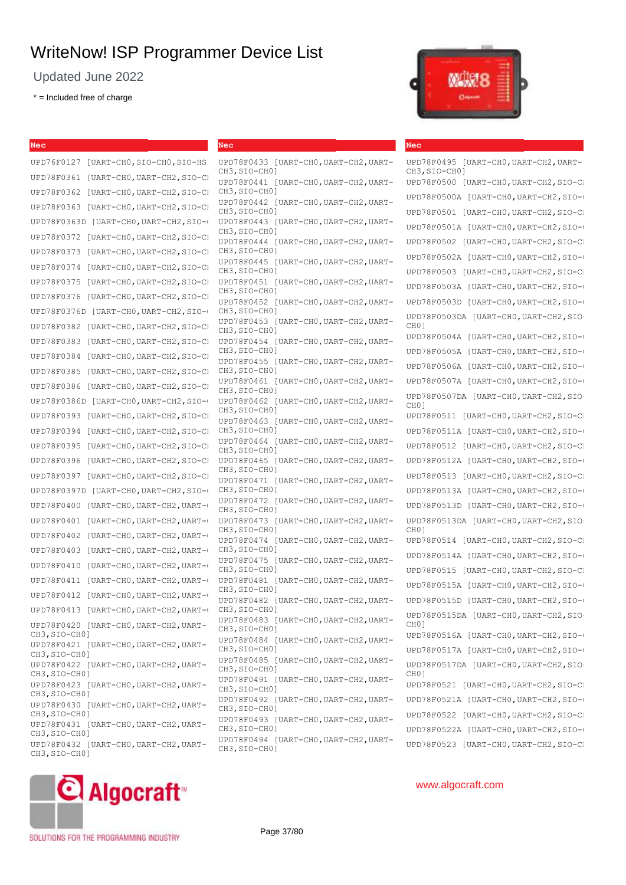Updated June 2022

 $* =$  Included free of charge



#### **Nec**

UPD78F0495 [UART-CH0,UART-CH2,UART-CH3, SIO-CH01 UPD78F0500 [UART-CHO, UART-CH2, SIO-CH UPD78F0500A [UART-CH0, UART-CH2, SIO-O UPD78F0501 [UART-CHO, UART-CH2, SIO-CH UPD78F0501A [UART-CH0, UART-CH2, SIO-O UPD78F0502 [UART-CHO, UART-CH2, SIO-CH UPD78F0502A [UART-CH0, UART-CH2, SIO-O UPD78F0503 [UART-CHO, UART-CH2, SIO-CH UPD78F0503A [UART-CHO, UART-CH2, SIO-C UPD78F0503D [UART-CHO, UART-CH2, SIO-C UPD78F0503DA [UART-CHO, UART-CH2, SIO-CH0] UPD78F0504A [UART-CHO, UART-CH2, SIO-C UPD78F0505A [UART-CH0, UART-CH2, SIO-O UPD78F0506A [UART-CHO, UART-CH2, SIO-C UPD78F0507A [UART-CHO, UART-CH2, SIO-0 UPD78F0507DA [UART-CH0,UART-CH2,SIO-CH0] UPD78F0511 [UART-CHO, UART-CH2, SIO-CH UPD78F0511A [UART-CH0, UART-CH2, SIO-O UPD78F0512 [UART-CHO, UART-CH2, SIO-CI UPD78F0512A [UART-CHO, UART-CH2, SIO-C UPD78F0513 [UART-CHO, UART-CH2, SIO-C] UPD78F0513A [UART-CHO, UART-CH2, SIO-C UPD78F0513D [UART-CHO, UART-CH2, SIO-C UPD78F0513DA [UART-CH0,UART-CH2,SIO- $CHO1$ UPD78F0514 [UART-CHO, UART-CH2, SIO-C] UPD78F0514A [UART-CH0, UART-CH2, SIO-O UPD78F0515 [UART-CHO, UART-CH2, SIO-CH UPD78F0515A [UART-CH0, UART-CH2, SIO-O UPD78F0515D [UART-CH0, UART-CH2, SIO-O UPD78F0515DA [UART-CHO, UART-CH2, SIO-CH0] UPD78F0516A [UART-CHO, UART-CH2, SIO-C UPD78F0517A [UART-CHO, UART-CH2, SIO-CHO UPD78F0517DA [UART-CH0, UART-CH2, SIO- $CHO1$ UPD78F0521 [UART-CHO, UART-CH2, SIO-CH UPD78F0521A [UART-CHO, UART-CH2, SIO-C UPD78F0522 [UART-CHO, UART-CH2, SIO-C] UPD78F0522A [UART-CHO.UART-CH2,SIO-CH] UPD78F0523 [UART-CHO, UART-CH2, SIO-CL

**Nec** UPD76F0127 [UART-CHO, SIO-CHO, SIO-HS] UPD78F0361 [UART-CHO, UART-CH2, SIO-CH UPD78F0362 [UART-CHO, UART-CH2, SIO-CI CH3, SIO-CHO] UPD78F0363 [UART-CHO, UART-CH2, SIO-CHO UPD78F0363D [UART-CH0,UART-CH2,SIO-0 UPD78F0443 [UART-CH0,UART-CH2,UART-UPD78F0372 [UART-CHO, UART-CH2, SIO-CI UPD78F0373 [UART-CHO, UART-CH2, SIO-CI CH3, SIO-CHO] UPD78F0374 [UART-CHO, UART-CH2, SIO-CH UPD78F0375 [UART-CH0,UART-CH2,SIO-CI UPD78F0451 [UART-CH0,UART-CH2,UART-UPD78F0376 [UART-CHO, UART-CH2, SIO-CH UPD78F0376D [UART-CH0, UART-CH2, SIO-O UPD78F0382 [UART-CHO, UART-CH2, SIO-CH UPD78F0383 [UART-CH0, UART-CH2, SIO-CH UPD78F0384 [UART-CHO, UART-CH2, SIO-CH UPD78F0385 [UART-CH0, UART-CH2, SIO-CI UPD78F0386 [UART-CH0, UART-CH2, SIO-CH UPD78F0386D [UART-CHO, UART-CH2, SIO-CHOP78F0462 UPD78F0393 [UART-CHO, UART-CH2, SIO-CI UPD78F0394 [UART-CHO, UART-CH2, SIO-CH UPD78F0395 [UART-CHO, UART-CH2, SIO-CH UPD78F0396 [UART-CHO, UART-CH2, SIO-C] UPD78F0397 [UART-CH0, UART-CH2, SIO-C] UPD78F0397D [UART-CH0, UART-CH2, SIO-C UPD78F0400 [UART-CH0, UART-CH2, UART-O UPD78F0401 [UART-CH0, UART-CH2, UART-O UPD78F0402 [UART-CH0, UART-CH2, UART-O UPD78F0403 [UART-CH0, UART-CH2, UART-O UPD78F0410 [UART-CHO, UART-CH2, UART-O UPD78F0411 [UART-CH0, UART-CH2, UART-O UPD78F0412 [UART-CH0, UART-CH2, UART-O UPD78F0413 [UART-CH0, UART-CH2, UART-O UPD78F0420 [UART-CH0,UART-CH2,UART-CH3,SIO-CH0] UPD78F0421 [UART-CH0,UART-CH2,UART-CH3,SIO-CH0] UPD78F0422 [UART-CH0,UART-CH2,UART-CH3,SIO-CH0] UPD78F0423 [UART-CH0,UART-CH2,UART-CH3,SIO-CH0] UPD78F0430 [UART-CHO, UART-CH2, UART-CH3,SIO-CH0] UPD78F0431 [UART-CHO, UART-CH2, UART-CH3,SIO-CH0] UPD78F0432 [UART-CH0,UART-CH2,UART-CH3,SIO-CH0] **Nec** UPD78F0433 [UART-CHO, UART-CH2, UART-CH3,SIO-CH0]



# SOLUTIONS FOR THE PROGRAMMING INDUSTRY

C Algocraft

Page 37/80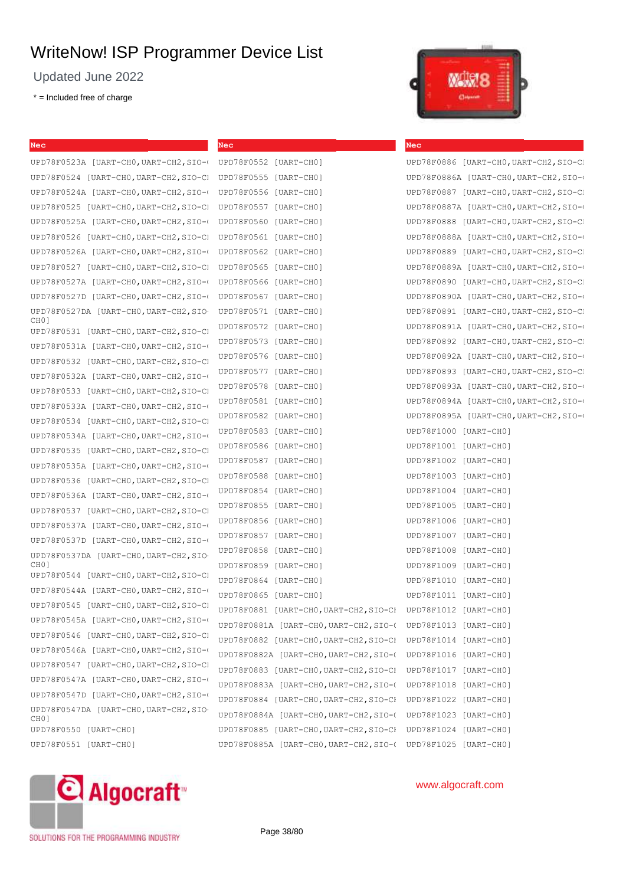Updated June 2022

\* = Included free of charge

| Nec                                                          | <b>Nec</b>                                                   | <b>Nec</b>                             |
|--------------------------------------------------------------|--------------------------------------------------------------|----------------------------------------|
| UPD78F0523A [UART-CHO,UART-CH2, SIO-0 UPD78F0552 [UART-CHO]  |                                                              | UPD78F0886 [UART-CHO, UART-CH2, SIO-CI |
| UPD78F0524 [UART-CHO, UART-CH2, SIO-C] UPD78F0555 [UART-CHO] |                                                              | UPD78F0886A [UART-CHO, UART-CH2, SIO-0 |
| UPD78F0524A [UART-CHO,UART-CH2, SIO-0 UPD78F0556 [UART-CHO]  |                                                              | UPD78F0887 [UART-CHO, UART-CH2, SIO-CI |
| UPD78F0525 [UART-CHO, UART-CH2, SIO-C] UPD78F0557 [UART-CHO] |                                                              | UPD78F0887A [UART-CHO, UART-CH2, SIO-0 |
| UPD78F0525A [UART-CHO, UART-CH2, SIO-( UPD78F0560 [UART-CHO] |                                                              | UPD78F0888 [UART-CHO, UART-CH2, SIO-CI |
| UPD78F0526 [UART-CHO, UART-CH2, SIO-C] UPD78F0561 [UART-CHO] |                                                              | UPD78F0888A [UART-CHO, UART-CH2, SIO-0 |
| UPD78F0526A [UART-CHO, UART-CH2, SIO-0                       | UPD78F0562 [UART-CHO]                                        | UPD78F0889 [UART-CHO, UART-CH2, SIO-CI |
| UPD78F0527 [UART-CHO, UART-CH2, SIO-CI                       | UPD78F0565 [UART-CHO]                                        | UPD78F0889A [UART-CHO, UART-CH2, SIO-0 |
| UPD78F0527A [UART-CHO, UART-CH2, SIO-0                       | UPD78F0566 [UART-CHO]                                        | UPD78F0890 [UART-CHO, UART-CH2, SIO-CI |
| UPD78F0527D [UART-CHO, UART-CH2, SIO-0                       | UPD78F0567 [UART-CH0]                                        | UPD78F0890A [UART-CHO, UART-CH2, SIO-0 |
| UPD78F0527DA [UART-CHO, UART-CH2, SIO                        | UPD78F0571 [UART-CHO]                                        | UPD78F0891 [UART-CHO, UART-CH2, SIO-CI |
| CH <sub>0</sub> 1<br>UPD78F0531 [UART-CHO, UART-CH2, SIO-CI  | UPD78F0572 [UART-CHO]                                        | UPD78F0891A [UART-CHO, UART-CH2, SIO-0 |
| UPD78F0531A [UART-CHO, UART-CH2, SIO-0                       | UPD78F0573 [UART-CH0]                                        | UPD78F0892 [UART-CHO, UART-CH2, SIO-CI |
| UPD78F0532 [UART-CHO, UART-CH2, SIO-CI                       | UPD78F0576 [UART-CHO]                                        | UPD78F0892A [UART-CHO, UART-CH2, SIO-0 |
| UPD78F0532A [UART-CHO, UART-CH2, SIO-0                       | UPD78F0577 [UART-CHO]                                        | UPD78F0893 [UART-CHO, UART-CH2, SIO-CI |
| UPD78F0533 [UART-CHO, UART-CH2, SIO-CI                       | UPD78F0578 [UART-CH0]                                        | UPD78F0893A [UART-CHO, UART-CH2, SIO-0 |
| UPD78F0533A [UART-CHO, UART-CH2, SIO-0                       | UPD78F0581 [UART-CHO]                                        | UPD78F0894A [UART-CHO, UART-CH2, SIO-0 |
| UPD78F0534 [UART-CHO, UART-CH2, SIO-CI                       | UPD78F0582 [UART-CHO]                                        | UPD78F0895A [UART-CHO, UART-CH2, SIO-0 |
| UPD78F0534A [UART-CHO, UART-CH2, SIO-0                       | UPD78F0583 [UART-CHO]                                        | UPD78F1000 [UART-CH0]                  |
| UPD78F0535 [UART-CHO, UART-CH2, SIO-CI                       | UPD78F0586 [UART-CH0]                                        | UPD78F1001 [UART-CH0]                  |
| UPD78F0535A [UART-CHO, UART-CH2, SIO-0                       | UPD78F0587 [UART-CHO]                                        | UPD78F1002 [UART-CH0]                  |
| UPD78F0536 [UART-CHO, UART-CH2, SIO-CI                       | UPD78F0588 [UART-CHO]                                        | UPD78F1003 [UART-CHO]                  |
| UPD78F0536A [UART-CHO, UART-CH2, SIO-0                       | UPD78F0854 [UART-CHO]                                        | UPD78F1004 [UART-CH0]                  |
| UPD78F0537 [UART-CHO, UART-CH2, SIO-CI                       | UPD78F0855 [UART-CHO]                                        | UPD78F1005 [UART-CH0]                  |
| UPD78F0537A [UART-CHO, UART-CH2, SIO-0                       | UPD78F0856 [UART-CHO]                                        | UPD78F1006 [UART-CH0]                  |
| UPD78F0537D [UART-CHO, UART-CH2, SIO-0                       | UPD78F0857 [UART-CHO]                                        | UPD78F1007 [UART-CHO]                  |
| UPD78F0537DA [UART-CHO, UART-CH2, SIO                        | UPD78F0858 [UART-CHO]                                        | UPD78F1008 [UART-CH0]                  |
| CH <sub>0</sub> ]                                            | UPD78F0859 [UART-CH0]                                        | UPD78F1009 [UART-CHO]                  |
| UPD78F0544 [UART-CHO, UART-CH2, SIO-CI                       | UPD78F0864 [UART-CHO]                                        | UPD78F1010 [UART-CH0]                  |
| UPD78F0544A [UART-CHO, UART-CH2, SIO-0                       | UPD78F0865 [UART-CHO]                                        | UPD78F1011 [UART-CHO]                  |
| UPD78F0545 [UART-CHO, UART-CH2, SIO-CI                       | UPD78F0881 [UART-CHO,UART-CH2,SIO-CI UPD78F1012 [UART-CHO]   |                                        |
| UPD78F0545A [UART-CHO, UART-CH2, SIO-0                       | UPD78F0881A [UART-CHO, UART-CH2, SIO-( UPD78F1013 [UART-CHO] |                                        |
| UPD78F0546 [UART-CHO, UART-CH2, SIO-CI                       | UPD78F0882 [UART-CHO, UART-CH2, SIO-CI UPD78F1014 [UART-CHO] |                                        |
| UPD78F0546A [UART-CHO, UART-CH2, SIO-0                       | UPD78F0882A [UART-CHO, UART-CH2, SIO-( UPD78F1016 [UART-CHO] |                                        |
| UPD78F0547 [UART-CHO, UART-CH2, SIO-CI                       | UPD78F0883 [UART-CHO,UART-CH2, SIO-CH UPD78F1017 [UART-CHO]  |                                        |
| UPD78F0547A [UART-CHO, UART-CH2, SIO-0                       | UPD78F0883A [UART-CHO, UART-CH2, SIO-( UPD78F1018 [UART-CHO] |                                        |
| UPD78F0547D [UART-CHO, UART-CH2, SIO-0                       | UPD78F0884 [UART-CHO,UART-CH2, SIO-CH UPD78F1022 [UART-CHO]  |                                        |
| UPD78F0547DA [UART-CHO, UART-CH2, SIO                        | UPD78F0884A [UART-CHO, UART-CH2, SIO-( UPD78F1023 [UART-CHO] |                                        |
| CH <sub>0</sub> ]<br>UPD78F0550 [UART-CHO]                   | UPD78F0885 [UART-CHO, UART-CH2, SIO-CI UPD78F1024 [UART-CHO] |                                        |
| UPD78F0551 [UART-CH0]                                        | UPD78F0885A [UART-CHO, UART-CH2, SIO-( UPD78F1025 [UART-CHO] |                                        |
|                                                              |                                                              |                                        |



## www.algocraft.com

**Multer gr** 

SOLUTIONS FOR THE PROGRAMMING INDUSTRY

Page 38/80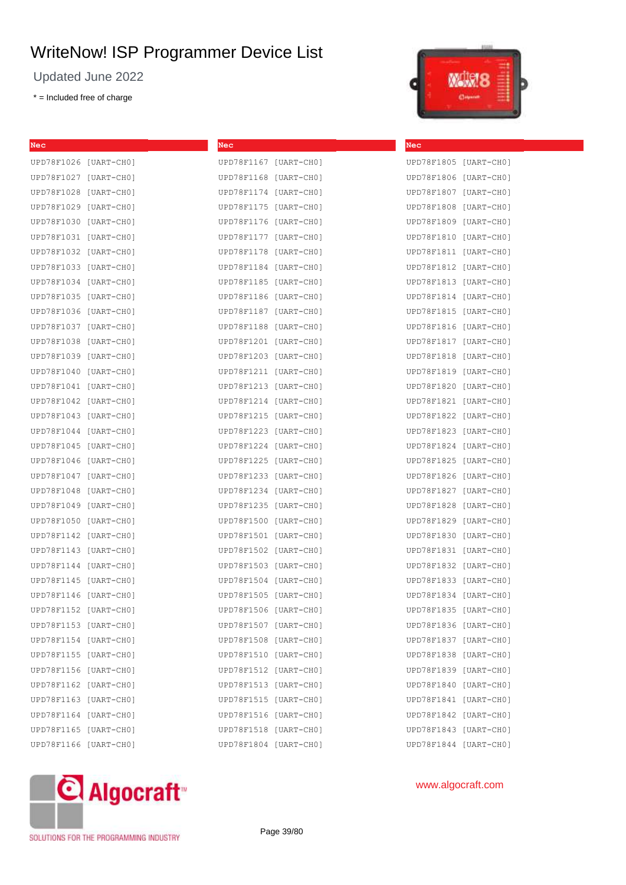Updated June 2022

\* = Included free of charge



| <b>Nec</b>            | Nec                   | Nec                   |
|-----------------------|-----------------------|-----------------------|
| UPD78F1026 [UART-CHO] | UPD78F1167 [UART-CHO] | UPD78F1805 [UART-CHO] |
| UPD78F1027 [UART-CH0] | UPD78F1168 [UART-CHO] | UPD78F1806 [UART-CH0] |
| UPD78F1028 [UART-CHO] | UPD78F1174 [UART-CHO] | UPD78F1807 [UART-CHO] |
| UPD78F1029 [UART-CHO] | UPD78F1175 [UART-CHO] | UPD78F1808 [UART-CHO] |
| UPD78F1030 [UART-CH0] | UPD78F1176 [UART-CHO] | UPD78F1809 [UART-CH0] |
| UPD78F1031 [UART-CH0] | UPD78F1177 [UART-CHO] | UPD78F1810 [UART-CHO] |
| UPD78F1032 [UART-CHO] | UPD78F1178 [UART-CHO] | UPD78F1811 [UART-CHO] |
| UPD78F1033 [UART-CH0] | UPD78F1184 [UART-CHO] | UPD78F1812 [UART-CHO] |
| UPD78F1034 [UART-CH0] | UPD78F1185 [UART-CHO] | UPD78F1813 [UART-CHO] |
| UPD78F1035 [UART-CH0] | UPD78F1186 [UART-CHO] | UPD78F1814 [UART-CHO] |
| UPD78F1036 [UART-CHO] | UPD78F1187 [UART-CHO] | UPD78F1815 [UART-CHO] |
| UPD78F1037 [UART-CH0] | UPD78F1188 [UART-CHO] | UPD78F1816 [UART-CHO] |
| UPD78F1038 [UART-CHO] | UPD78F1201 [UART-CH0] | UPD78F1817 [UART-CHO] |
| UPD78F1039 [UART-CHO] | UPD78F1203 [UART-CH0] | UPD78F1818 [UART-CHO] |
| UPD78F1040 [UART-CHO] | UPD78F1211 [UART-CHO] | UPD78F1819 [UART-CHO] |
| UPD78F1041 [UART-CHO] | UPD78F1213 [UART-CHO] | UPD78F1820 [UART-CHO] |
| UPD78F1042 [UART-CHO] | UPD78F1214 [UART-CHO] | UPD78F1821 [UART-CH0] |
| UPD78F1043 [UART-CHO] | UPD78F1215 [UART-CHO] | UPD78F1822 [UART-CHO] |
| UPD78F1044 [UART-CHO] | UPD78F1223 [UART-CHO] | UPD78F1823 [UART-CHO] |
| UPD78F1045 [UART-CHO] | UPD78F1224 [UART-CHO] | UPD78F1824 [UART-CHO] |
| UPD78F1046 [UART-CHO] | UPD78F1225 [UART-CHO] | UPD78F1825 [UART-CHO] |
| UPD78F1047 [UART-CHO] | UPD78F1233 [UART-CHO] | UPD78F1826 [UART-CHO] |
| UPD78F1048 [UART-CHO] | UPD78F1234 [UART-CHO] | UPD78F1827 [UART-CHO] |
| UPD78F1049 [UART-CHO] | UPD78F1235 [UART-CHO] | UPD78F1828 [UART-CHO] |
| UPD78F1050 [UART-CHO] | UPD78F1500 [UART-CH0] | UPD78F1829 [UART-CHO] |
| UPD78F1142 [UART-CHO] | UPD78F1501 [UART-CH0] | UPD78F1830 [UART-CHO] |
| UPD78F1143 [UART-CHO] | UPD78F1502 [UART-CH0] | UPD78F1831 [UART-CH0] |
| UPD78F1144 [UART-CHO] | UPD78F1503 [UART-CHO] | UPD78F1832 [UART-CHO] |
| UPD78F1145 [UART-CHO] | UPD78F1504 [UART-CHO] | UPD78F1833 [UART-CHO] |
| UPD78F1146 [UART-CHO] | UPD78F1505 [UART-CHO] | UPD78F1834 [UART-CHO] |
| UPD78F1152 [UART-CHO] | UPD78F1506 [UART-CH0] | UPD78F1835 [UART-CHO] |
| UPD78F1153 [UART-CHO] | UPD78F1507 [UART-CH0] | UPD78F1836 [UART-CH0] |
| UPD78F1154 [UART-CHO] |                       |                       |
| UPD78F1155 [UART-CHO] | UPD78F1510 [UART-CH0] | UPD78F1838 [UART-CH0] |
| UPD78F1156 [UART-CHO] | UPD78F1512 [UART-CHO] | UPD78F1839 [UART-CH0] |
| UPD78F1162 [UART-CHO] | UPD78F1513 [UART-CH0] | UPD78F1840 [UART-CHO] |
| UPD78F1163 [UART-CHO] | UPD78F1515 [UART-CHO] | UPD78F1841 [UART-CHO] |
| UPD78F1164 [UART-CHO] | UPD78F1516 [UART-CHO] | UPD78F1842 [UART-CHO] |
| UPD78F1165 [UART-CHO] | UPD78F1518 [UART-CH0] | UPD78F1843 [UART-CH0] |
| UPD78F1166 [UART-CHO] | UPD78F1804 [UART-CH0] | UPD78F1844 [UART-CHO] |



## www.algocraft.com

SOLUTIONS FOR THE PROGRAMMING INDUSTRY

Page 39/80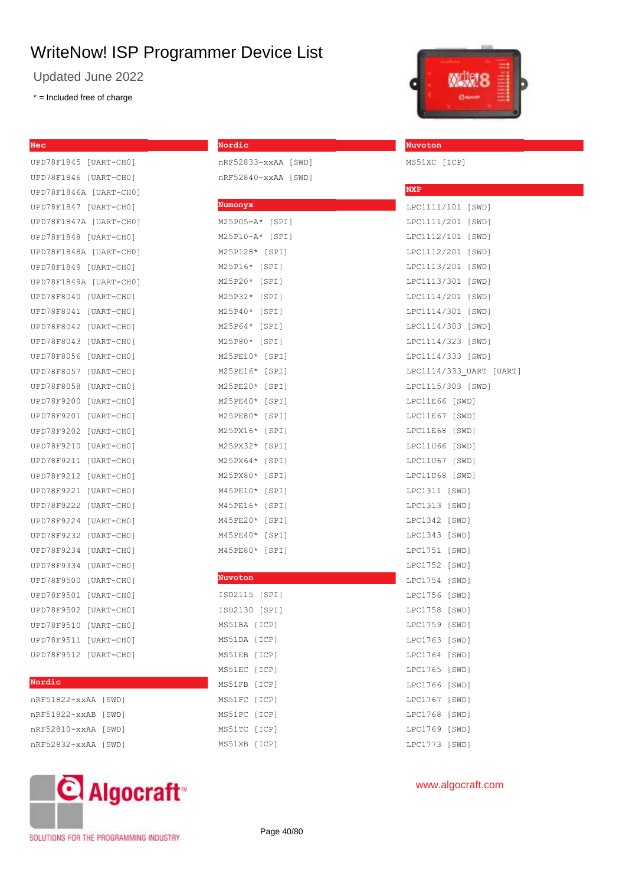Updated June 2022

\* = Included free of charge

**Nec**

| UPD78F1845             | [UART-CHO]   |
|------------------------|--------------|
| UPD78F1846             | $[UART-CHO]$ |
| UPD78F1846A [UART-CHO] |              |
| UPD78F1847             | [UART-CHO]   |
| UPD78F1847A            | [UART-CHO]   |
| UPD78F1848             | [UART-CHO]   |
| UPD78F1848A            | [UART-CHO]   |
| UPD78F1849             | [UART-CHO]   |
| UPD78F1849A            | [UART-CHO]   |
| UPD78F8040             | [UART-CH0]   |
| UPD78F8041             | [UART-CHO]   |
| UPD78F8042             | [UART-CHO]   |
| UPD78F8043             | [UART-CHO]   |
| UPD78F8056             | [UART-CHO]   |
| UPD78F8057             | [UART-CHO]   |
| UPD78F8058             | [UART-CHO]   |
| UPD78F9200             | [UART-CHO]   |
| UPD78F9201             | [UART-CHO]   |
| UPD78F9202             | [UART-CH0]   |
| UPD78F9210             | [UART-CHO]   |
| UPD78F9211             | [UART-CHO]   |
| UPD78F9212             | [UART-CHO]   |
| UPD78F9221             | [UART-CHO]   |
| UPD78F9222             | [UART-CHO]   |
| UPD78F9224             | [UART-CHO]   |
| UPD78F9232             | [UART-CH0]   |
| UPD78F9234             | [UART-CHO]   |
| UPD78F9334             | [UART-CHO]   |
| UPD78F9500             | [UART-CHO]   |
| UPD78F9501             | [UART-CHO]   |
| UPD78F9502             | [UART-CHO]   |
| UPD78F9510             | [UART-CHO]   |
| UPD78F9511             | [UART-CHO]   |
| UPD78F9512             | [UART-CHO]   |
|                        |              |

#### **Nordic**

| nRF51822-xxAA [SWD] |  |
|---------------------|--|
| nRF51822-xxAB [SWD] |  |
| nRF52810-xxAA [SWD] |  |
| nRF52832-xxAA [SWD] |  |



**Nordic**

nRF52833-xxAA [SWD] nRF52840-xxAA [SWD]

| Numonyx                 |
|-------------------------|
| M25P05-A* [SPI]         |
| M25P10-A* [SPI]         |
| M25P128* [SPI]          |
| M25P16* [SPI]           |
| M25P20* [SPI]           |
| M25P32* [SPI]           |
| M25P40* [SPI]           |
| M25P64* [SPI]           |
| M25P80* [SPI]           |
| M25PE10* [SPI]          |
| M25PE16* [SPI]          |
| M25PE20* [SPI]          |
| M25PE40*<br>[SPI]       |
| M25PE80*<br>[SPI]       |
| M25PX16*<br>[SPI]       |
| M25PX32*<br>[SPI]       |
| M25PX64*<br>[SPI]       |
| M25PX80*<br>$[$ SPI $]$ |
| M45PE10*<br>[SPI]       |
| M45PE16*<br>[SPI]       |
| M45PE20*<br>[SPI]       |
| M45PE40*<br>[SPI]       |
| M45PE80*<br>[SPI]       |
|                         |
| Nuvoton                 |

| ISD2115 [SPI] |       |
|---------------|-------|
| ISD2130 [SPI] |       |
| MS51BA [ICP]  |       |
| MS51DA [ICP]  |       |
| MS51EB [ICP]  |       |
| MS51EC [ICP]  |       |
| MS51FB [ICP]  |       |
| MS51FC [ICP]  |       |
| MS51PC        | [ICP] |
| MS51TC        | [ICP] |
| MS51XB        | [ICP] |



#### **Nuvoton**

MS51XC [ICP]

| <b>NXP</b>              |       |  |
|-------------------------|-------|--|
| LPC1111/101 [SWD]       |       |  |
| LPC1111/201 [SWD]       |       |  |
| LPC1112/101 [SWD]       |       |  |
| LPC1112/201 [SWD]       |       |  |
| LPC1113/201 [SWD]       |       |  |
| LPC1113/301 [SWD]       |       |  |
| LPC1114/201 [SWD]       |       |  |
| LPC1114/301 [SWD]       |       |  |
| LPC1114/303 [SWD]       |       |  |
| LPC1114/323 [SWD]       |       |  |
| LPC1114/333 [SWD]       |       |  |
| LPC1114/333 UART [UART] |       |  |
| LPC1115/303 [SWD]       |       |  |
| LPC11E66 [SWD]          |       |  |
| LPC11E67 [SWD]          |       |  |
| LPC11E68 [SWD]          |       |  |
| LPC11U66 [SWD]          |       |  |
| LPC11U67 [SWD]          |       |  |
| LPC11U68 [SWD]          |       |  |
| LPC1311 [SWD]           |       |  |
| LPC1313 [SWD]           |       |  |
| LPC1342                 | [SWD] |  |
| LPC1343                 | [SWD] |  |
| LPC1751                 | [SWD] |  |
| LPC1752                 | [SWD] |  |
| LPC1754                 | [SWD] |  |
| LPC1756                 | [SWD] |  |
| LPC1758                 | [SWD] |  |
| LPC1759                 | [SWD] |  |
| LPC1763 [SWD]           |       |  |
| LPC1764                 | [SWD] |  |
| LPC1765                 | [SWD] |  |
| LPC1766                 | [SWD] |  |
| LPC1767                 | [SWD] |  |
| LPC1768                 | [SWD] |  |
| LPC1769                 | [SWD] |  |
| LPC1773                 | [SWD] |  |

## www.algocraft.com

SOLUTIONS FOR THE PROGRAMMING INDUSTRY

Page 40/80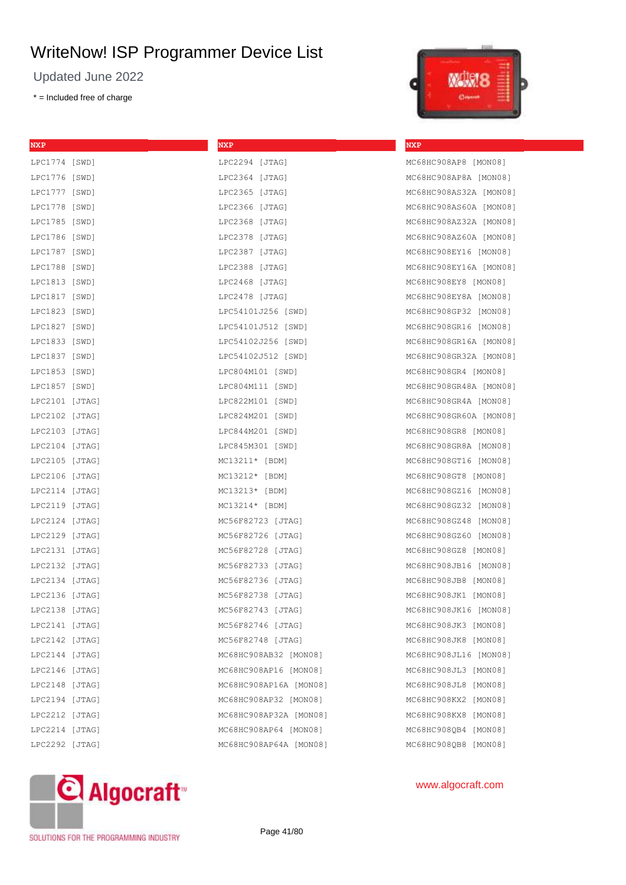Updated June 2022

\* = Included free of charge

**NXP**

| <b>NXP</b>     | <b>NXP</b>             |
|----------------|------------------------|
| LPC1774 [SWD]  | LPC2294 [JTAG]         |
| LPC1776 [SWD]  | LPC2364 [JTAG]         |
| LPC1777 [SWD]  | LPC2365 [JTAG]         |
| LPC1778 [SWD]  | LPC2366 [JTAG]         |
| LPC1785 [SWD]  | LPC2368 [JTAG]         |
| LPC1786 [SWD]  | LPC2378 [JTAG]         |
| LPC1787 [SWD]  | LPC2387 [JTAG]         |
| LPC1788 [SWD]  | LPC2388 [JTAG]         |
| LPC1813 [SWD]  | LPC2468 [JTAG]         |
| LPC1817 [SWD]  | LPC2478 [JTAG]         |
| LPC1823 [SWD]  | LPC54101J256 [SWD]     |
| LPC1827 [SWD]  | LPC54101J512 [SWD]     |
| LPC1833 [SWD]  | LPC54102J256 [SWD]     |
| LPC1837 [SWD]  | LPC54102J512 [SWD]     |
| LPC1853 [SWD]  | LPC804M101 [SWD]       |
| LPC1857 [SWD]  | LPC804M111 [SWD]       |
| LPC2101 [JTAG] | LPC822M101 [SWD]       |
| LPC2102 [JTAG] | LPC824M201 [SWD]       |
| LPC2103 [JTAG] | LPC844M201 [SWD]       |
| LPC2104 [JTAG] | LPC845M301 [SWD]       |
| LPC2105 [JTAG] | $MC13211* [BDM]$       |
| LPC2106 [JTAG] | $MC13212* [BDM]$       |
| LPC2114 [JTAG] | $MC13213* [BDM]$       |
| LPC2119 [JTAG] | $MC13214* [BDM]$       |
| LPC2124 [JTAG] | MC56F82723 [JTAG]      |
| LPC2129 [JTAG] | MC56F82726 [JTAG]      |
| LPC2131 [JTAG] | MC56F82728 [JTAG]      |
| LPC2132 [JTAG] | MC56F82733 [JTAG]      |
| LPC2134 [JTAG] | MC56F82736 [JTAG]      |
| LPC2136 [JTAG] | MC56F82738 [JTAG]      |
| LPC2138 [JTAG] | MC56F82743 [JTAG]      |
| LPC2141 [JTAG] | MC56F82746 [JTAG]      |
| LPC2142 [JTAG] | MC56F82748 [JTAG]      |
| LPC2144 [JTAG] | MC68HC908AB32 [MON08]  |
| LPC2146 [JTAG] | MC68HC908AP16 [MON08]  |
| LPC2148 [JTAG] | MC68HC908AP16A [MON08] |
| LPC2194 [JTAG] | MC68HC908AP32 [MON08]  |
| LPC2212 [JTAG] | MC68HC908AP32A [MON08] |
| LPC2214 [JTAG] | MC68HC908AP64 [MON08]  |
| LPC2292 [JTAG] | MC68HC908AP64A [MON08] |



**NXP**

## MC68HC908AP8 [MON08] MC68HC908AP8A [MON08] MC68HC908AS32A [MON08] MC68HC908AS60A [MON08] MC68HC908AZ32A [MON08] MC68HC908AZ60A [MON08] MC68HC908EY16 [MON08] MC68HC908EY16A [MON08] MC68HC908EY8 [MON08] MC68HC908EY8A [MON08] MC68HC908GP32 [MON08] MC68HC908GR16 [MON08] MC68HC908GR16A [MON08] MC68HC908GR32A [MON08] MC68HC908GR4 [MON08] MC68HC908GR48A [MON08] MC68HC908GR4A [MON08] MC68HC908GR60A [MON08] MC68HC908GR8 [MON08] MC68HC908GR8A [MON08] MC68HC908GT16 [MON08] MC68HC908GT8 [MON08] MC68HC908GZ16 [MON08] MC68HC908GZ32 [MON08] MC68HC908GZ48 [MON08] MC68HC908GZ60 [MON08] MC68HC908GZ8 [MON08] MC68HC908JB16 [MON08] MC68HC908JB8 [MON08] MC68HC908JK1 [MON08] MC68HC908JK16 [MON08] MC68HC908JK3 [MON08] MC68HC908JK8 [MON08] MC68HC908JL16 [MON08] MC68HC908JL3 [MON08] MC68HC908JL8 [MON08] MC68HC908KX2 [MON08] MC68HC908KX8 [MON08] MC68HC908QB4 [MON08] MC68HC908OB8 [MON08]



#### www.algocraft.com

SOLUTIONS FOR THE PROGRAMMING INDUSTRY

Page 41/80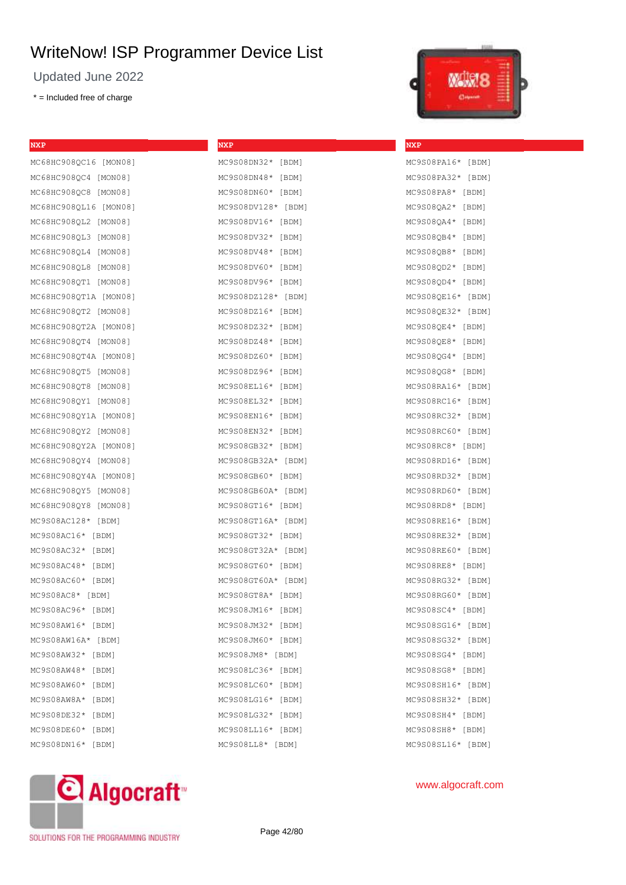Updated June 2022

\* = Included free of charge

| <b>LESS</b>                                            |  |
|--------------------------------------------------------|--|
| ٠<br>-<br>ـ<br>-<br>-<br>ـ<br><b>All May</b><br>-<br>- |  |

MC9S08PA16\* [BDM] MC9S08PA32\* [BDM] MC9S08PA8\* [BDM] MC9S08QA2\* [BDM] MC9S08QA4\* [BDM] MC9S08QB4\* [BDM] MC9S08QB8\* [BDM] MC9S08QD2\* [BDM] MC9S08QD4\* [BDM] MC9S08QE16\* [BDM] MC9S08QE32\* [BDM] MC9S08QE4\* [BDM] MC9S08QE8\* [BDM] MC9S08QG4\* [BDM] MC9S08QG8\* [BDM] MC9S08RA16\* [BDM] MC9S08RC16\* [BDM] MC9S08RC32\* [BDM] MC9S08RC60\* [BDM] MC9S08RC8\* [BDM] MC9S08RD16\* [BDM] MC9S08RD32\* [BDM] MC9S08RD60\* [BDM] MC9S08RD8\* [BDM] MC9S08RE16\* [BDM] MC9S08RE32\* [BDM] MC9S08RE60\* [BDM] MC9S08RE8\* [BDM] MC9S08RG32\* [BDM] MC9S08RG60\* [BDM] MC9S08SC4\* [BDM] MC9S08SG16\* [BDM] MC9S08SG32\* [BDM] MC9S08SG4\* [BDM] MC9S08SG8\* [BDM] MC9S08SH16\* [BDM] MC9S08SH32\* [BDM] MC9S08SH4\* [BDM] MC9S08SH8\* [BDM] MC9S08SL16\* [BDM]

**NXP**

| NXP                   | <b>NXP</b>         |
|-----------------------|--------------------|
| MC68HC908QC16 [MON08] | MC9S08DN32* [BDM]  |
| MC68HC908OC4 [MON08]  | MC9S08DN48* [BDM]  |
| MC68HC908QC8 [MON08]  | MC9S08DN60* [BDM]  |
| MC68HC908QL16 [MON08] | MC9S08DV128* [BDM] |
| MC68HC908QL2 [MON08]  | MC9S08DV16* [BDM]  |
| MC68HC908QL3 [MON08]  | MC9S08DV32* [BDM]  |
| MC68HC908QL4 [MON08]  | MC9S08DV48* [BDM]  |
| MC68HC908QL8 [MON08]  | MC9S08DV60* [BDM]  |
| MC68HC908OT1 [MON08]  | MC9S08DV96* [BDM]  |
| MC68HC908QT1A [MON08] | MC9S08DZ128* [BDM] |
| MC68HC908QT2 [MON08]  | MC9S08DZ16* [BDM]  |
| MC68HC908QT2A [MON08] | MC9S08DZ32* [BDM]  |
| MC68HC908QT4 [MON08]  | MC9S08DZ48* [BDM]  |
| MC68HC908OT4A [MON08] | MC9S08DZ60* [BDM]  |
| MC68HC908QT5 [MON08]  | MC9S08DZ96* [BDM]  |
| MC68HC908QT8 [MON08]  | MC9S08EL16* [BDM]  |
| MC68HC908OY1 [MON08]  | MC9S08EL32* [BDM]  |
| MC68HC908QY1A [MON08] | MC9S08EN16* [BDM]  |
| MC68HC908QY2 [MON08]  | MC9S08EN32* [BDM]  |
| MC68HC908OY2A [MON08] | MC9S08GB32* [BDM]  |
| MC68HC908QY4 [MON08]  | MC9S08GB32A* [BDM] |
| MC68HC908QY4A [MON08] | MC9S08GB60* [BDM]  |
| MC68HC908QY5 [MON08]  | MC9S08GB60A* [BDM] |
| MC68HC908QY8 [MON08]  | MC9S08GT16* [BDM]  |
| MC9S08AC128* [BDM]    | MC9S08GT16A* [BDM] |
| MC9S08AC16* [BDM]     | MC9S08GT32* [BDM]  |
| MC9S08AC32* [BDM]     | MC9S08GT32A* [BDM] |
| MC9S08AC48* [BDM]     | MC9S08GT60* [BDM]  |
| MC9S08AC60* [BDM]     | MC9S08GT60A* [BDM] |
| MC9S08AC8* [BDM]      | MC9S08GT8A* [BDM]  |
| MC9S08AC96* [BDM]     | MC9S08JM16* [BDM]  |
| MC9S08AW16* [BDM]     | MC9S08JM32* [BDM]  |
| MC9S08AW16A* [BDM]    | MC9S08JM60* [BDM]  |
| MC9S08AW32* [BDM]     | MC9S08JM8* [BDM]   |
| MC9S08AW48* [BDM]     | MC9S08LC36* [BDM]  |
| MC9S08AW60* [BDM]     | MC9S08LC60* [BDM]  |
| MC9S08AW8A* [BDM]     | MC9S08LG16* [BDM]  |
| MC9S08DE32* [BDM]     | MC9S08LG32* [BDM]  |
| MC9S08DE60* [BDM]     | MC9S08LL16* [BDM]  |
| MC9S08DN16* [BDM]     | MC9S08LL8* [BDM]   |



SOLUTIONS FOR THE PROGRAMMING INDUSTRY

Page 42/80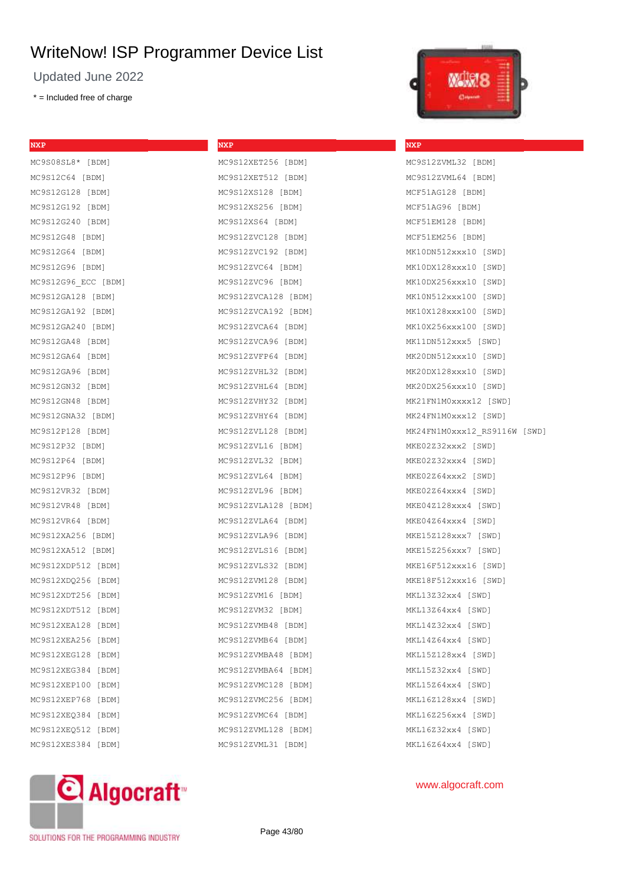**NXP**

MC9S12VET256 [BDM]

Updated June 2022

\* = Included free of charge

**NXP**

| MC9S08SL8* [BDM]      |
|-----------------------|
| MC9S12C64 [BDM]       |
| MC9S12G128 [BDM]      |
| MC9S12G192 [BDM]      |
| MC9S12G240 [BDM]      |
| MC9S12G48 [BDM]       |
| MC9S12G64 [BDM]       |
| MC9S12G96 [BDM]       |
| MC9S12G96 ECC [BDM]   |
| MC9S12GA128 [BDM]     |
| MC9S12GA192 [BDM]     |
| MC9S12GA240 [BDM]     |
| MC9S12GA48 [BDM]      |
| MC9S12GA64 [BDM]      |
| MC9S12GA96 [BDM]      |
| MC9S12GN32 [BDM]      |
| MC9S12GN48 [BDM]      |
| MC9S12GNA32 [BDM]     |
| MC9S12P128 [BDM]      |
| MC9S12P32 [BDM]       |
| MC9S12P64 [BDM]       |
| MC9S12P96 [BDM]       |
| MC9S12VR32 [BDM]      |
| MC9S12VR48 [BDM]      |
| MC9S12VR64 [BDM]      |
| MC9S12XA256 [BDM]     |
| MC9S12XA512 [BDM]     |
| MC9S12XDP512 [BDM]    |
| MC9S12XDQ256 [BDM]    |
| MC9S12XDT256 [BDM]    |
| MC9S12XDT512 [BDM]    |
| MC9S12XEA128<br>[BDM] |
| MC9S12XEA256<br>[BDM] |
| MC9S12XEG128<br>[BDM] |
| MC9S12XEG384<br>[BDM] |
| MC9S12XEP100<br>[BDM] |
| MC9S12XEP768<br>[BDM] |
| MC9S12XEQ384<br>[BDM] |
| MC9S12XEQ512<br>[BDM] |
| MC9S12XES384<br>[BDM] |
|                       |

| ه د سنده.<br>$\sim$ $\sim$<br><b>L-</b> |
|-----------------------------------------|
| MC9S12XET512 [BDM]                      |
| MC9S12XS128 [BDM]                       |
| MC9S12XS256 [BDM]                       |
| MC9S12XS64 [BDM]                        |
| MC9S12ZVC128 [BDM]                      |
| MC9S12ZVC192 [BDM]                      |
| MC9S12ZVC64 [BDM]                       |
| MC9S12ZVC96 [BDM]                       |
| MC9S12ZVCA128 [BDM]                     |
| MC9S12ZVCA192 [BDM]                     |
| MC9S12ZVCA64 [BDM]                      |
| MC9S12ZVCA96 [BDM]                      |
| MC9S12ZVFP64 [BDM]                      |
| MC9S12ZVHL32 [BDM]                      |
| MC9S12ZVHL64 [BDM]                      |
| MC9S12ZVHY32 [BDM]                      |
| MC9S12ZVHY64 [BDM]                      |
| MC9S12ZVL128 [BDM]                      |
| MC9S12ZVL16 [BDM]                       |
| MC9S12ZVL32 [BDM]                       |
| MC9S12ZVL64 [BDM]                       |
| MC9S12ZVL96 [BDM]                       |
| MC9S12ZVLA128 [BDM]                     |
| MC9S12ZVLA64 [BDM]                      |
| MC9S12ZVLA96 [BDM]                      |
| MC9S12ZVLS16 [BDM]                      |
| MC9S12ZVLS32 [BDM]                      |
| MC9S12ZVM128 [BDM]                      |
| MC9S12ZVM16 [BDM]                       |
| MC9S12ZVM32 [BDM]                       |
| MC9S12ZVMB48 [BDM]                      |
| MC9S12ZVMB64 [BDM]                      |
| MC9S12ZVMBA48 [BDM]                     |
| MC9S12ZVMBA64 [BDM]                     |
| MC9S12ZVMC128 [BDM]                     |
| MC9S12ZVMC256 [BDM]                     |
| MC9S12ZVMC64 [BDM]                      |
| MC9S12ZVML128 [BDM]                     |
| MC9S12ZVML31 [BDM]                      |



#### **NXP**

MC9S12ZVML32 [BDM] MC9S12ZVML64 [BDM] MCF51AG128 [BDM] MCF51AG96 [BDM] MCF51EM128 [BDM] MCF51EM256 [BDM] MK10DN512xxx10 [SWD] MK10DX128xxx10 [SWD] MK10DX256xxx10 [SWD] MK10N512xxx100 [SWD] MK10X128xxx100 [SWD] MK10X256xxx100 [SWD] MK11DN512xxx5 [SWD] MK20DN512xxx10 [SWD] MK20DX128xxx10 [SWD] MK20DX256xxx10 [SWD] MK21FN1M0xxxx12 [SWD] MK24FN1M0xxx12 [SWD] MK24FN1M0xxx12\_RS9116W [SWD] MKE02Z32xxx2 [SWD] MKE02Z32xxx4 [SWD] MKE02Z64xxx2 [SWD] MKE02Z64xxx4 [SWD] MKE04Z128xxx4 [SWD] MKE04Z64xxx4 [SWD] MKE15Z128xxx7 [SWD] MKE15Z256xxx7 [SWD] MKE16F512xxx16 [SWD] MKE18F512xxx16 [SWD] MKL13Z32xx4 [SWD] MKL13Z64xx4 [SWD] MKL14Z32xx4 [SWD] MKL14Z64xx4 [SWD] MKL15Z128xx4 [SWD] MKL15Z32xx4 [SWD] MKL15Z64xx4 [SWD] MKL16Z128xx4 [SWD] MKL16Z256xx4 [SWD] MKL16Z32xx4 [SWD] MKL16Z64xx4 [SWD]



## www.algocraft.com

SOLUTIONS FOR THE PROGRAMMING INDUSTRY

Page 43/80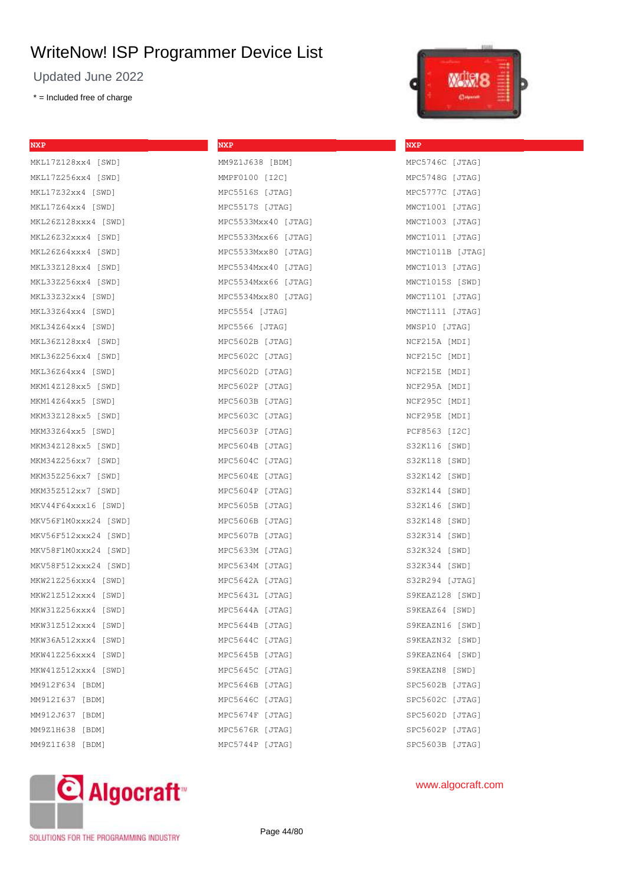Updated June 2022

\* = Included free of charge

**NXP**

| 1,139.9                                                         |  |
|-----------------------------------------------------------------|--|
| ٠<br>-<br>ـ<br>-<br>-<br>٠<br><b>Alley</b><br>-<br>-<br>التحقية |  |

**NXP**

MPC5746C [JTAG] MPC5748G [JTAG] MPC5777C [JTAG] MWCT1001 [JTAG] MWCT1003 [JTAG] MWCT1011 [JTAG] MWCT1011B [JTAG] MWCT1013 [JTAG] MWCT1015S [SWD] MWCT1101 [JTAG] MWCT1111 [JTAG] MWSP10 [JTAG] NCF215A [MDI] NCF215C [MDI] NCF215E [MDI] NCF295A [MDI] NCF295C [MDI] NCF295E [MDI] PCF8563 [I2C] S32K116 [SWD] S32K118 [SWD] S32K142 [SWD] S32K144 [SWD] S32K146 [SWD] S32K148 [SWD] S32K314 [SWD] S32K324 [SWD] S32K344 [SWD] S32R294 [JTAG] S9KEAZ128 [SWD] S9KEAZ64 [SWD] S9KEAZN16 [SWD] S9KEAZN32 [SWD] S9KEAZN64 [SWD] S9KEAZN8 [SWD] SPC5602B [JTAG] SPC5602C [JTAG] SPC5602D [JTAG] SPC5602P [JTAG] SPC5603B [JTAG]

| <b>NXP</b>           | NXP                 |
|----------------------|---------------------|
| MKL17Z128xx4 [SWD]   | MM9Z1J638 [BDM]     |
| MKL17Z256xx4 [SWD]   | MMPF0100 [I2C]      |
| MKL17Z32xx4 [SWD]    | MPC5516S [JTAG]     |
| MKL17Z64xx4 [SWD]    | MPC5517S [JTAG]     |
| MKL26Z128xxx4 [SWD]  | MPC5533Mxx40 [JTAG] |
| MKL26Z32xxx4 [SWD]   | MPC5533Mxx66 [JTAG] |
| MKL26Z64xxx4 [SWD]   | MPC5533Mxx80 [JTAG] |
| MKL33Z128xx4 [SWD]   | MPC5534Mxx40 [JTAG] |
| MKL33Z256xx4 [SWD]   | MPC5534Mxx66 [JTAG] |
| MKL33Z32xx4 [SWD]    | MPC5534Mxx80 [JTAG] |
| MKL33Z64xx4 [SWD]    | MPC5554 [JTAG]      |
| MKL34Z64xx4 [SWD]    | MPC5566 [JTAG]      |
| MKL36Z128xx4 [SWD]   | MPC5602B [JTAG]     |
| MKL36Z256xx4 [SWD]   | MPC5602C [JTAG]     |
| MKL36Z64xx4 [SWD]    | MPC5602D [JTAG]     |
| MKM14Z128xx5 [SWD]   | MPC5602P [JTAG]     |
| MKM14Z64xx5 [SWD]    | MPC5603B [JTAG]     |
| MKM33Z128xx5 [SWD]   | MPC5603C [JTAG]     |
| MKM33Z64xx5 [SWD]    | MPC5603P [JTAG]     |
| MKM34Z128xx5 [SWD]   | MPC5604B [JTAG]     |
| MKM34Z256xx7 [SWD]   | MPC5604C [JTAG]     |
| MKM35Z256xx7 [SWD]   | MPC5604E [JTAG]     |
| MKM35Z512xx7 [SWD]   | MPC5604P [JTAG]     |
| MKV44F64xxx16 [SWD]  | MPC5605B [JTAG]     |
| MKV56F1M0xxx24 [SWD] | MPC5606B [JTAG]     |
| MKV56F512xxx24 [SWD] | MPC5607B [JTAG]     |
| MKV58F1M0xxx24 [SWD] | MPC5633M [JTAG]     |
| MKV58F512xxx24 [SWD] | MPC5634M [JTAG]     |
| MKW21Z256xxx4 [SWD]  | MPC5642A [JTAG]     |
| MKW21Z512xxx4 [SWD]  | MPC5643L [JTAG]     |
| MKW31Z256xxx4 [SWD]  | MPC5644A [JTAG]     |
| MKW31Z512xxx4 [SWD]  | MPC5644B [JTAG]     |
| MKW36A512xxx4 [SWD]  | MPC5644C [JTAG]     |
| MKW41Z256xxx4 [SWD]  | MPC5645B [JTAG]     |
| MKW41Z512xxx4 [SWD]  | MPC5645C [JTAG]     |
| MM912F634 [BDM]      | MPC5646B [JTAG]     |
| MM912I637 [BDM]      | MPC5646C [JTAG]     |
| MM912J637 [BDM]      | MPC5674F [JTAG]     |
| MM9Z1H638 [BDM]      | MPC5676R [JTAG]     |
| MM9Z1I638 [BDM]      | MPC5744P [JTAG]     |
|                      |                     |



## www.algocraft.com

SOLUTIONS FOR THE PROGRAMMING INDUSTRY

Page 44/80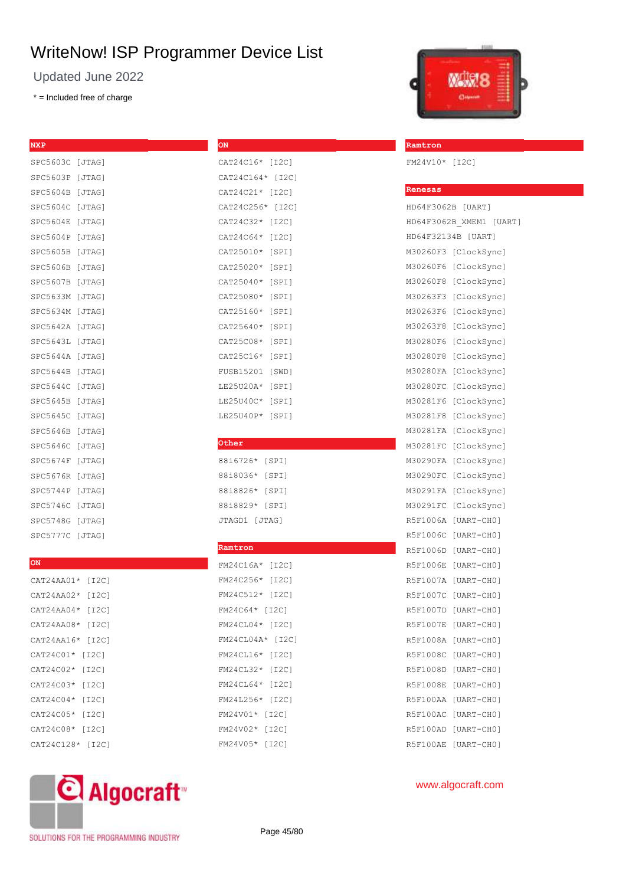**ON**

Updated June 2022

\* = Included free of charge

## **NXP**

| SPC5603C [JTAG] |        |
|-----------------|--------|
| SPC5603P        | [JTAG] |
| SPC5604B [JTAG] |        |
| SPC5604C        | [JTAG] |
| SPC5604E        | [JTAG] |
| SPC5604P        | [JTAG] |
| <b>SPC5605B</b> | [JTAG] |
| SPC5606B        | [JTAG] |
| SPC5607B        | [JTAG] |
| SPC5633M        | [JTAG] |
| SPC5634M        | [JTAG] |
| SPC5642A        | [JTAG] |
| SPC5643L        | [JTAG] |
| SPC5644A        | [JTAG] |
| SPC5644B [JTAG] |        |
| SPC5644C        | [JTAG] |
| SPC5645B        | [JTAG] |
| SPC5645C        | [JTAG] |
| SPC5646B        | [JTAG] |
| SPC5646C        | [JTAG] |
| SPC5674F        | [JTAG] |
| SPC5676R        | [JTAG] |
| SPC5744P        | [JTAG] |
| SPC5746C        | [JTAG] |
| SPC5748G        | [JTAG] |
| <b>SPC5777C</b> | [JTAG] |

| CAT24AA01*   | [I2C] |
|--------------|-------|
| CAT24AA02*   | [I2C] |
| $CAT24AA04*$ | [I2C] |
| CAT24AA08*   | [I2C] |
| CAT24AA16*   | [I2C] |
| $CAT24C01*$  | [I2C] |
| $CAT24C02*$  | [I2C] |
| $CAT24C03*$  | [I2C] |
| $CAT24C04*$  | [I2C] |
| $CAT24C05*$  | [I2C] |
| $CAT24C08*$  | [I2C] |
| CAT24C128*   | [I2C] |

**ON**



| CAT24C16* [I2C]  |             |
|------------------|-------------|
| CAT24C164* [I2C] |             |
| CAT24C21* [I2C]  |             |
| CAT24C256*       | [12C]       |
| CAT24C32*        | [12C]       |
| CAT24C64*        | [I2C]       |
| CAT25010* [SPI]  |             |
| CAT25020* [SPI]  |             |
| CAT25040* [SPI]  |             |
| CAT25080*        | [SPI]       |
| CAT25160*        | [SPI]       |
| CAT25640*        | $[$ SPI $]$ |
| CAT25C08*        | $[$ SPI $]$ |
| CAT25C16*        | [SPI]       |
| <b>FUSB15201</b> | [SWD]       |
| LE25U20A* [SPI]  |             |
| LE25U40C* [SPI]  |             |
| LE25U40P*        | [SPI]       |

## **Other**

| 88i6726* | [SPI]  |
|----------|--------|
| 8818036* | [SPI]  |
| 8818826* | [SPI]  |
| 8818829* | [SPI]  |
| JTAGD1   | [JTAG] |

#### **Ramtron**

| FM24C16A* [I2C]  |       |
|------------------|-------|
| FM24C256* [I2C]  |       |
| FM24C512* [I2C]  |       |
| FM24C64* [I2C]   |       |
| FM24CL04* [I2C]  |       |
| FM24CL04A* [I2C] |       |
| FM24CL16* [I2C]  |       |
| FM24CL32* [I2C]  |       |
| FM24CL64* [I2C]  |       |
| FM24L256*        | [12C] |
| FM24V01* [I2C]   |       |
| FM24V02*         | [12C] |
| FM24V05*         | [I2C] |



## **Ramtron**

FM24V10\* [I2C]

#### **Renesas**

| HD64F3062B [UART] |                         |
|-------------------|-------------------------|
|                   | HD64F3062B_XMEM1 [UART] |
|                   | HD64F32134B [UART]      |
|                   | M30260F3 [ClockSync]    |
| M30260F6          | [ClockSync]             |
|                   | M30260F8 [ClockSync]    |
|                   | M30263F3 [ClockSync]    |
|                   | M30263F6 [ClockSync]    |
|                   | M30263F8 [ClockSync]    |
|                   | M30280F6 [ClockSync]    |
| M30280F8          | [ClockSync]             |
| M30280FA          | [ClockSync]             |
| M30280FC          | [ClockSync]             |
| M30281F6          | [ClockSync]             |
| M30281F8          | [ClockSync]             |
| M30281FA          | [ClockSync]             |
| M30281FC          | [ClockSync]             |
| M30290FA          | [ClockSync]             |
| M30290FC          | [ClockSync]             |
| M30291FA          | [ClockSync]             |
| M30291FC          | [ClockSync]             |
| R5F1006A          | $[UART-CHO]$            |
| R5F1006C          | [UART-CHO]              |
| R5F1006D          | $[UART-CHO]$            |
| R5F1006E          | $[UART-CHO]$            |
| R5F1007A          | [UART-CHO]              |
| R5F1007C          | [UART-CHO]              |
| R5F1007D          | $[UART-CHO]$            |
| R5F1007E          | $[UART-CHO]$            |
| R5F1008A          | $[UART-CHO]$            |
| R5F1008C          | [UART-CHO]              |
|                   | R5F1008D [UART-CHO]     |
|                   | R5F1008E [UART-CHO]     |
|                   | R5F100AA [UART-CHO]     |
|                   | R5F100AC [UART-CHO]     |
|                   | R5F100AD [UART-CHO]     |
| R5F100AE          | [UART-CHO]              |

## www.algocraft.com

SOLUTIONS FOR THE PROGRAMMING INDUSTRY

Page 45/80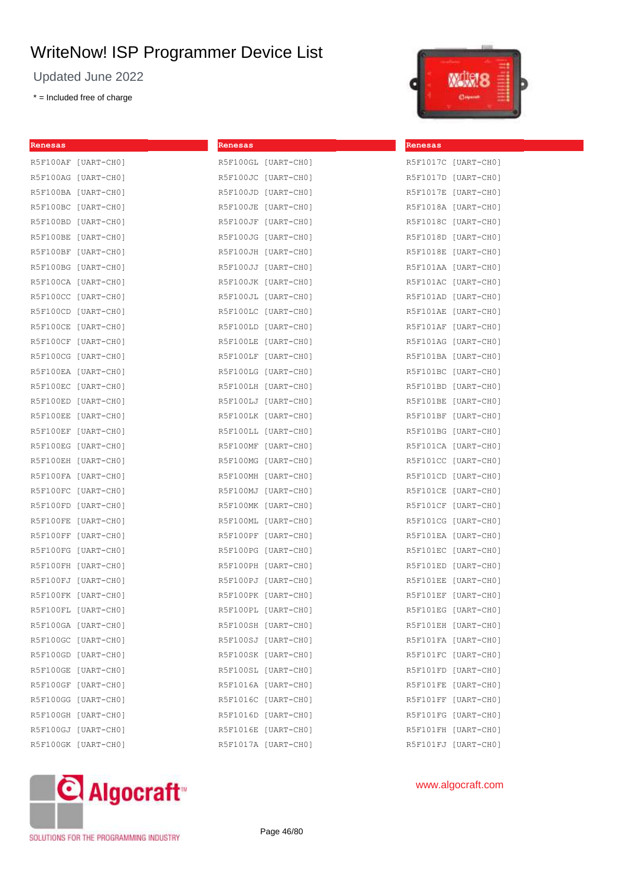Updated June 2022

\* = Included free of charge



[UART-CH0]  $[UART-CH0]$  $[UART-CH0]$  $[UART-CH0]$ [UART-CHO]  $[UART-CH0]$ [UART-CHO]  $[UART-CH0]$  $[UART-CH0]$ [UART-CH0] [UART-CH0] [UART-CHO]  $[UART-CH0]$  $[UART-CH0]$ [UART-CH0] [UART-CHO]  $[UART-CH0]$ [UART-CH0] [UART-CHO]  $[UART-CH0]$  $[UART-CH0]$ [UART-CHO]  $[UART-CH0]$ [UART-CHO] [UART-CH0]  $[UART-CH0]$ [UART-CH0] [UART-CH0]  $[UART-CH0]$  $[UART-CH0]$ [UART-CH0]  $[UART-CH0]$ [UART-CH0]  $[UART-CH0]$ [UART-CH0] [UART-CH0]  $[UART-CH0]$  $[UART-CH0]$  $[UART-CH0]$  $[UART-CH0]$ 

| Renesas |                     | Renesas |                     | Renesas         |
|---------|---------------------|---------|---------------------|-----------------|
|         | R5F100AF [UART-CHO] |         | R5F100GL [UART-CHO] | R5F1017C        |
|         | R5F100AG [UART-CHO] |         | R5F100JC [UART-CHO] | R5F1017D        |
|         | R5F100BA [UART-CHO] |         | R5F100JD [UART-CHO] | R5F1017E        |
|         | R5F100BC [UART-CHO] |         | R5F100JE [UART-CHO] | R5F1018A        |
|         | R5F100BD [UART-CHO] |         | R5F100JF [UART-CHO] | R5F1018C        |
|         | R5F100BE [UART-CHO] |         | R5F100JG [UART-CHO] | R5F1018D        |
|         | R5F100BF [UART-CHO] |         | R5F100JH [UART-CHO] | R5F1018E        |
|         | R5F100BG [UART-CH0] |         | R5F100JJ [UART-CHO] | R5F101AA        |
|         | R5F100CA [UART-CHO] |         | R5F100JK [UART-CHO] | R5F101AC        |
|         | R5F100CC [UART-CHO] |         | R5F100JL [UART-CHO] | R5F101AD        |
|         | R5F100CD [UART-CHO] |         | R5F100LC [UART-CHO] | R5F101AE        |
|         | R5F100CE [UART-CHO] |         | R5F100LD [UART-CHO] | R5F101AF        |
|         | R5F100CF [UART-CHO] |         | R5F100LE [UART-CHO] | R5F101AG        |
|         | R5F100CG [UART-CH0] |         | R5F100LF [UART-CH0] | R5F101BA        |
|         | R5F100EA [UART-CHO] |         | R5F100LG [UART-CH0] | R5F101BC        |
|         | R5F100EC [UART-CHO] |         | R5F100LH [UART-CHO] | R5F101BD        |
|         | R5F100ED [UART-CHO] |         | R5F100LJ [UART-CHO] | R5F101BE        |
|         | R5F100EE [UART-CHO] |         | R5F100LK [UART-CHO] | R5F101BF        |
|         | R5F100EF [UART-CHO] |         | R5F100LL [UART-CHO] | R5F101BG        |
|         | R5F100EG [UART-CHO] |         | R5F100MF [UART-CHO] | <b>R5F101CA</b> |
|         | R5F100EH [UART-CHO] |         | R5F100MG [UART-CH0] | R5F101CC        |
|         | R5F100FA [UART-CHO] |         | R5F100MH [UART-CHO] | R5F101CD        |
|         | R5F100FC [UART-CHO] |         | R5F100MJ [UART-CH0] | R5F101CE        |
|         | R5F100FD [UART-CHO] |         | R5F100MK [UART-CHO] | <b>R5F101CF</b> |
|         | R5F100FE [UART-CHO] |         | R5F100ML [UART-CHO] | <b>R5F101CG</b> |
|         | R5F100FF [UART-CHO] |         | R5F100PF [UART-CHO] | R5F101EA        |
|         | R5F100FG [UART-CHO] |         | R5F100PG [UART-CHO] | R5F101EC        |
|         | R5F100FH [UART-CHO] |         | R5F100PH [UART-CHO] | R5F101ED        |
|         | R5F100FJ [UART-CHO] |         | R5F100PJ [UART-CHO] | R5F101EE        |
|         | R5F100FK [UART-CHO] |         | R5F100PK [UART-CHO] | R5F101EF        |
|         | R5F100FL [UART-CHO] |         | R5F100PL [UART-CH0] | R5F101EG        |
|         | R5F100GA [UART-CH0] |         | R5F100SH [UART-CHO] | R5F101EH        |
|         | R5F100GC [UART-CHO] |         | R5F100SJ [UART-CHO] | R5F101FA        |
|         | R5F100GD [UART-CHO] |         | R5F100SK [UART-CHO] | R5F101FC        |
|         | R5F100GE [UART-CHO] |         | R5F100SL [UART-CHO] | R5F101FD        |
|         | R5F100GF [UART-CHO] |         | R5F1016A [UART-CHO] | R5F101FE        |
|         | R5F100GG [UART-CHO] |         | R5F1016C [UART-CH0] | R5F101FF        |
|         | R5F100GH [UART-CH0] |         | R5F1016D [UART-CHO] | R5F101FG        |
|         | R5F100GJ [UART-CHO] |         | R5F1016E [UART-CHO] | R5F101FH        |
|         | R5F100GK [UART-CH0] |         | R5F1017A [UART-CHO] | R5F101FJ        |



www.algocraft.com

SOLUTIONS FOR THE PROGRAMMING INDUSTRY

Page 46/80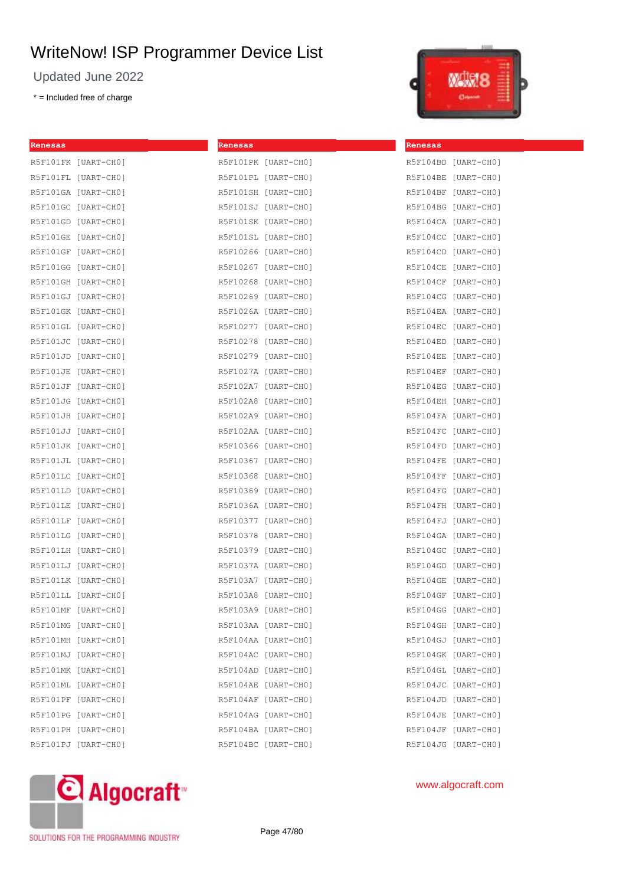Updated June 2022

\* = Included free of charge



| Renesas |                                            | Renesas |                     | Renesas |                     |
|---------|--------------------------------------------|---------|---------------------|---------|---------------------|
|         | R5F101FK [UART-CHO]                        |         | R5F101PK [UART-CHO] |         | R5F104BD [UART-CHO] |
|         | R5F101FL [UART-CHO]                        |         | R5F101PL [UART-CHO] |         | R5F104BE [UART-CHO] |
|         | R5F101GA [UART-CHO]                        |         | R5F101SH [UART-CHO] |         | R5F104BF [UART-CHO] |
|         | R5F101GC [UART-CHO]                        |         | R5F101SJ [UART-CHO] |         | R5F104BG [UART-CHO] |
|         | R5F101GD [UART-CHO]                        |         | R5F101SK [UART-CHO] |         | R5F104CA [UART-CHO] |
|         | R5F101GE [UART-CHO]                        |         | R5F101SL [UART-CHO] |         | R5F104CC [UART-CHO] |
|         | R5F101GF [UART-CHO]                        |         | R5F10266 [UART-CH0] |         | R5F104CD [UART-CHO] |
|         | R5F101GG [UART-CHO]                        |         | R5F10267 [UART-CH0] |         | R5F104CE [UART-CHO] |
|         | R5F101GH [UART-CHO]                        |         | R5F10268 [UART-CH0] |         | R5F104CF [UART-CHO] |
|         | R5F101GJ [UART-CHO]                        |         | R5F10269 [UART-CH0] |         | R5F104CG [UART-CHO] |
|         | R5F101GK [UART-CHO]                        |         | R5F1026A [UART-CHO] |         | R5F104EA [UART-CHO] |
|         | R5F101GL [UART-CHO]                        |         | R5F10277 [UART-CH0] |         | R5F104EC [UART-CHO] |
|         | R5F101JC [UART-CHO]                        |         | R5F10278 [UART-CH0] |         | R5F104ED [UART-CHO] |
|         | R5F101JD [UART-CHO]                        |         | R5F10279 [UART-CH0] |         | R5F104EE [UART-CHO] |
|         | R5F101JE [UART-CHO]                        |         | R5F1027A [UART-CHO] |         | R5F104EF [UART-CHO] |
|         | R5F101JF [UART-CHO]                        |         | R5F102A7 [UART-CHO] |         | R5F104EG [UART-CHO] |
|         | R5F102A8 [UART-CHO]<br>R5F101JG [UART-CHO] |         |                     |         | R5F104EH [UART-CHO] |
|         | R5F101JH [UART-CHO]                        |         | R5F102A9 [UART-CHO] |         | R5F104FA [UART-CHO] |
|         | R5F101JJ [UART-CHO]                        |         | R5F102AA [UART-CHO] |         | R5F104FC [UART-CHO] |
|         | R5F101JK [UART-CHO]                        |         | R5F10366 [UART-CH0] |         | R5F104FD [UART-CHO] |
|         | R5F101JL [UART-CHO]                        |         | R5F10367 [UART-CH0] |         | R5F104FE [UART-CHO] |
|         | R5F10368 [UART-CHO]<br>R5F101LC [UART-CHO] |         | R5F104FF [UART-CHO] |         |                     |
|         | R5F101LD [UART-CHO]                        |         | R5F10369 [UART-CH0] |         | R5F104FG [UART-CHO] |
|         | R5F101LE [UART-CHO]                        |         | R5F1036A [UART-CHO] |         | R5F104FH [UART-CHO] |
|         | R5F101LF [UART-CHO]                        |         | R5F10377 [UART-CH0] |         | R5F104FJ [UART-CHO] |
|         | R5F101LG [UART-CHO]                        |         | R5F10378 [UART-CH0] |         | R5F104GA [UART-CHO] |
|         | R5F101LH [UART-CHO]                        |         | R5F10379 [UART-CH0] |         | R5F104GC [UART-CH0] |
|         | R5F101LJ [UART-CHO]                        |         | R5F1037A [UART-CHO] |         | R5F104GD [UART-CHO] |
|         | R5F101LK [UART-CHO]                        |         | R5F103A7 [UART-CH0] |         | R5F104GE [UART-CH0] |
|         | R5F101LL [UART-CHO]                        |         | R5F103A8 [UART-CHO] |         | R5F104GF [UART-CHO] |
|         | R5F101MF [UART-CHO]<br>R5F103A9 [UART-CHO] |         |                     |         | R5F104GG [UART-CHO] |
|         | R5F101MG [UART-CHO]                        |         | R5F103AA [UART-CHO] |         | R5F104GH [UART-CHO] |
|         | R5F101MH [UART-CHO]                        |         | R5F104AA [UART-CHO] |         | R5F104GJ [UART-CHO] |
|         | R5F101MJ [UART-CHO]                        |         | R5F104AC [UART-CHO] |         | R5F104GK [UART-CHO] |
|         | R5F101MK [UART-CHO]                        |         | R5F104AD [UART-CHO] |         | R5F104GL [UART-CHO] |
|         | R5F101ML [UART-CHO]                        |         | R5F104AE [UART-CHO] |         | R5F104JC [UART-CHO] |
|         | R5F101PF [UART-CHO]                        |         | R5F104AF [UART-CHO] |         | R5F104JD [UART-CHO] |
|         | R5F101PG [UART-CHO]                        |         | R5F104AG [UART-CHO] |         | R5F104JE [UART-CHO] |
|         | R5F101PH [UART-CHO]                        |         | R5F104BA [UART-CHO] |         | R5F104JF [UART-CHO] |
|         | R5F101PJ [UART-CHO]                        |         | R5F104BC [UART-CHO] |         | R5F104JG [UART-CHO] |



## www.algocraft.com

SOLUTIONS FOR THE PROGRAMMING INDUSTRY

Page 47/80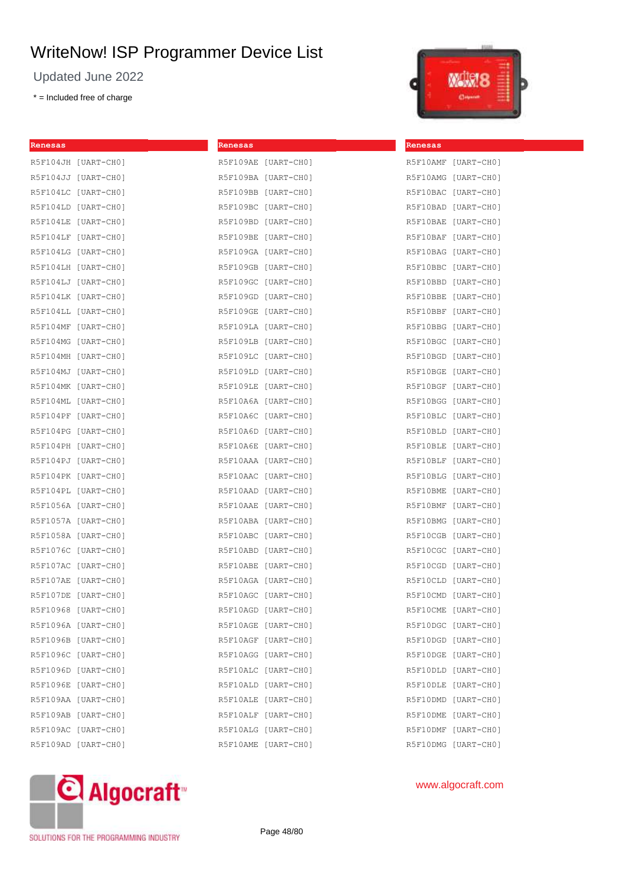Updated June 2022

\* = Included free of charge



| Renesas |                                            | Renesas |                     | Renesas |                     |
|---------|--------------------------------------------|---------|---------------------|---------|---------------------|
|         | R5F104JH [UART-CHO]                        |         | R5F109AE [UART-CHO] |         | R5F10AMF [UART-CHO] |
|         | R5F104JJ [UART-CHO]                        |         | R5F109BA [UART-CHO] |         | R5F10AMG [UART-CHO] |
|         | R5F104LC [UART-CHO]                        |         | R5F109BB [UART-CHO] |         | R5F10BAC [UART-CHO] |
|         | R5F104LD [UART-CHO]                        |         | R5F109BC [UART-CH0] |         | R5F10BAD [UART-CHO] |
|         | R5F104LE [UART-CHO]                        |         | R5F109BD [UART-CHO] |         | R5F10BAE [UART-CHO] |
|         | R5F104LF [UART-CHO]                        |         | R5F109BE [UART-CHO] |         | R5F10BAF [UART-CHO] |
|         | R5F104LG [UART-CHO]                        |         | R5F109GA [UART-CH0] |         | R5F10BAG [UART-CHO] |
|         | R5F104LH [UART-CHO]                        |         | R5F109GB [UART-CH0] |         | R5F10BBC [UART-CHO] |
|         | R5F104LJ [UART-CHO]                        |         | R5F109GC [UART-CH0] |         | R5F10BBD [UART-CHO] |
|         | R5F104LK [UART-CHO]                        |         | R5F109GD [UART-CHO] |         | R5F10BBE [UART-CHO] |
|         | R5F104LL [UART-CHO]                        |         | R5F109GE [UART-CH0] |         | R5F10BBF [UART-CHO] |
|         | R5F104MF [UART-CHO]                        |         | R5F109LA [UART-CH0] |         | R5F10BBG [UART-CHO] |
|         | R5F104MG [UART-CHO]                        |         | R5F109LB [UART-CHO] |         | R5F10BGC [UART-CH0] |
|         | R5F104MH [UART-CHO]                        |         | R5F109LC [UART-CHO] |         | R5F10BGD [UART-CH0] |
|         | R5F104MJ [UART-CHO]                        |         | R5F109LD [UART-CHO] |         | R5F10BGE [UART-CHO] |
|         | R5F104MK [UART-CHO]                        |         | R5F109LE [UART-CHO] |         | R5F10BGF [UART-CHO] |
|         | R5F104ML [UART-CHO]                        |         | R5F10A6A [UART-CH0] |         | R5F10BGG [UART-CH0] |
|         | R5F104PF [UART-CHO]                        |         | R5F10A6C [UART-CH0] |         | R5F10BLC [UART-CHO] |
|         | R5F104PG [UART-CHO]                        |         | R5F10A6D [UART-CHO] |         | R5F10BLD [UART-CHO] |
|         | R5F104PH [UART-CHO]                        |         | R5F10A6E [UART-CHO] |         | R5F10BLE [UART-CHO] |
|         | R5F104PJ [UART-CHO]                        |         | R5F10AAA [UART-CHO] |         | R5F10BLF [UART-CHO] |
|         | R5F10AAC [UART-CHO]<br>R5F104PK [UART-CHO] |         |                     |         | R5F10BLG [UART-CHO] |
|         | R5F104PL [UART-CHO]                        |         | R5F10AAD [UART-CH0] |         | R5F10BME [UART-CHO] |
|         | R5F1056A [UART-CHO]                        |         | R5F10AAE [UART-CHO] |         | R5F10BMF [UART-CHO] |
|         | R5F1057A [UART-CHO]                        |         | R5F10ABA [UART-CH0] |         | R5F10BMG [UART-CHO] |
|         | R5F1058A [UART-CHO]                        |         | R5F10ABC [UART-CHO] |         | R5F10CGB [UART-CHO] |
|         | R5F1076C [UART-CHO]                        |         | R5F10ABD [UART-CH0] |         | R5F10CGC [UART-CHO] |
|         | R5F107AC [UART-CHO]                        |         | R5F10ABE [UART-CH0] |         | R5F10CGD [UART-CH0] |
|         | R5F107AE [UART-CHO]                        |         | R5F10AGA [UART-CH0] |         | R5F10CLD [UART-CHO] |
|         | R5F107DE [UART-CHO]                        |         | R5F10AGC [UART-CH0] |         | R5F10CMD [UART-CHO] |
|         | R5F10968 [UART-CH0]<br>R5F10AGD [UART-CHO] |         |                     |         | R5F10CME [UART-CHO] |
|         | R5F1096A [UART-CHO]                        |         | R5F10AGE [UART-CH0] |         | R5F10DGC [UART-CH0] |
|         | R5F1096B [UART-CHO]                        |         | R5F10AGF [UART-CH0] |         | R5F10DGD [UART-CH0] |
|         | R5F1096C [UART-CHO]                        |         | R5F10AGG [UART-CH0] |         | R5F10DGE [UART-CH0] |
|         | R5F1096D [UART-CHO]                        |         | R5F10ALC [UART-CHO] |         | R5F10DLD [UART-CHO] |
|         | R5F1096E [UART-CHO]                        |         | R5F10ALD [UART-CHO] |         | R5F10DLE [UART-CHO] |
|         | R5F109AA [UART-CHO]                        |         | R5F10ALE [UART-CHO] |         | R5F10DMD [UART-CHO] |
|         | R5F109AB [UART-CHO]                        |         | R5F10ALF [UART-CH0] |         | R5F10DME [UART-CHO] |
|         | R5F109AC [UART-CH0]                        |         | R5F10ALG [UART-CH0] |         | R5F10DMF [UART-CH0] |
|         | R5F109AD [UART-CHO]                        |         | R5F10AME [UART-CHO] |         | R5F10DMG [UART-CHO] |



www.algocraft.com

SOLUTIONS FOR THE PROGRAMMING INDUSTRY

Page 48/80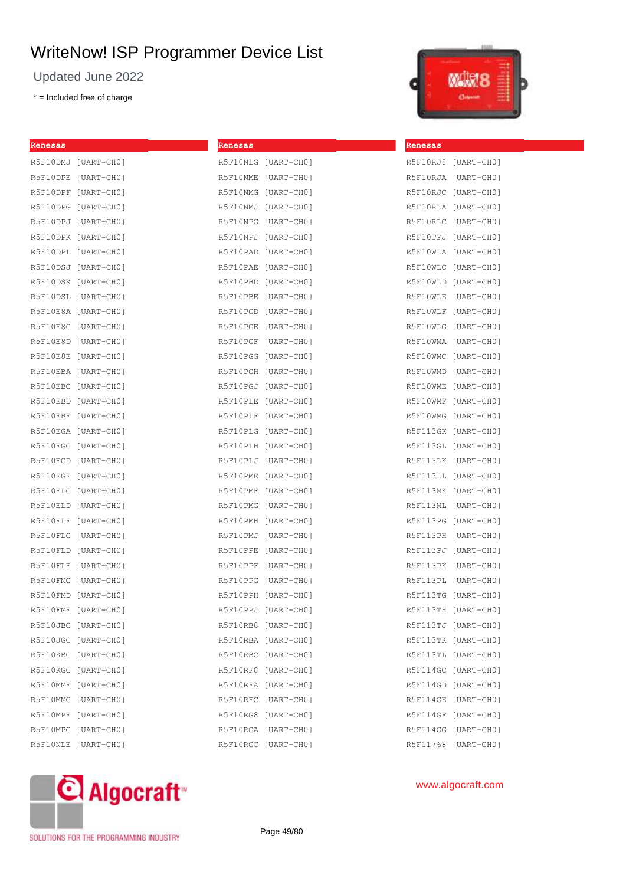Updated June 2022

\* = Included free of charge



| Renesas |                     | Renesas             |                     | Renesas |                     |
|---------|---------------------|---------------------|---------------------|---------|---------------------|
|         | R5F10DMJ [UART-CHO] | R5F10NLG [UART-CHO] |                     |         | R5F10RJ8 [UART-CHO] |
|         | R5F10DPE [UART-CHO] | R5F10NME [UART-CHO] |                     |         | R5F10RJA [UART-CHO] |
|         | R5F10DPF [UART-CHO] | R5F10NMG [UART-CHO] |                     |         | R5F10RJC [UART-CHO] |
|         | R5F10DPG [UART-CH0] | R5F10NMJ [UART-CH0] |                     |         | R5F10RLA [UART-CHO] |
|         | R5F10DPJ [UART-CH0] | R5F10NPG [UART-CH0] |                     |         | R5F10RLC [UART-CHO] |
|         | R5F10DPK [UART-CH0] | R5F10NPJ [UART-CH0] |                     |         | R5F10TPJ [UART-CHO] |
|         | R5F10DPL [UART-CHO] | R5F10PAD [UART-CHO] |                     |         | R5F10WLA [UART-CHO] |
|         | R5F10DSJ [UART-CH0] | R5F10PAE [UART-CHO] |                     |         | R5F10WLC [UART-CHO] |
|         | R5F10DSK [UART-CH0] | R5F10PBD [UART-CHO] |                     |         | R5F10WLD [UART-CHO] |
|         | R5F10DSL [UART-CHO] | R5F10PBE [UART-CHO] |                     |         | R5F10WLE [UART-CHO] |
|         | R5F10E8A [UART-CHO] | R5F10PGD [UART-CHO] |                     |         | R5F10WLF [UART-CHO] |
|         | R5F10E8C [UART-CHO] | R5F10PGE [UART-CH0] |                     |         | R5F10WLG [UART-CHO] |
|         | R5F10E8D [UART-CHO] | R5F10PGF [UART-CH0] |                     |         | R5F10WMA [UART-CHO] |
|         | R5F10E8E [UART-CHO] | R5F10PGG [UART-CH0] |                     |         | R5F10WMC [UART-CHO] |
|         | R5F10EBA [UART-CHO] | R5F10PGH [UART-CHO] |                     |         | R5F10WMD [UART-CHO] |
|         | R5F10EBC [UART-CHO] | R5F10PGJ [UART-CHO] |                     |         | R5F10WME [UART-CHO] |
|         | R5F10EBD [UART-CHO] | R5F10PLE [UART-CH0] |                     |         | R5F10WMF [UART-CHO] |
|         | R5F10EBE [UART-CHO] | R5F10PLF [UART-CH0] |                     |         | R5F10WMG [UART-CH0] |
|         | R5F10EGA [UART-CHO] | R5F10PLG [UART-CHO] |                     |         | R5F113GK [UART-CHO] |
|         | R5F10EGC [UART-CHO] | R5F10PLH [UART-CHO] |                     |         | R5F113GL [UART-CHO] |
|         | R5F10EGD [UART-CHO] | R5F10PLJ [UART-CHO] |                     |         | R5F113LK [UART-CHO] |
|         | R5F10EGE [UART-CHO] | R5F10PME [UART-CHO] |                     |         | R5F113LL [UART-CHO] |
|         | R5F10ELC [UART-CHO] | R5F10PMF [UART-CH0] |                     |         | R5F113MK [UART-CHO] |
|         | R5F10ELD [UART-CHO] | R5F10PMG [UART-CHO] |                     |         | R5F113ML [UART-CHO] |
|         | R5F10ELE [UART-CHO] | R5F10PMH [UART-CHO] |                     |         | R5F113PG [UART-CHO] |
|         | R5F10FLC [UART-CHO] | R5F10PMJ [UART-CHO] |                     |         | R5F113PH [UART-CHO] |
|         | R5F10FLD [UART-CHO] | R5F10PPE [UART-CHO] |                     |         | R5F113PJ [UART-CHO] |
|         | R5F10FLE [UART-CHO] | R5F10PPF [UART-CH0] |                     |         | R5F113PK [UART-CHO] |
|         | R5F10FMC [UART-CHO] | R5F10PPG [UART-CH0] |                     |         | R5F113PL [UART-CHO] |
|         | R5F10FMD [UART-CHO] | R5F10PPH [UART-CHO] |                     |         | R5F113TG [UART-CHO] |
|         | R5F10FME [UART-CHO] |                     | R5F10PPJ [UART-CHO] |         | R5F113TH [UART-CHO] |
|         | R5F10JBC [UART-CHO] | R5F10RB8 [UART-CHO] |                     |         | R5F113TJ [UART-CHO] |
|         | R5F10JGC [UART-CHO] | R5F10RBA [UART-CHO] |                     |         | R5F113TK [UART-CHO] |
|         | R5F10KBC [UART-CHO] | R5F10RBC [UART-CHO] |                     |         | R5F113TL [UART-CHO] |
|         | R5F10KGC [UART-CHO] | R5F10RF8 [UART-CHO] |                     |         | R5F114GC [UART-CHO] |
|         | R5F10MME [UART-CHO] | R5F10RFA [UART-CHO] |                     |         | R5F114GD [UART-CHO] |
|         | R5F10MMG [UART-CHO] | R5F10RFC [UART-CH0] |                     |         | R5F114GE [UART-CHO] |
|         | R5F10MPE [UART-CHO] | R5F10RG8 [UART-CH0] |                     |         | R5F114GF [UART-CHO] |
|         | R5F10MPG [UART-CHO] | R5F10RGA [UART-CH0] |                     |         | R5F114GG [UART-CHO] |
|         | R5F10NLE [UART-CHO] | R5F10RGC [UART-CH0] |                     |         | R5F11768 [UART-CHO] |
|         |                     |                     |                     |         |                     |



SOLUTIONS FOR THE PROGRAMMING INDUSTRY

Page 49/80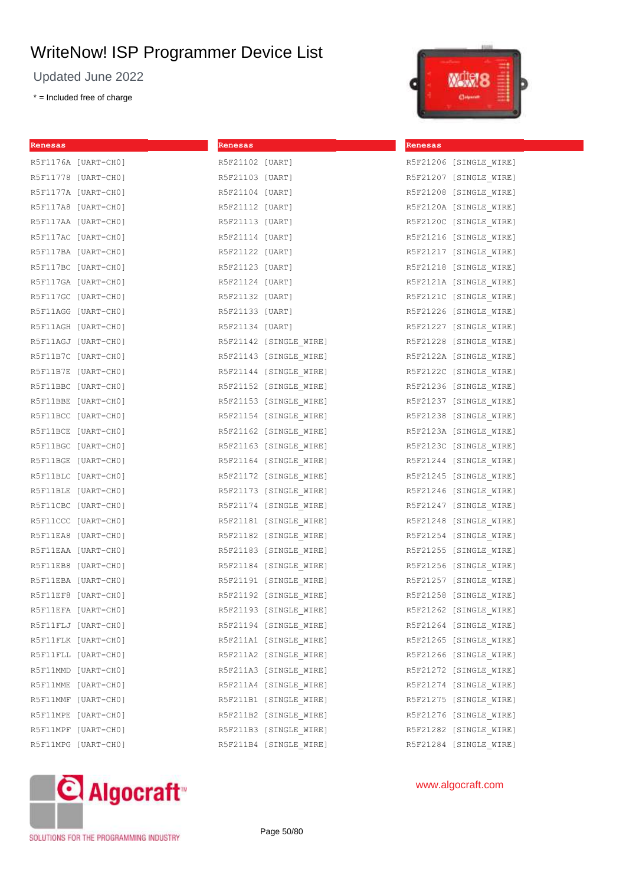Updated June 2022

\* = Included free of charge



| <u> 1990 - Jan Jawa</u><br>Renesas | Renesas                                                       | Renesas                |
|------------------------------------|---------------------------------------------------------------|------------------------|
| R5F1176A [UART-CHO]                | R5F21102 [UART]                                               | R5F21206 [SINGLE_WIRE] |
| R5F11778 [UART-CH0]                | R5F21103 [UART]                                               | R5F21207 [SINGLE WIRE] |
| R5F1177A [UART-CHO]                | R5F21104 [UART]                                               | R5F21208 [SINGLE WIRE] |
| R5F117A8 [UART-CHO]                | R5F21112 [UART]                                               | R5F2120A [SINGLE WIRE] |
| R5F117AA [UART-CHO]                | R5F21113 [UART]                                               | R5F2120C [SINGLE WIRE] |
| R5F117AC [UART-CH0]                | R5F21114 [UART]                                               | R5F21216 [SINGLE WIRE] |
| R5F117BA [UART-CHO]                | R5F21122 [UART]                                               | R5F21217 [SINGLE WIRE] |
| R5F117BC [UART-CH0]                | R5F21123 [UART]                                               | R5F21218 [SINGLE WIRE] |
| R5F117GA [UART-CH0]                | R5F21124 [UART]                                               | R5F2121A [SINGLE_WIRE] |
| R5F117GC [UART-CH0]                | R5F21132 [UART]                                               | R5F2121C [SINGLE WIRE] |
| R5F11AGG [UART-CH0]                | R5F21133 [UART]                                               | R5F21226 [SINGLE WIRE] |
| R5F11AGH [UART-CHO]                | R5F21134 [UART]                                               | R5F21227 [SINGLE WIRE] |
| R5F11AGJ [UART-CH0]                | R5F21142 [SINGLE_WIRE]                                        | R5F21228 [SINGLE WIRE] |
| R5F11B7C [UART-CH0]                |                                                               |                        |
| R5F11B7E [UART-CHO]                | R5F21144 [SINGLE_WIRE] R5F2122C [SINGLE_WIRE]                 |                        |
| R5F11BBC [UART-CH0]                | R5F21152 [SINGLE_WIRE]                                        | R5F21236 [SINGLE WIRE] |
| R5F11BBE [UART-CH0]                |                                                               |                        |
| R5F11BCC [UART-CH0]                | R5F21154 [SINGLE WIRE] R5F21238 [SINGLE WIRE]                 |                        |
| R5F11BCE [UART-CH0]                | R5F21162 [SINGLE_WIRE]                 R5F2123A [SINGLE_WIRE] |                        |
| R5F11BGC [UART-CH0]                | R5F21163 [SINGLE_WIRE] R5F2123C [SINGLE_WIRE]                 |                        |
| R5F11BGE [UART-CH0]                | R5F21164 [SINGLE WIRE]                                        | R5F21244 [SINGLE WIRE] |
| R5F11BLC [UART-CH0]                |                                                               |                        |
| R5F11BLE [UART-CHO]                |                                                               |                        |
| R5F11CBC [UART-CH0]                | R5F21174 [SINGLE WIRE]                                        | R5F21247 [SINGLE WIRE] |
| R5F11CCC [UART-CH0]                |                                                               |                        |
| R5F11EA8 [UART-CHO]                | R5F21182 [SINGLE WIRE] R5F21254 [SINGLE WIRE]                 |                        |
| R5F11EAA [UART-CHO]                | R5F21183 [SINGLE_WIRE]                                        | R5F21255 [SINGLE WIRE] |
| R5F11EB8 [UART-CH0]                |                                                               |                        |
| R5F11EBA [UART-CHO]                | R5F21191 [SINGLE WIRE]                                        | R5F21257 [SINGLE WIRE] |
| R5F11EF8 [UART-CHO]                |                                                               |                        |
| R5F11EFA [UART-CHO]                | R5F21193 [SINGLE WIRE]                                        | R5F21262 [SINGLE WIRE] |
| R5F11FLJ [UART-CHO]                | R5F21194 [SINGLE_WIRE]                                        | R5F21264 [SINGLE WIRE] |
| R5F11FLK [UART-CHO]                | R5F211A1 [SINGLE WIRE] R5F21265 [SINGLE WIRE]                 |                        |
| R5F11FLL [UART-CHO]                | R5F211A2 [SINGLE WIRE] R5F21266 [SINGLE WIRE]                 |                        |
| R5F11MMD [UART-CH0]                | R5F211A3 [SINGLE_WIRE]                                        | R5F21272 [SINGLE WIRE] |
| R5F11MME [UART-CHO]                | R5F211A4 [SINGLE WIRE] R5F21274 [SINGLE WIRE]                 |                        |
| R5F11MMF [UART-CH0]                | R5F211B1 [SINGLE WIRE]                                        | R5F21275 [SINGLE WIRE] |
| R5F11MPE [UART-CHO]                | R5F211B2 [SINGLE WIRE]                                        | R5F21276 [SINGLE WIRE] |
| R5F11MPF [UART-CH0]                | R5F211B3 [SINGLE WIRE]                                        | R5F21282 [SINGLE WIRE] |
| R5F11MPG [UART-CH0]                | R5F211B4 [SINGLE WIRE]                                        | R5F21284 [SINGLE WIRE] |



www.algocraft.com

SOLUTIONS FOR THE PROGRAMMING INDUSTRY

Page 50/80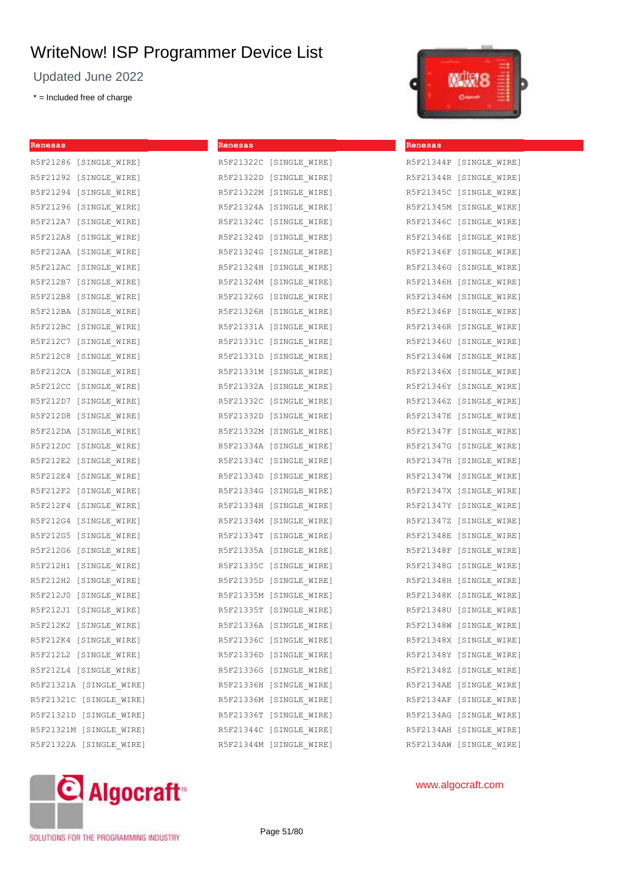Updated June 2022

\* = Included free of charge



| Renesas                 | Renesas                 | Renesas                 |
|-------------------------|-------------------------|-------------------------|
| R5F21286 [SINGLE WIRE]  | R5F21322C [SINGLE_WIRE] | R5F21344P [SINGLE WIRE] |
| R5F21292 [SINGLE WIRE]  | R5F21322D [SINGLE WIRE] | R5F21344R [SINGLE WIRE] |
| R5F21294 [SINGLE WIRE]  | R5F21322M [SINGLE WIRE] | R5F21345C [SINGLE WIRE] |
| R5F21296 [SINGLE WIRE]  | R5F21324A [SINGLE WIRE] | R5F21345M [SINGLE WIRE] |
| R5F212A7 [SINGLE WIRE]  | R5F21324C [SINGLE WIRE] | R5F21346C [SINGLE WIRE] |
| R5F212A8 [SINGLE WIRE]  | R5F21324D [SINGLE WIRE] | R5F21346E [SINGLE WIRE] |
| R5F212AA [SINGLE WIRE]  | R5F21324G [SINGLE WIRE] | R5F21346F [SINGLE WIRE] |
| R5F212AC [SINGLE WIRE]  | R5F21324H [SINGLE WIRE] | R5F21346G [SINGLE WIRE] |
| R5F212B7 [SINGLE WIRE]  | R5F21324M [SINGLE WIRE] | R5F21346H [SINGLE WIRE] |
| R5F212B8 [SINGLE WIRE]  | R5F21326G [SINGLE WIRE] | R5F21346M [SINGLE WIRE] |
| R5F212BA [SINGLE WIRE]  | R5F21326H [SINGLE WIRE] | R5F21346P [SINGLE WIRE] |
| R5F212BC [SINGLE WIRE]  | R5F21331A [SINGLE_WIRE] | R5F21346R [SINGLE WIRE] |
| R5F212C7 [SINGLE WIRE]  | R5F21331C [SINGLE WIRE] | R5F21346U [SINGLE WIRE] |
| R5F212C8 [SINGLE WIRE]  | R5F21331D [SINGLE WIRE] | R5F21346W [SINGLE WIRE] |
| R5F212CA [SINGLE WIRE]  | R5F21331M [SINGLE WIRE] | R5F21346X [SINGLE WIRE] |
| R5F212CC [SINGLE_WIRE]  | R5F21332A [SINGLE WIRE] | R5F21346Y [SINGLE WIRE] |
| R5F212D7 [SINGLE WIRE]  | R5F21332C [SINGLE WIRE] | R5F21346Z [SINGLE WIRE] |
| R5F212D8 [SINGLE WIRE]  | R5F21332D [SINGLE WIRE] | R5F21347E [SINGLE WIRE] |
| R5F212DA [SINGLE WIRE]  | R5F21332M [SINGLE WIRE] | R5F21347F [SINGLE WIRE] |
| R5F212DC [SINGLE WIRE]  | R5F21334A [SINGLE WIRE] | R5F21347G [SINGLE WIRE] |
| R5F212E2 [SINGLE WIRE]  | R5F21334C [SINGLE WIRE] | R5F21347H [SINGLE WIRE] |
| R5F212E4 [SINGLE WIRE]  | R5F21334D [SINGLE WIRE] | R5F21347W [SINGLE WIRE] |
| R5F212F2 [SINGLE WIRE]  | R5F21334G [SINGLE WIRE] | R5F21347X [SINGLE WIRE] |
| R5F212F4 [SINGLE WIRE]  | R5F21334H [SINGLE WIRE] | R5F21347Y [SINGLE WIRE] |
| R5F212G4 [SINGLE WIRE]  | R5F21334M [SINGLE WIRE] | R5F21347Z [SINGLE WIRE] |
| R5F212G5 [SINGLE WIRE]  | R5F21334T [SINGLE WIRE] | R5F21348E [SINGLE WIRE] |
| R5F212G6 [SINGLE WIRE]  | R5F21335A [SINGLE WIRE] | R5F21348F [SINGLE WIRE] |
| R5F212H1 [SINGLE WIRE]  | R5F21335C [SINGLE WIRE] | R5F21348G [SINGLE WIRE] |
| R5F212H2 [SINGLE WIRE]  | R5F21335D [SINGLE WIRE] | R5F21348H [SINGLE WIRE] |
| R5F212J0 [SINGLE WIRE]  | R5F21335M [SINGLE WIRE] | R5F21348K [SINGLE WIRE] |
| R5F212J1 [SINGLE WIRE]  | R5F21335T [SINGLE WIRE] | R5F21348U [SINGLE WIRE] |
| R5F212K2 [SINGLE WIRE]  | R5F21336A [SINGLE WIRE] | R5F21348W [SINGLE WIRE] |
| R5F212K4 [SINGLE_WIRE]  | R5F21336C [SINGLE_WIRE] | R5F21348X [SINGLE_WIRE] |
| R5F212L2 [SINGLE WIRE]  | R5F21336D [SINGLE WIRE] | R5F21348Y [SINGLE WIRE] |
| R5F212L4 [SINGLE WIRE]  | R5F21336G [SINGLE WIRE] | R5F21348Z [SINGLE WIRE] |
| R5F21321A [SINGLE WIRE] | R5F21336H [SINGLE WIRE] | R5F2134AE [SINGLE WIRE] |
| R5F21321C [SINGLE WIRE] | R5F21336M [SINGLE WIRE] | R5F2134AF [SINGLE WIRE] |
| R5F21321D [SINGLE WIRE] | R5F21336T [SINGLE WIRE] | R5F2134AG [SINGLE WIRE] |
| R5F21321M [SINGLE WIRE] | R5F21344C [SINGLE WIRE] | R5F2134AH [SINGLE WIRE] |
| R5F21322A [SINGLE WIRE] | R5F21344M [SINGLE WIRE] | R5F2134AW [SINGLE WIRE] |



www.algocraft.com

SOLUTIONS FOR THE PROGRAMMING INDUSTRY

Page 51/80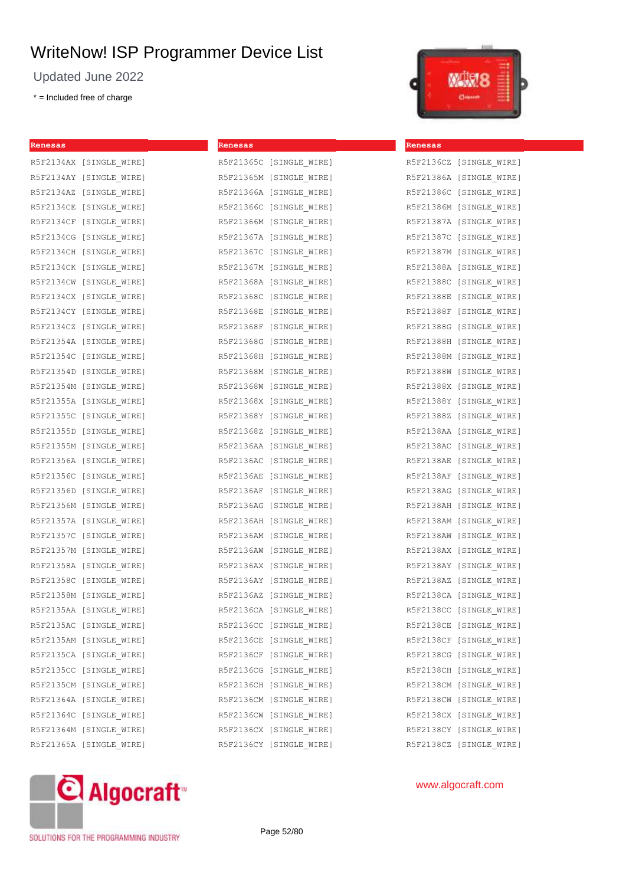Updated June 2022

\* = Included free of charge



| Renesas                 | Renesas                 | Renesas                 |
|-------------------------|-------------------------|-------------------------|
| R5F2134AX [SINGLE WIRE] | R5F21365C [SINGLE WIRE] | R5F2136CZ [SINGLE WIRE] |
| R5F2134AY [SINGLE WIRE] | R5F21365M [SINGLE WIRE] | R5F21386A [SINGLE WIRE] |
| R5F2134AZ [SINGLE WIRE] | R5F21366A [SINGLE WIRE] | R5F21386C [SINGLE WIRE] |
| R5F2134CE [SINGLE WIRE] | R5F21366C [SINGLE WIRE] | R5F21386M [SINGLE WIRE] |
| R5F2134CF [SINGLE WIRE] | R5F21366M [SINGLE WIRE] | R5F21387A [SINGLE WIRE] |
| R5F2134CG [SINGLE WIRE] | R5F21367A [SINGLE WIRE] | R5F21387C [SINGLE WIRE] |
| R5F2134CH [SINGLE WIRE] | R5F21367C [SINGLE WIRE] | R5F21387M [SINGLE WIRE] |
| R5F2134CK [SINGLE WIRE] | R5F21367M [SINGLE WIRE] | R5F21388A [SINGLE WIRE] |
| R5F2134CW [SINGLE WIRE] | R5F21368A [SINGLE WIRE] | R5F21388C [SINGLE WIRE] |
| R5F2134CX [SINGLE WIRE] | R5F21368C [SINGLE WIRE] | R5F21388E [SINGLE WIRE] |
| R5F2134CY [SINGLE WIRE] | R5F21368E [SINGLE WIRE] | R5F21388F [SINGLE WIRE] |
| R5F2134CZ [SINGLE WIRE] | R5F21368F [SINGLE WIRE] | R5F21388G [SINGLE WIRE] |
| R5F21354A [SINGLE WIRE] | R5F21368G [SINGLE WIRE] | R5F21388H [SINGLE WIRE] |
| R5F21354C [SINGLE WIRE] | R5F21368H [SINGLE WIRE] | R5F21388M [SINGLE WIRE] |
| R5F21354D [SINGLE WIRE] | R5F21368M [SINGLE WIRE] | R5F21388W [SINGLE WIRE] |
| R5F21354M [SINGLE WIRE] | R5F21368W [SINGLE WIRE] | R5F21388X [SINGLE WIRE] |
| R5F21355A [SINGLE WIRE] | R5F21368X [SINGLE WIRE] | R5F21388Y [SINGLE WIRE] |
| R5F21355C [SINGLE WIRE] | R5F21368Y [SINGLE WIRE] | R5F21388Z [SINGLE WIRE] |
| R5F21355D [SINGLE WIRE] | R5F21368Z [SINGLE WIRE] | R5F2138AA [SINGLE WIRE] |
| R5F21355M [SINGLE WIRE] | R5F2136AA [SINGLE WIRE] | R5F2138AC [SINGLE WIRE] |
| R5F21356A [SINGLE WIRE] | R5F2136AC [SINGLE WIRE] | R5F2138AE [SINGLE WIRE] |
| R5F21356C [SINGLE WIRE] | R5F2136AE [SINGLE WIRE] | R5F2138AF [SINGLE WIRE] |
| R5F21356D [SINGLE WIRE] | R5F2136AF [SINGLE WIRE] | R5F2138AG [SINGLE WIRE] |
| R5F21356M [SINGLE WIRE] | R5F2136AG [SINGLE WIRE] | R5F2138AH [SINGLE WIRE] |
| R5F21357A [SINGLE WIRE] | R5F2136AH [SINGLE WIRE] | R5F2138AM [SINGLE WIRE] |
| R5F21357C [SINGLE WIRE] | R5F2136AM [SINGLE WIRE] | R5F2138AW [SINGLE WIRE] |
| R5F21357M [SINGLE WIRE] | R5F2136AW [SINGLE WIRE] | R5F2138AX [SINGLE WIRE] |
| R5F21358A [SINGLE WIRE] | R5F2136AX [SINGLE WIRE] | R5F2138AY [SINGLE WIRE] |
| R5F21358C [SINGLE WIRE] | R5F2136AY [SINGLE WIRE] | R5F2138AZ [SINGLE WIRE] |
| R5F21358M [SINGLE WIRE] | R5F2136AZ [SINGLE WIRE] | R5F2138CA [SINGLE WIRE] |
| R5F2135AA [SINGLE WIRE] | R5F2136CA [SINGLE WIRE] | R5F2138CC [SINGLE WIRE] |
| R5F2135AC [SINGLE WIRE] | R5F2136CC [SINGLE WIRE] | R5F2138CE [SINGLE WIRE] |
| R5F2135AM [SINGLE_WIRE] | R5F2136CE [SINGLE_WIRE] | R5F2138CF [SINGLE_WIRE] |
| R5F2135CA [SINGLE WIRE] | R5F2136CF [SINGLE WIRE] | R5F2138CG [SINGLE WIRE] |
| R5F2135CC [SINGLE WIRE] | R5F2136CG [SINGLE WIRE] | R5F2138CH [SINGLE WIRE] |
| R5F2135CM [SINGLE WIRE] | R5F2136CH [SINGLE WIRE] | R5F2138CM [SINGLE WIRE] |
| R5F21364A [SINGLE WIRE] | R5F2136CM [SINGLE WIRE] | R5F2138CW [SINGLE WIRE] |
| R5F21364C [SINGLE WIRE] | R5F2136CW [SINGLE WIRE] | R5F2138CX [SINGLE WIRE] |
| R5F21364M [SINGLE WIRE] | R5F2136CX [SINGLE WIRE] | R5F2138CY [SINGLE WIRE] |
| R5F21365A [SINGLE_WIRE] | R5F2136CY [SINGLE_WIRE] | R5F2138CZ [SINGLE WIRE] |



www.algocraft.com

SOLUTIONS FOR THE PROGRAMMING INDUSTRY

Page 52/80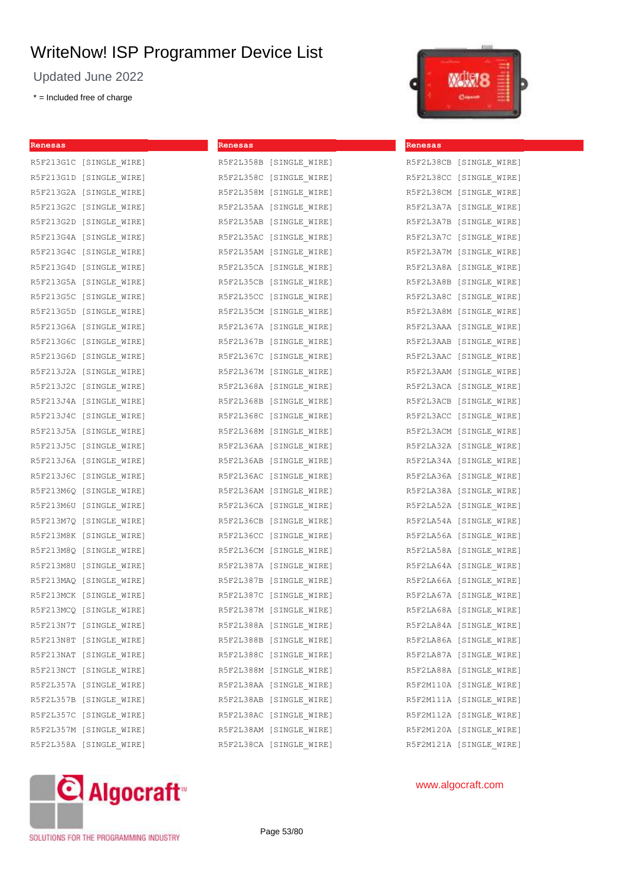Updated June 2022

\* = Included free of charge



| Renesas                 | Renesas                 | Renesas                 |
|-------------------------|-------------------------|-------------------------|
| R5F213G1C [SINGLE_WIRE] | R5F2L358B [SINGLE_WIRE] | R5F2L38CB [SINGLE_WIRE] |
| R5F213G1D [SINGLE WIRE] | R5F2L358C [SINGLE WIRE] | R5F2L38CC [SINGLE WIRE] |
| R5F213G2A [SINGLE WIRE] | R5F2L358M [SINGLE WIRE] | R5F2L38CM [SINGLE WIRE] |
| R5F213G2C [SINGLE WIRE] | R5F2L35AA [SINGLE WIRE] | R5F2L3A7A [SINGLE WIRE] |
| R5F213G2D [SINGLE WIRE] | R5F2L35AB [SINGLE WIRE] | R5F2L3A7B [SINGLE WIRE] |
| R5F213G4A [SINGLE WIRE] | R5F2L35AC [SINGLE WIRE] | R5F2L3A7C [SINGLE WIRE] |
| R5F213G4C [SINGLE WIRE] | R5F2L35AM [SINGLE WIRE] | R5F2L3A7M [SINGLE WIRE] |
| R5F213G4D [SINGLE WIRE] | R5F2L35CA [SINGLE WIRE] | R5F2L3A8A [SINGLE WIRE] |
| R5F213G5A [SINGLE WIRE] | R5F2L35CB [SINGLE WIRE] | R5F2L3A8B [SINGLE WIRE] |
| R5F213G5C [SINGLE WIRE] | R5F2L35CC [SINGLE WIRE] | R5F2L3A8C [SINGLE WIRE] |
| R5F213G5D [SINGLE WIRE] | R5F2L35CM [SINGLE WIRE] | R5F2L3A8M [SINGLE WIRE] |
| R5F213G6A [SINGLE WIRE] | R5F2L367A [SINGLE WIRE] | R5F2L3AAA [SINGLE WIRE] |
| R5F213G6C [SINGLE WIRE] | R5F2L367B [SINGLE WIRE] | R5F2L3AAB [SINGLE WIRE] |
| R5F213G6D [SINGLE WIRE] | R5F2L367C [SINGLE WIRE] | R5F2L3AAC [SINGLE WIRE] |
| R5F213J2A [SINGLE WIRE] | R5F2L367M [SINGLE WIRE] | R5F2L3AAM [SINGLE WIRE] |
| R5F213J2C [SINGLE WIRE] | R5F2L368A [SINGLE WIRE] | R5F2L3ACA [SINGLE WIRE] |
| R5F213J4A [SINGLE WIRE] | R5F2L368B [SINGLE WIRE] | R5F2L3ACB [SINGLE WIRE] |
| R5F213J4C [SINGLE WIRE] | R5F2L368C [SINGLE WIRE] | R5F2L3ACC [SINGLE WIRE] |
| R5F213J5A [SINGLE WIRE] | R5F2L368M [SINGLE WIRE] | R5F2L3ACM [SINGLE WIRE] |
| R5F213J5C [SINGLE WIRE] | R5F2L36AA [SINGLE WIRE] | R5F2LA32A [SINGLE WIRE] |
| R5F213J6A [SINGLE WIRE] | R5F2L36AB [SINGLE WIRE] | R5F2LA34A [SINGLE WIRE] |
| R5F213J6C [SINGLE WIRE] | R5F2L36AC [SINGLE WIRE] | R5F2LA36A [SINGLE WIRE] |
| R5F213M6Q [SINGLE WIRE] | R5F2L36AM [SINGLE WIRE] | R5F2LA38A [SINGLE WIRE] |
| R5F213M6U [SINGLE WIRE] | R5F2L36CA [SINGLE WIRE] | R5F2LA52A [SINGLE WIRE] |
| R5F213M7Q [SINGLE WIRE] | R5F2L36CB [SINGLE WIRE] | R5F2LA54A [SINGLE WIRE] |
| R5F213M8K [SINGLE WIRE] | R5F2L36CC [SINGLE WIRE] | R5F2LA56A [SINGLE WIRE] |
| R5F213M8Q [SINGLE WIRE] | R5F2L36CM [SINGLE WIRE] | R5F2LA58A [SINGLE WIRE] |
| R5F213M8U [SINGLE WIRE] | R5F2L387A [SINGLE WIRE] | R5F2LA64A [SINGLE WIRE] |
| R5F213MAQ [SINGLE WIRE] | R5F2L387B [SINGLE WIRE] | R5F2LA66A [SINGLE WIRE] |
| R5F213MCK [SINGLE WIRE] | R5F2L387C [SINGLE WIRE] | R5F2LA67A [SINGLE WIRE] |
| R5F213MCQ [SINGLE WIRE] | R5F2L387M [SINGLE WIRE] | R5F2LA68A [SINGLE WIRE] |
| R5F213N7T [SINGLE WIRE] | R5F2L388A [SINGLE WIRE] | R5F2LA84A [SINGLE WIRE] |
| R5F213N8T [SINGLE_WIRE] | R5F2L388B [SINGLE WIRE] | R5F2LA86A [SINGLE_WIRE] |
| R5F213NAT [SINGLE WIRE] | R5F2L388C [SINGLE WIRE] | R5F2LA87A [SINGLE WIRE] |
| R5F213NCT [SINGLE WIRE] | R5F2L388M [SINGLE_WIRE] | R5F2LA88A [SINGLE WIRE] |
| R5F2L357A [SINGLE WIRE] | R5F2L38AA [SINGLE WIRE] | R5F2M110A [SINGLE WIRE] |
| R5F2L357B [SINGLE WIRE] | R5F2L38AB [SINGLE WIRE] | R5F2M111A [SINGLE WIRE] |
| R5F2L357C [SINGLE WIRE] | R5F2L38AC [SINGLE WIRE] | R5F2M112A [SINGLE WIRE] |
| R5F2L357M [SINGLE WIRE] | R5F2L38AM [SINGLE WIRE] | R5F2M120A [SINGLE WIRE] |
| R5F2L358A [SINGLE WIRE] | R5F2L38CA [SINGLE WIRE] | R5F2M121A [SINGLE WIRE] |



SOLUTIONS FOR THE PROGRAMMING INDUSTRY

Page 53/80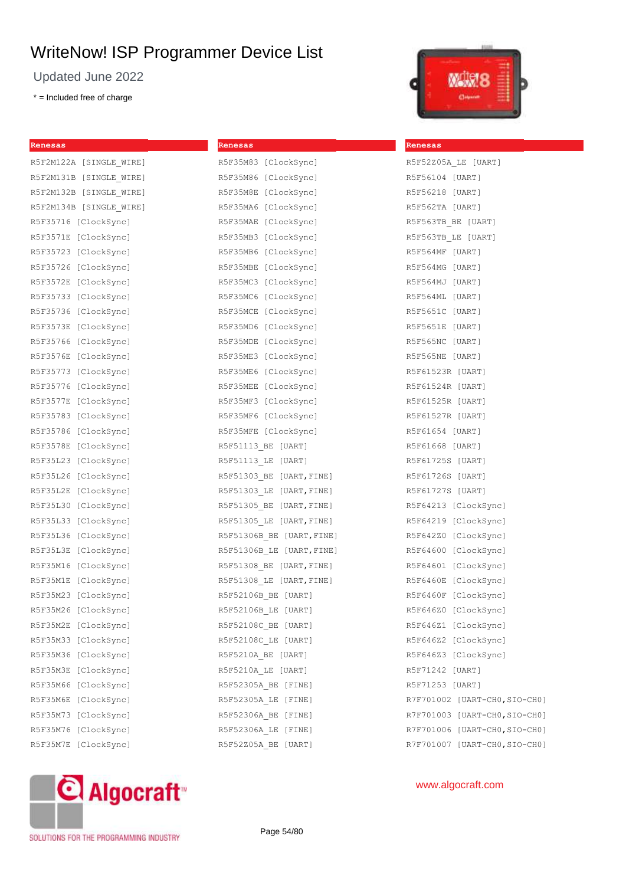Updated June 2022

\* = Included free of charge

| Renesas                 | Renesas                   |
|-------------------------|---------------------------|
| R5F2M122A [SINGLE WIRE] | R5F35M83 [ClockSync]      |
| R5F2M131B [SINGLE WIRE] | R5F35M86 [ClockSync]      |
| R5F2M132B [SINGLE WIRE] | R5F35M8E [ClockSync]      |
| R5F2M134B [SINGLE WIRE] | R5F35MA6 [ClockSync]      |
| R5F35716 [ClockSync]    | R5F35MAE [ClockSync]      |
| R5F3571E [ClockSync]    | R5F35MB3 [ClockSync]      |
| R5F35723 [ClockSync]    | R5F35MB6 [ClockSync]      |
| R5F35726 [ClockSync]    | R5F35MBE [ClockSync]      |
| R5F3572E<br>[ClockSync] | R5F35MC3 [ClockSync]      |
| R5F35733<br>[ClockSync] | R5F35MC6 [ClockSync]      |
| R5F35736 [ClockSync]    | R5F35MCE [ClockSync]      |
| R5F3573E [ClockSync]    | R5F35MD6 [ClockSync]      |
| R5F35766<br>[ClockSync] | R5F35MDE [ClockSync]      |
| R5F3576E<br>[ClockSync] | R5F35ME3 [ClockSync]      |
| R5F35773<br>[ClockSync] | R5F35ME6 [ClockSync]      |
| R5F35776<br>[ClockSync] | R5F35MEE [ClockSync]      |
| R5F3577E<br>[ClockSync] | R5F35MF3 [ClockSync]      |
| R5F35783<br>[ClockSync] | R5F35MF6 [ClockSync]      |
| R5F35786<br>[ClockSync] | R5F35MFE [ClockSync]      |
| R5F3578E<br>[ClockSync] | R5F51113 BE [UART]        |
| R5F35L23<br>[ClockSync] | R5F51113 LE [UART]        |
| R5F35L26 [ClockSync]    | R5F51303 BE [UART, FINE]  |
| R5F35L2E [ClockSync]    | R5F51303 LE [UART, FINE]  |
| R5F35L30 [ClockSync]    | R5F51305 BE [UART, FINE]  |
| R5F35L33 [ClockSync]    | R5F51305 LE [UART, FINE]  |
| R5F35L36 [ClockSync]    | R5F51306B BE [UART, FINE] |
| R5F35L3E [ClockSync]    | R5F51306B LE [UART, FINE] |
| R5F35M16 [ClockSync]    | R5F51308 BE [UART, FINE]  |
| R5F35M1E [ClockSync]    | R5F51308 LE [UART, FINE]  |
| R5F35M23 [ClockSync]    | R5F52106B BE [UART]       |
| R5F35M26 [ClockSync]    | R5F52106B_LE [UART]       |
| R5F35M2E [ClockSync]    | R5F52108C BE [UART]       |
| R5F35M33<br>[ClockSync] | R5F52108C LE [UART]       |
| R5F35M36 [ClockSync]    | R5F5210A BE [UART]        |
| R5F35M3E [ClockSync]    | R5F5210A LE [UART]        |
| [ClockSync]<br>R5F35M66 | R5F52305A BE [FINE]       |
| R5F35M6E<br>[ClockSync] | R5F52305A LE [FINE]       |
| R5F35M73 [ClockSync]    | R5F52306A BE [FINE]       |
| R5F35M76<br>[ClockSync] | R5F52306A LE [FINE]       |
| [ClockSync]<br>R5F35M7E | R5F52Z05A BE [UART]       |
|                         |                           |



**Renesas**

| R5F52Z05A LE [UART]           |
|-------------------------------|
| R5F56104 [UART]               |
| R5F56218 [UART]               |
| R5F562TA [UART]               |
| R5F563TB BE [UART]            |
| R5F563TB LE [UART]            |
| R5F564MF [UART]               |
| R5F564MG [UART]               |
| R5F564MJ [UART]               |
| R5F564ML [UART]               |
| R5F5651C [UART]               |
| R5F5651E [UART]               |
| R5F565NC [UART]               |
| R5F565NE [UART]               |
| R5F61523R [UART]              |
| R5F61524R [UART]              |
| R5F61525R [UART]              |
| R5F61527R [UART]              |
| R5F61654 [UART]               |
| R5F61668 [UART]               |
| R5F61725S [UART]              |
| R5F61726S [UART]              |
| R5F61727S [UART]              |
| R5F64213 [ClockSync]          |
| R5F64219 [ClockSync]          |
| R5F642Z0 [ClockSync]          |
| R5F64600 [ClockSync]          |
| R5F64601 [ClockSync]          |
| R5F6460E [ClockSync]          |
| R5F6460F [ClockSync]          |
| R5F646Z0 [ClockSync]          |
| R5F646Z1 [ClockSync]          |
| R5F646Z2 [ClockSync]          |
| R5F646Z3 [ClockSync]          |
| R5F71242 [UART]               |
| R5F71253 [UART]               |
| R7F701002 [UART-CH0,SIO-CH0]  |
| R7F701003 [UART-CHO, SIO-CHO] |
| R7F701006 [UART-CHO, SIO-CHO] |
| R7F701007 [UART-CHO, SIO-CHO] |



www.algocraft.com

SOLUTIONS FOR THE PROGRAMMING INDUSTRY

Page 54/80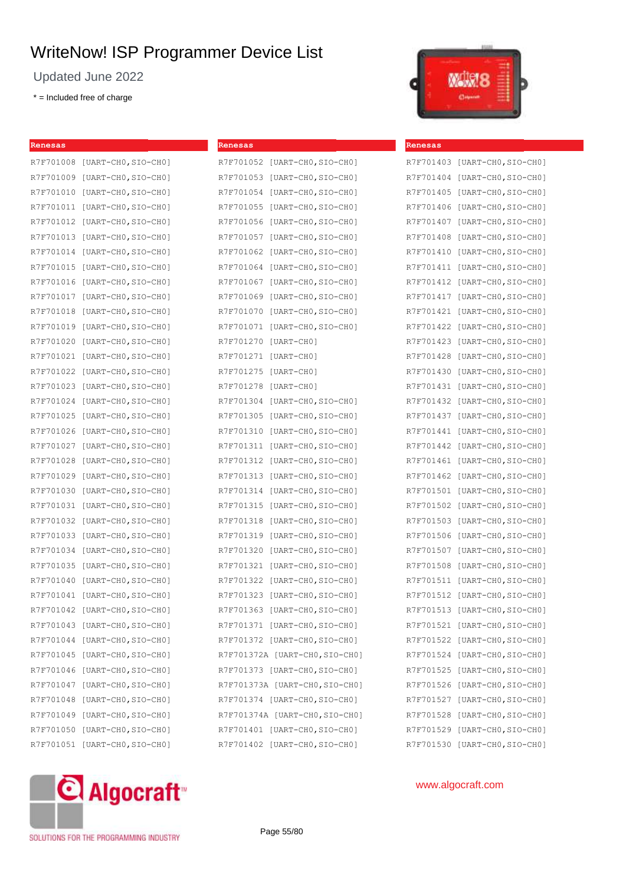Updated June 2022

R7F701008 [UART-CHO, SIO-CHO] R7F701009 [UART-CHO, SIO-CHO] R7F701010 [UART-CHO, SIO-CHO] R7F701011 [UART-CHO, SIO-CHO] R7F701012 [UART-CHO, SIO-CHO] R7F701013 [UART-CHO, SIO-CHO] R7F701014 [UART-CHO, SIO-CHO] R7F701015 [UART-CHO, SIO-CHO] R7F701016 [UART-CHO, SIO-CHO] R7F701017 [UART-CHO, SIO-CHO] R7F701018 [UART-CHO, SIO-CHO] R7F701019 [UART-CHO, SIO-CHO] R7F701020 [UART-CHO, SIO-CHO] R7F701021 [UART-CHO, SIO-CHO] R7F701022 [UART-CHO, SIO-CHO] R7F701023 [UART-CHO, SIO-CHO] R7F701024 [UART-CHO, SIO-CHO] R7F701025 [UART-CHO, SIO-CHO] R7F701026 [UART-CHO, SIO-CHO] R7F701027 [UART-CHO, SIO-CHO] R7F701028 [UART-CH0,SIO-CH0] R7F701029 [UART-CHO, SIO-CHO] R7F701030 [UART-CHO, SIO-CHO] R7F701031 [UART-CHO, SIO-CHO] R7F701032 [UART-CHO, SIO-CHO] R7F701033 [UART-CHO, SIO-CHO] R7F701034 [UART-CHO, SIO-CHO] R7F701035 [UART-CHO, SIO-CHO] R7F701040 [UART-CHO, SIO-CHO] R7F701041 [UART-CHO, SIO-CHO] R7F701042 [UART-CHO, SIO-CHO] R7F701043 [UART-CHO, SIO-CHO] R7F701044 [UART-CHO, SIO-CHO] R7F701045 [UART-CHO, SIO-CHO] R7F701046 [UART-CHO, SIO-CHO] R7F701047 [UART-CHO, SIO-CHO] R7F701048 [UART-CHO, SIO-CHO] R7F701049 [UART-CHO, SIO-CHO] R7F701050 [UART-CHO, SIO-CHO] R7F701051 [UART-CHO, SIO-CHO]

\* = Included free of charge

**Renesas**

| Renesas   |                                |
|-----------|--------------------------------|
|           | R7F701052 [UART-CHO, SIO-CHO]  |
|           | R7F701053 [UART-CHO, SIO-CHO]  |
|           | R7F701054 [UART-CHO, SIO-CHO]  |
| R7F701055 | $[UART-CH0, SIO-CH0]$          |
| R7F701056 | $[UART-CHO, SIO-CHO]$          |
|           | R7F701057 [UART-CHO, SIO-CHO]  |
| R7F701062 | [UART-CHO, SIO-CHO]            |
| R7F701064 | $[UART-CH0, SIO-CH0]$          |
| R7F701067 | $[UART-CH0, SIO-CH0]$          |
|           | R7F701069 [UART-CHO, SIO-CHO]  |
| R7F701070 | $[UART-CH0, SIO-CH0]$          |
|           | R7F701071 [UART-CHO, SIO-CHO]  |
|           | R7F701270 [UART-CH0]           |
| R7F701271 | [UART-CHO]                     |
|           | R7F701275 [UART-CHO]           |
|           | R7F701278 [UART-CHO]           |
|           | R7F701304 [UART-CHO, SIO-CHO]  |
|           | R7F701305 [UART-CHO, SIO-CHO]  |
| R7F701310 | $[UART-CH0, SIO-CH0]$          |
|           | R7F701311 [UART-CHO, SIO-CHO]  |
|           | R7F701312 [UART-CHO, SIO-CHO]  |
|           | R7F701313 [UART-CHO, SIO-CHO]  |
|           | R7F701314 [UART-CHO, SIO-CHO]  |
| R7F701315 | $[UART-CH0, SIO-CH0]$          |
| R7F701318 | $[UART-CH0, SIO-CH0]$          |
|           | R7F701319 [UART-CHO, SIO-CHO]  |
|           | R7F701320 [UART-CHO, SIO-CHO]  |
|           | R7F701321 [UART-CHO, SIO-CHO]  |
|           | R7F701322 [UART-CHO, SIO-CHO]  |
|           | R7F701323 [UART-CHO, SIO-CHO]  |
|           | R7F701363 [UART-CHO, SIO-CHO]  |
|           | R7F701371 [UART-CHO, SIO-CHO]  |
|           | R7F701372 [UART-CHO, SIO-CHO]  |
|           | R7F701372A [UART-CHO, SIO-CHO] |
|           | R7F701373 [UART-CHO, SIO-CHO]  |
|           | R7F701373A [UART-CHO, SIO-CHO] |
|           | R7F701374 [UART-CHO, SIO-CHO]  |
|           | R7F701374A [UART-CHO, SIO-CHO] |
|           | R7F701401 [UART-CHO, SIO-CHO]  |
|           | R7F701402 [UART-CH0, SIO-CH0]  |



| Renesas   |                       |
|-----------|-----------------------|
| R7F701403 | $[UART-CH0, SIO-CH0]$ |
| R7F701404 | $[UART-CH0, SIO-CH0]$ |
| R7F701405 | $[UART-CH0, SIO-CH0]$ |
| R7F701406 | $[UART-CH0, SIO-CH0]$ |
| R7F701407 | $[UART-CH0, SIO-CH0]$ |
| R7F701408 | $[UART-CH0, SIO-CH0]$ |
| R7F701410 | $[UART-CH0, SIO-CH0]$ |
| R7F701411 | $[UART-CH0, SIO-CH0]$ |
| R7F701412 | $[UART-CH0, SIO-CH0]$ |
| R7F701417 | $[UART-CH0, SIO-CH0]$ |
| R7F701421 | $[UART-CH0, SIO-CH0]$ |
| R7F701422 | $[UART-CH0, SIO-CH0]$ |
| R7F701423 | $[UART-CH0, SIO-CH0]$ |
| R7F701428 | $[UART-CH0, SIO-CH0]$ |
| R7F701430 | $[UART-CH0, SIO-CH0]$ |
| R7F701431 | $[UART-CH0, SIO-CH0]$ |
| R7F701432 | $[UART-CH0, SIO-CH0]$ |
| R7F701437 | $[UART-CH0, SIO-CH0]$ |
| R7F701441 | $[UART-CH0, SIO-CH0]$ |
| R7F701442 | $[UART-CH0, SIO-CH0]$ |
| R7F701461 | $[UART-CH0, SIO-CH0]$ |
| R7F701462 | $[UART-CH0, SIO-CH0]$ |
| R7F701501 | $[UART-CH0, SIO-CH0]$ |
| R7F701502 | $[UART-CH0, SIO-CH0]$ |
| R7F701503 | $[UART-CH0, SIO-CH0]$ |
| R7F701506 | $[UART-CH0, SIO-CH0]$ |
| R7F701507 | $[UART-CH0, SIO-CH0]$ |
| R7F701508 | [UART-CHO, SIO-CHO]   |
| R7F701511 | $[UART-CH0, SIO-CH0]$ |
| R7F701512 | $[UART-CH0, SIO-CH0]$ |
| R7F701513 | $[UART-CH0, SIO-CH0]$ |
| R7F701521 | [UART-CHO, SIO-CHO]   |
| R7F701522 | $[UART-CH0, SIO-CH0]$ |
| R7F701524 | $[UART-CH0, SIO-CH0]$ |
| R7F701525 | [UART-CHO, SIO-CHO]   |
| R7F701526 | $[UART-CH0, SIO-CH0]$ |
| R7F701527 | $[UART-CH0, SIO-CH0]$ |
| R7F701528 | $[UART-CH0, SIO-CH0]$ |
| R7F701529 | $[UART-CH0, SIO-CH0]$ |
| R7F701530 | [UART-CHO, SIO-CHO]   |



#### www.algocraft.com

SOLUTIONS FOR THE PROGRAMMING INDUSTRY

Page 55/80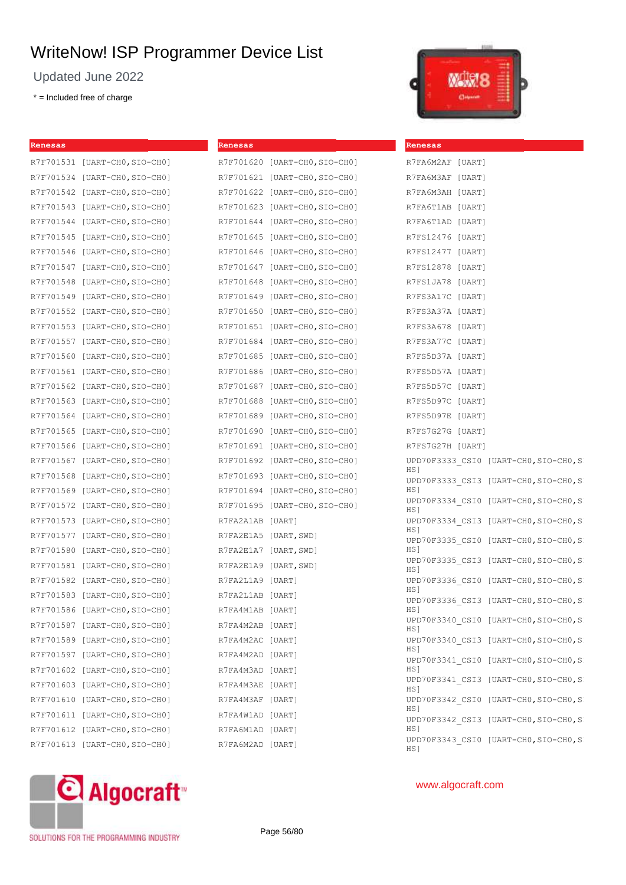Updated June 2022

\* = Included free of charge



| Renesas |                               | Renesas          |                               | Renesas                                       |  |
|---------|-------------------------------|------------------|-------------------------------|-----------------------------------------------|--|
|         | R7F701531 [UART-CHO, SIO-CHO] |                  | R7F701620 [UART-CHO, SIO-CHO] | R7FA6M2AF [UART]                              |  |
|         | R7F701534 [UART-CHO, SIO-CHO] |                  | R7F701621 [UART-CHO, SIO-CHO] | R7FA6M3AF [UART]                              |  |
|         | R7F701542 [UART-CHO, SIO-CHO] |                  | R7F701622 [UART-CHO, SIO-CHO] | R7FA6M3AH [UART]                              |  |
|         | R7F701543 [UART-CHO, SIO-CHO] |                  | R7F701623 [UART-CHO, SIO-CHO] | R7FA6T1AB [UART]                              |  |
|         | R7F701544 [UART-CHO, SIO-CHO] |                  | R7F701644 [UART-CHO, SIO-CHO] | R7FA6T1AD [UART]                              |  |
|         | R7F701545 [UART-CHO, SIO-CHO] |                  | R7F701645 [UART-CHO, SIO-CHO] | R7FS12476 [UART]                              |  |
|         | R7F701546 [UART-CHO, SIO-CHO] |                  | R7F701646 [UART-CHO, SIO-CHO] | R7FS12477 [UART]                              |  |
|         | R7F701547 [UART-CHO, SIO-CHO] |                  | R7F701647 [UART-CHO, SIO-CHO] | R7FS12878 [UART]                              |  |
|         | R7F701548 [UART-CHO, SIO-CHO] |                  | R7F701648 [UART-CHO, SIO-CHO] | R7FS1JA78 [UART]                              |  |
|         | R7F701549 [UART-CHO, SIO-CHO] |                  | R7F701649 [UART-CHO, SIO-CHO] | R7FS3A17C [UART]                              |  |
|         | R7F701552 [UART-CHO, SIO-CHO] |                  | R7F701650 [UART-CHO, SIO-CHO] | R7FS3A37A [UART]                              |  |
|         | R7F701553 [UART-CHO, SIO-CHO] |                  | R7F701651 [UART-CHO, SIO-CHO] | R7FS3A678 [UART]                              |  |
|         | R7F701557 [UART-CHO, SIO-CHO] |                  | R7F701684 [UART-CHO, SIO-CHO] | R7FS3A77C [UART]                              |  |
|         | R7F701560 [UART-CHO, SIO-CHO] |                  | R7F701685 [UART-CHO, SIO-CHO] | R7FS5D37A [UART]                              |  |
|         | R7F701561 [UART-CHO, SIO-CHO] |                  | R7F701686 [UART-CHO, SIO-CHO] | R7FS5D57A [UART]                              |  |
|         | R7F701562 [UART-CHO, SIO-CHO] |                  | R7F701687 [UART-CHO, SIO-CHO] | R7FS5D57C [UART]                              |  |
|         | R7F701563 [UART-CHO, SIO-CHO] |                  | R7F701688 [UART-CHO, SIO-CHO] | R7FS5D97C [UART]                              |  |
|         | R7F701564 [UART-CHO, SIO-CHO] |                  | R7F701689 [UART-CHO, SIO-CHO] | R7FS5D97E [UART]                              |  |
|         | R7F701565 [UART-CHO, SIO-CHO] |                  | R7F701690 [UART-CHO, SIO-CHO] | R7FS7G27G [UART]                              |  |
|         | R7F701566 [UART-CHO, SIO-CHO] |                  | R7F701691 [UART-CHO, SIO-CHO] | R7FS7G27H [UART]                              |  |
|         | R7F701567 [UART-CHO, SIO-CHO] |                  | R7F701692 [UART-CHO, SIO-CHO] | UPD70F3333 CSI0 [UART-CHO, SIO-CHO, SI        |  |
|         | R7F701568 [UART-CHO, SIO-CHO] |                  | R7F701693 [UART-CHO, SIO-CHO] | HS]<br>UPD70F3333 CSI3 [UART-CHO, SIO-CHO, SI |  |
|         | R7F701569 [UART-CHO, SIO-CHO] |                  | R7F701694 [UART-CHO, SIO-CHO] | HS]                                           |  |
|         | R7F701572 [UART-CHO, SIO-CHO] |                  | R7F701695 [UART-CHO, SIO-CHO] | UPD70F3334 CSI0 [UART-CHO, SIO-CHO, SI<br>HS] |  |
|         | R7F701573 [UART-CHO, SIO-CHO] | R7FA2A1AB [UART] |                               | UPD70F3334 CSI3 [UART-CHO, SIO-CHO, SI        |  |
|         | R7F701577 [UART-CHO, SIO-CHO] |                  | R7FA2E1A5 [UART, SWD]         | HS]<br>UPD70F3335 CSI0 [UART-CHO, SIO-CHO, SI |  |
|         | R7F701580 [UART-CHO, SIO-CHO] |                  | R7FA2E1A7 [UART, SWD]         | HS]                                           |  |
|         | R7F701581 [UART-CHO, SIO-CHO] |                  | R7FA2E1A9 [UART, SWD]         | UPD70F3335 CSI3 [UART-CHO, SIO-CHO, SI<br>HS] |  |
|         | R7F701582 [UART-CHO, SIO-CHO] | R7FA2L1A9 [UART] |                               | UPD70F3336 CSI0 [UART-CHO, SIO-CHO, SI<br>HS1 |  |
|         | R7F701583 [UART-CHO, SIO-CHO] | R7FA2L1AB [UART] |                               | UPD70F3336 CSI3 [UART-CHO, SIO-CHO, SI        |  |
|         | R7F701586 [UART-CHO, SIO-CHO] | R7FA4M1AB [UART] |                               | HS]                                           |  |
|         | R7F701587 [UART-CHO, SIO-CHO] | R7FA4M2AB [UART] |                               | UPD70F3340 CSI0 [UART-CHO, SIO-CHO, SI<br>HS] |  |
|         | R7F701589 [UART-CHO, SIO-CHO] | R7FA4M2AC [UART] |                               | UPD70F3340 CSI3 [UART-CHO, SIO-CHO, SI<br>HS] |  |
|         | R7F701597 [UART-CHO, SIO-CHO] | R7FA4M2AD [UART] |                               | UPD70F3341 CSI0 [UART-CHO, SIO-CHO, SI        |  |
|         | R7F701602 [UART-CHO, SIO-CHO] | R7FA4M3AD [UART] |                               | HS]                                           |  |
|         | R7F701603 [UART-CHO, SIO-CHO] | R7FA4M3AE [UART] |                               | UPD70F3341 CSI3 [UART-CHO, SIO-CHO, SI<br>HS] |  |
|         | R7F701610 [UART-CHO, SIO-CHO] | R7FA4M3AF [UART] |                               | UPD70F3342 CSI0 [UART-CHO, SIO-CHO, SI<br>HS] |  |
|         | R7F701611 [UART-CHO, SIO-CHO] | R7FA4W1AD [UART] |                               | UPD70F3342_CSI3 [UART-CHO, SIO-CHO, SI        |  |
|         | R7F701612 [UART-CHO, SIO-CHO] | R7FA6M1AD [UART] |                               | HS]                                           |  |
|         | R7F701613 [UART-CHO, SIO-CHO] | R7FA6M2AD [UART] |                               | UPD70F3343 CSI0 [UART-CHO, SIO-CHO, SI<br>HS] |  |

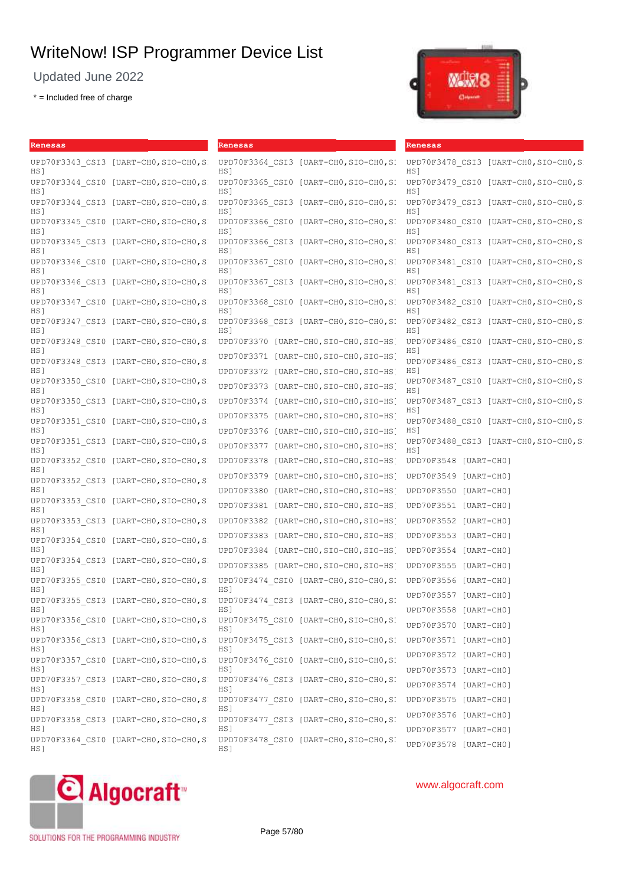Updated June 2022

\* = Included free of charge



| Renesas                                            | Renesas                                                                                     | Renesas                                                   |
|----------------------------------------------------|---------------------------------------------------------------------------------------------|-----------------------------------------------------------|
| UPD70F3343 CSI3 [UART-CHO, SIO-CHO, SI<br>HS]      | UPD70F3364 CSI3 [UART-CHO, SIO-CHO, SI<br>HS 1                                              | UPD70F3478 CSI3 [UART-CHO, SIO-CHO, SI<br>HS]             |
| UPD70F3344 CSI0 [UART-CHO,SIO-CHO,SI<br>HS]        | UPD70F3365 CSI0 [UART-CHO, SIO-CHO, SI<br>HS]                                               | UPD70F3479 CSI0 [UART-CHO, SIO-CHO, SI<br>HS1             |
| UPD70F3344 CSI3 [UART-CHO, SIO-CHO, SI<br>HS]      | UPD70F3365 CSI3 [UART-CHO, SIO-CHO, SI<br>HS 1                                              | UPD70F3479 CSI3 [UART-CHO, SIO-CHO, SI<br>HS 1            |
| UPD70F3345 CSI0 [UART-CHO, SIO-CHO, SI<br>HS 1     | UPD70F3366 CSI0 [UART-CHO, SIO-CHO, SI<br>HS1                                               | UPD70F3480 CSI0 [UART-CHO, SIO-CHO, SI<br>HS <sub>1</sub> |
| UPD70F3345 CSI3 [UART-CHO, SIO-CHO, SI<br>HS J     | UPD70F3366 CSI3 [UART-CHO, SIO-CHO, SI<br>HS]                                               | UPD70F3480 CSI3 [UART-CHO, SIO-CHO, SI<br>HS]             |
| UPD70F3346 CSI0 [UART-CHO, SIO-CHO, SI<br>HS]      | UPD70F3367 CSI0 [UART-CHO, SIO-CHO, SI<br>HS]                                               | UPD70F3481 CSI0 [UART-CHO, SIO-CHO, SI<br>HS]             |
| UPD70F3346 CSI3 [UART-CHO, SIO-CHO, SI<br>HS J     | UPD70F3367 CSI3 [UART-CHO, SIO-CHO, SI<br>HS 1                                              | UPD70F3481 CSI3 [UART-CHO, SIO-CHO, SI<br>HS 1            |
| UPD70F3347 CSI0 [UART-CHO, SIO-CHO, SI<br>HS]      | UPD70F3368 CSI0 [UART-CHO, SIO-CHO, SI<br>HS]                                               | UPD70F3482 CSI0 [UART-CHO, SIO-CHO, SI<br>HS]             |
| UPD70F3347 CSI3 [UART-CHO, SIO-CHO, SI<br>HS 1     | UPD70F3368 CSI3 [UART-CHO, SIO-CHO, SI<br>HS <sub>1</sub>                                   | UPD70F3482 CSI3 [UART-CHO, SIO-CHO, SI<br>HS1             |
| UPD70F3348 CSI0 [UART-CHO, SIO-CHO, SI<br>HS J     | UPD70F3370 [UART-CHO, SIO-CHO, SIO-HS]                                                      | UPD70F3486 CSI0 [UART-CHO, SIO-CHO, SI<br>HS]             |
| UPD70F3348 CSI3 [UART-CHO, SIO-CHO, SI<br>HS]      | UPD70F3371<br>[UART-CHO,SIO-CHO,SIO-HS]<br>UPD70F3372 [UART-CHO, SIO-CHO, SIO-HS]           | UPD70F3486 CSI3 [UART-CHO, SIO-CHO, SI<br>HS]             |
| UPD70F3350 CSI0 [UART-CHO, SIO-CHO, SI<br>HS J     | UPD70F3373 [UART-CHO, SIO-CHO, SIO-HS]                                                      | UPD70F3487 CSI0 [UART-CHO, SIO-CHO, SI<br>HS 1            |
| UPD70F3350 CSI3 [UART-CHO, SIO-CHO, SI<br>HS]      | [UART-CHO,SIO-CHO,SIO-HS]<br>UPD70F3374                                                     | UPD70F3487 CSI3 [UART-CHO, SIO-CHO, SI<br>HS]             |
| UPD70F3351 CSI0 [UART-CHO, SIO-CHO, SI<br>HS ]     | UPD70F3375<br>[UART-CHO,SIO-CHO,SIO-HS]<br>UPD70F3376<br>[UART-CHO,SIO-CHO,SIO-HS]          | UPD70F3488 CSI0 [UART-CHO, SIO-CHO, SI<br>HS]             |
| UPD70F3351 CSI3 [UART-CHO, SIO-CHO, SI<br>HS]      | UPD70F3377 [UART-CHO, SIO-CHO, SIO-HS]                                                      | UPD70F3488 CSI3 [UART-CHO, SIO-CHO, SI<br>HS1             |
| UPD70F3352 CSI0 [UART-CHO, SIO-CHO, SI<br>HS]      | [UART-CHO,SIO-CHO,SIO-HS]<br>UPD70F3378                                                     | UPD70F3548 [UART-CHO]                                     |
| UPD70F3352 CSI3 [UART-CHO, SIO-CHO, SI             | UPD70F3379<br>[UART-CHO,SIO-CHO,SIO-HS]                                                     | UPD70F3549 [UART-CHO]                                     |
| HS]<br>UPD70F3353 CSI0 [UART-CHO, SIO-CHO, SI      | UPD70F3380 [UART-CHO, SIO-CHO, SIO-HS]<br>UPD70F3381 [UART-CHO, SIO-CHO, SIO-HS]            | UPD70F3550 [UART-CHO]                                     |
| HS]<br>UPD70F3353 CSI3 [UART-CHO, SIO-CHO, S       | UPD70F3382 [UART-CHO, SIO-CHO, SIO-HS]                                                      | UPD70F3551 [UART-CHO]<br>UPD70F3552 [UART-CHO]            |
| HS]<br>$[UART-CH0, SIO-CH0, S]$<br>UPD70F3354 CSI0 | UPD70F3383 [UART-CHO, SIO-CHO, SIO-HS]                                                      | UPD70F3553 [UART-CHO]                                     |
| HS                                                 | UPD70F3384 [UART-CHO, SIO-CHO, SIO-HS]                                                      | UPD70F3554 [UART-CHO]                                     |
| UPD70F3354 CSI3 [UART-CHO, SIO-CHO, SI<br>HS]      | UPD70F3385 [UART-CHO, SIO-CHO, SIO-HS]                                                      | UPD70F3555 [UART-CHO]                                     |
| UPD70F3355 CSI0 [UART-CHO, SIO-CHO, SI<br>HS 1     | UPD70F3474 CSI0 [UART-CHO, SIO-CHO, SI<br>HS 1                                              | UPD70F3556 [UART-CHO]                                     |
| UPD70F3355 CSI3 [UART-CHO, SIO-CHO, SI             | UPD70F3474 CSI3 [UART-CHO, SIO-CHO, SI                                                      | UPD70F3557 [UART-CHO]                                     |
| HS]<br>UPD70F3356 CSI0 [UART-CHO, SIO-CHO, SI      | HS 1<br>UPD70F3475 CSI0 [UART-CHO, SIO-CHO, SI                                              | UPD70F3558 [UART-CHO]                                     |
| HS]<br>UPD70F3356 CSI3 [UART-CHO, SIO-CHO, SI      | HS 1<br>UPD70F3475 CSI3 [UART-CHO, SIO-CHO, SI                                              | UPD70F3570 [UART-CHO]<br>UPD70F3571 [UART-CHO]            |
| HS]                                                | HS 1                                                                                        | UPD70F3572 [UART-CHO]                                     |
| UPD70F3357 CSI0 [UART-CHO, SIO-CHO, SI<br>HS]      | UPD70F3476 CSI0 [UART-CHO, SIO-CHO, SI<br>HS]                                               | UPD70F3573 [UART-CHO]                                     |
| UPD70F3357 CSI3 [UART-CHO, SIO-CHO, SI<br>HS]      | UPD70F3476 CSI3 [UART-CHO, SIO-CHO, SI<br>HS]                                               | UPD70F3574 [UART-CHO]                                     |
| UPD70F3358 CSI0 [UART-CHO, SIO-CHO, SI<br>HS]      | UPD70F3477 CSI0 [UART-CHO, SIO-CHO, SI<br>HS]                                               | UPD70F3575 [UART-CHO]                                     |
|                                                    | UPD70F3358 CSI3 [UART-CHO, SIO-CHO, S: UPD70F3477 CSI3 [UART-CHO, SIO-CHO, SI               | UPD70F3576 [UART-CHO]                                     |
| HS]<br>HS ]                                        | HS]<br>UPD70F3364 CSI0 [UART-CHO, SIO-CHO, S. UPD70F3478 CSI0 [UART-CHO, SIO-CHO, S.<br>HS] | UPD70F3577 [UART-CHO]<br>UPD70F3578 [UART-CHO]            |



## www.algocraft.com

SOLUTIONS FOR THE PROGRAMMING INDUSTRY

Page 57/80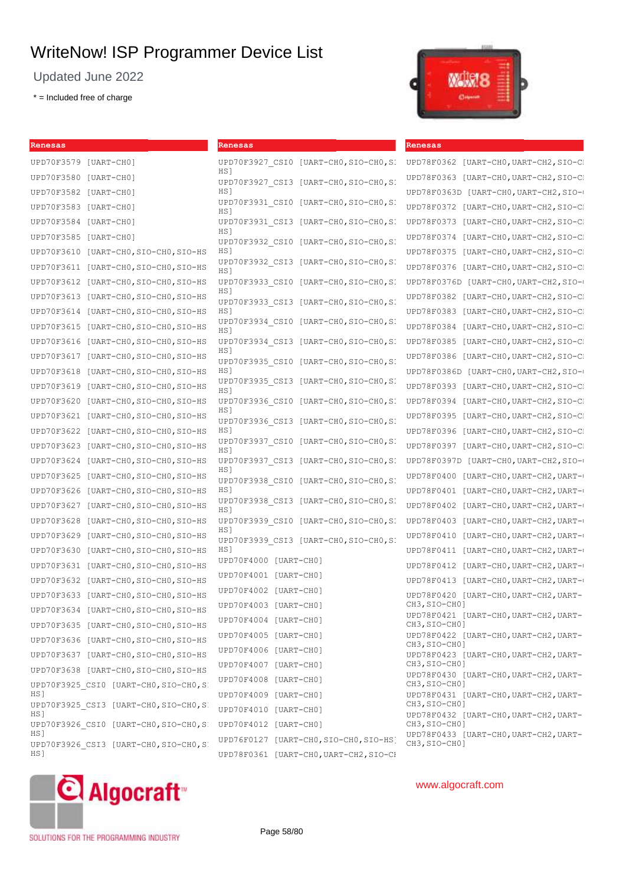Updated June 2022

\* = Included free of charge

**Renesas** UPD<sup>7</sup>



| Renesas                                        | Renesas                                                      | Renesas                                                |
|------------------------------------------------|--------------------------------------------------------------|--------------------------------------------------------|
| UPD70F3579 [UART-CHO]                          | UPD70F3927 CSI0 [UART-CHO, SIO-CHO, SI                       | UPD78F0362 [UART-CHO, UART-CH2, SIO-C]                 |
| UPD70F3580 [UART-CHO]                          | HS <sub>1</sub><br>UPD70F3927 CSI3 [UART-CHO, SIO-CHO, SI    | [UART-CHO, UART-CH2, SIO-C]<br>UPD78F0363              |
| UPD70F3582 [UART-CHO]                          | HS1                                                          | UPD78F0363D [UART-CHO, UART-CH2, SIO-0                 |
| UPD70F3583 [UART-CHO]                          | UPD70F3931 CSI0<br>[UART-CHO, SIO-CHO, S]<br>HS 1            | UPD78F0372 [UART-CHO, UART-CH2, SIO-C                  |
| UPD70F3584 [UART-CHO]                          | UPD70F3931 CSI3<br>[UART-CHO,SIO-CHO,S]                      | UPD78F0373<br>[UART-CHO, UART-CH2, SIO-C]              |
| UPD70F3585 [UART-CHO]                          | HS <sub>1</sub><br>UPD70F3932 CSI0<br>[UART-CHO, SIO-CHO, S] | [UART-CHO, UART-CH2, SIO-C]<br>UPD78F0374              |
| UPD70F3610 [UART-CHO, SIO-CHO, SIO-HS          | HS1                                                          | UPD78F0375 [UART-CHO, UART-CH2, SIO-C                  |
| UPD70F3611 [UART-CHO, SIO-CHO, SIO-HS          | UPD70F3932 CSI3<br>[UART-CHO,SIO-CHO,S]<br>HS <sub>1</sub>   | UPD78F0376<br>[UART-CHO, UART-CH2, SIO-C]              |
| UPD70F3612<br>[UART-CHO, SIO-CHO, SIO-HS       | UPD70F3933 CSI0 [UART-CHO, SIO-CHO, SI                       | UPD78F0376D [UART-CHO, UART-CH2, SIO-0                 |
| UPD70F3613<br>$[UART-CH0, SIO-CH0, SIO-HS]$    | HS 1<br>UPD70F3933 CSI3 [UART-CHO, SIO-CHO, SI               | UPD78F0382<br>[UART-CHO, UART-CH2, SIO-C]              |
| UPD70F3614 [UART-CHO, SIO-CHO, SIO-HS          | HS 1                                                         | UPD78F0383 [UART-CHO, UART-CH2, SIO-C                  |
| [UART-CHO, SIO-CHO, SIO-HS<br>UPD70F3615       | UPD70F3934 CSI0<br>[UART-CHO,SIO-CHO,S]<br>HS <sub>1</sub>   | UPD78F0384<br>[UART-CHO, UART-CH2, SIO-C]              |
| UPD70F3616<br>[UART-CHO, SIO-CHO, SIO-HS       | UPD70F3934 CSI3<br>$[UART-CH0, SIO-CH0, S]$                  | UPD78F0385<br>[UART-CHO, UART-CH2, SIO-C]              |
| [UART-CHO, SIO-CHO, SIO-HS<br>UPD70F3617       | HS 1<br>[UART-CHO, SIO-CHO.S]<br>UPD70F3935 CSI0             | [UART-CHO, UART-CH2, SIO-C]<br>UPD78F0386              |
| UPD70F3618<br>[UART-CHO, SIO-CHO, SIO-HS       | HS <sub>1</sub>                                              | UPD78F0386D [UART-CHO, UART-CH2, SIO-0                 |
| UPD70F3619<br>[UART-CHO, SIO-CHO, SIO-HS       | UPD70F3935 CSI3<br>[UART-CHO, SIO-CHO, S]<br>HS 1            | UPD78F0393 [UART-CHO, UART-CH2, SIO-C                  |
| UPD70F3620<br>$[UART-CH0, SIO-CH0, SIO-HS]$    | UPD70F3936 CSI0 [UART-CHO, SIO-CHO, SI                       | UPD78F0394<br>[UART-CHO, UART-CH2, SIO-C]              |
| UPD70F3621 [UART-CHO, SIO-CHO, SIO-HS          | HS 1<br>UPD70F3936 CSI3<br>[UART-CHO, SIO-CHO, SI            | UPD78F0395<br>[UART-CHO, UART-CH2, SIO-C]              |
| UPD70F3622<br>[UART-CHO, SIO-CHO, SIO-HS       | HS 1                                                         | UPD78F0396<br>[UART-CHO, UART-CH2, SIO-C]              |
| [UART-CHO, SIO-CHO, SIO-HS<br>UPD70F3623       | UPD70F3937 CSI0<br>[UART-CHO,SIO-CHO,S]<br>HS 1              | UPD78F0397<br>[UART-CHO, UART-CH2, SIO-C]              |
| UPD70F3624<br>$[UART-CH0, SIO-CH0, SIO-HS]$    | UPD70F3937 CSI3<br>[UART-CHO,SIO-CHO,S]                      | UPD78F0397D [UART-CHO, UART-CH2, SIO-0                 |
| UPD70F3625<br>[UART-CHO, SIO-CHO, SIO-HS       | HS <sub>1</sub><br>UPD70F3938 CSI0<br>[UART-CHO, SIO-CHO, S] | UPD78F0400<br>[UART-CHO, UART-CH2, UART-0              |
| UPD70F3626<br>[UART-CHO, SIO-CHO, SIO-HS       | HS <sub>1</sub>                                              | UPD78F0401 [UART-CHO, UART-CH2, UART-0                 |
| UPD70F3627<br>[UART-CHO, SIO-CHO, SIO-HS       | UPD70F3938 CSI3<br>[UART-CHO,SIO-CHO,S]<br>HS1               | UPD78F0402<br>[UART-CHO, UART-CH2, UART-0              |
| $[UART-CH0, SIO-CH0, SIO-HS]$<br>UPD70F3628    | UPD70F3939 CSI0<br>[UART-CHO,SIO-CHO,S]                      | UPD78F0403<br>[UART-CHO,UART-CH2,UART-0                |
| UPD70F3629<br>[UART-CHO, SIO-CHO, SIO-HS       | HS1<br>UPD70F3939 CSI3 [UART-CHO, SIO-CHO, SI                | UPD78F0410<br>$[UART-CH0, UART-CH2, UART-($            |
| UPD70F3630<br>$[UART-CH0, SIO-CH0, SIO-HS]$    | HS 1                                                         | UPD78F0411 [UART-CHO, UART-CH2, UART-0                 |
| UPD70F3631 [UART-CHO, SIO-CHO, SIO-HS          | UPD70F4000 [UART-CH0]                                        | UPD78F0412<br>[UART-CHO, UART-CH2, UART-0              |
| UPD70F3632<br>[UART-CHO, SIO-CHO, SIO-HS       | UPD70F4001 [UART-CHO]                                        | UPD78F0413 [UART-CHO, UART-CH2, UART-0                 |
| [UART-CHO, SIO-CHO, SIO-HS<br>UPD70F3633       | UPD70F4002 [UART-CH0]                                        | UPD78F0420 [UART-CHO, UART-CH2, UART-<br>CH3, SIO-CH01 |
| [UART-CHO, SIO-CHO, SIO-HS<br>UPD70F3634       | UPD70F4003 [UART-CH0]                                        | UPD78F0421 [UART-CHO, UART-CH2, UART-                  |
| UPD70F3635 [UART-CHO, SIO-CHO, SIO-HS          | UPD70F4004 [UART-CHO]                                        | CH3, SIO-CH0]                                          |
| UPD70F3636 [UART-CHO, SIO-CHO, SIO-HS          | UPD70F4005 [UART-CHO]                                        | UPD78F0422 [UART-CHO, UART-CH2, UART-<br>CH3, SIO-CH0] |
| UPD70F3637 [UART-CHO, SIO-CHO, SIO-HS]         | UPD70F4006 [UART-CH0]                                        | UPD78F0423 [UART-CHO, UART-CH2, UART-<br>CH3, SIO-CH0] |
| UPD70F3638 [UART-CHO, SIO-CHO, SIO-HS          | UPD70F4007 [UART-CH0]                                        | UPD78F0430 [UART-CHO, UART-CH2, UART-                  |
| UPD70F3925 CSI0 [UART-CHO, SIO-CHO, SI<br>HS ] | UPD70F4008 [UART-CH0]<br>UPD70F4009 [UART-CH0]               | CH3, SIO-CH0]<br>UPD78F0431 [UART-CHO, UART-CH2, UART- |
| UPD70F3925 CSI3 [UART-CHO, SIO-CHO, SI         | UPD70F4010 [UART-CHO]                                        | CH3, SIO-CH0]                                          |
| HS]<br>UPD70F3926 CSI0 [UART-CHO, SIO-CHO, SI  | UPD70F4012 [UART-CH0]                                        | UPD78F0432 [UART-CHO, UART-CH2, UART-<br>CH3, SIO-CH0] |
| HS]                                            | UPD76F0127 [UART-CHO, SIO-CHO, SIO-HS]                       | UPD78F0433 [UART-CHO, UART-CH2, UART-                  |
| UPD70F3926 CSI3 [UART-CHO, SIO-CHO, SI<br>HS]  | UPD78F0361 [UART-CHO, UART-CH2, SIO-CH                       | CH3, SIO-CH0]                                          |



SOLUTIONS FOR THE PROGRAMMING INDUSTRY

Page 58/80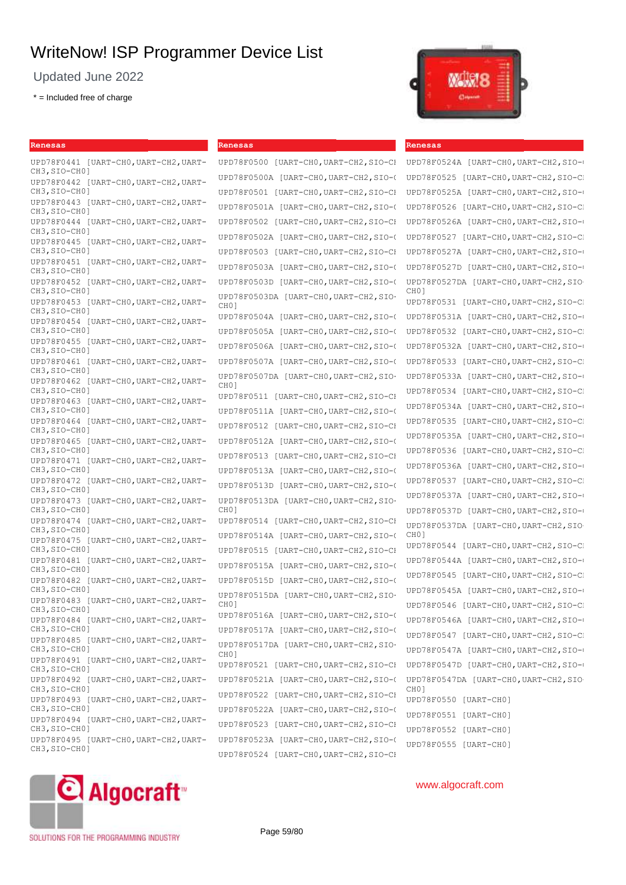Updated June 2022

\* = Included free of charge

**Renesas**

| UPD78F0441 [UART-CHO,UART-CH2,UART-<br>CH3,SIO-CH0]    |
|--------------------------------------------------------|
| UPD78F0442 [UART-CHO, UART-CH2, UART-                  |
| CH3,SIO-CH0]<br>UPD78F0443 [UART-CHO, UART-CH2, UART-  |
| CH3, SIO-CH0]<br>UPD78F0444 [UART-CHO, UART-CH2, UART- |
| CH3, SIO-CH0]<br>UPD78F0445 [UART-CHO, UART-CH2, UART- |
| CH3, SIO-CH0]                                          |
| UPD78F0451 [UART-CHO,UART-CH2,UART-<br>CH3, SIO-CH0]   |
| UPD78F0452 [UART-CHO, UART-CH2, UART-<br>CH3,SIO-CH0]  |
| UPD78F0453 [UART-CHO, UART-CH2, UART-<br>CH3, SIO-CH0] |
| UPD78F0454 [UART-CHO, UART-CH2, UART-<br>CH3, SIO-CH0] |
| UPD78F0455 [UART-CHO, UART-CH2, UART-<br>CH3, SIO-CH0] |
| UPD78F0461 [UART-CHO,UART-CH2,UART-                    |
| CH3, SIO-CH0]<br>UPD78F0462 [UART-CHO, UART-CH2, UART- |
| CH3,SIO-CH0]<br>UPD78F0463 [UART-CHO, UART-CH2, UART-  |
| CH3, SIO-CH0]<br>UPD78F0464 [UART-CHO, UART-CH2, UART- |
| CH3, SIO-CH0]<br>UPD78F0465 [UART-CHO, UART-CH2, UART- |
| CH3, SIO-CH0]                                          |
| UPD78F0471 [UART-CHO, UART-CH2, UART-<br>CH3, SIO-CH0] |
| UPD78F0472 [UART-CHO, UART-CH2, UART-<br>CH3, SIO-CH0] |
| UPD78F0473 [UART-CHO, UART-CH2, UART-<br>CH3, SIO-CH0] |
| UPD78F0474 [UART-CHO, UART-CH2, UART-<br>CH3,SIO-CH0]  |
| UPD78F0475 [UART-CHO, UART-CH2, UART-<br>CH3, SIO-CH0] |
| UPD78F0481 [UART-CHO, UART-CH2, UART-                  |
| CH3,SIO-CH0]<br>UPD78F0482 [UART-CHO, UART-CH2, UART-  |
| CH3, SIO-CH0]<br>UPD78F0483 [UART-CHO, UART-CH2, UART- |
| CH3, SIO-CH0]<br>UPD78F0484 [UART-CHO, UART-CH2, UART- |
| CH3,SIO-CH0]<br>UPD78F0485 [UART-CHO,UART-CH2,UART-    |
| CH3,SIO-CH0]                                           |
| UPD78F0491 [UART-CHO, UART-CH2, UART-<br>CH3, SIO-CH0] |
| UPD78F0492 [UART-CHO, UART-CH2, UART-<br>CH3, SIO-CH0] |
| UPD78F0493 [UART-CHO, UART-CH2, UART-<br>CH3, SIO-CH0] |
| UPD78F0494 [UART-CHO, UART-CH2, UART-<br>CH3, SIO-CH0] |
| UPD78F0495 [UART-CHO, UART-CH2, UART-<br>CH3, SIO-CH0] |
|                                                        |

#### **Renesas**

UPD78F0500 [UART-CHO, UART-CH2, SIO-CH UPD78F0500A [UART-CHO, UART-CH2, SIO-C UPD78F0501 [UART-CHO, UART-CH2, SIO-CH UPD78F0501A [UART-CH0, UART-CH2, SIO-C UPD78F0502 [UART-CHO, UART-CH2, SIO-CH UPD78F0502A [UART-CH0, UART-CH2, SIO-C UPD78F0503 [UART-CHO, UART-CH2, SIO-CH UPD78F0503A [UART-CH0, UART-CH2, SIO-O UPD78F0503D [UART-CH0, UART-CH2, SIO-O UPD78F0503DA [UART-CH0,UART-CH2,SIO-CH0] UPD78F0504A [UART-CH0, UART-CH2, SIO-C UPD78F0505A [UART-CH0,UART-CH2,SIO-CH0] UPD78F0506A [UART-CH0, UART-CH2, SIO-O UPD78F0507A [UART-CHO, UART-CH2, SIO-CH UPD78F0507DA [UART-CH0,UART-CH2,SIO-CH0] UPD78F0511 [UART-CHO, UART-CH2, SIO-CH UPD78F0511A [UART-CHO, UART-CH2, SIO-C UPD78F0512 [UART-CHO, UART-CH2, SIO-CH UPD78F0512A [UART-CH0, UART-CH2, SIO-O UPD78F0513 [UART-CHO, UART-CH2, SIO-CH UPD78F0513A [UART-CHO, UART-CH2, SIO-O UPD78F0513D [UART-CH0, UART-CH2, SIO-O UPD78F0513DA [UART-CHO, UART-CH2, SIO-CH0] UPD78F0514 [UART-CHO.UART-CH2.SIO-CH UPD78F0514A [UART-CH0, UART-CH2, SIO-O UPD78F0515 [UART-CHO, UART-CH2, SIO-CH UPD78F0515A [UART-CHO, UART-CH2, SIO-O UPD78F0515D [UART-CH0, UART-CH2, SIO-O UPD78F0515DA [UART-CHO, UART-CH2, SIO-CH0] UPD78F0516A [UART-CH0, UART-CH2, SIO-O UPD78F0517A [UART-CHO, UART-CH2, SIO-O UPD78F0517DA [UART-CHO, UART-CH2, SIO-C<sub>HO</sub><sup>-</sup> UPD78F0521 [UART-CHO, UART-CH2, SIO-CH UPD78F0521A [UART-CH0, UART-CH2, SIO-O UPD78F0522 [UART-CHO, UART-CH2, SIO-CH UPD78F0522A [UART-CH0, UART-CH2, SIO-O UPD78F0523 [UART-CH0, UART-CH2, SIO-CH UPD78F0523A [UART-CH0, UART-CH2, SIO-O UPD78F0524 [UART-CHO, UART-CH2, SIO-CH



#### **Renesas**

UPD78F0524A [UART-CHO, UART-CH2, SIO-0 UPD78F0525 [UART-CHO, UART-CH2, SIO-C] UPD78F0525A [UART-CHO, UART-CH2, SIO-C UPD78F0526 [UART-CHO, UART-CH2, SIO-CI UPD78F0526A [UART-CH0, UART-CH2, SIO-0 UPD78F0527 [UART-CHO, UART-CH2, SIO-CI UPD78F0527A [UART-CH0, UART-CH2, SIO-0 UPD78F0527D [UART-CHO, UART-CH2, SIO-O UPD78F0527DA [UART-CHO, UART-CH2, SIO- $CHO1$ UPD78F0531 [UART-CHO, UART-CH2, SIO-C] UPD78F0531A [UART-CH0, UART-CH2, SIO-0 UPD78F0532 [UART-CHO, UART-CH2, SIO-CL UPD78F0532A [UART-CH0, UART-CH2, SIO-O UPD78F0533 [UART-CHO, UART-CH2, SIO-CH UPD78F0533A [UART-CH0, UART-CH2, SIO-O UPD78F0534 [UART-CHO, UART-CH2, SIO-CH UPD78F0534A [UART-CH0, UART-CH2, SIO-0 UPD78F0535 [UART-CHO, UART-CH2, SIO-CI UPD78F0535A [UART-CHO, UART-CH2, SIO-O UPD78F0536 [UART-CHO, UART-CH2, SIO-CI UPD78F0536A [UART-CH0, UART-CH2, SIO-O UPD78F0537 [UART-CHO, UART-CH2, SIO-CI UPD78F0537A [UART-CHO, UART-CH2, SIO-0 UPD78F0537D [UART-CH0, UART-CH2, SIO-0 UPD78F0537DA [UART-CHO, UART-CH2, SIO-CH0] UPD78F0544 [UART-CHO, UART-CH2, SIO-CI UPD78F0544A [UART-CH0, UART-CH2, SIO-O UPD78F0545 [UART-CHO, UART-CH2, SIO-CI UPD78F0545A [UART-CH0, UART-CH2, SIO-O UPD78F0546 [UART-CHO, UART-CH2, SIO-CI UPD78F0546A [UART-CHO, UART-CH2, SIO-C UPD78F0547 [UART-CHO, UART-CH2, SIO-C] UPD78F0547A [UART-CHO, UART-CH2, SIO-0 UPD78F0547D [UART-CHO, UART-CH2, SIO-C UPD78F0547DA [UART-CHO, UART-CH2, SIO- $CHO1$ UPD78F0550 [UART-CH0] UPD78F0551 [UART-CH0] UPD78F0552 [UART-CH0] UPD78F0555 [UART-CH0]

# C Algocraft<sup>®</sup>

SOLUTIONS FOR THE PROGRAMMING INDUSTRY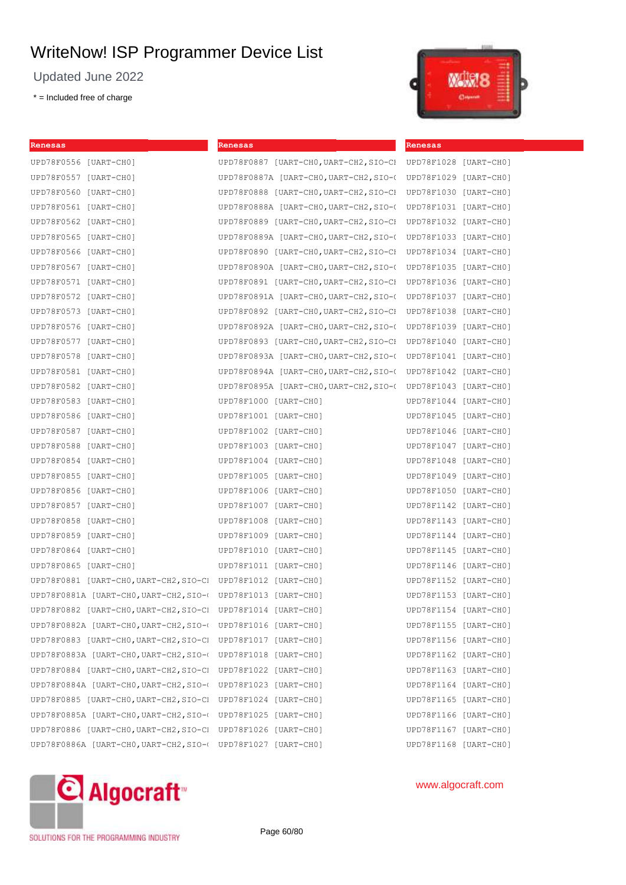**Renesas**

Updated June 2022

\* = Included free of charge

**Renesas**

|  | Ξ              |  |
|--|----------------|--|
|  | <b>College</b> |  |

| UPD78F0556 [UART-CHO]                                          | UPD78F0887 [UART-CHO, UART-CH2, SIO-CI UPD78F1028 [UART-CHO] |                       |  |
|----------------------------------------------------------------|--------------------------------------------------------------|-----------------------|--|
| UPD78F0557 [UART-CHO]                                          | UPD78F0887A [UART-CHO, UART-CH2, SIO-(                       | UPD78F1029 [UART-CH0] |  |
| UPD78F0560 [UART-CHO]                                          | UPD78F0888 [UART-CHO, UART-CH2, SIO-CH                       | UPD78F1030 [UART-CH0] |  |
| UPD78F0561 [UART-CHO]                                          | UPD78F0888A [UART-CHO, UART-CH2, SIO-(                       | UPD78F1031 [UART-CH0] |  |
| UPD78F0562 [UART-CHO]                                          | UPD78F0889 [UART-CHO, UART-CH2, SIO-CH                       | UPD78F1032 [UART-CH0] |  |
| UPD78F0565 [UART-CHO]                                          | UPD78F0889A [UART-CHO,UART-CH2,SIO-0                         | UPD78F1033 [UART-CH0] |  |
| UPD78F0566 [UART-CHO]                                          | UPD78F0890 [UART-CHO, UART-CH2, SIO-CH                       | UPD78F1034 [UART-CH0] |  |
| UPD78F0567 [UART-CHO]                                          | UPD78F0890A [UART-CHO, UART-CH2, SIO-(                       | UPD78F1035 [UART-CH0] |  |
| UPD78F0571 [UART-CHO]                                          | UPD78F0891 [UART-CHO, UART-CH2, SIO-CH                       | UPD78F1036 [UART-CH0] |  |
| UPD78F0572 [UART-CHO]                                          | UPD78F0891A [UART-CHO, UART-CH2, SIO-(                       | UPD78F1037 [UART-CH0] |  |
| UPD78F0573 [UART-CHO]                                          | UPD78F0892 [UART-CHO, UART-CH2, SIO-CH                       | UPD78F1038 [UART-CH0] |  |
| UPD78F0576 [UART-CHO]                                          | UPD78F0892A [UART-CHO, UART-CH2, SIO-(                       | UPD78F1039 [UART-CH0] |  |
| UPD78F0577 [UART-CHO]                                          | UPD78F0893 [UART-CHO, UART-CH2, SIO-CH                       | UPD78F1040 [UART-CHO] |  |
| UPD78F0578 [UART-CHO]                                          | UPD78F0893A [UART-CHO, UART-CH2, SIO-(                       | UPD78F1041 [UART-CHO] |  |
| UPD78F0581 [UART-CHO]                                          | UPD78F0894A [UART-CHO, UART-CH2, SIO-(                       | UPD78F1042 [UART-CHO] |  |
| UPD78F0582 [UART-CHO]                                          | UPD78F0895A [UART-CHO, UART-CH2, SIO-( UPD78F1043 [UART-CHO] |                       |  |
| UPD78F0583 [UART-CHO]                                          | UPD78F1000 [UART-CH0]                                        | UPD78F1044 [UART-CH0] |  |
| UPD78F0586 [UART-CHO]                                          | UPD78F1001 [UART-CH0]                                        | UPD78F1045 [UART-CHO] |  |
| UPD78F0587 [UART-CHO]                                          | UPD78F1002 [UART-CH0]                                        | UPD78F1046 [UART-CHO] |  |
| UPD78F0588 [UART-CHO]                                          | UPD78F1003 [UART-CH0]                                        | UPD78F1047 [UART-CH0] |  |
| UPD78F0854 [UART-CHO]                                          | UPD78F1004 [UART-CHO]                                        | UPD78F1048 [UART-CHO] |  |
| UPD78F0855 [UART-CHO]                                          | UPD78F1005 [UART-CH0]                                        | UPD78F1049 [UART-CHO] |  |
| UPD78F0856 [UART-CHO]                                          | UPD78F1006 [UART-CH0]                                        | UPD78F1050 [UART-CHO] |  |
| UPD78F0857 [UART-CHO]                                          | UPD78F1007 [UART-CHO]                                        | UPD78F1142 [UART-CHO] |  |
| UPD78F0858 [UART-CHO]                                          | UPD78F1008 [UART-CH0]                                        | UPD78F1143 [UART-CHO] |  |
| UPD78F0859 [UART-CHO]                                          | UPD78F1009 [UART-CH0]                                        | UPD78F1144 [UART-CHO] |  |
| UPD78F0864 [UART-CHO]                                          | UPD78F1010 [UART-CHO]                                        | UPD78F1145 [UART-CHO] |  |
| UPD78F0865 [UART-CHO]                                          | UPD78F1011 [UART-CHO]                                        | UPD78F1146 [UART-CHO] |  |
| UPD78F0881 [UART-CHO, UART-CH2, SIO-C] UPD78F1012 [UART-CHO]   |                                                              | UPD78F1152 [UART-CHO] |  |
| UPD78F0881A [UART-CHO, UART-CH2, SIO-( UPD78F1013 [UART-CHO]   |                                                              | UPD78F1153 [UART-CHO] |  |
| UPD78F0882 [UART-CHO, UART-CH2, SIO-C] UPD78F1014 [UART-CHO]   |                                                              | UPD78F1154 [UART-CHO] |  |
| UPD78F0882A [UART-CHO, UART-CH2, SIO-0 UPD78F1016 [UART-CHO]   |                                                              | UPD78F1155 [UART-CHO] |  |
| UPD78F0883 [UART-CHO, UART-CH2, SIO-C] UPD78F1017 [UART-CHO]   |                                                              | UPD78F1156 [UART-CHO] |  |
| UPD78F0883A [UART-CHO, UART-CH2, SIO-0 UPD78F1018 [UART-CHO]   |                                                              | UPD78F1162 [UART-CHO] |  |
| UPD78F0884 [UART-CHO, UART-CH2, SIO-CI UPD78F1022 [UART-CHO]   |                                                              | UPD78F1163 [UART-CHO] |  |
| UPD78F0884A [UART-CHO, UART-CH2, SIO-( UPD78F1023 [UART-CHO]   |                                                              | UPD78F1164 [UART-CHO] |  |
| UPD78F0885 [UART-CHO, UART-CH2, SIO-CI UPD78F1024 [UART-CHO]   |                                                              | UPD78F1165 [UART-CHO] |  |
| UPD78F0885A [UART-CHO, UART-CH2, SIO-( UPD78F1025 [UART-CHO]   |                                                              | UPD78F1166 [UART-CHO] |  |
| UPD78F0886 [UART-CHO, UART-CH2, SIO-C] UPD78F1026 [UART-CHO]   |                                                              | UPD78F1167 [UART-CHO] |  |
| UPD78F0886A [UART-CHO, UART-CH2, SIO-000 UPD78F1027 [UART-CHO] |                                                              | UPD78F1168 [UART-CHO] |  |



SOLUTIONS FOR THE PROGRAMMING INDUSTRY

Page 60/80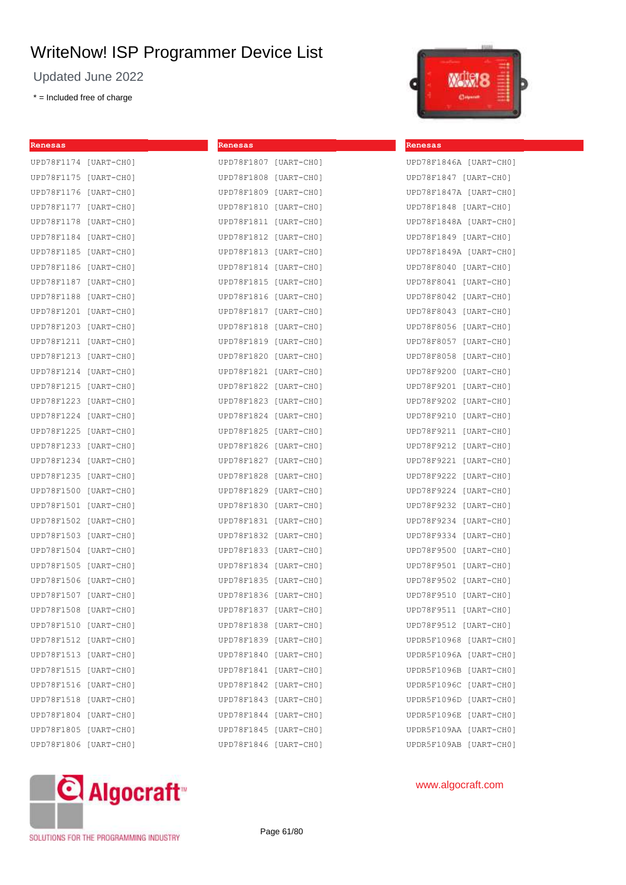Updated June 2022

\* = Included free of charge

| Renesas               |                       | Renesas               |  |
|-----------------------|-----------------------|-----------------------|--|
| UPD78F1174 [UART-CHO] |                       | UPD78F1807 [UART-CHO] |  |
| UPD78F1175 [UART-CH0] |                       | UPD78F1808 [UART-CHO] |  |
| UPD78F1176 [UART-CH0] |                       | UPD78F1809 [UART-CHO] |  |
| UPD78F1177 [UART-CH0] |                       | UPD78F1810 [UART-CHO] |  |
| UPD78F1178 [UART-CH0] |                       | UPD78F1811 [UART-CHO] |  |
| UPD78F1184 [UART-CH0] |                       | UPD78F1812 [UART-CHO] |  |
| UPD78F1185 [UART-CH0] |                       | UPD78F1813 [UART-CHO] |  |
| UPD78F1186 [UART-CH0] |                       | UPD78F1814 [UART-CHO] |  |
| UPD78F1187 [UART-CH0] |                       | UPD78F1815 [UART-CHO] |  |
| UPD78F1188 [UART-CH0] |                       | UPD78F1816 [UART-CHO] |  |
| UPD78F1201 [UART-CH0] |                       | UPD78F1817 [UART-CHO] |  |
| UPD78F1203 [UART-CH0] |                       | UPD78F1818 [UART-CHO] |  |
| UPD78F1211 [UART-CH0] |                       | UPD78F1819 [UART-CHO] |  |
| UPD78F1213 [UART-CH0] |                       | UPD78F1820 [UART-CHO] |  |
| UPD78F1214 [UART-CH0] |                       | UPD78F1821 [UART-CHO] |  |
| UPD78F1215 [UART-CH0] |                       | UPD78F1822 [UART-CHO] |  |
| UPD78F1223 [UART-CH0] |                       | UPD78F1823 [UART-CHO] |  |
| UPD78F1224 [UART-CHO] |                       | UPD78F1824 [UART-CHO] |  |
| UPD78F1225 [UART-CH0] |                       | UPD78F1825 [UART-CHO] |  |
| UPD78F1233 [UART-CH0] |                       | UPD78F1826 [UART-CHO] |  |
| UPD78F1234 [UART-CH0] |                       | UPD78F1827 [UART-CHO] |  |
| UPD78F1235 [UART-CH0] |                       | UPD78F1828 [UART-CHO] |  |
| UPD78F1500 [UART-CH0] |                       | UPD78F1829 [UART-CHO] |  |
| UPD78F1501 [UART-CH0] |                       | UPD78F1830 [UART-CH0] |  |
| UPD78F1502 [UART-CH0] |                       | UPD78F1831 [UART-CHO] |  |
| UPD78F1503 [UART-CH0] |                       | UPD78F1832 [UART-CHO] |  |
| UPD78F1504 [UART-CH0] |                       | UPD78F1833 [UART-CHO] |  |
| UPD78F1505 [UART-CH0] |                       | UPD78F1834 [UART-CHO] |  |
| UPD78F1506 [UART-CH0] |                       | UPD78F1835 [UART-CHO] |  |
| UPD78F1507 [UART-CH0] |                       | UPD78F1836 [UART-CHO] |  |
|                       | UPD78F1508 [UART-CH0] | UPD78F1837 [UART-CHO] |  |
| UPD78F1510 [UART-CH0] |                       | UPD78F1838 [UART-CHO] |  |
| UPD78F1512 [UART-CH0] |                       | UPD78F1839 [UART-CHO] |  |
| UPD78F1513 [UART-CH0] |                       | UPD78F1840 [UART-CHO] |  |
| UPD78F1515 [UART-CH0] |                       | UPD78F1841 [UART-CHO] |  |
| UPD78F1516 [UART-CH0] |                       | UPD78F1842 [UART-CH0] |  |
| UPD78F1518 [UART-CH0] |                       | UPD78F1843 [UART-CHO] |  |
| UPD78F1804 [UART-CH0] |                       | UPD78F1844 [UART-CHO] |  |
| UPD78F1805 [UART-CH0] |                       | UPD78F1845 [UART-CHO] |  |
| UPD78F1806 [UART-CH0] |                       | UPD78F1846 [UART-CHO] |  |



**Renesas**

| UPD78F1846A [UART-CHO] |              |
|------------------------|--------------|
| UPD78F1847 [UART-CHO]  |              |
| UPD78F1847A [UART-CH0] |              |
| UPD78F1848 [UART-CHO]  |              |
| UPD78F1848A [UART-CH0] |              |
| UPD78F1849 [UART-CHO]  |              |
| UPD78F1849A [UART-CHO] |              |
| UPD78F8040 [UART-CH0]  |              |
| UPD78F8041             | [UART-CHO]   |
| UPD78F8042             | [UART-CH0]   |
| UPD78F8043             | [UART-CH0]   |
| UPD78F8056             | [UART-CH0]   |
| UPD78F8057             | [UART-CH0]   |
| UPD78F8058             | [UART-CHO]   |
| UPD78F9200             | [UART-CHO]   |
| UPD78F9201             | [UART-CHO]   |
| UPD78F9202             | [UART-CHO]   |
| UPD78F9210             | [UART-CHO]   |
| UPD78F9211             | [UART-CH0]   |
| UPD78F9212             | [UART-CH0]   |
| UPD78F9221             | [UART-CH0]   |
| UPD78F9222             | [UART-CH0]   |
| UPD78F9224             | [UART-CHO]   |
| UPD78F9232             | [UART-CHO]   |
| UPD78F9234             | [UART-CH0]   |
| UPD78F9334             | [UART-CHO]   |
| UPD78F9500             | [UART-CH0]   |
| UPD78F9501             | [UART-CH0]   |
| UPD78F9502             | [UART-CHO]   |
| UPD78F9510             | [UART-CH0]   |
| UPD78F9511             | [UART-CH0]   |
| UPD78F9512             | $[UART-CHO]$ |
| UPDR5F10968            | $[UART-CHO]$ |
| UPDR5F1096A            | [UART-CHO]   |
| UPDR5F1096B            | [UART-CHO]   |
| UPDR5F1096C            | [UART-CHO]   |
| UPDR5F1096D            | [UART-CHO]   |
| UPDR5F1096E            | [UART-CHO]   |
| UPDR5F109AA            | [UART-CHO]   |
| UPDR5F109AB            | [UART-CHO]   |



## www.algocraft.com

SOLUTIONS FOR THE PROGRAMMING INDUSTRY

Page 61/80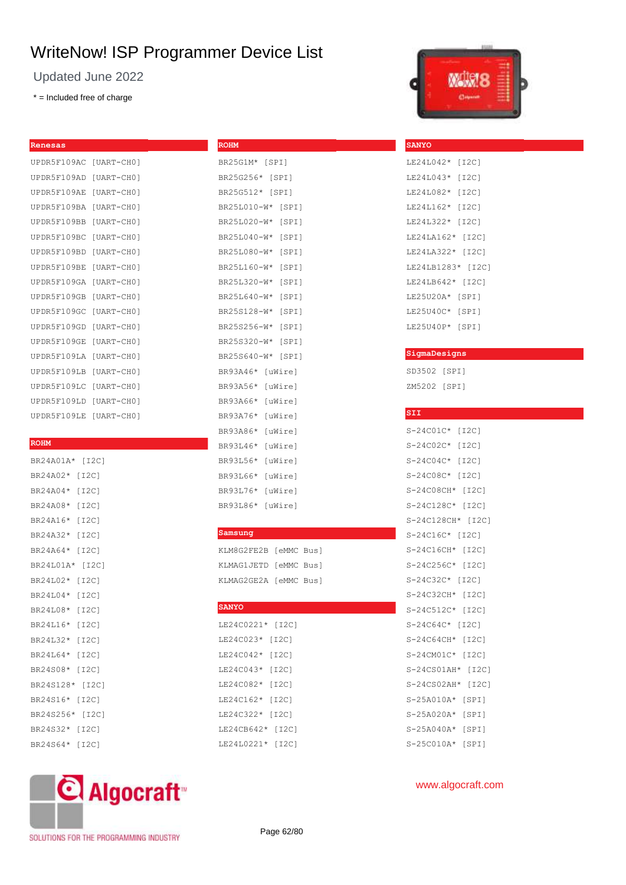**ROHM**

Updated June 2022

\* = Included free of charge

| UPDR5F109AC [UART-CH0]    |
|---------------------------|
| [UART-CHO]                |
| [UART-CHO]                |
| [UART-CHO]                |
| [UART-CHO]                |
| [UART-CHO]                |
| [UART-CHO]                |
| [UART-CHO]                |
| [UART-CHO]                |
| [UART-CHO]                |
| [UART-CHO]                |
| [UART-CHO]                |
| [UART-CHO]                |
| [UART-CHO]                |
| [UART-CHO]                |
| [UART-CHO]                |
| UPDR5F109LD<br>[UART-CHO] |
| [UART-CHO]                |
|                           |

#### **ROHM**

| BR24A01A* [I2C] |       |
|-----------------|-------|
| BR24A02*        | [12C] |
| BR24A04*        | [12C] |
| BR24A08*        | [12C] |
| BR24A16*        | [12C] |
| BR24A32*        | [12C] |
| BR24A64*        | [12C] |
| BR24L01A*       | [I2C] |
| BR24L02*        | [12C] |
| BR24L04*        | [12C] |
| BR24L08*        | [12C] |
| BR24L16*        | [12C] |
| BR24L32*        | [12C] |
| BR24L64*        | [12C] |
| BR24S08*        | [12C] |
| BR24S128*       | [12C] |
| BR24S16*        | [12C] |
| BR24S256*       | [12C] |
| BR24S32* [I2C]  |       |
| BR24S64*        | [12C] |

## BR25G1M\* [SPI] BR25G256\* [SPI] BR25G512\* [SPI] BR25L010-W\* [SPI] BR25L020-W\* [SPI] BR25L040-W\* [SPI] BR25L080-W\* [SPI] BR25L160-W\* [SPI] BR25L320-W\* [SPI] BR25L640-W\* [SPI] BR25S128-W\* [SPI] BR25S256-W\* [SPI] BR25S320-W\* [SPI] BR25S640-W\* [SPI] BR93A46\* [uWire] BR93A56\* [uWire] BR93A66\* [uWire] BR93A76\* [uWire] BR93A86\* [uWire] BR93L46\* [uWire] BR93L56\* [uWire] BR93L66\* [uWire] BR93L76\* [uWire] BR93L86\* [uWire]

#### **Samsung**

| KLM8G2FE2B [eMMC Bus] |  |
|-----------------------|--|
| KLMAG1JETD [eMMC Bus] |  |
| KLMAG2GE2A [eMMC Bus] |  |

#### **SANYO**

| LE24C0221* | [I2C] |
|------------|-------|
| LE24C023*  | [I2C] |
| LE24C042*  | [I2C] |
| LE24C043*  | [I2C] |
| LE24C082*  | [I2C] |
| LE24C162*  | [I2C] |
| LE24C322*  | [I2C] |
| LE24CB642* | [I2C] |
| LE24L0221* | [I2C] |



## LE24L042\* [I2C] LE24L043\* [I2C] LE24L082\* [I2C] LE24L162\* [I2C] LE24L322\* [I2C] LE24LA162\* [I2C] LE24LA322\* [I2C] LE24LB1283\* [I2C] LE24LB642\* [I2C] LE25U20A\* [SPI] LE25U40C\* [SPI] LE25U40P\* [SPI]

**SANYO**

#### **SigmaDesigns**

SD3502 [SPI] ZM5202 [SPI]

| SII               |       |
|-------------------|-------|
| S-24C01C* [I2C]   |       |
| S-24C02C* [I2C]   |       |
| S-24C04C* [I2C]   |       |
| S-24C08C* [I2C]   |       |
| S-24C08CH* [I2C]  |       |
| S-24C128C* [I2C]  |       |
| S-24C128CH* [I2C] |       |
| S-24C16C* [I2C]   |       |
| S-24C16CH* [I2C]  |       |
| S-24C256C* [I2C]  |       |
| S-24C32C* [I2C]   |       |
| S-24C32CH* [I2C]  |       |
| S-24C512C* [I2C]  |       |
| S-24C64C* [I2C]   |       |
| S-24C64CH* [I2C]  |       |
| S-24CM01C* [I2C]  |       |
| S-24CS01AH* [I2C] |       |
| S-24CS02AH*       | [12C] |
| $S-25A010A*$      | [SPI] |
| S-25A020A*        | [SPI] |
| S-25A040A*        | [SPI] |
| S-25C010A*        | [SPI] |
|                   |       |

# C Algocraft

SOLUTIONS FOR THE PROGRAMMING INDUSTRY

Page 62/80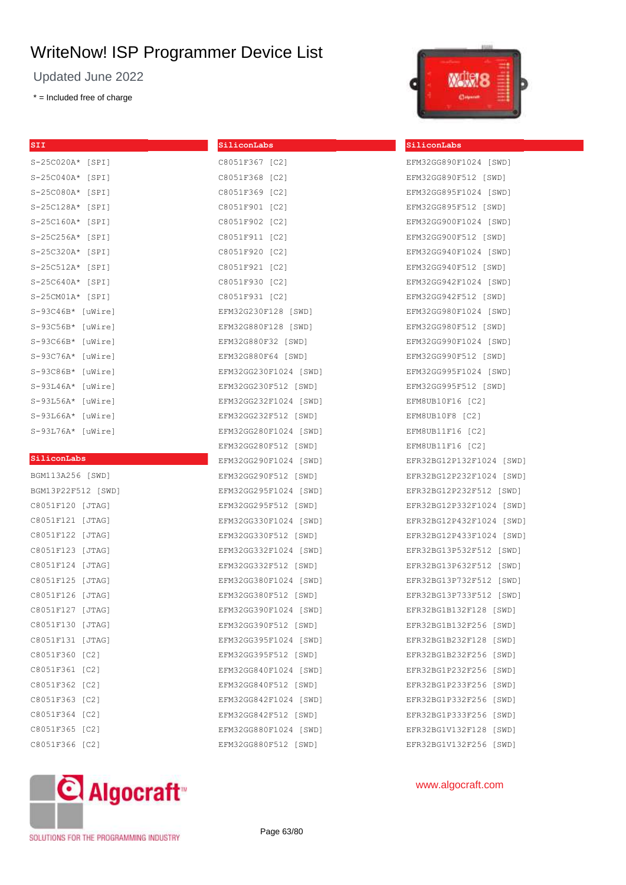Updated June 2022

\* = Included free of charge

| $\overline{\text{SII}}$ |         |
|-------------------------|---------|
| S-25C020A*              | [SPI]   |
| $S-25C040A*$            | [SPI]   |
| S-25C080A*              | [SPI]   |
| S-25C128A*              | [SPI]   |
| $S-25C160A*$            | [SPI]   |
| $S-25C256A*$            | [SPI]   |
| S-25C320A*              | [SPI]   |
| $S-25C512A*$            | [SPI]   |
| S-25C640A*              | [SPI]   |
| $S-25CM01A*$            | [SPI]   |
| $S-93C46B*$             | [uWire] |
| S-93C56B*               | [uWire] |
| S-93C66B*               | [uWire] |
| S-93C76A*               | [uWire] |
| S-93C86B*               | [uWire] |
| S-93L46A*               | [uWire] |
| $S-93L56A*$             | [uWire] |
| S-93L66A*               | [uWire] |
| S-93L76A*               | [uWire] |
|                         |         |

#### **SiliconLabs**

| BGM113A256 [SWD]   |        |
|--------------------|--------|
| BGM13P22F512 [SWD] |        |
| C8051F120 [JTAG]   |        |
| C8051F121 [JTAG]   |        |
| C8051F122 [JTAG]   |        |
| C8051F123 [JTAG]   |        |
| C8051F124          | [JTAG] |
| C8051F125          | [JTAG] |
| C8051F126          | [JTAG] |
| C8051F127          | [JTAG] |
| C8051F130          | [JTAG] |
| C8051F131          | [JTAG] |
| C8051F360          | [C2]   |
| C8051F361          | [C2]   |
| C8051F362          | [C2]   |
| C8051F363          | [C2]   |
| C8051F364          | [C2]   |
| C8051F365          | [C2]   |
| C8051F366 [C2]     |        |





#### **SiliconLabs**

EFM32GG890F1024 [SWD] EFM32GG890F512 [SWD] EFM32GG895F1024 [SWD] EFM32GG895F512 [SWD] EFM32GG900F1024 [SWD] EFM32GG900F512 [SWD] EFM32GG940F1024 [SWD] EFM32GG940F512 [SWD] EFM32GG942F1024 [SWD] EFM32GG942F512 [SWD] EFM32GG980F1024 [SWD] EFM32GG980F512 [SWD] EFM32GG990F1024 [SWD] EFM32GG990F512 [SWD] EFM32GG995F1024 [SWD] EFM32GG995F512 [SWD] EFM8UB10F16 [C2] EFM8UB10F8 [C2] EFM8UB11F16 [C2] EFM8UB11F16 [C2] EFR32BG12P132F1024 [SWD] EFR32BG12P232F1024 [SWD] EFR32BG12P232F512 [SWD] EFR32BG12P332F1024 [SWD] EFR32BG12P432F1024 [SWD] EFR32BG12P433F1024 [SWD] EFR32BG13P532F512 [SWD] EFR32BG13P632F512 [SWD] EFR32BG13P732F512 [SWD] EFR32BG13P733F512 [SWD] EFR32BG1B132F128 [SWD] EFR32BG1B132F256 [SWD] EFR32BG1B232F128 [SWD] EFR32BG1B232F256 [SWD] EFR32BG1P232F256 [SWD] EFR32BG1P233F256 [SWD] EFR32BG1P332F256 [SWD] EFR32BG1P333F256 [SWD] EFR32BG1V132F128 [SWD] EFR32BG1V132F256 [SWD]



SOLUTIONS FOR THE PROGRAMMING INDUSTRY

Page 63/80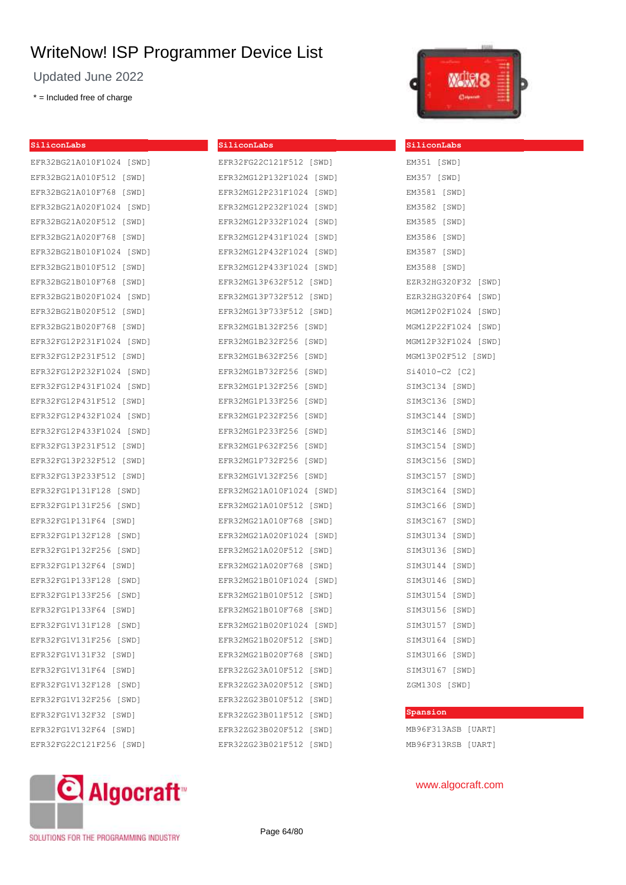Updated June 2022

EFR32BG21A010F1024 [SWD] EFR32BG21A010F512 [SWD] EFR32BG21A010F768 [SWD] EFR32BG21A020F1024 [SWD] EFR32BG21A020F512 [SWD] EFR32BG21A020F768 [SWD] EFR32BG21B010F1024 [SWD] EFR32BG21B010F512 [SWD] EFR32BG21B010F768 [SWD] EFR32BG21B020F1024 [SWD] EFR32BG21B020F512 [SWD] EFR32BG21B020F768 [SWD] EFR32FG12P231F1024 [SWD] EFR32FG12P231F512 [SWD] EFR32FG12P232F1024 [SWD] EFR32FG12P431F1024 [SWD] EFR32FG12P431F512 [SWD] EFR32FG12P432F1024 [SWD] EFR32FG12P433F1024 [SWD] EFR32FG13P231F512 [SWD] EFR32FG13P232F512 [SWD] EFR32FG13P233F512 [SWD] EFR32FG1P131F128 [SWD] EFR32FG1P131F256 [SWD] EFR32FG1P131F64 [SWD] EFR32FG1P132F128 [SWD] EFR32FG1P132F256 [SWD] EFR32FG1P132F64 [SWD] EFR32FG1P133F128 [SWD] EFR32FG1P133F256 [SWD] EFR32FG1P133F64 [SWD] EFR32FG1V131F128 [SWD] EFR32FG1V131F256 [SWD] EFR32FG1V131F32 [SWD] EFR32FG1V131F64 [SWD] EFR32FG1V132F128 [SWD] EFR32FG1V132F256 [SWD] EFR32FG1V132F32 [SWD] EFR32FG1V132F64 [SWD] EFR32FG22C121F256 [SWD]

\* = Included free of charge

**SiliconLabs**



| SiliconLabs              | SiliconLabs         |
|--------------------------|---------------------|
| EFR32FG22C121F512 [SWD]  | EM351 [SWD]         |
| EFR32MG12P132F1024 [SWD] | EM357 [SWD]         |
| EFR32MG12P231F1024 [SWD] | EM3581 [SWD]        |
| EFR32MG12P232F1024 [SWD] | EM3582 [SWD]        |
| EFR32MG12P332F1024 [SWD] | EM3585 [SWD]        |
| EFR32MG12P431F1024 [SWD] | EM3586 [SWD]        |
| EFR32MG12P432F1024 [SWD] | EM3587 [SWD]        |
| EFR32MG12P433F1024 [SWD] | EM3588 [SWD]        |
| EFR32MG13P632F512 [SWD]  | EZR32HG320F32 [SWD] |
| EFR32MG13P732F512 [SWD]  | EZR32HG320F64 [SWD] |
| EFR32MG13P733F512 [SWD]  | MGM12P02F1024 [SWD] |
| EFR32MG1B132F256 [SWD]   | MGM12P22F1024 [SWD] |
| EFR32MG1B232F256 [SWD]   | MGM12P32F1024 [SWD] |
| EFR32MG1B632F256 [SWD]   | MGM13P02F512 [SWD]  |
| EFR32MG1B732F256 [SWD]   | Si4010-C2 [C2]      |
| EFR32MG1P132F256 [SWD]   | SIM3C134 [SWD]      |
| EFR32MG1P133F256 [SWD]   | SIM3C136 [SWD]      |
| EFR32MG1P232F256 [SWD]   | SIM3C144 [SWD]      |
| EFR32MG1P233F256 [SWD]   | SIM3C146 [SWD]      |
| EFR32MG1P632F256 [SWD]   | SIM3C154 [SWD]      |
| EFR32MG1P732F256 [SWD]   | SIM3C156 [SWD]      |
| EFR32MG1V132F256 [SWD]   | SIM3C157 [SWD]      |
| EFR32MG21A010F1024 [SWD] | SIM3C164 [SWD]      |
| EFR32MG21A010F512 [SWD]  | SIM3C166 [SWD]      |
| EFR32MG21A010F768 [SWD]  | SIM3C167 [SWD]      |
| EFR32MG21A020F1024 [SWD] | SIM3U134 [SWD]      |
| EFR32MG21A020F512 [SWD]  | SIM3U136 [SWD]      |
| EFR32MG21A020F768 [SWD]  | SIM3U144 [SWD]      |
| EFR32MG21B010F1024 [SWD] | SIM3U146 [SWD]      |
| EFR32MG21B010F512 [SWD]  | SIM3U154 [SWD]      |
| EFR32MG21B010F768 [SWD]  | SIM3U156 [SWD]      |
| EFR32MG21B020F1024 [SWD] | SIM3U157 [SWD]      |
| EFR32MG21B020F512 [SWD]  | SIM3U164 [SWD]      |
| EFR32MG21B020F768 [SWD]  | SIM3U166 [SWD]      |
| EFR32ZG23A010F512 [SWD]  | SIM3U167 [SWD]      |
| EFR32ZG23A020F512 [SWD]  | ZGM130S [SWD]       |
| EFR32ZG23B010F512 [SWD]  |                     |
| EFR32ZG23B011F512 [SWD]  | Spansion            |
| EFR32ZG23B020F512 [SWD]  | MB96F313ASB [UART]  |
| EFR32ZG23B021F512 [SWD]  | MB96F313RSB [UART]  |



SOLUTIONS FOR THE PROGRAMMING INDUSTRY

Page 64/80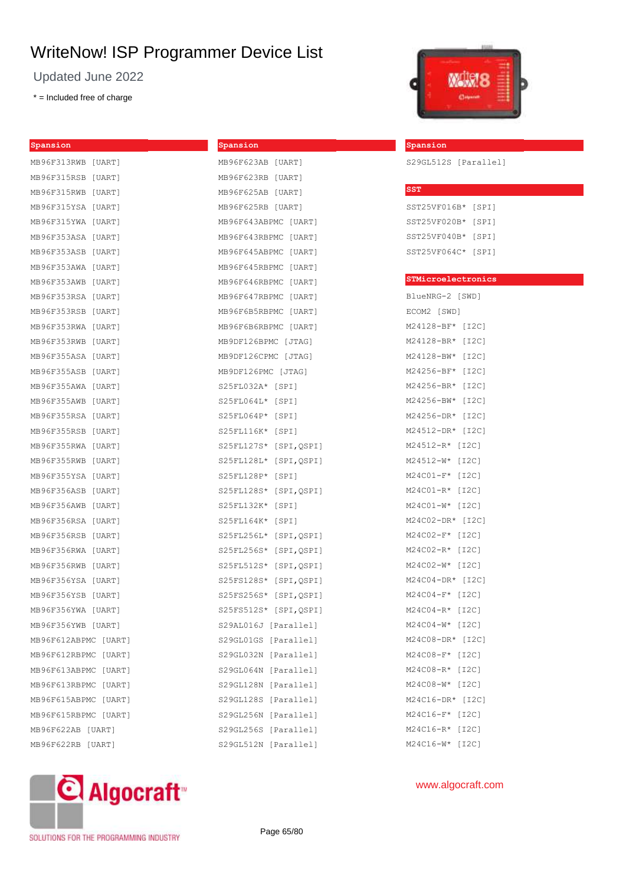**Spansion**

Updated June 2022

\* = Included free of charge

| Spansion             |        |
|----------------------|--------|
| MB96F313RWB [UART]   |        |
| MB96F315RSB [UART]   |        |
| MB96F315RWB [UART]   |        |
| MB96F315YSA          | [UART] |
| MB96F315YWA          | [UART] |
| MB96F353ASA [UART]   |        |
| MB96F353ASB          | [UART] |
| MB96F353AWA [UART]   |        |
| MB96F353AWB [UART]   |        |
| MB96F353RSA          | [UART] |
| MB96F353RSB [UART]   |        |
| MB96F353RWA          | [UART] |
| MB96F353RWB          | [UART] |
| MB96F355ASA [UART]   |        |
| MB96F355ASB          | [UART] |
| MB96F355AWA [UART]   |        |
| MB96F355AWB [UART]   |        |
| MB96F355RSA          | [UART] |
| MB96F355RSB [UART]   |        |
| MB96F355RWA [UART]   |        |
| MB96F355RWB          | [UART] |
| MB96F355YSA          | [UART] |
| MB96F356ASB          | [UART] |
| MB96F356AWB          | [UART] |
| MB96F356RSA [UART]   |        |
| MB96F356RSB          | [UART] |
| MB96F356RWA [UART]   |        |
| MB96F356RWB [UART]   |        |
| MB96F356YSA          | [UART] |
| MB96F356YSB [UART]   |        |
| MB96F356YWA [UART]   |        |
| MB96F356YWB [UART]   |        |
| MB96F612ABPMC [UART] |        |
| MB96F612RBPMC [UART] |        |
| MB96F613ABPMC [UART] |        |
| MB96F613RBPMC [UART] |        |
| MB96F615ABPMC [UART] |        |
| MB96F615RBPMC [UART] |        |
| MB96F622AB [UART]    |        |
| MB96F622RB [UART]    |        |
|                      |        |

| MB96F623AB [UART]      |             |            |
|------------------------|-------------|------------|
| MB96F623RB [UART]      |             |            |
| MB96F625AB [UART]      |             |            |
| MB96F625RB [UART]      |             |            |
| MB96F643ABPMC [UART]   |             |            |
| MB96F643RBPMC [UART]   |             |            |
| MB96F645ABPMC [UART]   |             |            |
| MB96F645RBPMC [UART]   |             |            |
| MB96F646RBPMC [UART]   |             |            |
| MB96F647RBPMC [UART]   |             |            |
| MB96F6B5RBPMC [UART]   |             |            |
| MB96F6B6RBPMC [UART]   |             |            |
| MB9DF126BPMC [JTAG]    |             |            |
| MB9DF126CPMC [JTAG]    |             |            |
| MB9DF126PMC [JTAG]     |             |            |
| S25FL032A* [SPI]       |             |            |
| S25FL064L* [SPI]       |             |            |
| S25FL064P* [SPI]       |             |            |
| S25FL116K* [SPI]       |             |            |
| S25FL127S* [SPI, QSPI] |             |            |
| S25FL128L* [SPI,QSPI]  |             |            |
| S25FL128P*             | $[$ SPI $]$ |            |
| S25FL128S*             |             | [SPI,QSPI] |
| S25FL132K* [SPI]       |             |            |
| S25FL164K* [SPI]       |             |            |
| S25FL256L* [SPI,QSPI]  |             |            |
| S25FL256S* [SPI,QSPI]  |             |            |
| S25FL512S*             |             | [SPI,QSPI] |
| S25FS128S* [SPI,QSPI]  |             |            |
| S25FS256S* [SPI,QSPI]  |             |            |
| S25FS512S* [SPI,QSPI]  |             |            |
| S29AL016J [Parallel]   |             |            |
| S29GL01GS [Parallel]   |             |            |
| S29GL032N [Parallel]   |             |            |
| S29GL064N              |             | [Parallel] |
| S29GL128N              |             | [Parallel] |
| S29GL128S              |             | [Parallel] |
| S29GL256N              |             | [Parallel] |
| S29GL256S [Parallel]   |             |            |
| S29GL512N              |             | [Parallel] |



#### **Spansion**

S29GL512S [Parallel]

| $_{\rm SST}$       |  |
|--------------------|--|
| SST25VF016B* [SPI] |  |
| SST25VF020B* [SPI] |  |
| SST25VF040B* [SPI] |  |
| SST25VF064C* [SPI] |  |

#### **STMicroelectronics**

BlueNRG-2 [SWD] ECOM2 [SWD] M24128-BF\* [I2C] M24128-BR\* [I2C] M24128-BW\* [I2C] M24256-BF\* [I2C] M24256-BR\* [I2C] M24256-BW\* [I2C] M24256-DR\* [I2C] M24512-DR\* [I2C] M24512-R\* [I2C] M24512-W\* [I2C] M24C01-F\* [I2C] M24C01-R\* [I2C] M24C01-W\* [I2C] M24C02-DR\* [I2C] M24C02-F\* [I2C] M24C02-R\* [I2C] M24C02-W\* [I2C] M24C04-DR\* [I2C] M24C04-F\* [I2C] M24C04-R\* [I2C] M24C04-W\* [I2C] M24C08-DR\* [I2C] M24C08-F\* [I2C] M24C08-R\* [I2C] M24C08-W\* [I2C] M24C16-DR\* [I2C] M24C16-F\* [I2C] M24C16-R\* [I2C] M24C16-W\* [I2C]



## www.algocraft.com

SOLUTIONS FOR THE PROGRAMMING INDUSTRY

Page 65/80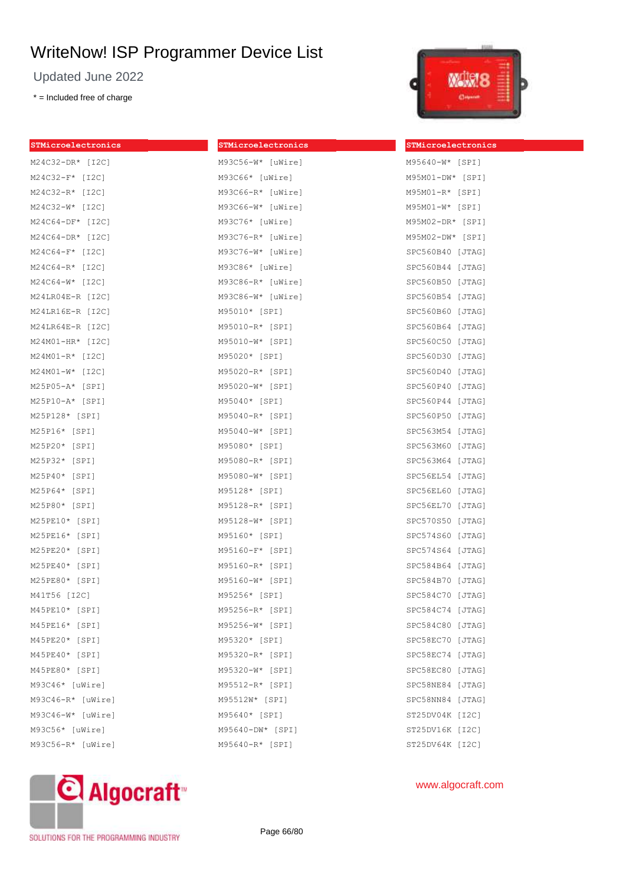Updated June 2022

\* = Included free of charge

| STMicroelectronics  | STMicroelectronics  | STMicroelectronics |
|---------------------|---------------------|--------------------|
| M24C32-DR* [I2C]    | M93C56-W* [uWire]   | M95640-W* [SPI]    |
| $M24C32-F*$ [I2C]   | M93C66* [uWire]     | $M95M01-DW*$ [SPI] |
| $M24C32-R*$ [I2C]   | $M93C66-R*$ [uWire] | $M95M01-R*$ [SPI]  |
| M24C32-W* [I2C]     | $M93C66-W*$ [uWire] | M95M01-W* [SPI]    |
| M24C64-DF* [I2C]    | M93C76* [uWire]     | M95M02-DR* [SPI]   |
| $M24C64-DR*$ [I2C]  | $M93C76-R*$ [uWire] | $M95M02-DW*$ [SPI] |
| $M24C64-F*$ [I2C]   | M93C76-W* [uWire]   | SPC560B40 [JTAG]   |
| $M24C64-R*$ [I2C]   | M93C86* [uWire]     | SPC560B44 [JTAG]   |
| $M24C64-W*$ [I2C]   | $M93C86-R*$ [uWire] | SPC560B50 [JTAG]   |
| $M24LR04E-R [I2C]$  | M93C86-W* [uWire]   | SPC560B54 [JTAG]   |
| M24LR16E-R [I2C]    | M95010* [SPI]       | SPC560B60 [JTAG]   |
| $M24LR64E-R [I2C]$  | M95010-R* [SPI]     | SPC560B64 [JTAG]   |
| $M24M01-HR*$ [I2C]  | M95010-W* [SPI]     | SPC560C50 [JTAG]   |
| M24M01-R* [I2C]     | M95020* [SPI]       | SPC560D30 [JTAG]   |
| $M24M01-W*$ [I2C]   | M95020-R* [SPI]     | SPC560D40 [JTAG]   |
| M25P05-A* [SPI]     | M95020-W* [SPI]     | SPC560P40 [JTAG]   |
| $M25P10 - A*$ [SPI] | M95040* [SPI]       | SPC560P44 [JTAG]   |
| M25P128* [SPI]      | M95040-R* [SPI]     | SPC560P50 [JTAG]   |
| M25P16* [SPI]       | M95040-W* [SPI]     | SPC563M54 [JTAG]   |
| M25P20* [SPI]       | M95080* [SPI]       | SPC563M60 [JTAG]   |
| M25P32* [SPI]       | M95080-R* [SPI]     | SPC563M64 [JTAG]   |
| M25P40* [SPI]       | M95080-W* [SPI]     | SPC56EL54 [JTAG]   |
| M25P64* [SPI]       | M95128* [SPI]       | SPC56EL60 [JTAG]   |
| M25P80* [SPI]       | M95128-R* [SPI]     | SPC56EL70 [JTAG]   |
| M25PE10* [SPI]      | M95128-W* [SPI]     | SPC570S50 [JTAG]   |
| M25PE16* [SPI]      | M95160* [SPI]       | SPC574S60 [JTAG]   |
| $M25PE20* [SPI]$    | M95160-F* [SPI]     | SPC574S64 [JTAG]   |
| $M25PE40* [SPI]$    | M95160-R* [SPI]     | SPC584B64 [JTAG]   |
| M25PE80* [SPI]      | M95160-W* [SPI]     | SPC584B70 [JTAG]   |
| M41T56 [I2C]        | M95256* [SPI]       | SPC584C70 [JTAG]   |
| M45PE10* [SPI]      | M95256-R* [SPI]     | SPC584C74 [JTAG]   |
| M45PE16* [SPI]      | M95256-W* [SPI]     | SPC584C80 [JTAG]   |
| M45PE20* [SPI]      | M95320* [SPI]       | SPC58EC70 [JTAG]   |
| $M45PE40*$ [SPI]    | M95320-R* [SPI]     | SPC58EC74 [JTAG]   |
| M45PE80* [SPI]      | M95320-W* [SPI]     | SPC58EC80 [JTAG]   |
| M93C46* [uWire]     | M95512-R* [SPI]     | SPC58NE84 [JTAG]   |
| $M93C46-R*$ [uWire] | M95512W* [SPI]      | SPC58NN84 [JTAG]   |
| $M93C46-W*$ [uWire] | M95640* [SPI]       | ST25DV04K [I2C]    |
| M93C56* [uWire]     | M95640-DW* [SPI]    | ST25DV16K [I2C]    |
| $M93C56-R*$ [uWire] | M95640-R* [SPI]     | ST25DV64K [I2C]    |



## M95640-W\* [SPI] M95M01-DW\* [SPI] M95M01-R\* [SPI] M95M01-W\* [SPI] M95M02-DR\* [SPI] M95M02-DW\* [SPI] C560B40 [JTAG] PC560B44 [JTAG] PC560B50 [JTAG] PC560B54 [JTAG] PC560B60 [JTAG] C560B64 [JTAG]  $PC560C50$  [JTAG] PC560D30 [JTAG] PC560D40 [JTAG] PC560P40 [JTAG] PC560P44 [JTAG] C560P50 [JTAG] C563M54 [JTAG] C563M60 [JTAG] C563M64 [JTAG] C56EL54 [JTAG] C56EL60 [JTAG] PC56EL70 [JTAG] PC570S50 [JTAG] PC574S60 [JTAG] C574S64 [JTAG] PC584B64 [JTAG] C584B70 [JTAG] C584C70 [JTAG] C584C74 [JTAG] C584C80 [JTAG] C58EC70 [JTAG] C58EC74 [JTAG] C58EC80 [JTAG] C58NE84 [JTAG] C58NN84 [JTAG] ST25DV04K [I2C] "25DV16K [I2C]



www.algocraft.com

SOLUTIONS FOR THE PROGRAMMING INDUSTRY

Page 66/80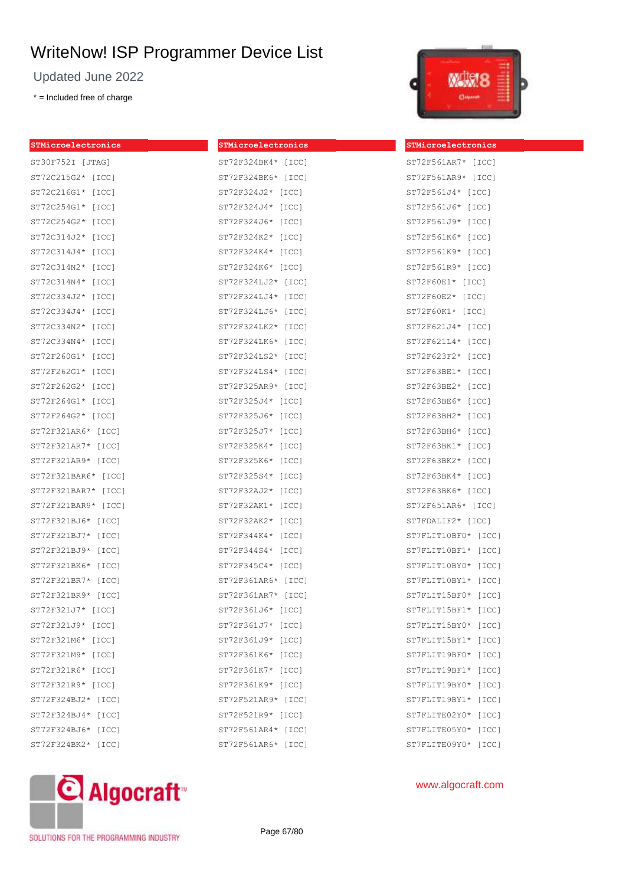Updated June 2022

\* = Included free of charge



| STMicroelectronics  | STMicroelectronics | STMicroelectronics  |
|---------------------|--------------------|---------------------|
| ST30F752I [JTAG]    | ST72F324BK4* [ICC] | ST72F561AR7* [ICC]  |
| ST72C215G2* [ICC]   | ST72F324BK6* [ICC] | ST72F561AR9* [ICC]  |
| ST72C216G1* [ICC]   | ST72F324J2* [ICC]  | ST72F561J4* [ICC]   |
| ST72C254G1* [ICC]   | ST72F324J4* [ICC]  | ST72F561J6* [ICC]   |
| ST72C254G2* [ICC]   | ST72F324J6* [ICC]  | ST72F561J9* [ICC]   |
| ST72C314J2* [ICC]   | ST72F324K2* [ICC]  | ST72F561K6* [ICC]   |
| ST72C314J4* [ICC]   | ST72F324K4* [ICC]  | ST72F561K9* [ICC]   |
| ST72C314N2* [ICC]   | ST72F324K6* [ICC]  | ST72F561R9* [ICC]   |
| ST72C314N4* [ICC]   | ST72F324LJ2* [ICC] | ST72F60E1* [ICC]    |
| ST72C334J2* [ICC]   | ST72F324LJ4* [ICC] | ST72F60E2* [ICC]    |
| ST72C334J4* [ICC]   | ST72F324LJ6* [ICC] | ST72F60K1* [ICC]    |
| ST72C334N2* [ICC]   | ST72F324LK2* [ICC] | ST72F621J4* [ICC]   |
| ST72C334N4* [ICC]   | ST72F324LK6* [ICC] | ST72F621L4* [ICC]   |
| ST72F260G1* [ICC]   | ST72F324LS2* [ICC] | ST72F623F2* [ICC]   |
| ST72F262G1* [ICC]   | ST72F324LS4* [ICC] | ST72F63BE1* [ICC]   |
| ST72F262G2* [ICC]   | ST72F325AR9* [ICC] | ST72F63BE2* [ICC]   |
| ST72F264G1* [ICC]   | ST72F325J4* [ICC]  | ST72F63BE6* [ICC]   |
| ST72F264G2* [ICC]   | ST72F325J6* [ICC]  | ST72F63BH2* [ICC]   |
| ST72F321AR6* [ICC]  | ST72F325J7* [ICC]  | ST72F63BH6* [ICC]   |
| ST72F321AR7* [ICC]  | ST72F325K4* [ICC]  | ST72F63BK1* [ICC]   |
| ST72F321AR9* [ICC]  | ST72F325K6* [ICC]  | $ST72F63BK2* [ICC]$ |
| ST72F321BAR6* [ICC] | ST72F325S4* [ICC]  | ST72F63BK4* [ICC]   |
| ST72F321BAR7* [ICC] | ST72F32AJ2* [ICC]  | ST72F63BK6* [ICC]   |
| ST72F321BAR9* [ICC] | ST72F32AK1* [ICC]  | ST72F651AR6* [ICC]  |
| ST72F321BJ6* [ICC]  | ST72F32AK2* [ICC]  | ST7FDALIF2* [ICC]   |
| ST72F321BJ7* [ICC]  | ST72F344K4* [ICC]  | ST7FLIT10BF0* [ICC] |
| ST72F321BJ9* [ICC]  | ST72F344S4* [ICC]  | ST7FLIT10BF1* [ICC] |
| ST72F321BK6* [ICC]  | ST72F345C4* [ICC]  | ST7FLIT10BY0* [ICC] |
| ST72F321BR7* [ICC]  | ST72F361AR6* [ICC] | ST7FLIT10BY1* [ICC] |
| ST72F321BR9* [ICC]  | ST72F361AR7* [ICC] | ST7FLIT15BF0* [ICC] |
| ST72F321J7* [ICC]   | ST72F361J6* [ICC]  | ST7FLIT15BF1* [ICC] |
| ST72F321J9* [ICC]   | ST72F361J7* [ICC]  | ST7FLIT15BY0* [ICC] |
| ST72F321M6* [ICC]   | ST72F361J9* [ICC]  | ST7FLIT15BY1* [ICC] |
| ST72F321M9* [ICC]   | ST72F361K6* [ICC]  | ST7FLIT19BF0* [ICC] |
| ST72F321R6* [ICC]   | ST72F361K7* [ICC]  | ST7FLIT19BF1* [ICC] |
| ST72F321R9* [ICC]   | ST72F361K9* [ICC]  | ST7FLIT19BY0* [ICC] |
| ST72F324BJ2* [ICC]  | ST72F521AR9* [ICC] | ST7FLIT19BY1* [ICC] |
| ST72F324BJ4* [ICC]  | ST72F521R9* [ICC]  | ST7FLITE02Y0* [ICC] |
| ST72F324BJ6* [ICC]  | ST72F561AR4* [ICC] | ST7FLITE05Y0* [ICC] |
| ST72F324BK2* [ICC]  | ST72F561AR6* [ICC] | ST7FLITE09Y0* [ICC] |



www.algocraft.com

SOLUTIONS FOR THE PROGRAMMING INDUSTRY

Page 67/80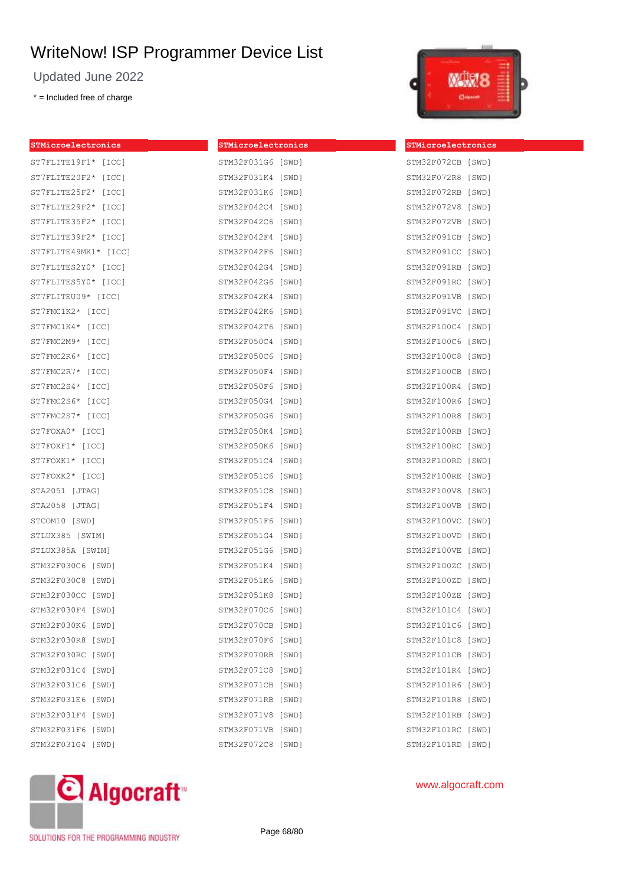Updated June 2022

\* = Included free of charge

| STMicroelectronics   | STMicroelectronics | STMicroelect |
|----------------------|--------------------|--------------|
| ST7FLITE19F1* [ICC]  | STM32F031G6 [SWD]  | STM32F072CB  |
| ST7FLITE20F2* [ICC]  | STM32F031K4 [SWD]  | STM32F072R8  |
| ST7FLITE25F2* [ICC]  | STM32F031K6 [SWD]  | STM32F072RB  |
| ST7FLITE29F2* [ICC]  | STM32F042C4 [SWD]  | STM32F072V8  |
| ST7FLITE35F2* [ICC]  | STM32F042C6 [SWD]  | STM32F072VB  |
| ST7FLITE39F2* [ICC]  | STM32F042F4 [SWD]  | STM32F091CB  |
| ST7FLITE49MK1* [ICC] | STM32F042F6 [SWD]  | STM32F091CC  |
| ST7FLITES2Y0* [ICC]  | STM32F042G4 [SWD]  | STM32F091RB  |
| ST7FLITES5Y0* [ICC]  | STM32F042G6 [SWD]  | STM32F091RC  |
| ST7FLITEU09* [ICC]   | STM32F042K4 [SWD]  | STM32F091VB  |
| ST7FMC1K2* [ICC]     | STM32F042K6 [SWD]  | STM32F091VC  |
| ST7FMC1K4* [ICC]     | STM32F042T6 [SWD]  | STM32F100C4  |
| ST7FMC2M9* [ICC]     | STM32F050C4 [SWD]  | STM32F100C6  |
| ST7FMC2R6* [ICC]     | STM32F050C6 [SWD]  | STM32F100C8  |
| ST7FMC2R7* [ICC]     | STM32F050F4 [SWD]  | STM32F100CB  |
| ST7FMC2S4* [ICC]     | STM32F050F6 [SWD]  | STM32F100R4  |
| ST7FMC2S6* [ICC]     | STM32F050G4 [SWD]  | STM32F100R6  |
| ST7FMC2S7* [ICC]     | STM32F050G6 [SWD]  | STM32F100R8  |
| ST7FOXA0* [ICC]      | STM32F050K4 [SWD]  | STM32F100RB  |
| ST7FOXF1* [ICC]      | STM32F050K6 [SWD]  | STM32F100RC  |
| ST7FOXK1* [ICC]      | STM32F051C4 [SWD]  | STM32F100RD  |
| ST7FOXK2* [ICC]      | STM32F051C6 [SWD]  | STM32F100RE  |
| STA2051 [JTAG]       | STM32F051C8 [SWD]  | STM32F100V8  |
| STA2058 [JTAG]       | STM32F051F4 [SWD]  | STM32F100VB  |
| STCOM10 [SWD]        | STM32F051F6 [SWD]  | STM32F100VC  |
| STLUX385 [SWIM]      | STM32F051G4 [SWD]  | STM32F100VD  |
| STLUX385A [SWIM]     | STM32F051G6 [SWD]  | STM32F100VE  |
| STM32F030C6 [SWD]    | STM32F051K4 [SWD]  | STM32F100ZC  |
| STM32F030C8 [SWD]    | STM32F051K6 [SWD]  | STM32F100ZD  |
| STM32F030CC [SWD]    | STM32F051K8 [SWD]  | STM32F100ZE  |
| STM32F030F4 [SWD]    | STM32F070C6 [SWD]  | STM32F101C4  |
| STM32F030K6 [SWD]    | STM32F070CB [SWD]  | STM32F101C6  |
| STM32F030R8 [SWD]    | STM32F070F6 [SWD]  | STM32F101C8  |
| STM32F030RC [SWD]    | STM32F070RB [SWD]  | STM32F101CB  |
| STM32F031C4 [SWD]    | STM32F071C8 [SWD]  | STM32F101R4  |
| STM32F031C6 [SWD]    | STM32F071CB [SWD]  | STM32F101R6  |
| STM32F031E6 [SWD]    | STM32F071RB [SWD]  | STM32F101R8  |
| STM32F031F4 [SWD]    | STM32F071V8 [SWD]  | STM32F101RB  |
| STM32F031F6 [SWD]    | STM32F071VB [SWD]  | STM32F101RC  |
| STM32F031G4 [SWD]    | STM32F072C8 [SWD]  | STM32F101RD  |
|                      |                    |              |



**STMicroelectronics**  $[SWD]$ 

| STM32F072R8 | [SWD] |
|-------------|-------|
| STM32F072RB | [SWD] |
| STM32F072V8 | [SWD] |
| STM32F072VB | [SWD] |
| STM32F091CB | [SWD] |
| STM32F091CC | [SWD] |
| STM32F091RB | [SWD] |
| STM32F091RC | [SWD] |
| STM32F091VB | [SWD] |
| STM32F091VC | [SWD] |
| STM32F100C4 | [SWD] |
| STM32F100C6 | [SWD] |
| STM32F100C8 | [SWD] |
| STM32F100CB | [SWD] |
| STM32F100R4 | [SWD] |
| STM32F100R6 | [SWD] |
| STM32F100R8 | [SWD] |
| STM32F100RB | [SWD] |
| STM32F100RC | [SWD] |
| STM32F100RD | [SWD] |
| STM32F100RE | [SWD] |
| STM32F100V8 | [SWD] |
| STM32F100VB | [SWD] |
| STM32F100VC | [SWD] |
| STM32F100VD | [SWD] |
| STM32F100VE | [SWD] |
| STM32F100ZC | [SWD] |
| STM32F100ZD | [SWD] |
| STM32F100ZE | [SWD] |
| STM32F101C4 | [SWD] |
| STM32F101C6 | [SWD] |
| STM32F101C8 | [SWD] |
| STM32F101CB | [SWD] |
| STM32F101R4 | [SWD] |
| STM32F101R6 | [SWD] |
| STM32F101R8 | [SWD] |
| STM32F101RB | [SWD] |
| STM32F101RC | [SWD] |
| STM32F101RD | [SWD] |



www.algocraft.com

SOLUTIONS FOR THE PROGRAMMING INDUSTRY

Page 68/80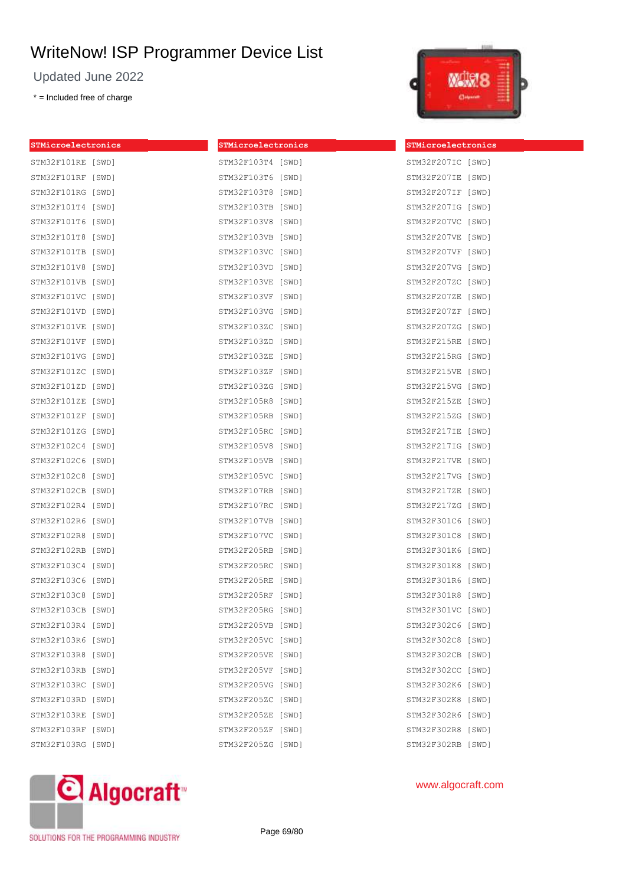Updated June 2022

\* = Included free of charge



| STMicroelectronics | STMicroelectronics | STMicroelectronics |
|--------------------|--------------------|--------------------|
| STM32F101RE [SWD]  | STM32F103T4 [SWD]  | STM32F207IC [SWD]  |
| STM32F101RF [SWD]  | STM32F103T6 [SWD]  | STM32F207IE [SWD]  |
| STM32F101RG [SWD]  | STM32F103T8 [SWD]  | STM32F207IF [SWD]  |
| STM32F101T4 [SWD]  | STM32F103TB [SWD]  | STM32F207IG [SWD]  |
| STM32F101T6 [SWD]  | STM32F103V8 [SWD]  | STM32F207VC [SWD]  |
| STM32F101T8 [SWD]  | STM32F103VB [SWD]  | STM32F207VE [SWD]  |
| STM32F101TB [SWD]  | STM32F103VC [SWD]  | STM32F207VF [SWD]  |
| STM32F101V8 [SWD]  | STM32F103VD [SWD]  | STM32F207VG [SWD]  |
| STM32F101VB [SWD]  | STM32F103VE [SWD]  | STM32F207ZC [SWD]  |
| STM32F101VC [SWD]  | STM32F103VF [SWD]  | STM32F207ZE [SWD]  |
| STM32F101VD [SWD]  | STM32F103VG [SWD]  | STM32F207ZF [SWD]  |
| STM32F101VE [SWD]  | STM32F103ZC [SWD]  | STM32F207ZG [SWD]  |
| STM32F101VF [SWD]  | STM32F103ZD [SWD]  | STM32F215RE [SWD]  |
| STM32F101VG [SWD]  | STM32F103ZE [SWD]  | STM32F215RG [SWD]  |
| STM32F101ZC [SWD]  | STM32F103ZF [SWD]  | STM32F215VE [SWD]  |
| STM32F101ZD [SWD]  | STM32F103ZG [SWD]  | STM32F215VG [SWD]  |
| STM32F101ZE [SWD]  | STM32F105R8 [SWD]  | STM32F215ZE [SWD]  |
| STM32F101ZF [SWD]  | STM32F105RB [SWD]  | STM32F215ZG [SWD]  |
| STM32F101ZG [SWD]  | STM32F105RC [SWD]  | STM32F217IE [SWD]  |
| STM32F102C4 [SWD]  | STM32F105V8 [SWD]  | STM32F217IG [SWD]  |
| STM32F102C6 [SWD]  | STM32F105VB [SWD]  | STM32F217VE [SWD]  |
| STM32F102C8 [SWD]  | STM32F105VC [SWD]  | STM32F217VG [SWD]  |
| STM32F102CB [SWD]  | STM32F107RB [SWD]  | STM32F217ZE [SWD]  |
| STM32F102R4 [SWD]  | STM32F107RC [SWD]  | STM32F217ZG [SWD]  |
| STM32F102R6 [SWD]  | STM32F107VB [SWD]  | STM32F301C6 [SWD]  |
| STM32F102R8 [SWD]  | STM32F107VC [SWD]  | STM32F301C8 [SWD]  |
| STM32F102RB [SWD]  | STM32F205RB [SWD]  | STM32F301K6 [SWD]  |
| STM32F103C4 [SWD]  | STM32F205RC [SWD]  | STM32F301K8 [SWD]  |
| STM32F103C6 [SWD]  | STM32F205RE [SWD]  | STM32F301R6 [SWD]  |
| STM32F103C8 [SWD]  | STM32F205RF [SWD]  | STM32F301R8 [SWD]  |
| STM32F103CB [SWD]  | STM32F205RG [SWD]  | STM32F301VC [SWD]  |
| STM32F103R4 [SWD]  | STM32F205VB [SWD]  | STM32F302C6 [SWD]  |
| STM32F103R6 [SWD]  | STM32F205VC [SWD]  | STM32F302C8 [SWD]  |
| STM32F103R8 [SWD]  | STM32F205VE [SWD]  | STM32F302CB [SWD]  |
| STM32F103RB [SWD]  | STM32F205VF [SWD]  | STM32F302CC [SWD]  |
| STM32F103RC [SWD]  | STM32F205VG [SWD]  | STM32F302K6 [SWD]  |
| STM32F103RD [SWD]  | STM32F205ZC [SWD]  | STM32F302K8 [SWD]  |
| STM32F103RE [SWD]  | STM32F205ZE [SWD]  | STM32F302R6 [SWD]  |
| STM32F103RF [SWD]  | STM32F205ZF [SWD]  | STM32F302R8 [SWD]  |
| STM32F103RG [SWD]  | STM32F205ZG [SWD]  | STM32F302RB [SWD]  |



www.algocraft.com

SOLUTIONS FOR THE PROGRAMMING INDUSTRY

Page 69/80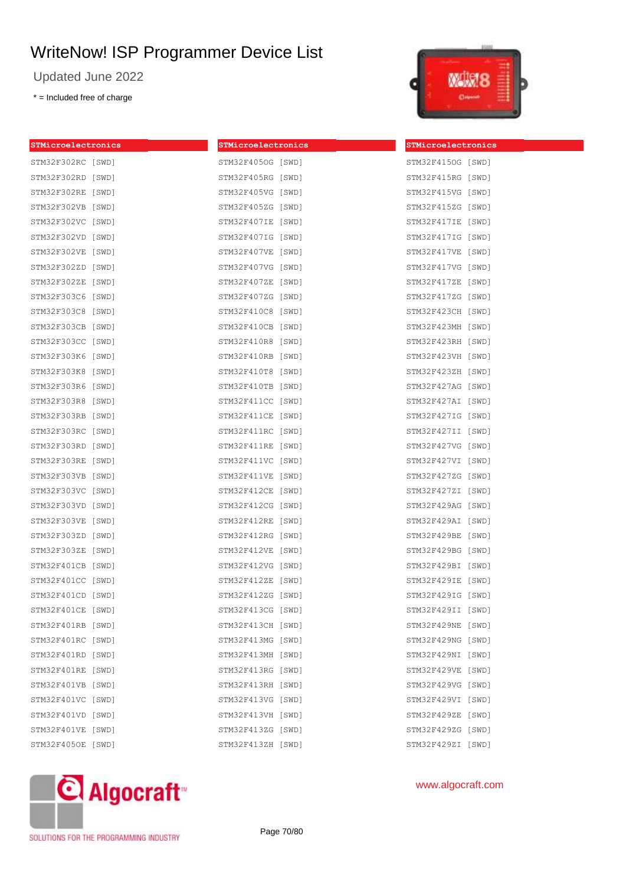Updated June 2022

\* = Included free of charge



| STMicroelectronics | STMicroelectronics | STMicroelectronics |  |
|--------------------|--------------------|--------------------|--|
| STM32F302RC [SWD]  | STM32F405OG [SWD]  | STM32F4150G [SWD]  |  |
| STM32F302RD [SWD]  | STM32F405RG [SWD]  | STM32F415RG [SWD]  |  |
| STM32F302RE [SWD]  | STM32F405VG [SWD]  | STM32F415VG [SWD]  |  |
| STM32F302VB [SWD]  | STM32F405ZG [SWD]  | STM32F415ZG [SWD]  |  |
| STM32F302VC [SWD]  | STM32F407IE [SWD]  | STM32F417IE [SWD]  |  |
| STM32F302VD [SWD]  | STM32F407IG [SWD]  | STM32F417IG [SWD]  |  |
| STM32F302VE [SWD]  | STM32F407VE [SWD]  | STM32F417VE [SWD]  |  |
| STM32F302ZD [SWD]  | STM32F407VG [SWD]  | STM32F417VG [SWD]  |  |
| STM32F302ZE [SWD]  | STM32F407ZE [SWD]  | STM32F417ZE [SWD]  |  |
| STM32F303C6 [SWD]  | STM32F407ZG [SWD]  | STM32F417ZG [SWD]  |  |
| STM32F303C8 [SWD]  | STM32F410C8 [SWD]  | STM32F423CH [SWD]  |  |
| STM32F303CB [SWD]  | STM32F410CB [SWD]  | STM32F423MH [SWD]  |  |
| STM32F303CC [SWD]  | STM32F410R8 [SWD]  | STM32F423RH [SWD]  |  |
| STM32F303K6 [SWD]  | STM32F410RB [SWD]  | STM32F423VH [SWD]  |  |
| STM32F303K8 [SWD]  | STM32F410T8 [SWD]  | STM32F423ZH [SWD]  |  |
| STM32F303R6 [SWD]  | STM32F410TB [SWD]  | STM32F427AG [SWD]  |  |
| STM32F303R8 [SWD]  | STM32F411CC [SWD]  | STM32F427AI [SWD]  |  |
| STM32F303RB [SWD]  | STM32F411CE [SWD]  | STM32F427IG [SWD]  |  |
| STM32F303RC [SWD]  | STM32F411RC [SWD]  | STM32F427II [SWD]  |  |
| STM32F303RD [SWD]  | STM32F411RE [SWD]  | STM32F427VG [SWD]  |  |
| STM32F303RE [SWD]  | STM32F411VC [SWD]  | STM32F427VI [SWD]  |  |
| STM32F303VB [SWD]  | STM32F411VE [SWD]  | STM32F427ZG [SWD]  |  |
| STM32F303VC [SWD]  | STM32F412CE [SWD]  | STM32F427ZI [SWD]  |  |
| STM32F303VD [SWD]  | STM32F412CG [SWD]  | STM32F429AG [SWD]  |  |
| STM32F303VE [SWD]  | STM32F412RE [SWD]  | STM32F429AI [SWD]  |  |
| STM32F303ZD [SWD]  | STM32F412RG [SWD]  | STM32F429BE [SWD]  |  |
| STM32F303ZE [SWD]  | STM32F412VE [SWD]  | STM32F429BG [SWD]  |  |
| STM32F401CB [SWD]  | STM32F412VG [SWD]  | STM32F429BI [SWD]  |  |
| STM32F401CC [SWD]  | STM32F412ZE [SWD]  | STM32F429IE [SWD]  |  |
| STM32F401CD [SWD]  | STM32F412ZG [SWD]  | STM32F429IG [SWD]  |  |
| STM32F401CE [SWD]  | STM32F413CG [SWD]  | STM32F429II [SWD]  |  |
| STM32F401RB [SWD]  | STM32F413CH [SWD]  | STM32F429NE [SWD]  |  |
| STM32F401RC [SWD]  | STM32F413MG [SWD]  | STM32F429NG [SWD]  |  |
| STM32F401RD [SWD]  | STM32F413MH [SWD]  | STM32F429NI [SWD]  |  |
| STM32F401RE [SWD]  | STM32F413RG [SWD]  | STM32F429VE [SWD]  |  |
| STM32F401VB [SWD]  | STM32F413RH [SWD]  | STM32F429VG [SWD]  |  |
| STM32F401VC [SWD]  | STM32F413VG [SWD]  | STM32F429VI [SWD]  |  |
| STM32F401VD [SWD]  | STM32F413VH [SWD]  | STM32F429ZE [SWD]  |  |
| STM32F401VE [SWD]  | STM32F413ZG [SWD]  | STM32F429ZG [SWD]  |  |
| STM32F405OE [SWD]  | STM32F413ZH [SWD]  | STM32F429ZI [SWD]  |  |



www.algocraft.com

SOLUTIONS FOR THE PROGRAMMING INDUSTRY

Page 70/80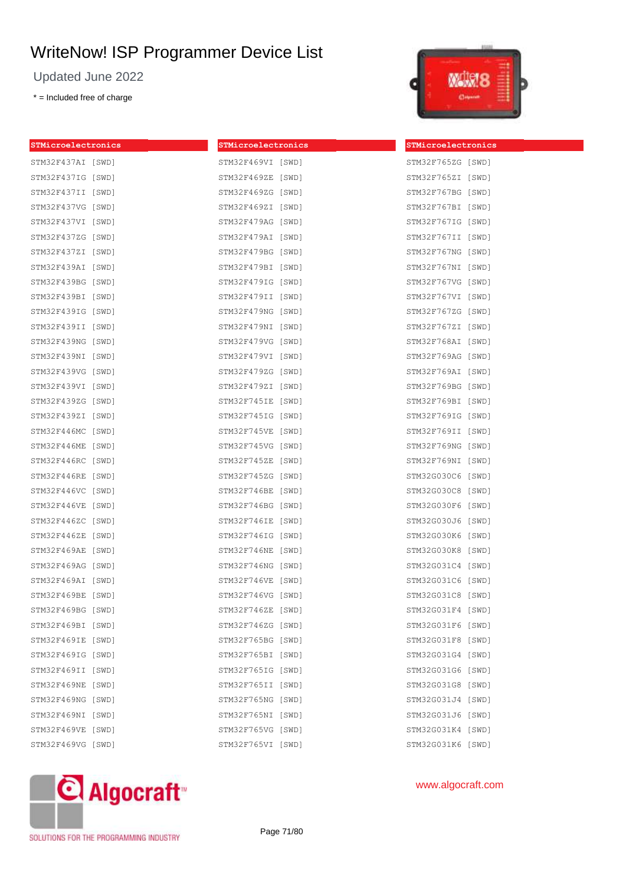Updated June 2022

\* = Included free of charge



| STMicroelectronics | STMicroelectronics | STMicroelectronics |
|--------------------|--------------------|--------------------|
| STM32F437AI [SWD]  | STM32F469VI [SWD]  | STM32F765ZG [SWD]  |
| STM32F437IG [SWD]  | STM32F469ZE [SWD]  | STM32F765ZI [SWD]  |
| STM32F437II [SWD]  | STM32F469ZG [SWD]  | STM32F767BG [SWD]  |
| STM32F437VG [SWD]  | STM32F469ZI [SWD]  | STM32F767BI [SWD]  |
| STM32F437VI [SWD]  | STM32F479AG [SWD]  | STM32F767IG [SWD]  |
| STM32F437ZG [SWD]  | STM32F479AI [SWD]  | STM32F767II [SWD]  |
| STM32F437ZI [SWD]  | STM32F479BG [SWD]  | STM32F767NG [SWD]  |
| STM32F439AI [SWD]  | STM32F479BI [SWD]  | STM32F767NI [SWD]  |
| STM32F439BG [SWD]  | STM32F479IG [SWD]  | STM32F767VG [SWD]  |
| STM32F439BI [SWD]  | STM32F479II [SWD]  | STM32F767VI [SWD]  |
| STM32F439IG [SWD]  | STM32F479NG [SWD]  | STM32F767ZG [SWD]  |
| STM32F439II [SWD]  | STM32F479NI [SWD]  | STM32F767ZI [SWD]  |
| STM32F439NG [SWD]  | STM32F479VG [SWD]  | STM32F768AI [SWD]  |
| STM32F439NI [SWD]  | STM32F479VI [SWD]  | STM32F769AG [SWD]  |
| STM32F439VG [SWD]  | STM32F479ZG [SWD]  | STM32F769AI [SWD]  |
| STM32F439VI [SWD]  | STM32F479ZI [SWD]  | STM32F769BG [SWD]  |
| STM32F439ZG [SWD]  | STM32F745IE [SWD]  | STM32F769BI [SWD]  |
| STM32F439ZI [SWD]  | STM32F745IG [SWD]  | STM32F769IG [SWD]  |
| STM32F446MC [SWD]  | STM32F745VE [SWD]  | STM32F769II [SWD]  |
| STM32F446ME [SWD]  | STM32F745VG [SWD]  | STM32F769NG [SWD]  |
| STM32F446RC [SWD]  | STM32F745ZE [SWD]  | STM32F769NI [SWD]  |
| STM32F446RE [SWD]  | STM32F745ZG [SWD]  | STM32G030C6 [SWD]  |
| STM32F446VC [SWD]  | STM32F746BE [SWD]  | STM32G030C8 [SWD]  |
| STM32F446VE [SWD]  | STM32F746BG [SWD]  | STM32G030F6 [SWD]  |
| STM32F446ZC [SWD]  | STM32F746IE [SWD]  | STM32G030J6 [SWD]  |
| STM32F446ZE [SWD]  | STM32F746IG [SWD]  | STM32G030K6 [SWD]  |
| STM32F469AE [SWD]  | STM32F746NE [SWD]  | STM32G030K8 [SWD]  |
| STM32F469AG [SWD]  | STM32F746NG [SWD]  | STM32G031C4 [SWD]  |
| STM32F469AI [SWD]  | STM32F746VE [SWD]  | STM32G031C6 [SWD]  |
| STM32F469BE [SWD]  | STM32F746VG [SWD]  | STM32G031C8 [SWD]  |
| STM32F469BG [SWD]  | STM32F746ZE [SWD]  | STM32G031F4 [SWD]  |
| STM32F469BI [SWD]  | STM32F746ZG [SWD]  | STM32G031F6 [SWD]  |
| STM32F469IE [SWD]  | STM32F765BG [SWD]  | STM32G031F8 [SWD]  |
| STM32F469IG [SWD]  | STM32F765BI [SWD]  | STM32G031G4 [SWD]  |
| STM32F469II [SWD]  | STM32F765IG [SWD]  | STM32G031G6 [SWD]  |
| STM32F469NE [SWD]  | STM32F765II [SWD]  | STM32G031G8 [SWD]  |
| STM32F469NG [SWD]  | STM32F765NG [SWD]  | STM32G031J4 [SWD]  |
| STM32F469NI [SWD]  | STM32F765NI [SWD]  | STM32G031J6 [SWD]  |
| STM32F469VE [SWD]  | STM32F765VG [SWD]  | STM32G031K4 [SWD]  |
| STM32F469VG [SWD]  | STM32F765VI [SWD]  | STM32G031K6 [SWD]  |



www.algocraft.com

SOLUTIONS FOR THE PROGRAMMING INDUSTRY

Page 71/80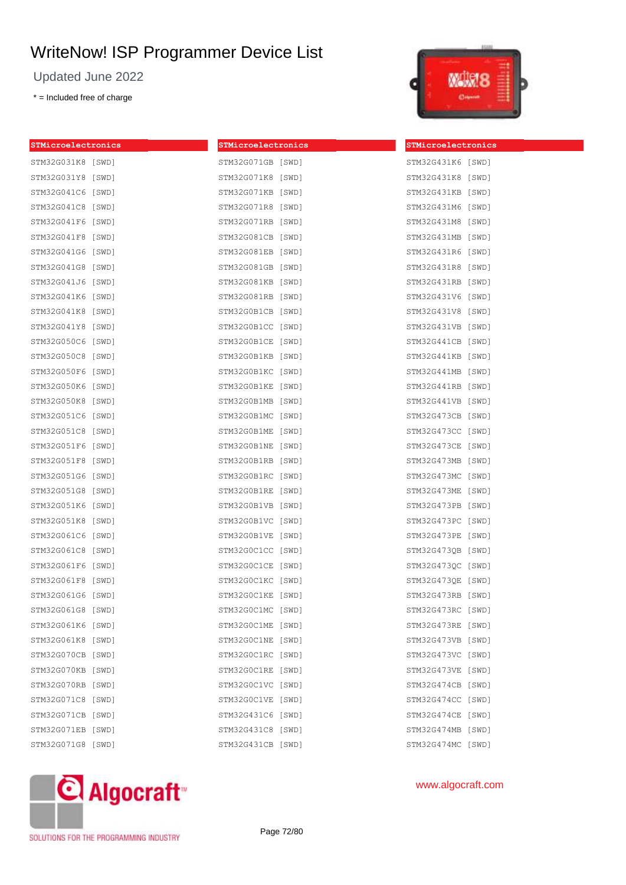Updated June 2022

\* = Included free of charge

| STMicroelectronics | STMicroelectronics | STMicroelectronics |  |
|--------------------|--------------------|--------------------|--|
| STM32G031K8 [SWD]  | STM32G071GB [SWD]  | STM32G431K6 [SWD]  |  |
| STM32G031Y8 [SWD]  | STM32G071K8 [SWD]  | STM32G431K8 [SWD]  |  |
| STM32G041C6 [SWD]  | STM32G071KB [SWD]  | STM32G431KB [SWD]  |  |
| STM32G041C8 [SWD]  | STM32G071R8 [SWD]  | STM32G431M6 [SWD]  |  |
| STM32G041F6 [SWD]  | STM32G071RB [SWD]  | STM32G431M8 [SWD]  |  |
| STM32G041F8 [SWD]  | STM32G081CB [SWD]  | STM32G431MB [SWD]  |  |
| STM32G041G6 [SWD]  | STM32G081EB [SWD]  | STM32G431R6 [SWD]  |  |
| STM32G041G8 [SWD]  | STM32G081GB [SWD]  | STM32G431R8 [SWD]  |  |
| STM32G041J6 [SWD]  | STM32G081KB [SWD]  | STM32G431RB [SWD]  |  |
| STM32G041K6 [SWD]  | STM32G081RB [SWD]  | STM32G431V6 [SWD]  |  |
| STM32G041K8 [SWD]  | STM32G0B1CB [SWD]  | STM32G431V8 [SWD]  |  |
| STM32G041Y8 [SWD]  | STM32G0B1CC [SWD]  | STM32G431VB [SWD]  |  |
| STM32G050C6 [SWD]  | STM32G0B1CE [SWD]  | STM32G441CB [SWD]  |  |
| STM32G050C8 [SWD]  | STM32G0B1KB [SWD]  | STM32G441KB [SWD]  |  |
| STM32G050F6 [SWD]  | STM32GOB1KC [SWD]  | STM32G441MB [SWD]  |  |
| STM32G050K6 [SWD]  | STM32GOB1KE [SWD]  | STM32G441RB [SWD]  |  |
| STM32G050K8 [SWD]  | STM32G0B1MB [SWD]  | STM32G441VB [SWD]  |  |
| STM32G051C6 [SWD]  | STM32G0B1MC [SWD]  | STM32G473CB [SWD]  |  |
| STM32G051C8 [SWD]  | STM32G0B1ME [SWD]  | STM32G473CC [SWD]  |  |
| STM32G051F6 [SWD]  | STM32GOB1NE [SWD]  | STM32G473CE [SWD]  |  |
| STM32G051F8 [SWD]  | STM32G0B1RB [SWD]  | STM32G473MB [SWD]  |  |
| STM32G051G6 [SWD]  | STM32G0B1RC [SWD]  | STM32G473MC [SWD]  |  |
| STM32G051G8 [SWD]  | STM32G0B1RE [SWD]  | STM32G473ME [SWD]  |  |
| STM32G051K6 [SWD]  | STM32G0B1VB [SWD]  | STM32G473PB [SWD]  |  |
| STM32G051K8 [SWD]  | STM32G0B1VC [SWD]  | STM32G473PC [SWD]  |  |
| STM32G061C6 [SWD]  | STM32GOB1VE [SWD]  | STM32G473PE [SWD]  |  |
| STM32G061C8 [SWD]  | STM32GOC1CC [SWD]  | STM32G473QB [SWD]  |  |
| STM32G061F6 [SWD]  | STM32GOC1CE [SWD]  | STM32G4730C [SWD]  |  |
| STM32G061F8 [SWD]  | STM32G0C1KC [SWD]  | STM32G473QE [SWD]  |  |
| STM32G061G6 [SWD]  | STM32GOC1KE [SWD]  | STM32G473RB [SWD]  |  |
| STM32G061G8 [SWD]  | STM32GOC1MC [SWD]  | STM32G473RC [SWD]  |  |
| STM32G061K6 [SWD]  | STM32GOC1ME [SWD]  | STM32G473RE [SWD]  |  |
| STM32G061K8 [SWD]  | STM32GOC1NE [SWD]  | STM32G473VB [SWD]  |  |
| STM32G070CB [SWD]  | STM32GOC1RC [SWD]  | STM32G473VC [SWD]  |  |
| STM32G070KB [SWD]  | STM32GOC1RE [SWD]  | STM32G473VE [SWD]  |  |
| STM32G070RB [SWD]  | STM32GOC1VC [SWD]  | STM32G474CB [SWD]  |  |
| STM32G071C8 [SWD]  | STM32GOC1VE [SWD]  | STM32G474CC [SWD]  |  |
| STM32G071CB [SWD]  | STM32G431C6 [SWD]  | STM32G474CE [SWD]  |  |
| STM32G071EB [SWD]  | STM32G431C8 [SWD]  | STM32G474MB [SWD]  |  |
| STM32G071G8 [SWD]  | STM32G431CB [SWD]  | STM32G474MC [SWD]  |  |
|                    |                    |                    |  |



| STM32G431K8       | [SWD] |
|-------------------|-------|
| STM32G431KB [SWD] |       |
| STM32G431M6 [SWD] |       |
| STM32G431M8       | [SWD] |
| STM32G431MB [SWD] |       |
| STM32G431R6 [SWD] |       |
| STM32G431R8       | [SWD] |
| STM32G431RB       | [SWD] |
| STM32G431V6       | [SWD] |
| STM32G431V8 [SWD] |       |
| STM32G431VB [SWD] |       |
| STM32G441CB       | [SWD] |
| STM32G441KB [SWD] |       |
| STM32G441MB [SWD] |       |
| STM32G441RB [SWD] |       |
| STM32G441VB [SWD] |       |
| STM32G473CB       | [SWD] |
| STM32G473CC       | [SWD] |
| STM32G473CE       | [SWD] |
| STM32G473MB       | [SWD] |
| STM32G473MC [SWD] |       |
| STM32G473ME [SWD] |       |
| STM32G473PB       | [SWD] |
| STM32G473PC       | [SWD] |
| STM32G473PE [SWD] |       |
| STM32G473QB [SWD] |       |
| STM32G473QC [SWD] |       |
| STM32G473QE       | [SWD] |
| STM32G473RB [SWD] |       |
| STM32G473RC       | [SWD] |
| STM32G473RE [SWD] |       |
| STM32G473VB       | [SWD] |
| STM32G473VC       | [SWD] |
| STM32G473VE       | [SWD] |
| STM32G474CB       | [SWD] |
| STM32G474CC       | [SWD] |
| STM32G474CE       | [SWD] |
| STM32G474MB       | [SWD] |
| STM32G474MC       | [SWD] |

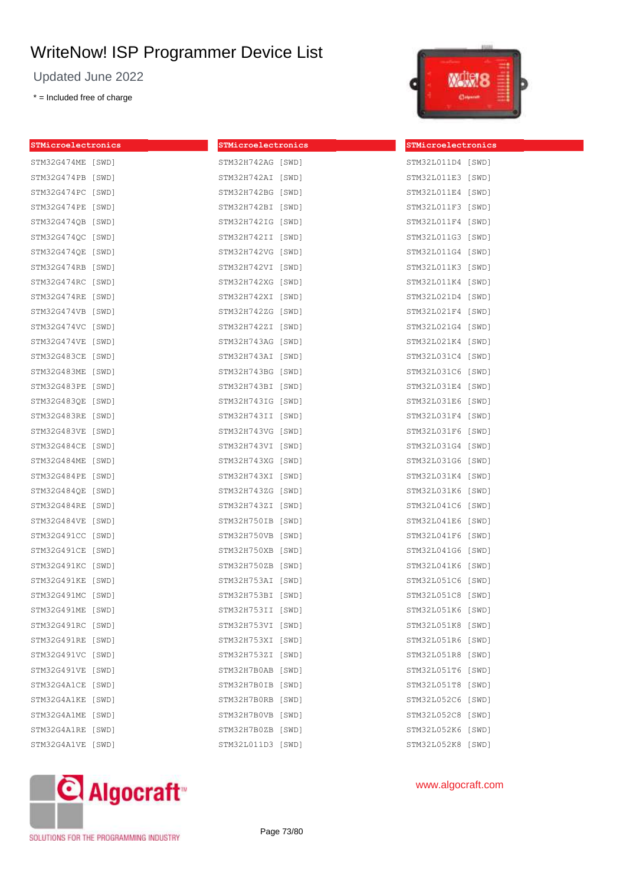Updated June 2022

\* = Included free of charge



| STMicroelectronics | STMicroelectronics | STMicroelectronics |  |
|--------------------|--------------------|--------------------|--|
| STM32G474ME [SWD]  | STM32H742AG [SWD]  | STM32L011D4 [SWD]  |  |
| STM32G474PB [SWD]  | STM32H742AI [SWD]  | STM32L011E3 [SWD]  |  |
| STM32G474PC [SWD]  | STM32H742BG [SWD]  | STM32L011E4 [SWD]  |  |
| STM32G474PE [SWD]  | STM32H742BI [SWD]  | STM32L011F3 [SWD]  |  |
| STM32G474QB [SWD]  | STM32H742IG [SWD]  | STM32L011F4 [SWD]  |  |
| STM32G474QC [SWD]  | STM32H742II [SWD]  | STM32L011G3 [SWD]  |  |
| STM32G474QE [SWD]  | STM32H742VG [SWD]  | STM32L011G4 [SWD]  |  |
| STM32G474RB [SWD]  | STM32H742VI [SWD]  | STM32L011K3 [SWD]  |  |
| STM32G474RC [SWD]  | STM32H742XG [SWD]  | STM32L011K4 [SWD]  |  |
| STM32G474RE [SWD]  | STM32H742XI [SWD]  | STM32L021D4 [SWD]  |  |
| STM32G474VB [SWD]  | STM32H742ZG [SWD]  | STM32L021F4 [SWD]  |  |
| STM32G474VC [SWD]  | STM32H742ZI [SWD]  | STM32L021G4 [SWD]  |  |
| STM32G474VE [SWD]  | STM32H743AG [SWD]  | STM32L021K4 [SWD]  |  |
| STM32G483CE [SWD]  | STM32H743AI [SWD]  | STM32L031C4 [SWD]  |  |
| STM32G483ME [SWD]  | STM32H743BG [SWD]  | STM32L031C6 [SWD]  |  |
| STM32G483PE [SWD]  | STM32H743BI [SWD]  | STM32L031E4 [SWD]  |  |
| STM32G483QE [SWD]  | STM32H743IG [SWD]  | STM32L031E6 [SWD]  |  |
| STM32G483RE [SWD]  | STM32H743II [SWD]  | STM32L031F4 [SWD]  |  |
| STM32G483VE [SWD]  | STM32H743VG [SWD]  | STM32L031F6 [SWD]  |  |
| STM32G484CE [SWD]  | STM32H743VI [SWD]  | STM32L031G4 [SWD]  |  |
| STM32G484ME [SWD]  | STM32H743XG [SWD]  | STM32L031G6 [SWD]  |  |
| STM32G484PE [SWD]  | STM32H743XI [SWD]  | STM32L031K4 [SWD]  |  |
| STM32G484QE [SWD]  | STM32H743ZG [SWD]  | STM32L031K6 [SWD]  |  |
| STM32G484RE [SWD]  | STM32H743ZI [SWD]  | STM32L041C6 [SWD]  |  |
| STM32G484VE [SWD]  | STM32H750IB [SWD]  | STM32L041E6 [SWD]  |  |
| STM32G491CC [SWD]  | STM32H750VB [SWD]  | STM32L041F6 [SWD]  |  |
| STM32G491CE [SWD]  | STM32H750XB [SWD]  | STM32L041G6 [SWD]  |  |
| STM32G491KC [SWD]  | STM32H750ZB [SWD]  | STM32L041K6 [SWD]  |  |
| STM32G491KE [SWD]  | STM32H753AI [SWD]  | STM32L051C6 [SWD]  |  |
| STM32G491MC [SWD]  | STM32H753BI [SWD]  | STM32L051C8 [SWD]  |  |
| STM32G491ME [SWD]  | STM32H753II [SWD]  | STM32L051K6 [SWD]  |  |
| STM32G491RC [SWD]  | STM32H753VI [SWD]  | STM32L051K8 [SWD]  |  |
| STM32G491RE [SWD]  | STM32H753XI [SWD]  | STM32L051R6 [SWD]  |  |
| STM32G491VC [SWD]  | STM32H753ZI [SWD]  | STM32L051R8 [SWD]  |  |
| STM32G491VE [SWD]  | STM32H7B0AB [SWD]  | STM32L051T6 [SWD]  |  |
| STM32G4A1CE [SWD]  | STM32H7B0IB [SWD]  | STM32L051T8 [SWD]  |  |
| STM32G4A1KE [SWD]  | STM32H7B0RB [SWD]  | STM32L052C6 [SWD]  |  |
| STM32G4A1ME [SWD]  | STM32H7B0VB [SWD]  | STM32L052C8 [SWD]  |  |
| STM32G4A1RE [SWD]  | STM32H7B0ZB [SWD]  | STM32L052K6 [SWD]  |  |
| STM32G4A1VE [SWD]  | STM32L011D3 [SWD]  | STM32L052K8 [SWD]  |  |



www.algocraft.com

SOLUTIONS FOR THE PROGRAMMING INDUSTRY

Page 73/80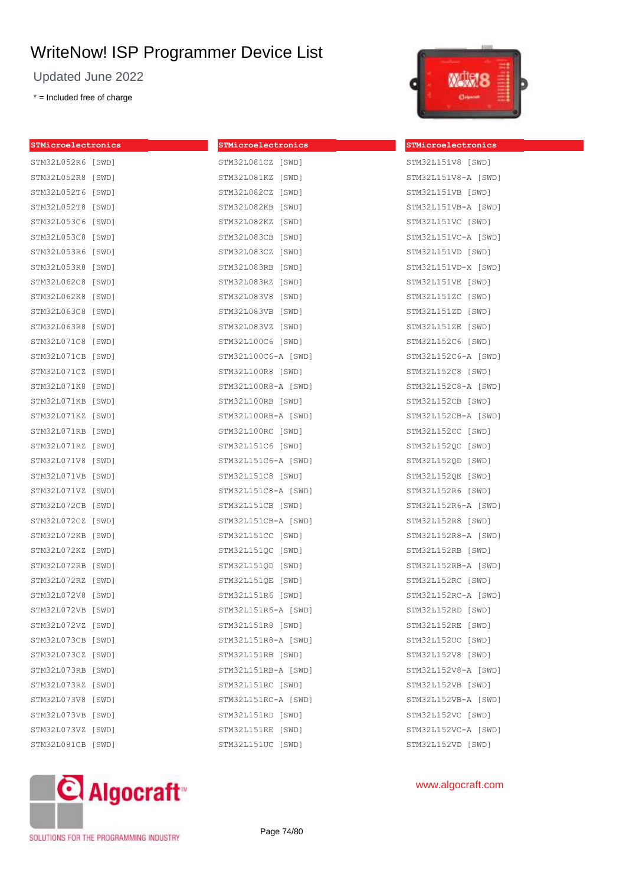Updated June 2022

\* = Included free of charge

**STMicroelectronics**

| STMicroelectronics | STMicroelectronics  | STMic |
|--------------------|---------------------|-------|
| STM32L052R6 [SWD]  | STM32L081CZ [SWD]   | STM32 |
| STM32L052R8 [SWD]  | STM32L081KZ [SWD]   | STM32 |
| STM32L052T6 [SWD]  | STM32L082CZ [SWD]   | STM32 |
| STM32L052T8 [SWD]  | STM32L082KB [SWD]   | STM32 |
| STM32L053C6 [SWD]  | STM32L082KZ [SWD]   | STM32 |
| STM32L053C8 [SWD]  | STM32L083CB [SWD]   | STM32 |
| STM32L053R6 [SWD]  | STM32L083CZ [SWD]   | STM32 |
| STM32L053R8 [SWD]  | STM32L083RB [SWD]   | STM32 |
| STM32L062C8 [SWD]  | STM32L083RZ [SWD]   | STM32 |
| STM32L062K8 [SWD]  | STM32L083V8 [SWD]   | STM32 |
| STM32L063C8 [SWD]  | STM32L083VB [SWD]   | STM32 |
| STM32L063R8 [SWD]  | STM32L083VZ [SWD]   | STM32 |
| STM32L071C8 [SWD]  | STM32L100C6 [SWD]   | STM32 |
| STM32L071CB [SWD]  | STM32L100C6-A [SWD] | STM32 |
| STM32L071CZ [SWD]  | STM32L100R8 [SWD]   | STM32 |
| STM32L071K8 [SWD]  | STM32L100R8-A [SWD] | STM32 |
| STM32L071KB [SWD]  | STM32L100RB [SWD]   | STM32 |
| STM32L071KZ [SWD]  | STM32L100RB-A [SWD] | STM32 |
| STM32L071RB [SWD]  | STM32L100RC [SWD]   | STM32 |
| STM32L071RZ [SWD]  | STM32L151C6 [SWD]   | STM32 |
| STM32L071V8 [SWD]  | STM32L151C6-A [SWD] | STM32 |
| STM32L071VB [SWD]  | STM32L151C8 [SWD]   | STM32 |
| STM32L071VZ [SWD]  | STM32L151C8-A [SWD] | STM32 |
| STM32L072CB [SWD]  | STM32L151CB [SWD]   | STM32 |
| STM32L072CZ [SWD]  | STM32L151CB-A [SWD] | STM32 |
| STM32L072KB [SWD]  | STM32L151CC [SWD]   | STM32 |
| STM32L072KZ [SWD]  | STM32L151QC [SWD]   | STM32 |
| STM32L072RB [SWD]  | STM32L151QD [SWD]   | STM32 |
| STM32L072RZ [SWD]  | STM32L151QE [SWD]   | STM32 |
| STM32L072V8 [SWD]  | STM32L151R6 [SWD]   | STM32 |
| STM32L072VB [SWD]  | STM32L151R6-A [SWD] | STM32 |
| STM32L072VZ [SWD]  | STM32L151R8 [SWD]   | STM32 |
| STM32L073CB [SWD]  | STM32L151R8-A [SWD] | STM32 |
| STM32L073CZ [SWD]  | STM32L151RB [SWD]   | STM32 |
| STM32L073RB [SWD]  | STM32L151RB-A [SWD] | STM32 |
| STM32L073RZ [SWD]  | STM32L151RC [SWD]   | STM32 |
| STM32L073V8 [SWD]  | STM32L151RC-A [SWD] | STM32 |
| STM32L073VB [SWD]  | STM32L151RD [SWD]   | STM32 |
| STM32L073VZ [SWD]  | STM32L151RE [SWD]   | STM32 |
| STM32L081CB [SWD]  | STM32L151UC [SWD]   | STM32 |
|                    |                     |       |



#### **STMicroelectronics**

2L151V8 [SWD] 2L151V8-A [SWD] 2L151VB [SWD] 2L151VB-A [SWD] 2L151VC [SWD] 2L151VC-A [SWD] 2L151VD [SWD] 2L151VD-X [SWD] 2L151VE [SWD] 2L151ZC [SWD] 2L151ZD [SWD] 2L151ZE [SWD] 2L152C6 [SWD] 2L152C6-A [SWD] 2L152C8 [SWD] 2L152C8-A [SWD] 2L152CB [SWD] 2L152CB-A [SWD] 2L152CC [SWD] 2L152QC [SWD] 2L152QD [SWD] 2L152QE [SWD] 2L152R6 [SWD] 2L152R6-A [SWD] 2L152R8 [SWD] 2L152R8-A [SWD] 2L152RB [SWD] 2L152RB-A [SWD] 2L152RC [SWD] 2L152RC-A [SWD] 2L152RD [SWD] 2L152RE [SWD] 2L152UC [SWD] 2L152V8 [SWD] 2L152V8-A [SWD] 2L152VB [SWD] 2L152VB-A [SWD] 2L152VC [SWD] 2L152VC-A [SWD] 2L152VD [SWD]

# C Algocraft<sup>®</sup>

SOLUTIONS FOR THE PROGRAMMING INDUSTRY

Page 74/80

## www.algocraft.com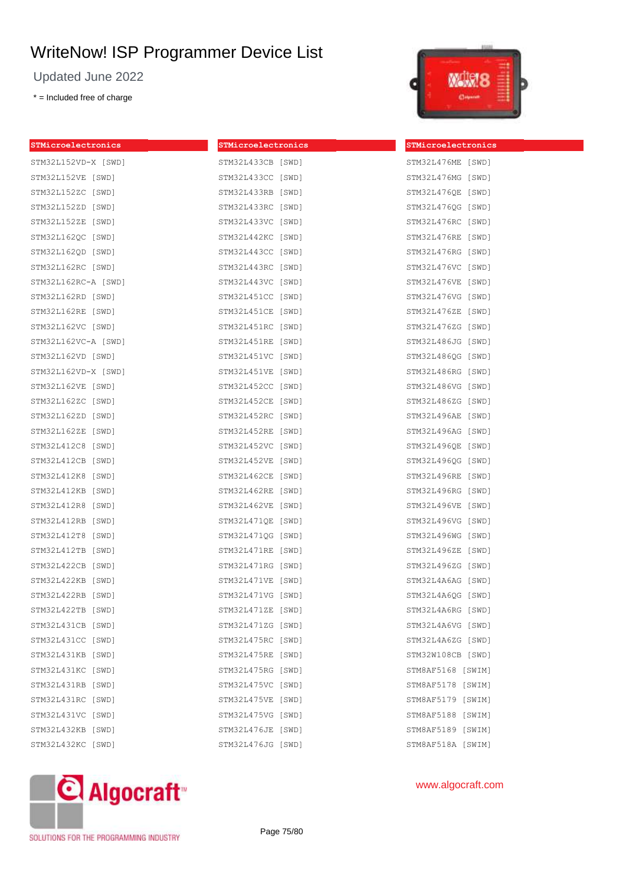Updated June 2022

\* = Included free of charge



| STMicroelectronics  | STMicroelectronics | STMicroelectronics |
|---------------------|--------------------|--------------------|
| STM32L152VD-X [SWD] | STM32L433CB [SWD]  | STM32L476ME [SWD]  |
| STM32L152VE [SWD]   | STM32L433CC [SWD]  | STM32L476MG [SWD]  |
| STM32L152ZC [SWD]   | STM32L433RB [SWD]  | STM32L476QE [SWD]  |
| STM32L152ZD [SWD]   | STM32L433RC [SWD]  | STM32L4760G [SWD]  |
| STM32L152ZE [SWD]   | STM32L433VC [SWD]  | STM32L476RC [SWD]  |
| STM32L162QC [SWD]   | STM32L442KC [SWD]  | STM32L476RE [SWD]  |
| STM32L162QD [SWD]   | STM32L443CC [SWD]  | STM32L476RG [SWD]  |
| STM32L162RC [SWD]   | STM32L443RC [SWD]  | STM32L476VC [SWD]  |
| STM32L162RC-A [SWD] | STM32L443VC [SWD]  | STM32L476VE [SWD]  |
| STM32L162RD [SWD]   | STM32L451CC [SWD]  | STM32L476VG [SWD]  |
| STM32L162RE [SWD]   | STM32L451CE [SWD]  | STM32L476ZE [SWD]  |
| STM32L162VC [SWD]   | STM32L451RC [SWD]  | STM32L476ZG [SWD]  |
| STM32L162VC-A [SWD] | STM32L451RE [SWD]  | STM32L486JG [SWD]  |
| STM32L162VD [SWD]   | STM32L451VC [SWD]  | STM32L486OG [SWD]  |
| STM32L162VD-X [SWD] | STM32L451VE [SWD]  | STM32L486RG [SWD]  |
| STM32L162VE [SWD]   | STM32L452CC [SWD]  | STM32L486VG [SWD]  |
| STM32L162ZC [SWD]   | STM32L452CE [SWD]  | STM32L486ZG [SWD]  |
| STM32L162ZD [SWD]   | STM32L452RC [SWD]  | STM32L496AE [SWD]  |
| STM32L162ZE [SWD]   | STM32L452RE [SWD]  | STM32L496AG [SWD]  |
| STM32L412C8 [SWD]   | STM32L452VC [SWD]  | STM32L496QE [SWD]  |
| STM32L412CB [SWD]   | STM32L452VE [SWD]  | STM32L496QG [SWD]  |
| STM32L412K8 [SWD]   | STM32L462CE [SWD]  | STM32L496RE [SWD]  |
| STM32L412KB [SWD]   | STM32L462RE [SWD]  | STM32L496RG [SWD]  |
| STM32L412R8 [SWD]   | STM32L462VE [SWD]  | STM32L496VE [SWD]  |
| STM32L412RB [SWD]   | STM32L471QE [SWD]  | STM32L496VG [SWD]  |
| STM32L412T8 [SWD]   | STM32L471QG [SWD]  | STM32L496WG [SWD]  |
| STM32L412TB [SWD]   | STM32L471RE [SWD]  | STM32L496ZE [SWD]  |
| STM32L422CB [SWD]   | STM32L471RG [SWD]  | STM32L496ZG [SWD]  |
| STM32L422KB [SWD]   | STM32L471VE [SWD]  | STM32L4A6AG [SWD]  |
| STM32L422RB [SWD]   | STM32L471VG [SWD]  | STM32L4A6QG [SWD]  |
| STM32L422TB [SWD]   | STM32L471ZE [SWD]  | STM32L4A6RG [SWD]  |
| STM32L431CB [SWD]   | STM32L471ZG [SWD]  | STM32L4A6VG [SWD]  |
| STM32L431CC [SWD]   | STM32L475RC [SWD]  | STM32L4A6ZG [SWD]  |
| STM32L431KB [SWD]   | STM32L475RE [SWD]  | STM32W108CB [SWD]  |
| STM32L431KC [SWD]   | STM32L475RG [SWD]  | STM8AF5168 [SWIM]  |
| STM32L431RB [SWD]   | STM32L475VC [SWD]  | STM8AF5178 [SWIM]  |
| STM32L431RC [SWD]   | STM32L475VE [SWD]  | STM8AF5179 [SWIM]  |
| STM32L431VC [SWD]   | STM32L475VG [SWD]  | STM8AF5188 [SWIM]  |
| STM32L432KB [SWD]   | STM32L476JE [SWD]  | STM8AF5189 [SWIM]  |
| STM32L432KC [SWD]   | STM32L476JG [SWD]  | STM8AF518A [SWIM]  |



www.algocraft.com

SOLUTIONS FOR THE PROGRAMMING INDUSTRY

Page 75/80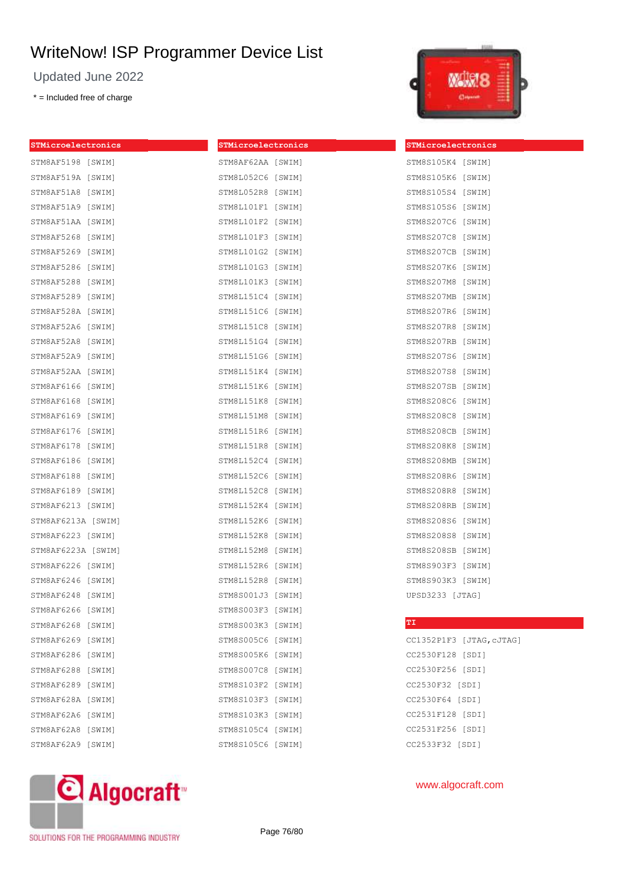Updated June 2022

\* = Included free of charge



| STMicroelectronics | STMicroelectronics | STMicroelectronics       |
|--------------------|--------------------|--------------------------|
| STM8AF5198 [SWIM]  | STM8AF62AA [SWIM]  | STM8S105K4 [SWIM]        |
| STM8AF519A [SWIM]  | STM8L052C6 [SWIM]  | STM8S105K6 [SWIM]        |
| STM8AF51A8 [SWIM]  | STM8L052R8 [SWIM]  | STM8S105S4 [SWIM]        |
| STM8AF51A9 [SWIM]  | STM8L101F1 [SWIM]  | STM8S105S6 [SWIM]        |
| STM8AF51AA [SWIM]  | STM8L101F2 [SWIM]  | STM8S207C6 [SWIM]        |
| STM8AF5268 [SWIM]  | STM8L101F3 [SWIM]  | STM8S207C8 [SWIM]        |
| STM8AF5269 [SWIM]  | STM8L101G2 [SWIM]  | STM8S207CB [SWIM]        |
| STM8AF5286 [SWIM]  | STM8L101G3 [SWIM]  | STM8S207K6 [SWIM]        |
| STM8AF5288 [SWIM]  | STM8L101K3 [SWIM]  | STM8S207M8 [SWIM]        |
| STM8AF5289 [SWIM]  | STM8L151C4 [SWIM]  | STM8S207MB [SWIM]        |
| STM8AF528A [SWIM]  | STM8L151C6 [SWIM]  | STM8S207R6 [SWIM]        |
| STM8AF52A6 [SWIM]  | STM8L151C8 [SWIM]  | STM8S207R8 [SWIM]        |
| STM8AF52A8 [SWIM]  | STM8L151G4 [SWIM]  | STM8S207RB [SWIM]        |
| STM8AF52A9 [SWIM]  | STM8L151G6 [SWIM]  | STM8S207S6 [SWIM]        |
| STM8AF52AA [SWIM]  | STM8L151K4 [SWIM]  | STM8S207S8 [SWIM]        |
| STM8AF6166 [SWIM]  | STM8L151K6 [SWIM]  | STM8S207SB [SWIM]        |
| STM8AF6168 [SWIM]  | STM8L151K8 [SWIM]  | STM8S208C6 [SWIM]        |
| STM8AF6169 [SWIM]  | STM8L151M8 [SWIM]  | STM8S208C8 [SWIM]        |
| STM8AF6176 [SWIM]  | STM8L151R6 [SWIM]  | STM8S208CB [SWIM]        |
| STM8AF6178 [SWIM]  | STM8L151R8 [SWIM]  | STM8S208K8 [SWIM]        |
| STM8AF6186 [SWIM]  | STM8L152C4 [SWIM]  | STM8S208MB [SWIM]        |
| STM8AF6188 [SWIM]  | STM8L152C6 [SWIM]  | STM8S208R6 [SWIM]        |
| STM8AF6189 [SWIM]  | STM8L152C8 [SWIM]  | STM8S208R8 [SWIM]        |
| STM8AF6213 [SWIM]  | STM8L152K4 [SWIM]  | STM8S208RB [SWIM]        |
| STM8AF6213A [SWIM] | STM8L152K6 [SWIM]  | STM8S208S6 [SWIM]        |
| STM8AF6223 [SWIM]  | STM8L152K8 [SWIM]  | STM8S208S8 [SWIM]        |
| STM8AF6223A [SWIM] | STM8L152M8 [SWIM]  | STM8S208SB [SWIM]        |
| STM8AF6226 [SWIM]  | STM8L152R6 [SWIM]  | STM8S903F3 [SWIM]        |
| STM8AF6246 [SWIM]  | STM8L152R8 [SWIM]  | STM8S903K3 [SWIM]        |
| STM8AF6248 [SWIM]  | STM8S001J3 [SWIM]  | UPSD3233 [JTAG]          |
| STM8AF6266 [SWIM]  | STM8S003F3 [SWIM]  |                          |
| STM8AF6268 [SWIM]  | STM8S003K3 [SWIM]  | TI                       |
| STM8AF6269 [SWIM]  | STM8S005C6 [SWIM]  | CC1352P1F3 [JTAG, CJTAG] |
| STM8AF6286 [SWIM]  | STM8S005K6 [SWIM]  | CC2530F128 [SDI]         |
| STM8AF6288 [SWIM]  | STM8S007C8 [SWIM]  | CC2530F256 [SDI]         |
| STM8AF6289 [SWIM]  | STM8S103F2 [SWIM]  | CC2530F32 [SDI]          |
| STM8AF628A [SWIM]  | STM8S103F3 [SWIM]  | CC2530F64 [SDI]          |
| STM8AF62A6 [SWIM]  | STM8S103K3 [SWIM]  | CC2531F128 [SDI]         |
| STM8AF62A8 [SWIM]  | STM8S105C4 [SWIM]  | CC2531F256 [SDI]         |
| STM8AF62A9 [SWIM]  | STM8S105C6 [SWIM]  | CC2533F32 [SDI]          |



SOLUTIONS FOR THE PROGRAMMING INDUSTRY

Page 76/80

## www.algocraft.com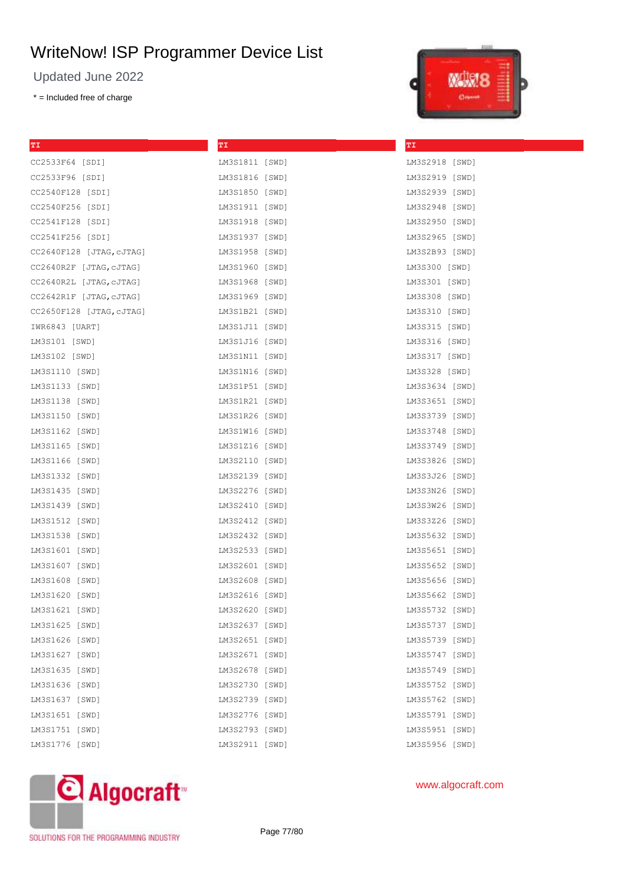Updated June 2022

\* = Included free of charge



| ТI                       | TΙ             | ТI             |
|--------------------------|----------------|----------------|
| CC2533F64 [SDI]          | LM3S1811 [SWD] | LM3S2918 [SWD] |
| CC2533F96 [SDI]          | LM3S1816 [SWD] | LM3S2919 [SWD] |
| CC2540F128 [SDI]         | LM3S1850 [SWD] | LM3S2939 [SWD] |
| CC2540F256 [SDI]         | LM3S1911 [SWD] | LM3S2948 [SWD] |
| CC2541F128 [SDI]         | LM3S1918 [SWD] | LM3S2950 [SWD] |
| CC2541F256 [SDI]         | LM3S1937 [SWD] | LM3S2965 [SWD] |
| CC2640F128 [JTAG,cJTAG]  | LM3S1958 [SWD] | LM3S2B93 [SWD] |
| CC2640R2F [JTAG,cJTAG]   | LM3S1960 [SWD] | LM3S300 [SWD]  |
| CC2640R2L [JTAG,cJTAG]   | LM3S1968 [SWD] | LM3S301 [SWD]  |
| CC2642R1F [JTAG,cJTAG]   | LM3S1969 [SWD] | LM3S308 [SWD]  |
| CC2650F128 [JTAG, cJTAG] | LM3S1B21 [SWD] | LM3S310 [SWD]  |
| IWR6843 [UART]           | LM3S1J11 [SWD] | LM3S315 [SWD]  |
| LM3S101 [SWD]            | LM3S1J16 [SWD] | LM3S316 [SWD]  |
| LM3S102 [SWD]            | LM3S1N11 [SWD] | LM3S317 [SWD]  |
| LM3S1110 [SWD]           | LM3S1N16 [SWD] | LM3S328 [SWD]  |
| LM3S1133 [SWD]           | LM3S1P51 [SWD] | LM3S3634 [SWD] |
| LM3S1138 [SWD]           | LM3S1R21 [SWD] | LM3S3651 [SWD] |
| LM3S1150 [SWD]           | LM3S1R26 [SWD] | LM3S3739 [SWD] |
| LM3S1162 [SWD]           | LM3S1W16 [SWD] | LM3S3748 [SWD] |
| LM3S1165 [SWD]           | LM3S1Z16 [SWD] | LM3S3749 [SWD] |
| LM3S1166 [SWD]           | LM3S2110 [SWD] | LM3S3826 [SWD] |
| LM3S1332 [SWD]           | LM3S2139 [SWD] | LM3S3J26 [SWD] |
| LM3S1435 [SWD]           | LM3S2276 [SWD] | LM3S3N26 [SWD] |
| LM3S1439 [SWD]           | LM3S2410 [SWD] | LM3S3W26 [SWD] |
| LM3S1512 [SWD]           | LM3S2412 [SWD] | LM3S3Z26 [SWD] |
| LM3S1538 [SWD]           | LM3S2432 [SWD] | LM3S5632 [SWD] |
| LM3S1601 [SWD]           | LM3S2533 [SWD] | LM3S5651 [SWD] |
| LM3S1607 [SWD]           | LM3S2601 [SWD] | LM3S5652 [SWD] |
| LM3S1608 [SWD]           | LM3S2608 [SWD] | LM3S5656 [SWD] |
| LM3S1620 [SWD]           | LM3S2616 [SWD] | LM3S5662 [SWD] |
| LM3S1621 [SWD]           | LM3S2620 [SWD] | LM3S5732 [SWD] |
| LM3S1625 [SWD]           | LM3S2637 [SWD] | LM3S5737 [SWD] |
| LM3S1626 [SWD]           | LM3S2651 [SWD] | LM3S5739 [SWD] |
| LM3S1627 [SWD]           | LM3S2671 [SWD] | LM3S5747 [SWD] |
| LM3S1635 [SWD]           | LM3S2678 [SWD] | LM3S5749 [SWD] |
| LM3S1636 [SWD]           | LM3S2730 [SWD] | LM3S5752 [SWD] |
| LM3S1637 [SWD]           | LM3S2739 [SWD] | LM3S5762 [SWD] |
| LM3S1651 [SWD]           | LM3S2776 [SWD] | LM3S5791 [SWD] |
| LM3S1751 [SWD]           | LM3S2793 [SWD] | LM3S5951 [SWD] |
| LM3S1776 [SWD]           | LM3S2911 [SWD] | LM3S5956 [SWD] |



## www.algocraft.com

SOLUTIONS FOR THE PROGRAMMING INDUSTRY

Page 77/80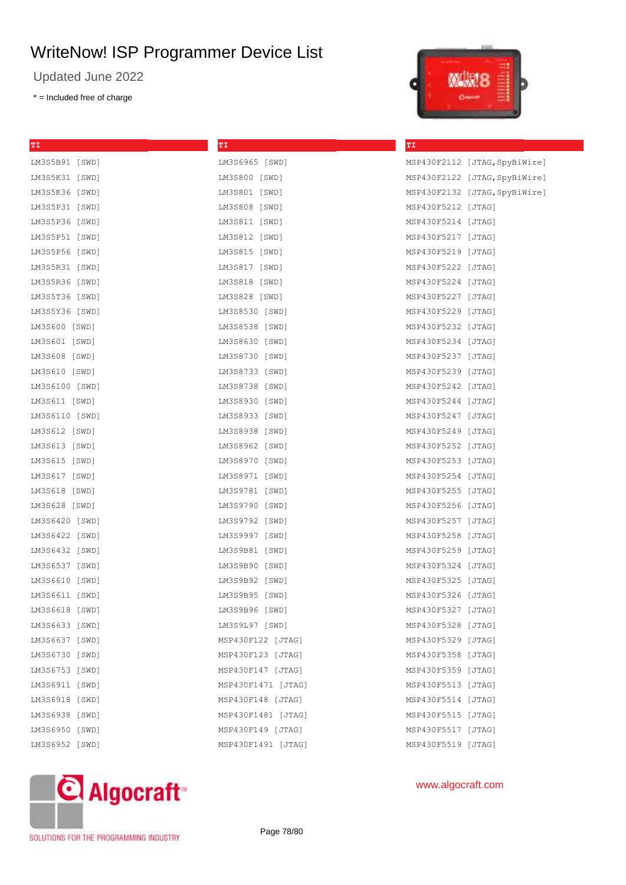Updated June 2022

\* = Included free of charge



| ТI             | ТI                 | ТI                 |                               |
|----------------|--------------------|--------------------|-------------------------------|
| LM3S5B91 [SWD] | LM3S6965 [SWD]     |                    | MSP430F2112 [JTAG, SpyBiWire] |
| LM3S5K31 [SWD] | LM3S800 [SWD]      |                    | MSP430F2122 [JTAG, SpyBiWire] |
| LM3S5K36 [SWD] | LM3S801 [SWD]      |                    | MSP430F2132 [JTAG, SpyBiWire] |
| LM3S5P31 [SWD] | LM3S808 [SWD]      | MSP430F5212 [JTAG] |                               |
| LM3S5P36 [SWD] | LM3S811 [SWD]      | MSP430F5214 [JTAG] |                               |
| LM3S5P51 [SWD] | LM3S812 [SWD]      | MSP430F5217 [JTAG] |                               |
| LM3S5P56 [SWD] | LM3S815 [SWD]      | MSP430F5219 [JTAG] |                               |
| LM3S5R31 [SWD] | LM3S817 [SWD]      | MSP430F5222 [JTAG] |                               |
| LM3S5R36 [SWD] | LM3S818 [SWD]      | MSP430F5224 [JTAG] |                               |
| LM3S5T36 [SWD] | LM3S828 [SWD]      | MSP430F5227 [JTAG] |                               |
| LM3S5Y36 [SWD] | LM3S8530 [SWD]     | MSP430F5229 [JTAG] |                               |
| LM3S600 [SWD]  | LM3S8538 [SWD]     | MSP430F5232 [JTAG] |                               |
| LM3S601 [SWD]  | LM3S8630 [SWD]     | MSP430F5234 [JTAG] |                               |
| LM3S608 [SWD]  | LM3S8730 [SWD]     | MSP430F5237 [JTAG] |                               |
| LM3S610 [SWD]  | LM3S8733 [SWD]     | MSP430F5239 [JTAG] |                               |
| LM3S6100 [SWD] | LM3S8738 [SWD]     | MSP430F5242 [JTAG] |                               |
| LM3S611 [SWD]  | LM3S8930 [SWD]     | MSP430F5244 [JTAG] |                               |
| LM3S6110 [SWD] | LM3S8933 [SWD]     | MSP430F5247 [JTAG] |                               |
| LM3S612 [SWD]  | LM3S8938 [SWD]     | MSP430F5249 [JTAG] |                               |
| LM3S613 [SWD]  | LM3S8962 [SWD]     | MSP430F5252 [JTAG] |                               |
| LM3S615 [SWD]  | LM3S8970 [SWD]     | MSP430F5253 [JTAG] |                               |
| LM3S617 [SWD]  | LM3S8971 [SWD]     | MSP430F5254 [JTAG] |                               |
| LM3S618 [SWD]  | LM3S9781 [SWD]     | MSP430F5255 [JTAG] |                               |
| LM3S628 [SWD]  | LM3S9790 [SWD]     | MSP430F5256 [JTAG] |                               |
| LM3S6420 [SWD] | LM3S9792 [SWD]     | MSP430F5257 [JTAG] |                               |
| LM3S6422 [SWD] | LM3S9997 [SWD]     | MSP430F5258 [JTAG] |                               |
| LM3S6432 [SWD] | LM3S9B81 [SWD]     | MSP430F5259 [JTAG] |                               |
| LM3S6537 [SWD] | LM3S9B90 [SWD]     | MSP430F5324 [JTAG] |                               |
| LM3S6610 [SWD] | LM3S9B92 [SWD]     | MSP430F5325 [JTAG] |                               |
| LM3S6611 [SWD] | LM3S9B95 [SWD]     | MSP430F5326 [JTAG] |                               |
| LM3S6618 [SWD] | LM3S9B96 [SWD]     | MSP430F5327 [JTAG] |                               |
| LM3S6633 [SWD] | LM3S9L97 [SWD]     | MSP430F5328 [JTAG] |                               |
| LM3S6637 [SWD] | MSP430F122 [JTAG]  | MSP430F5329 [JTAG] |                               |
| LM3S6730 [SWD] | MSP430F123 [JTAG]  | MSP430F5358 [JTAG] |                               |
| LM3S6753 [SWD] | MSP430F147 [JTAG]  | MSP430F5359 [JTAG] |                               |
| LM3S6911 [SWD] | MSP430F1471 [JTAG] | MSP430F5513 [JTAG] |                               |
| LM3S6918 [SWD] | MSP430F148 [JTAG]  | MSP430F5514 [JTAG] |                               |
| LM3S6938 [SWD] | MSP430F1481 [JTAG] | MSP430F5515 [JTAG] |                               |
| LM3S6950 [SWD] | MSP430F149 [JTAG]  | MSP430F5517 [JTAG] |                               |
| LM3S6952 [SWD] | MSP430F1491 [JTAG] | MSP430F5519 [JTAG] |                               |
|                |                    |                    |                               |



## www.algocraft.com

SOLUTIONS FOR THE PROGRAMMING INDUSTRY

Page 78/80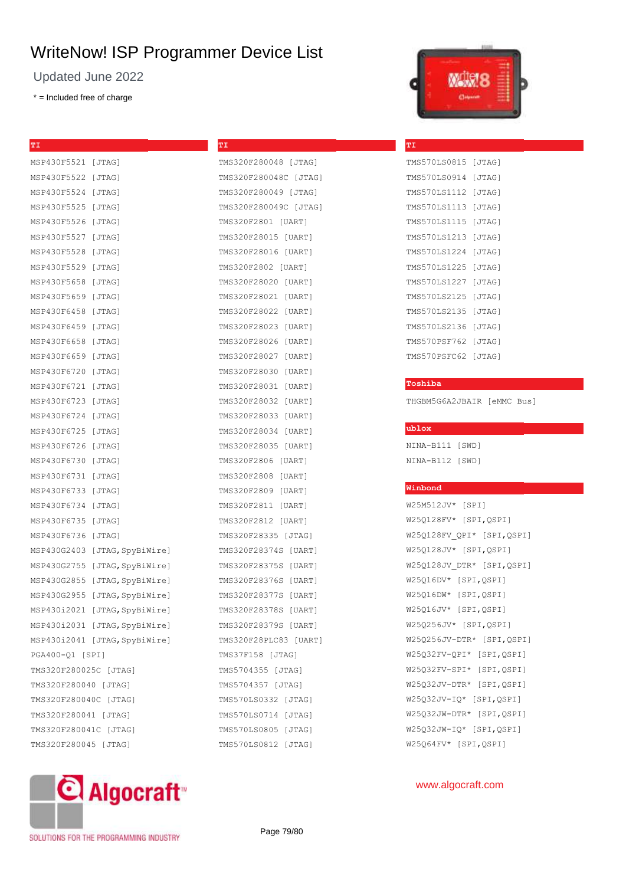**TI**

TMS320F280048 [JTAG] TMS320F280048C [JTAG]

Updated June 2022

\* = Included free of charge

| ТI                    |                               |
|-----------------------|-------------------------------|
| MSP430F5521           | [JTAG]                        |
| MSP430F5522 [JTAG]    |                               |
| MSP430F5524           | [JTAG]                        |
| MSP430F5525           | [JTAG]                        |
| MSP430F5526           | [JTAG]                        |
| MSP430F5527           | [JTAG]                        |
| MSP430F5528           | [JTAG]                        |
| MSP430F5529           | [JTAG]                        |
| MSP430F5658           | [JTAG]                        |
| MSP430F5659           | [JTAG]                        |
| MSP430F6458           | [JTAG]                        |
| MSP430F6459           | [JTAG]                        |
| MSP430F6658           | [JTAG]                        |
| MSP430F6659           | [JTAG]                        |
| MSP430F6720           | [JTAG]                        |
| MSP430F6721           | [JTAG]                        |
| MSP430F6723           | [JTAG]                        |
| MSP430F6724           | [JTAG]                        |
| MSP430F6725           | [JTAG]                        |
| MSP430F6726           | [JTAG]                        |
| MSP430F6730           | [JTAG]                        |
| MSP430F6731           | [JTAG]                        |
| MSP430F6733           | [JTAG]                        |
| MSP430F6734           | [JTAG]                        |
| MSP430F6735           | [JTAG]                        |
| MSP430F6736           | [JTAG]                        |
| MSP430G2403           | [JTAG, SpyBiWire]             |
| MSP430G2755           | [JTAG, SpyBiWire]             |
| MSP430G2855           | [JTAG, SpyBiWire]             |
| MSP430G2955           | [JTAG, SpyBiWire]             |
|                       | MSP430i2021 [JTAG, SpyBiWire] |
|                       | MSP430i2031 [JTAG, SpyBiWire] |
|                       | MSP430i2041 [JTAG, SpyBiWire] |
| PGA400-Q1 [SPI]       |                               |
| TMS320F280025C [JTAG] |                               |
| TMS320F280040 [JTAG]  |                               |
| TMS320F280040C [JTAG] |                               |
| TMS320F280041 [JTAG]  |                               |
| TMS320F280041C [JTAG] |                               |
| TMS320F280045 [JTAG]  |                               |



TMS320F280049 [JTAG] TMS320F280049C [JTAG] TMS320F2801 [UART] TMS320F28015 [UART] TMS320F28016 [UART] TMS320F2802 [UART] TMS320F28020 [UART] TMS320F28021 [UART] TMS320F28022 [UART] TMS320F28023 [UART] TMS320F28026 [UART] TMS320F28027 [UART] TMS320F28030 [UART] TMS320F28031 [UART] TMS320F28032 [UART] TMS320F28033 [UART] TMS320F28034 [UART] TMS320F28035 [UART] TMS320F2806 [UART] TMS320F2808 [UART] TMS320F2809 [UART] TMS320F2811 [UART] TMS320F2812 [UART] TMS320F28335 [JTAG] TMS320F28374S [UART] TMS320F28375S [UART] TMS320F28376S [UART] TMS320F28377S [UART] TMS320F28378S [UART] TMS320F28379S [UART] TMS320F28PLC83 [UART] TMS37F158 [JTAG] TMS5704355 [JTAG] TMS5704357 [JTAG] TMS570LS0332 [JTAG] TMS570LS0714 [JTAG] TMS570LS0805 [JTAG]



| TMS570LS0815  | [JTAG] |
|---------------|--------|
| TMS570LS0914  | [JTAG] |
| TMS5701.S1112 | [JTAG] |
| TMS570LS1113  | [JTAG] |
| TMS570LS1115  | [JTAG] |
| TMS570LS1213  | [JTAG] |
| TMS570LS1224  | [JTAG] |
| TMS570LS1225  | [JTAG] |
| TMS570LS1227  | [JTAG] |
| TMS570LS2125  | [JTAG] |
| TMS570LS2135  | [JTAG] |
| TMS570LS2136  | [JTAG] |
| TMS570PSF762  | [JTAG] |
| TMS570PSFC62  | [JTAG] |
|               |        |

#### **Toshiba**

**TI**

THGBM5G6A2JBAIR [eMMC Bus]

## **ublox**

NINA-B111 [SWD] NINA-B112 [SWD]

#### **Winbond**

W25M512JV\* [SPI] W25Q128FV\* [SPI,QSPI] W25Q128FV\_QPI\* [SPI,QSPI] W25Q128JV\* [SPI,QSPI] W25Q128JV\_DTR\* [SPI,QSPI] W25Q16DV\* [SPI,QSPI] W25Q16DW\* [SPI,QSPI] W25Q16JV\* [SPI,QSPI] W25Q256JV\* [SPI,QSPI] W25Q256JV-DTR\* [SPI,QSPI] W25Q32FV-QPI\* [SPI,QSPI] W25Q32FV-SPI\* [SPI,QSPI] W25Q32JV-DTR\* [SPI,QSPI] W25Q32JV-IQ\* [SPI,QSPI] W25Q32JW-DTR\* [SPI,QSPI] W25Q32JW-IQ\* [SPI,QSPI] W25Q64FV\* [SPI,QSPI]

#### www.algocraft.com

SOLUTIONS FOR THE PROGRAMMING INDUSTRY

Page 79/80

TMS570LS0812 [JTAG]